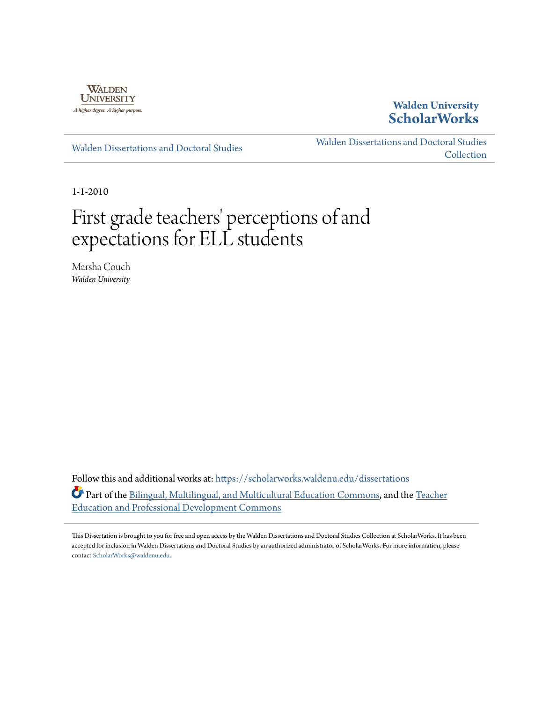

### **Walden University [ScholarWorks](https://scholarworks.waldenu.edu?utm_source=scholarworks.waldenu.edu%2Fdissertations%2F712&utm_medium=PDF&utm_campaign=PDFCoverPages)**

[Walden Dissertations and Doctoral Studies](https://scholarworks.waldenu.edu/dissertations?utm_source=scholarworks.waldenu.edu%2Fdissertations%2F712&utm_medium=PDF&utm_campaign=PDFCoverPages)

[Walden Dissertations and Doctoral Studies](https://scholarworks.waldenu.edu/dissanddoc?utm_source=scholarworks.waldenu.edu%2Fdissertations%2F712&utm_medium=PDF&utm_campaign=PDFCoverPages) [Collection](https://scholarworks.waldenu.edu/dissanddoc?utm_source=scholarworks.waldenu.edu%2Fdissertations%2F712&utm_medium=PDF&utm_campaign=PDFCoverPages)

1-1-2010

# First grade teachers' perceptions of and expectations for ELL students

Marsha Couch *Walden University*

Follow this and additional works at: [https://scholarworks.waldenu.edu/dissertations](https://scholarworks.waldenu.edu/dissertations?utm_source=scholarworks.waldenu.edu%2Fdissertations%2F712&utm_medium=PDF&utm_campaign=PDFCoverPages) Part of the [Bilingual, Multilingual, and Multicultural Education Commons](http://network.bepress.com/hgg/discipline/785?utm_source=scholarworks.waldenu.edu%2Fdissertations%2F712&utm_medium=PDF&utm_campaign=PDFCoverPages), and the [Teacher](http://network.bepress.com/hgg/discipline/803?utm_source=scholarworks.waldenu.edu%2Fdissertations%2F712&utm_medium=PDF&utm_campaign=PDFCoverPages) [Education and Professional Development Commons](http://network.bepress.com/hgg/discipline/803?utm_source=scholarworks.waldenu.edu%2Fdissertations%2F712&utm_medium=PDF&utm_campaign=PDFCoverPages)

This Dissertation is brought to you for free and open access by the Walden Dissertations and Doctoral Studies Collection at ScholarWorks. It has been accepted for inclusion in Walden Dissertations and Doctoral Studies by an authorized administrator of ScholarWorks. For more information, please contact [ScholarWorks@waldenu.edu](mailto:ScholarWorks@waldenu.edu).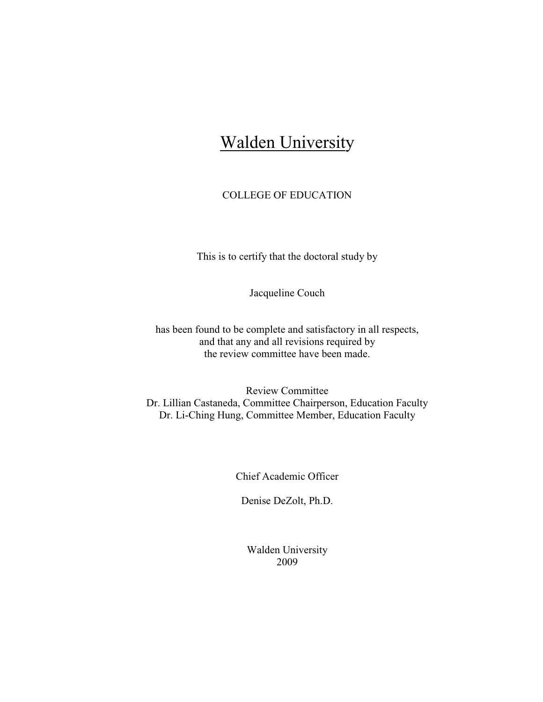## **Walden University**

#### COLLEGE OF EDUCATION

This is to certify that the doctoral study by

Jacqueline Couch

has been found to be complete and satisfactory in all respects, and that any and all revisions required by the review committee have been made.

Review Committee Dr. Lillian Castaneda, Committee Chairperson, Education Faculty Dr. Li-Ching Hung, Committee Member, Education Faculty

Chief Academic Officer

Denise DeZolt, Ph.D.

Walden University 2009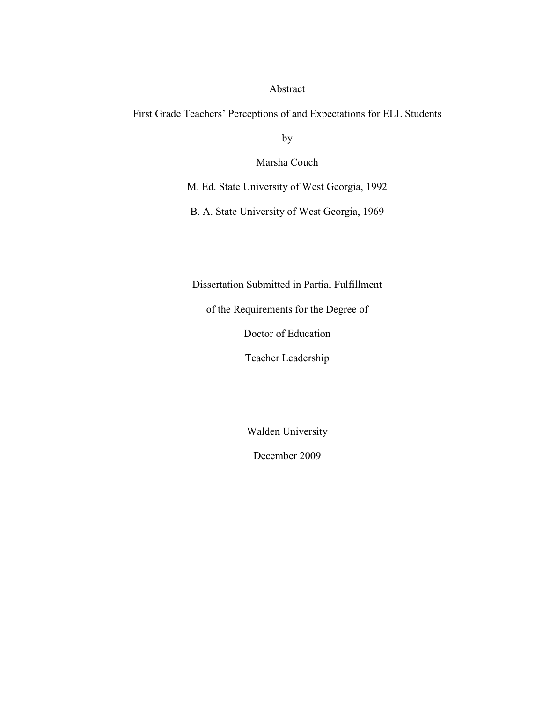#### Abstract

First Grade Teachers' Perceptions of and Expectations for ELL Students

by

Marsha Couch

M. Ed. State University of West Georgia, 1992

B. A. State University of West Georgia, 1969

Dissertation Submitted in Partial Fulfillment

of the Requirements for the Degree of

Doctor of Education

Teacher Leadership

Walden University

December 2009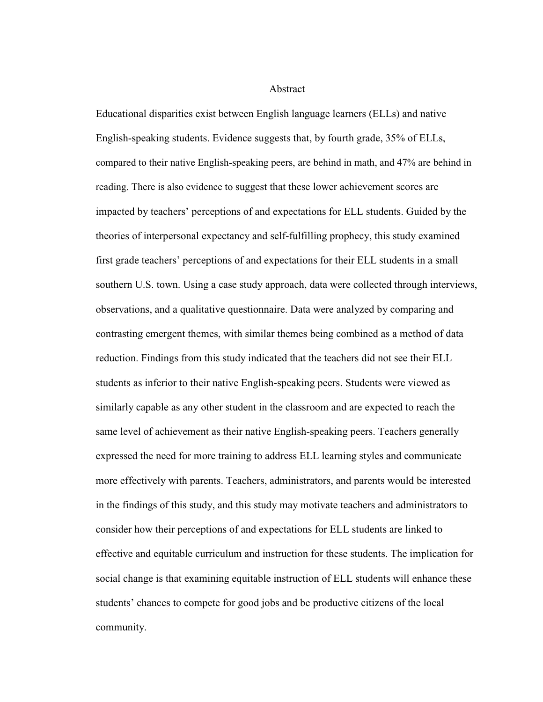Abstract

Educational disparities exist between English language learners (ELLs) and native English-speaking students. Evidence suggests that, by fourth grade, 35% of ELLs, compared to their native English-speaking peers, are behind in math, and 47% are behind in reading. There is also evidence to suggest that these lower achievement scores are impacted by teachers' perceptions of and expectations for ELL students. Guided by the theories of interpersonal expectancy and self-fulfilling prophecy, this study examined first grade teachers' perceptions of and expectations for their ELL students in a small southern U.S. town. Using a case study approach, data were collected through interviews, observations, and a qualitative questionnaire. Data were analyzed by comparing and contrasting emergent themes, with similar themes being combined as a method of data reduction. Findings from this study indicated that the teachers did not see their ELL students as inferior to their native English-speaking peers. Students were viewed as similarly capable as any other student in the classroom and are expected to reach the same level of achievement as their native English-speaking peers. Teachers generally expressed the need for more training to address ELL learning styles and communicate more effectively with parents. Teachers, administrators, and parents would be interested in the findings of this study, and this study may motivate teachers and administrators to consider how their perceptions of and expectations for ELL students are linked to effective and equitable curriculum and instruction for these students. The implication for social change is that examining equitable instruction of ELL students will enhance these students' chances to compete for good jobs and be productive citizens of the local community.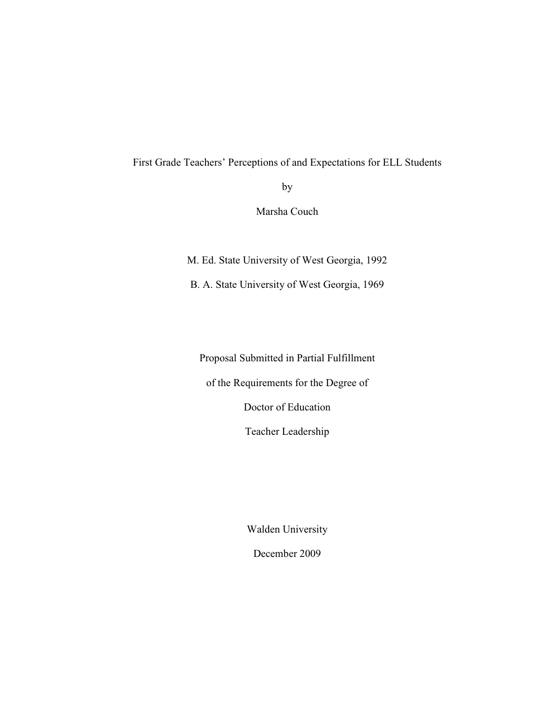#### First Grade Teachers' Perceptions of and Expectations for ELL Students

by

Marsha Couch

M. Ed. State University of West Georgia, 1992

B. A. State University of West Georgia, 1969

Proposal Submitted in Partial Fulfillment

of the Requirements for the Degree of

Doctor of Education

Teacher Leadership

Walden University

December 2009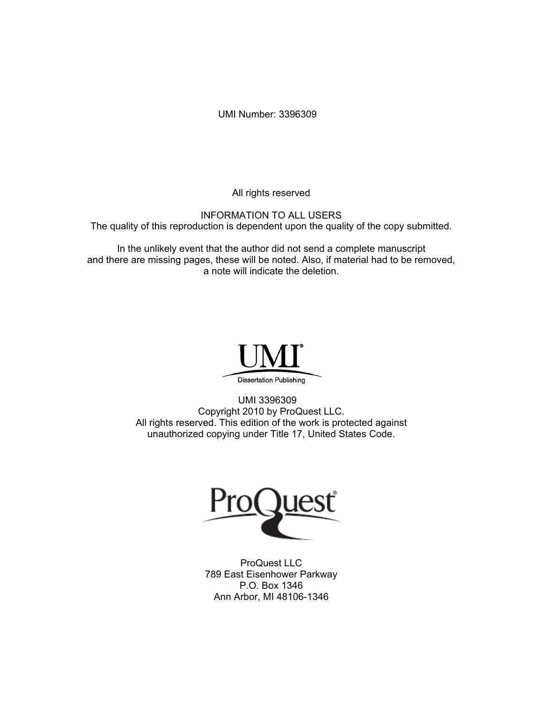UMI Number: 3396309

All rights reserved

INFORMATION TO ALL USERS The quality of this reproduction is dependent upon the quality of the copy submitted.

In the unlikely event that the author did not send a complete manuscript and there are missing pages, these will be noted. Also, if material had to be removed, a note will indicate the deletion.



UMI 3396309 Copyright 2010 by ProQuest LLC. All rights reserved. This edition of the work is protected against unauthorized copying under Title 17, United States Code.



ProQuest LLC 789 East Eisenhower Parkway P.O. Box 1346 Ann Arbor, MI 48106-1346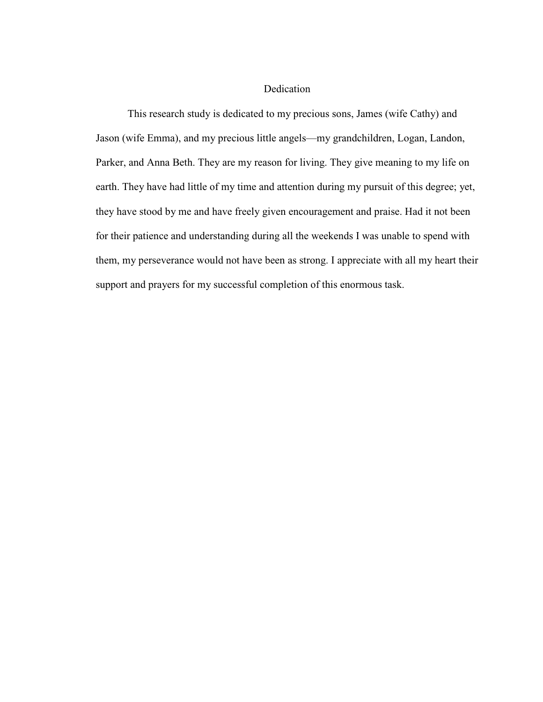#### Dedication

 This research study is dedicated to my precious sons, James (wife Cathy) and Jason (wife Emma), and my precious little angels—my grandchildren, Logan, Landon, Parker, and Anna Beth. They are my reason for living. They give meaning to my life on earth. They have had little of my time and attention during my pursuit of this degree; yet, they have stood by me and have freely given encouragement and praise. Had it not been for their patience and understanding during all the weekends I was unable to spend with them, my perseverance would not have been as strong. I appreciate with all my heart their support and prayers for my successful completion of this enormous task.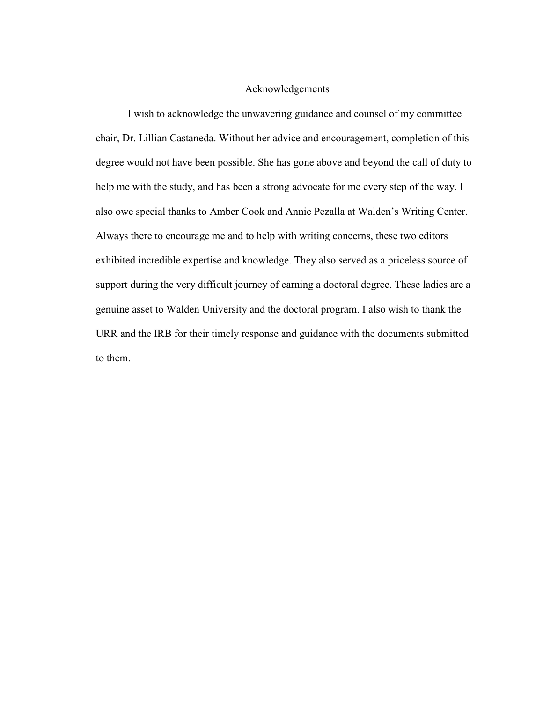#### Acknowledgements

 I wish to acknowledge the unwavering guidance and counsel of my committee chair, Dr. Lillian Castaneda. Without her advice and encouragement, completion of this degree would not have been possible. She has gone above and beyond the call of duty to help me with the study, and has been a strong advocate for me every step of the way. I also owe special thanks to Amber Cook and Annie Pezalla at Walden's Writing Center. Always there to encourage me and to help with writing concerns, these two editors exhibited incredible expertise and knowledge. They also served as a priceless source of support during the very difficult journey of earning a doctoral degree. These ladies are a genuine asset to Walden University and the doctoral program. I also wish to thank the URR and the IRB for their timely response and guidance with the documents submitted to them.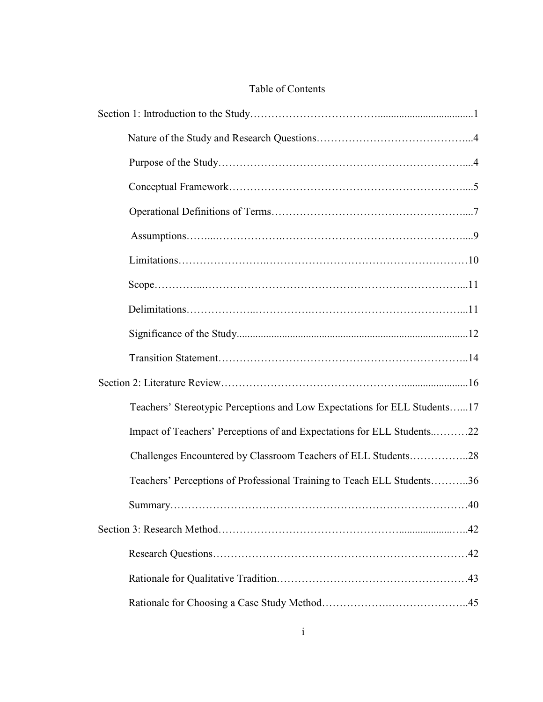#### Table of Contents

| Teachers' Stereotypic Perceptions and Low Expectations for ELL Students17 |
|---------------------------------------------------------------------------|
| Impact of Teachers' Perceptions of and Expectations for ELL Students22    |
| Challenges Encountered by Classroom Teachers of ELL Students28            |
| Teachers' Perceptions of Professional Training to Teach ELL Students36    |
|                                                                           |
|                                                                           |
|                                                                           |
|                                                                           |
|                                                                           |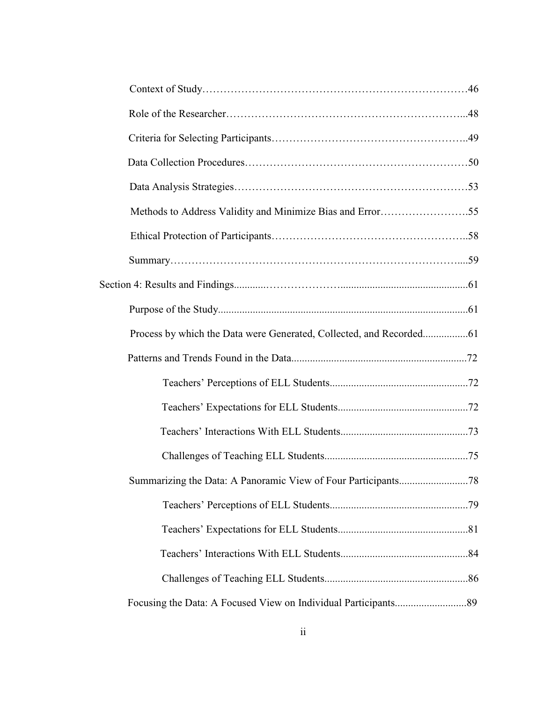| Methods to Address Validity and Minimize Bias and Error55 |
|-----------------------------------------------------------|
|                                                           |
|                                                           |
|                                                           |
|                                                           |
|                                                           |
|                                                           |
|                                                           |
|                                                           |
|                                                           |
|                                                           |
|                                                           |
|                                                           |
|                                                           |
|                                                           |
|                                                           |
|                                                           |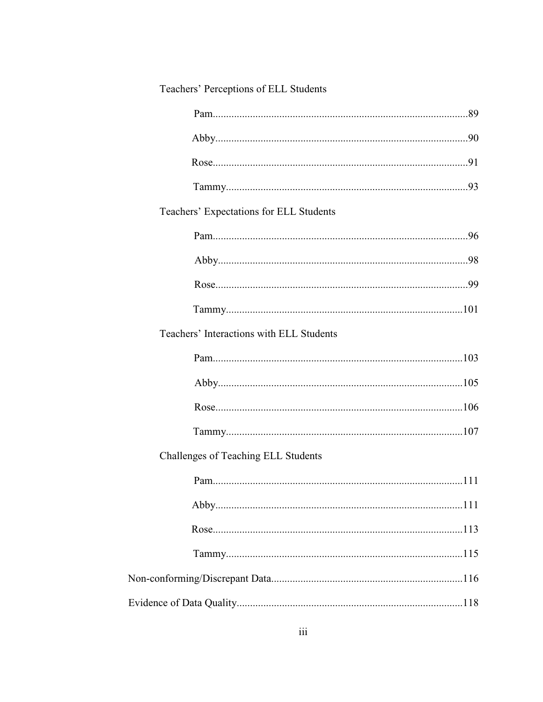| Teachers' Perceptions of ELL Students    |  |  |
|------------------------------------------|--|--|
|                                          |  |  |
|                                          |  |  |
|                                          |  |  |
|                                          |  |  |
| Teachers' Expectations for ELL Students  |  |  |
|                                          |  |  |
|                                          |  |  |
|                                          |  |  |
|                                          |  |  |
| Teachers' Interactions with ELL Students |  |  |
|                                          |  |  |
|                                          |  |  |
|                                          |  |  |
|                                          |  |  |
| Challenges of Teaching ELL Students      |  |  |
|                                          |  |  |
|                                          |  |  |
|                                          |  |  |
|                                          |  |  |
|                                          |  |  |
|                                          |  |  |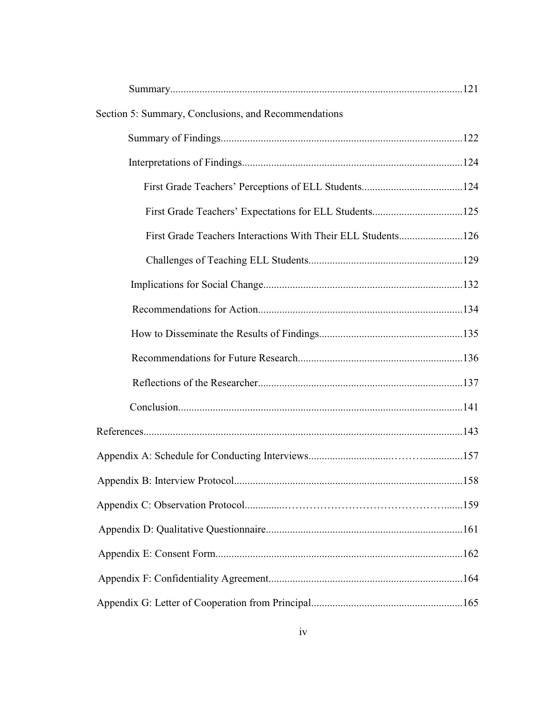| Section 5: Summary, Conclusions, and Recommendations |  |  |  |
|------------------------------------------------------|--|--|--|
|                                                      |  |  |  |
|                                                      |  |  |  |
|                                                      |  |  |  |
|                                                      |  |  |  |
|                                                      |  |  |  |
|                                                      |  |  |  |
|                                                      |  |  |  |
|                                                      |  |  |  |
|                                                      |  |  |  |
|                                                      |  |  |  |
|                                                      |  |  |  |
|                                                      |  |  |  |
|                                                      |  |  |  |
|                                                      |  |  |  |
|                                                      |  |  |  |
|                                                      |  |  |  |
|                                                      |  |  |  |
|                                                      |  |  |  |
|                                                      |  |  |  |
|                                                      |  |  |  |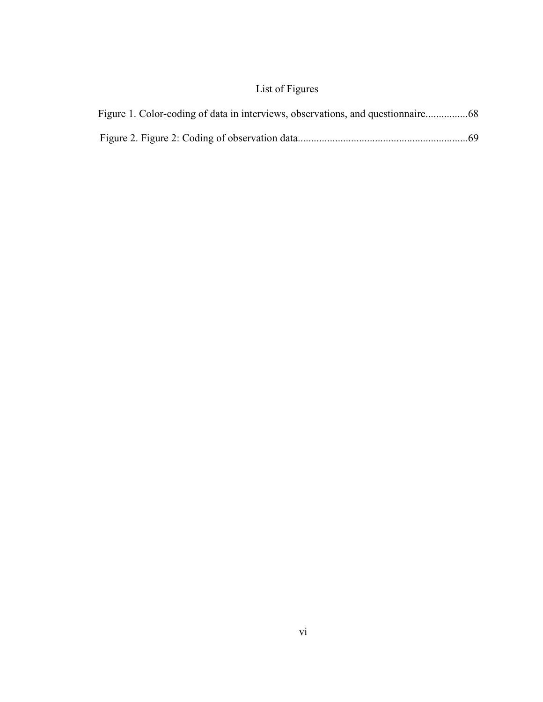## List of Figures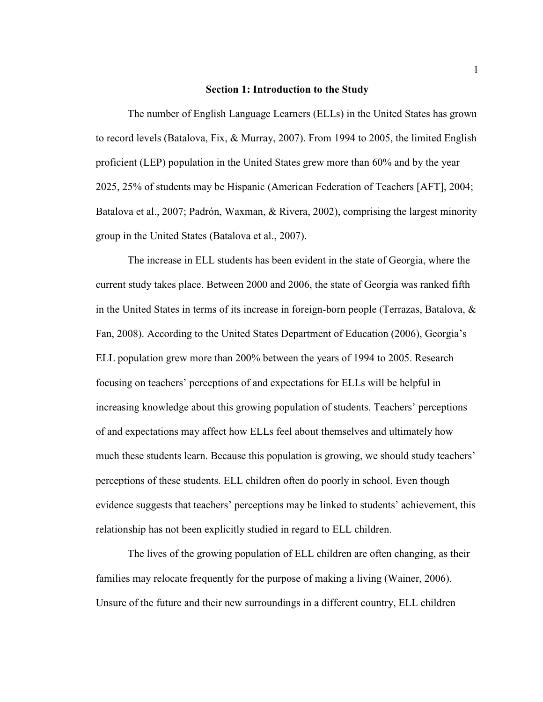#### **Section 1: Introduction to the Study**

 The number of English Language Learners (ELLs) in the United States has grown to record levels (Batalova, Fix, & Murray, 2007). From 1994 to 2005, the limited English proficient (LEP) population in the United States grew more than 60% and by the year 2025, 25% of students may be Hispanic (American Federation of Teachers [AFT], 2004; Batalova et al., 2007; Padrón, Waxman, & Rivera, 2002), comprising the largest minority group in the United States (Batalova et al., 2007).

 The increase in ELL students has been evident in the state of Georgia, where the current study takes place. Between 2000 and 2006, the state of Georgia was ranked fifth in the United States in terms of its increase in foreign-born people (Terrazas, Batalova, & Fan, 2008). According to the United States Department of Education (2006), Georgia's ELL population grew more than 200% between the years of 1994 to 2005. Research focusing on teachers' perceptions of and expectations for ELLs will be helpful in increasing knowledge about this growing population of students. Teachers' perceptions of and expectations may affect how ELLs feel about themselves and ultimately how much these students learn. Because this population is growing, we should study teachers' perceptions of these students. ELL children often do poorly in school. Even though evidence suggests that teachers' perceptions may be linked to students' achievement, this relationship has not been explicitly studied in regard to ELL children.

 The lives of the growing population of ELL children are often changing, as their families may relocate frequently for the purpose of making a living (Wainer, 2006). Unsure of the future and their new surroundings in a different country, ELL children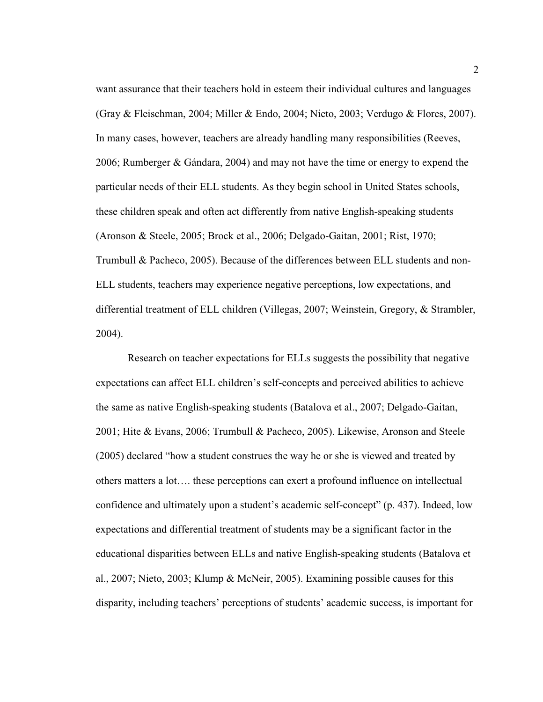want assurance that their teachers hold in esteem their individual cultures and languages (Gray & Fleischman, 2004; Miller & Endo, 2004; Nieto, 2003; Verdugo & Flores, 2007). In many cases, however, teachers are already handling many responsibilities (Reeves, 2006; Rumberger & Gándara, 2004) and may not have the time or energy to expend the particular needs of their ELL students. As they begin school in United States schools, these children speak and often act differently from native English-speaking students (Aronson & Steele, 2005; Brock et al., 2006; Delgado-Gaitan, 2001; Rist, 1970; Trumbull & Pacheco, 2005). Because of the differences between ELL students and non-ELL students, teachers may experience negative perceptions, low expectations, and differential treatment of ELL children (Villegas, 2007; Weinstein, Gregory, & Strambler, 2004).

 Research on teacher expectations for ELLs suggests the possibility that negative expectations can affect ELL children's self-concepts and perceived abilities to achieve the same as native English-speaking students (Batalova et al., 2007; Delgado-Gaitan, 2001; Hite & Evans, 2006; Trumbull & Pacheco, 2005). Likewise, Aronson and Steele (2005) declared "how a student construes the way he or she is viewed and treated by others matters a lot…. these perceptions can exert a profound influence on intellectual confidence and ultimately upon a student's academic self-concept" (p. 437). Indeed, low expectations and differential treatment of students may be a significant factor in the educational disparities between ELLs and native English-speaking students (Batalova et al., 2007; Nieto, 2003; Klump & McNeir, 2005). Examining possible causes for this disparity, including teachers' perceptions of students' academic success, is important for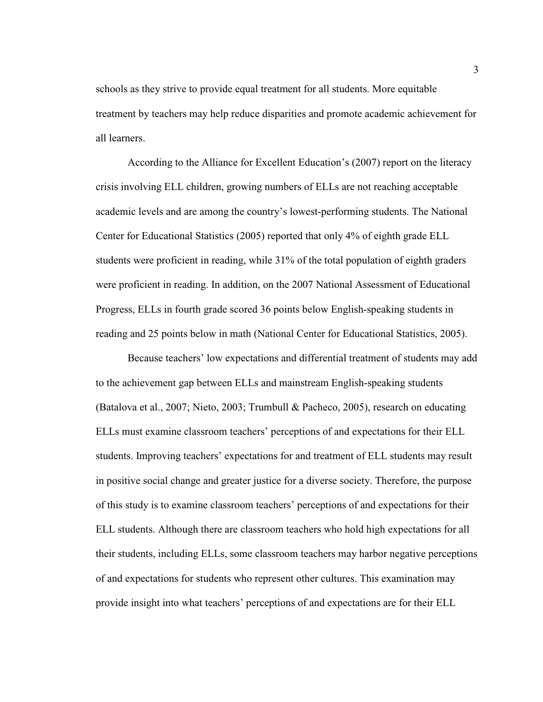schools as they strive to provide equal treatment for all students. More equitable treatment by teachers may help reduce disparities and promote academic achievement for all learners.

 According to the Alliance for Excellent Education's (2007) report on the literacy crisis involving ELL children, growing numbers of ELLs are not reaching acceptable academic levels and are among the country's lowest-performing students. The National Center for Educational Statistics (2005) reported that only 4% of eighth grade ELL students were proficient in reading, while 31% of the total population of eighth graders were proficient in reading. In addition, on the 2007 National Assessment of Educational Progress, ELLs in fourth grade scored 36 points below English-speaking students in reading and 25 points below in math (National Center for Educational Statistics, 2005).

 Because teachers' low expectations and differential treatment of students may add to the achievement gap between ELLs and mainstream English-speaking students (Batalova et al., 2007; Nieto, 2003; Trumbull & Pacheco, 2005), research on educating ELLs must examine classroom teachers' perceptions of and expectations for their ELL students. Improving teachers' expectations for and treatment of ELL students may result in positive social change and greater justice for a diverse society. Therefore, the purpose of this study is to examine classroom teachers' perceptions of and expectations for their ELL students. Although there are classroom teachers who hold high expectations for all their students, including ELLs, some classroom teachers may harbor negative perceptions of and expectations for students who represent other cultures. This examination may provide insight into what teachers' perceptions of and expectations are for their ELL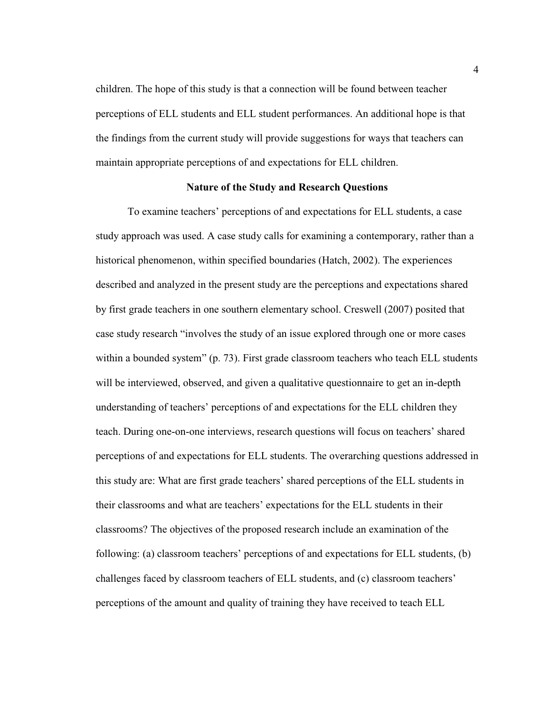children. The hope of this study is that a connection will be found between teacher perceptions of ELL students and ELL student performances. An additional hope is that the findings from the current study will provide suggestions for ways that teachers can maintain appropriate perceptions of and expectations for ELL children.

#### **Nature of the Study and Research Questions**

 To examine teachers' perceptions of and expectations for ELL students, a case study approach was used. A case study calls for examining a contemporary, rather than a historical phenomenon, within specified boundaries (Hatch, 2002). The experiences described and analyzed in the present study are the perceptions and expectations shared by first grade teachers in one southern elementary school. Creswell (2007) posited that case study research "involves the study of an issue explored through one or more cases within a bounded system" (p. 73). First grade classroom teachers who teach ELL students will be interviewed, observed, and given a qualitative questionnaire to get an in-depth understanding of teachers' perceptions of and expectations for the ELL children they teach. During one-on-one interviews, research questions will focus on teachers' shared perceptions of and expectations for ELL students. The overarching questions addressed in this study are: What are first grade teachers' shared perceptions of the ELL students in their classrooms and what are teachers' expectations for the ELL students in their classrooms? The objectives of the proposed research include an examination of the following: (a) classroom teachers' perceptions of and expectations for ELL students, (b) challenges faced by classroom teachers of ELL students, and (c) classroom teachers' perceptions of the amount and quality of training they have received to teach ELL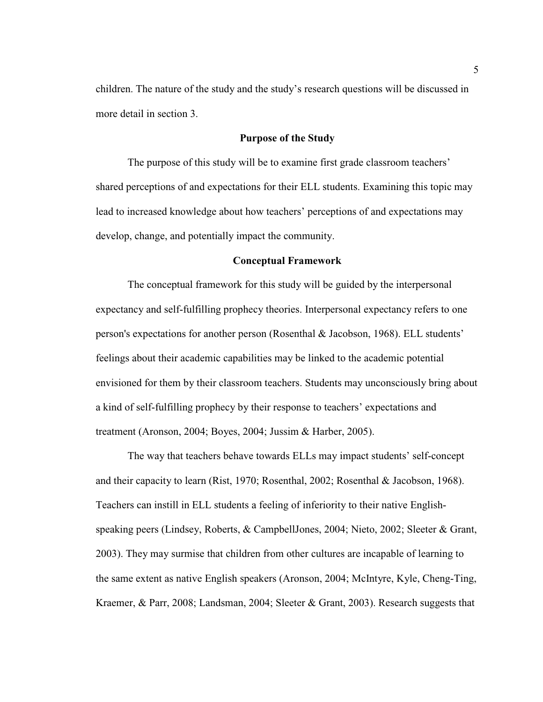children. The nature of the study and the study's research questions will be discussed in more detail in section 3.

#### **Purpose of the Study**

 The purpose of this study will be to examine first grade classroom teachers' shared perceptions of and expectations for their ELL students. Examining this topic may lead to increased knowledge about how teachers' perceptions of and expectations may develop, change, and potentially impact the community.

#### **Conceptual Framework**

 The conceptual framework for this study will be guided by the interpersonal expectancy and self-fulfilling prophecy theories. Interpersonal expectancy refers to one person's expectations for another person (Rosenthal & Jacobson, 1968). ELL students' feelings about their academic capabilities may be linked to the academic potential envisioned for them by their classroom teachers. Students may unconsciously bring about a kind of self-fulfilling prophecy by their response to teachers' expectations and treatment (Aronson, 2004; Boyes, 2004; Jussim & Harber, 2005).

 The way that teachers behave towards ELLs may impact students' self-concept and their capacity to learn (Rist, 1970; Rosenthal, 2002; Rosenthal & Jacobson, 1968). Teachers can instill in ELL students a feeling of inferiority to their native Englishspeaking peers (Lindsey, Roberts, & CampbellJones, 2004; Nieto, 2002; Sleeter & Grant, 2003). They may surmise that children from other cultures are incapable of learning to the same extent as native English speakers (Aronson, 2004; McIntyre, Kyle, Cheng-Ting, Kraemer, & Parr, 2008; Landsman, 2004; Sleeter & Grant, 2003). Research suggests that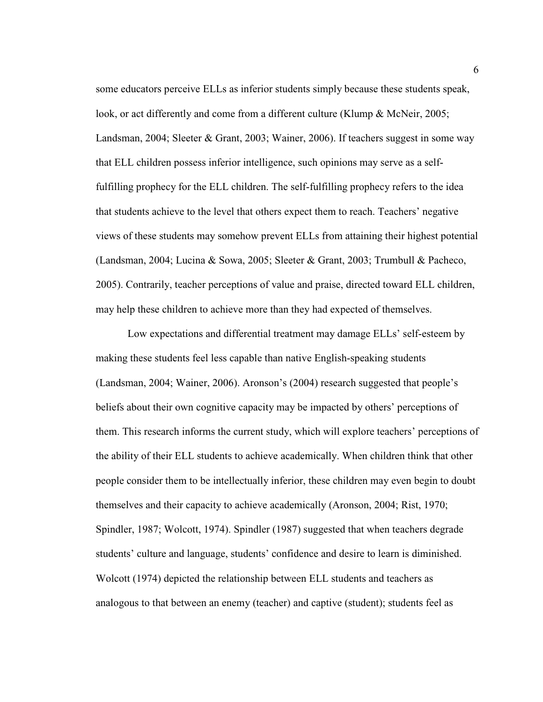some educators perceive ELLs as inferior students simply because these students speak, look, or act differently and come from a different culture (Klump & McNeir, 2005; Landsman, 2004; Sleeter & Grant, 2003; Wainer, 2006). If teachers suggest in some way that ELL children possess inferior intelligence, such opinions may serve as a selffulfilling prophecy for the ELL children. The self-fulfilling prophecy refers to the idea that students achieve to the level that others expect them to reach. Teachers' negative views of these students may somehow prevent ELLs from attaining their highest potential (Landsman, 2004; Lucina & Sowa, 2005; Sleeter & Grant, 2003; Trumbull & Pacheco, 2005). Contrarily, teacher perceptions of value and praise, directed toward ELL children, may help these children to achieve more than they had expected of themselves.

 Low expectations and differential treatment may damage ELLs' self-esteem by making these students feel less capable than native English-speaking students (Landsman, 2004; Wainer, 2006). Aronson's (2004) research suggested that people's beliefs about their own cognitive capacity may be impacted by others' perceptions of them. This research informs the current study, which will explore teachers' perceptions of the ability of their ELL students to achieve academically. When children think that other people consider them to be intellectually inferior, these children may even begin to doubt themselves and their capacity to achieve academically (Aronson, 2004; Rist, 1970; Spindler, 1987; Wolcott, 1974). Spindler (1987) suggested that when teachers degrade students' culture and language, students' confidence and desire to learn is diminished. Wolcott (1974) depicted the relationship between ELL students and teachers as analogous to that between an enemy (teacher) and captive (student); students feel as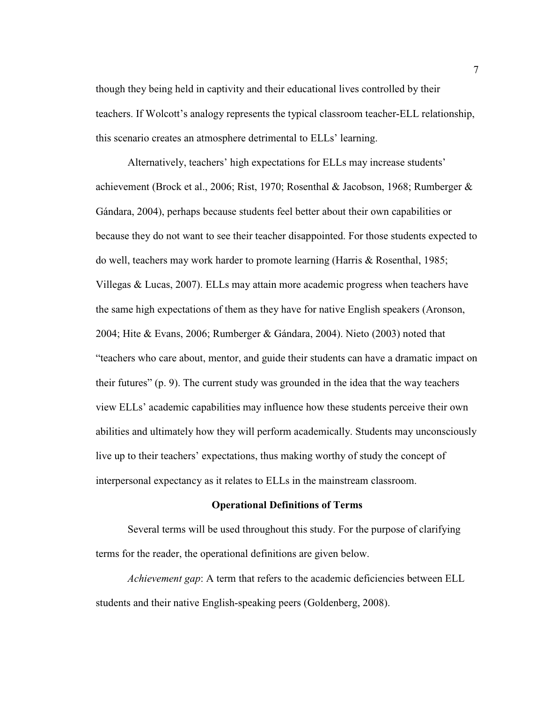though they being held in captivity and their educational lives controlled by their teachers. If Wolcott's analogy represents the typical classroom teacher-ELL relationship, this scenario creates an atmosphere detrimental to ELLs' learning.

Alternatively, teachers' high expectations for ELLs may increase students' achievement (Brock et al., 2006; Rist, 1970; Rosenthal & Jacobson, 1968; Rumberger & Gándara, 2004), perhaps because students feel better about their own capabilities or because they do not want to see their teacher disappointed. For those students expected to do well, teachers may work harder to promote learning (Harris & Rosenthal, 1985; Villegas & Lucas, 2007). ELLs may attain more academic progress when teachers have the same high expectations of them as they have for native English speakers (Aronson, 2004; Hite & Evans, 2006; Rumberger & Gándara, 2004). Nieto (2003) noted that "teachers who care about, mentor, and guide their students can have a dramatic impact on their futures" (p. 9). The current study was grounded in the idea that the way teachers view ELLs' academic capabilities may influence how these students perceive their own abilities and ultimately how they will perform academically. Students may unconsciously live up to their teachers' expectations, thus making worthy of study the concept of interpersonal expectancy as it relates to ELLs in the mainstream classroom.

#### **Operational Definitions of Terms**

 Several terms will be used throughout this study. For the purpose of clarifying terms for the reader, the operational definitions are given below.

*Achievement gap*: A term that refers to the academic deficiencies between ELL students and their native English-speaking peers (Goldenberg, 2008).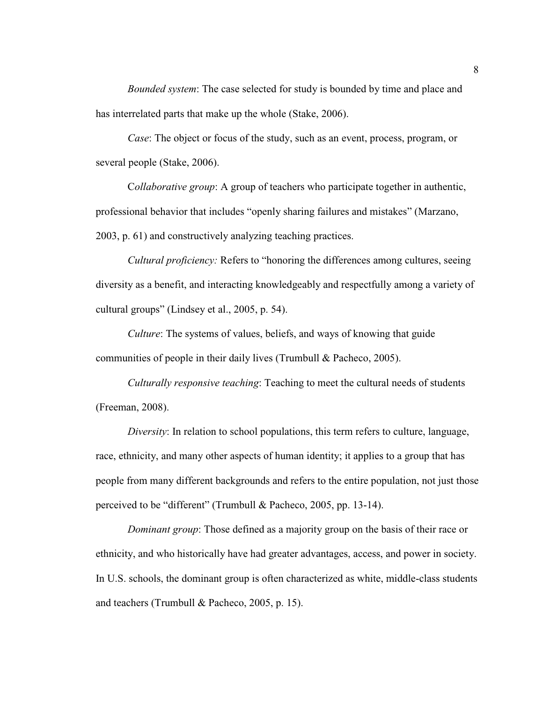*Bounded system*: The case selected for study is bounded by time and place and has interrelated parts that make up the whole (Stake, 2006).

*Case*: The object or focus of the study, such as an event, process, program, or several people (Stake, 2006).

 C*ollaborative group*: A group of teachers who participate together in authentic, professional behavior that includes "openly sharing failures and mistakes" (Marzano, 2003, p. 61) and constructively analyzing teaching practices.

*Cultural proficiency:* Refers to "honoring the differences among cultures, seeing diversity as a benefit, and interacting knowledgeably and respectfully among a variety of cultural groups" (Lindsey et al., 2005, p. 54).

*Culture*: The systems of values, beliefs, and ways of knowing that guide communities of people in their daily lives (Trumbull & Pacheco, 2005).

*Culturally responsive teaching*: Teaching to meet the cultural needs of students (Freeman, 2008).

*Diversity*: In relation to school populations, this term refers to culture, language, race, ethnicity, and many other aspects of human identity; it applies to a group that has people from many different backgrounds and refers to the entire population, not just those perceived to be "different" (Trumbull & Pacheco, 2005, pp. 13-14).

*Dominant group*: Those defined as a majority group on the basis of their race or ethnicity, and who historically have had greater advantages, access, and power in society. In U.S. schools, the dominant group is often characterized as white, middle-class students and teachers (Trumbull & Pacheco, 2005, p. 15).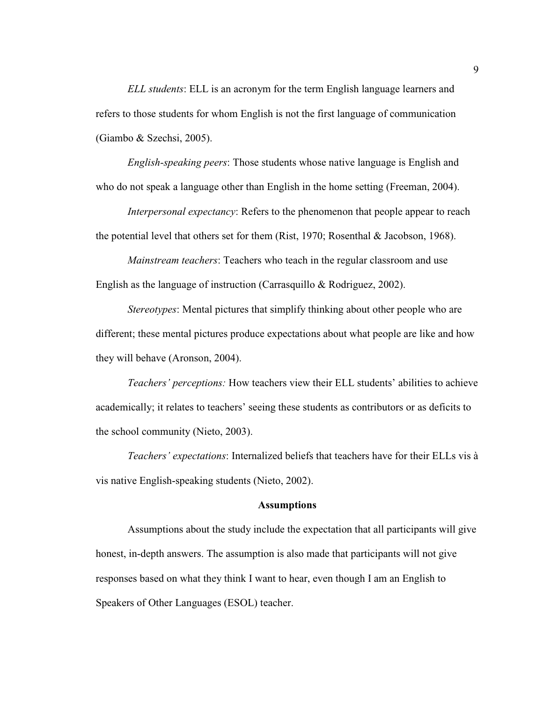*ELL students*: ELL is an acronym for the term English language learners and refers to those students for whom English is not the first language of communication (Giambo & Szechsi, 2005).

*English-speaking peers*: Those students whose native language is English and who do not speak a language other than English in the home setting (Freeman, 2004).

*Interpersonal expectancy*: Refers to the phenomenon that people appear to reach the potential level that others set for them (Rist, 1970; Rosenthal  $&$  Jacobson, 1968).

 *Mainstream teachers*: Teachers who teach in the regular classroom and use English as the language of instruction (Carrasquillo & Rodriguez, 2002).

 *Stereotypes*: Mental pictures that simplify thinking about other people who are different; these mental pictures produce expectations about what people are like and how they will behave (Aronson, 2004).

*Teachers' perceptions:* How teachers view their ELL students' abilities to achieve academically; it relates to teachers' seeing these students as contributors or as deficits to the school community (Nieto, 2003).

 *Teachers' expectations*: Internalized beliefs that teachers have for their ELLs vis à vis native English-speaking students (Nieto, 2002).

#### **Assumptions**

 Assumptions about the study include the expectation that all participants will give honest, in-depth answers. The assumption is also made that participants will not give responses based on what they think I want to hear, even though I am an English to Speakers of Other Languages (ESOL) teacher.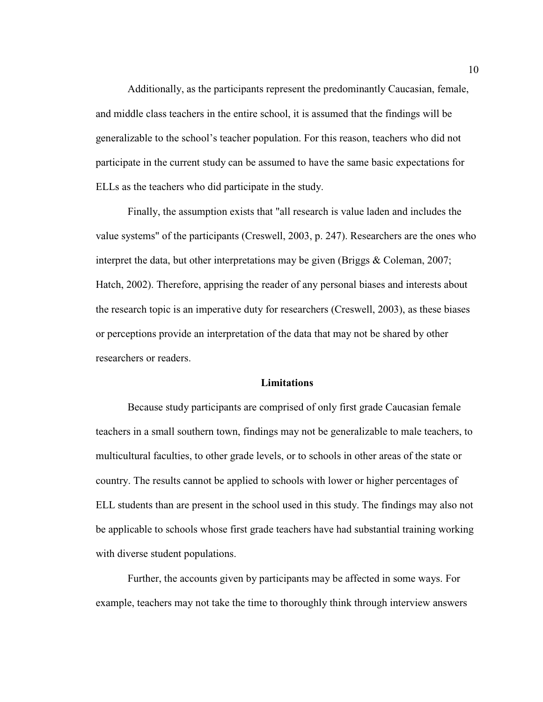Additionally, as the participants represent the predominantly Caucasian, female, and middle class teachers in the entire school, it is assumed that the findings will be generalizable to the school's teacher population. For this reason, teachers who did not participate in the current study can be assumed to have the same basic expectations for ELLs as the teachers who did participate in the study.

 Finally, the assumption exists that "all research is value laden and includes the value systems" of the participants (Creswell, 2003, p. 247). Researchers are the ones who interpret the data, but other interpretations may be given (Briggs & Coleman, 2007; Hatch, 2002). Therefore, apprising the reader of any personal biases and interests about the research topic is an imperative duty for researchers (Creswell, 2003), as these biases or perceptions provide an interpretation of the data that may not be shared by other researchers or readers.

#### **Limitations**

Because study participants are comprised of only first grade Caucasian female teachers in a small southern town, findings may not be generalizable to male teachers, to multicultural faculties, to other grade levels, or to schools in other areas of the state or country. The results cannot be applied to schools with lower or higher percentages of ELL students than are present in the school used in this study. The findings may also not be applicable to schools whose first grade teachers have had substantial training working with diverse student populations.

 Further, the accounts given by participants may be affected in some ways. For example, teachers may not take the time to thoroughly think through interview answers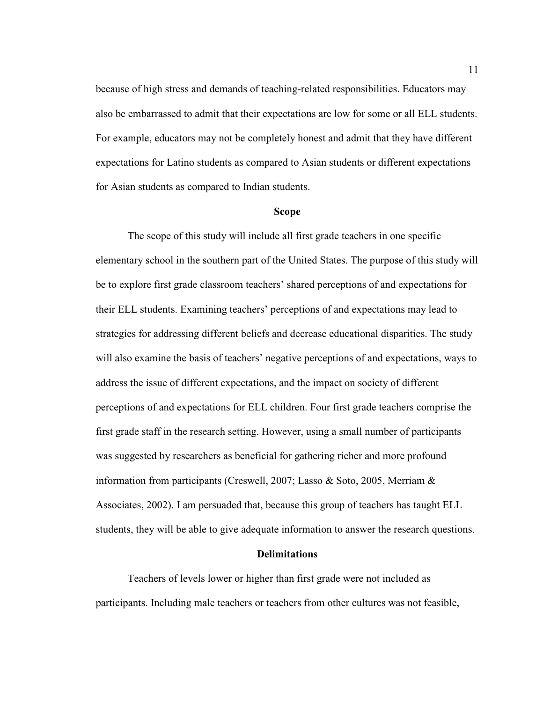because of high stress and demands of teaching-related responsibilities. Educators may also be embarrassed to admit that their expectations are low for some or all ELL students. For example, educators may not be completely honest and admit that they have different expectations for Latino students as compared to Asian students or different expectations for Asian students as compared to Indian students.

#### **Scope**

 The scope of this study will include all first grade teachers in one specific elementary school in the southern part of the United States. The purpose of this study will be to explore first grade classroom teachers' shared perceptions of and expectations for their ELL students. Examining teachers' perceptions of and expectations may lead to strategies for addressing different beliefs and decrease educational disparities. The study will also examine the basis of teachers' negative perceptions of and expectations, ways to address the issue of different expectations, and the impact on society of different perceptions of and expectations for ELL children. Four first grade teachers comprise the first grade staff in the research setting. However, using a small number of participants was suggested by researchers as beneficial for gathering richer and more profound information from participants (Creswell, 2007; Lasso & Soto, 2005, Merriam & Associates, 2002). I am persuaded that, because this group of teachers has taught ELL students, they will be able to give adequate information to answer the research questions.

#### **Delimitations**

Teachers of levels lower or higher than first grade were not included as participants. Including male teachers or teachers from other cultures was not feasible,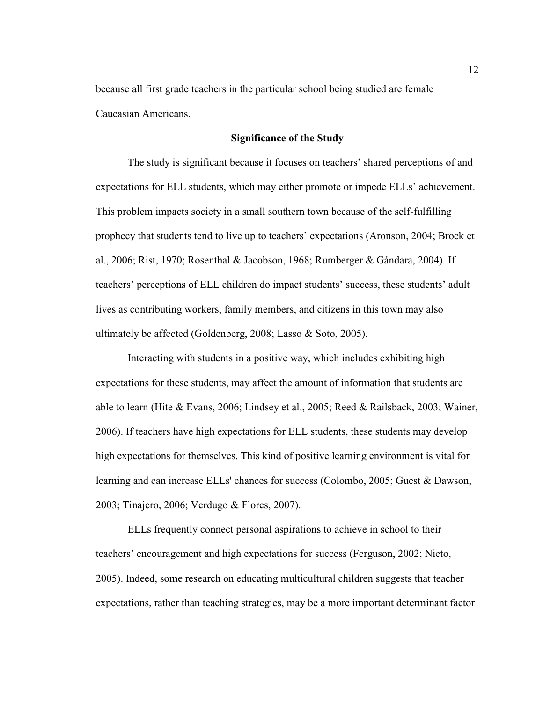because all first grade teachers in the particular school being studied are female Caucasian Americans.

#### **Significance of the Study**

 The study is significant because it focuses on teachers' shared perceptions of and expectations for ELL students, which may either promote or impede ELLs' achievement. This problem impacts society in a small southern town because of the self-fulfilling prophecy that students tend to live up to teachers' expectations (Aronson, 2004; Brock et al., 2006; Rist, 1970; Rosenthal & Jacobson, 1968; Rumberger & Gándara, 2004). If teachers' perceptions of ELL children do impact students' success, these students' adult lives as contributing workers, family members, and citizens in this town may also ultimately be affected (Goldenberg, 2008; Lasso & Soto, 2005).

Interacting with students in a positive way, which includes exhibiting high expectations for these students, may affect the amount of information that students are able to learn (Hite & Evans, 2006; Lindsey et al., 2005; Reed & Railsback, 2003; Wainer, 2006). If teachers have high expectations for ELL students, these students may develop high expectations for themselves. This kind of positive learning environment is vital for learning and can increase ELLs' chances for success (Colombo, 2005; Guest & Dawson, 2003; Tinajero, 2006; Verdugo & Flores, 2007).

ELLs frequently connect personal aspirations to achieve in school to their teachers' encouragement and high expectations for success (Ferguson, 2002; Nieto, 2005). Indeed, some research on educating multicultural children suggests that teacher expectations, rather than teaching strategies, may be a more important determinant factor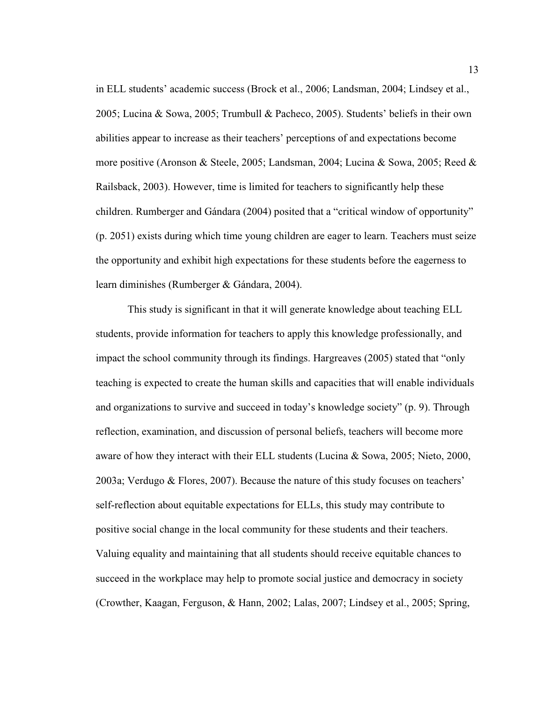in ELL students' academic success (Brock et al., 2006; Landsman, 2004; Lindsey et al., 2005; Lucina & Sowa, 2005; Trumbull & Pacheco, 2005). Students' beliefs in their own abilities appear to increase as their teachers' perceptions of and expectations become more positive (Aronson & Steele, 2005; Landsman, 2004; Lucina & Sowa, 2005; Reed & Railsback, 2003). However, time is limited for teachers to significantly help these children. Rumberger and Gándara (2004) posited that a "critical window of opportunity" (p. 2051) exists during which time young children are eager to learn. Teachers must seize the opportunity and exhibit high expectations for these students before the eagerness to learn diminishes (Rumberger & Gándara, 2004).

 This study is significant in that it will generate knowledge about teaching ELL students, provide information for teachers to apply this knowledge professionally, and impact the school community through its findings. Hargreaves (2005) stated that "only teaching is expected to create the human skills and capacities that will enable individuals and organizations to survive and succeed in today's knowledge society" (p. 9). Through reflection, examination, and discussion of personal beliefs, teachers will become more aware of how they interact with their ELL students (Lucina & Sowa, 2005; Nieto, 2000, 2003a; Verdugo & Flores, 2007). Because the nature of this study focuses on teachers' self-reflection about equitable expectations for ELLs, this study may contribute to positive social change in the local community for these students and their teachers. Valuing equality and maintaining that all students should receive equitable chances to succeed in the workplace may help to promote social justice and democracy in society (Crowther, Kaagan, Ferguson, & Hann, 2002; Lalas, 2007; Lindsey et al., 2005; Spring,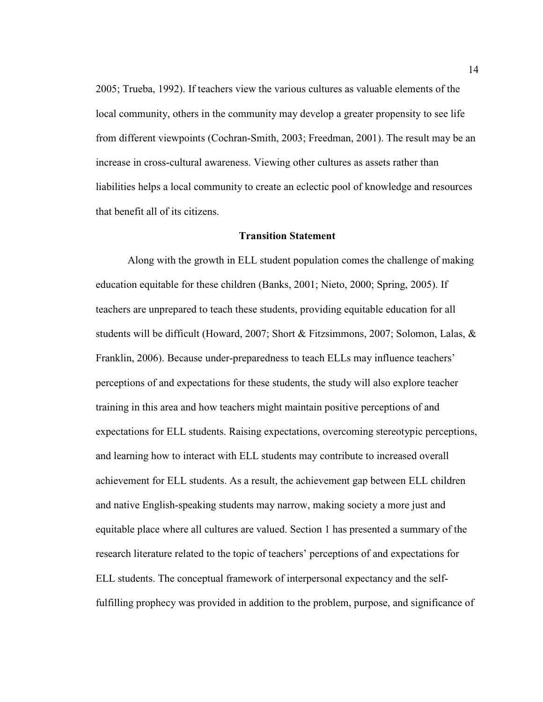2005; Trueba, 1992). If teachers view the various cultures as valuable elements of the local community, others in the community may develop a greater propensity to see life from different viewpoints (Cochran-Smith, 2003; Freedman, 2001). The result may be an increase in cross-cultural awareness. Viewing other cultures as assets rather than liabilities helps a local community to create an eclectic pool of knowledge and resources that benefit all of its citizens.

#### **Transition Statement**

 Along with the growth in ELL student population comes the challenge of making education equitable for these children (Banks, 2001; Nieto, 2000; Spring, 2005). If teachers are unprepared to teach these students, providing equitable education for all students will be difficult (Howard, 2007; Short & Fitzsimmons, 2007; Solomon, Lalas, & Franklin, 2006). Because under-preparedness to teach ELLs may influence teachers' perceptions of and expectations for these students, the study will also explore teacher training in this area and how teachers might maintain positive perceptions of and expectations for ELL students. Raising expectations, overcoming stereotypic perceptions, and learning how to interact with ELL students may contribute to increased overall achievement for ELL students. As a result, the achievement gap between ELL children and native English-speaking students may narrow, making society a more just and equitable place where all cultures are valued. Section 1 has presented a summary of the research literature related to the topic of teachers' perceptions of and expectations for ELL students. The conceptual framework of interpersonal expectancy and the selffulfilling prophecy was provided in addition to the problem, purpose, and significance of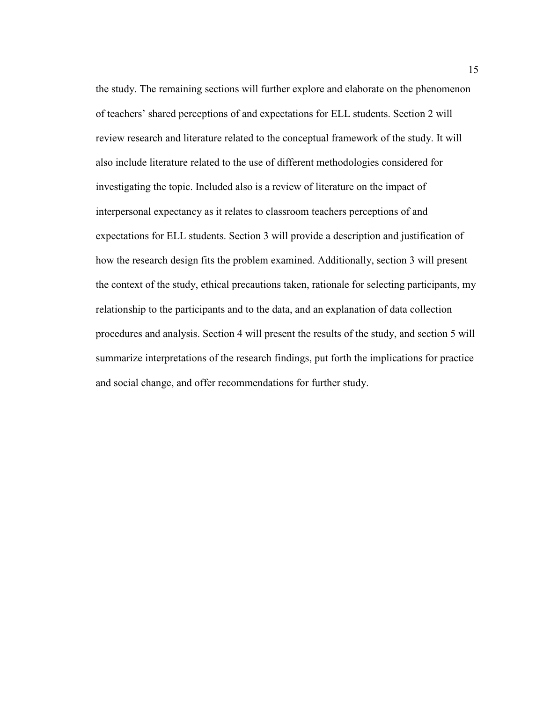the study. The remaining sections will further explore and elaborate on the phenomenon of teachers' shared perceptions of and expectations for ELL students. Section 2 will review research and literature related to the conceptual framework of the study. It will also include literature related to the use of different methodologies considered for investigating the topic. Included also is a review of literature on the impact of interpersonal expectancy as it relates to classroom teachers perceptions of and expectations for ELL students. Section 3 will provide a description and justification of how the research design fits the problem examined. Additionally, section 3 will present the context of the study, ethical precautions taken, rationale for selecting participants, my relationship to the participants and to the data, and an explanation of data collection procedures and analysis. Section 4 will present the results of the study, and section 5 will summarize interpretations of the research findings, put forth the implications for practice and social change, and offer recommendations for further study.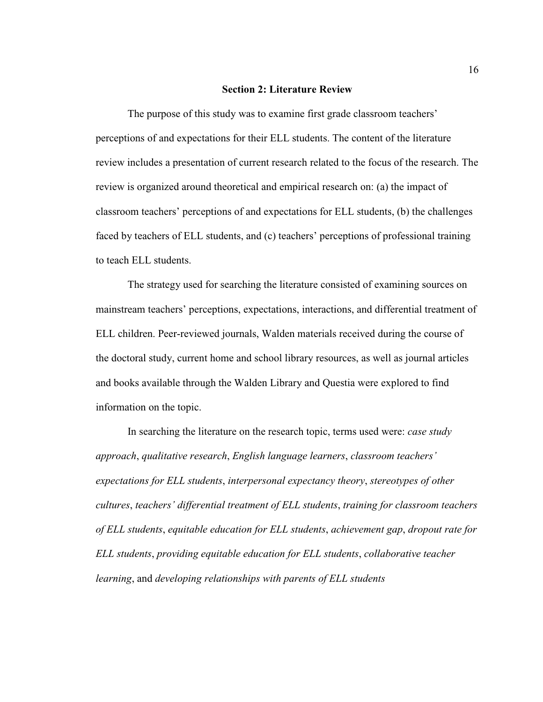#### **Section 2: Literature Review**

 The purpose of this study was to examine first grade classroom teachers' perceptions of and expectations for their ELL students. The content of the literature review includes a presentation of current research related to the focus of the research. The review is organized around theoretical and empirical research on: (a) the impact of classroom teachers' perceptions of and expectations for ELL students, (b) the challenges faced by teachers of ELL students, and (c) teachers' perceptions of professional training to teach ELL students.

 The strategy used for searching the literature consisted of examining sources on mainstream teachers' perceptions, expectations, interactions, and differential treatment of ELL children. Peer-reviewed journals, Walden materials received during the course of the doctoral study, current home and school library resources, as well as journal articles and books available through the Walden Library and Questia were explored to find information on the topic.

 In searching the literature on the research topic, terms used were: *case study approach*, *qualitative research*, *English language learners*, *classroom teachers' expectations for ELL students*, *interpersonal expectancy theory*, *stereotypes of other cultures*, *teachers' differential treatment of ELL students*, *training for classroom teachers of ELL students*, *equitable education for ELL students*, *achievement gap*, *dropout rate for ELL students*, *providing equitable education for ELL students*, *collaborative teacher learning*, and *developing relationships with parents of ELL students*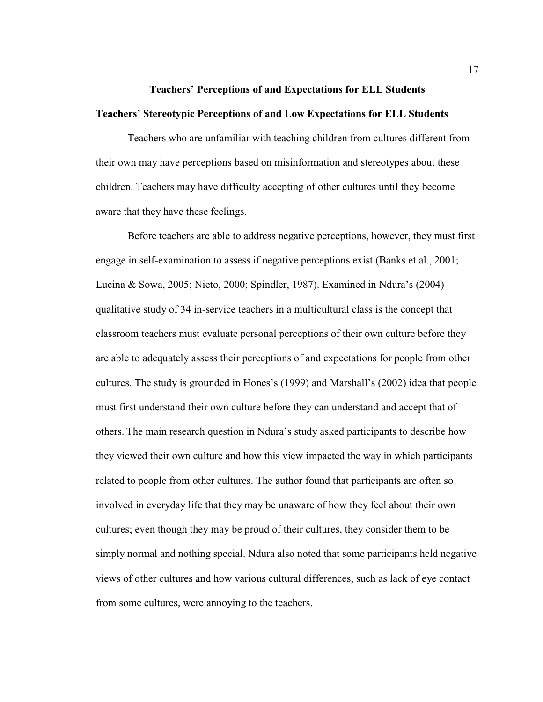## **Teachers' Perceptions of and Expectations for ELL Students Teachers' Stereotypic Perceptions of and Low Expectations for ELL Students**

 Teachers who are unfamiliar with teaching children from cultures different from their own may have perceptions based on misinformation and stereotypes about these children. Teachers may have difficulty accepting of other cultures until they become aware that they have these feelings.

 Before teachers are able to address negative perceptions, however, they must first engage in self-examination to assess if negative perceptions exist (Banks et al., 2001; Lucina & Sowa, 2005; Nieto, 2000; Spindler, 1987). Examined in Ndura's (2004) qualitative study of 34 in-service teachers in a multicultural class is the concept that classroom teachers must evaluate personal perceptions of their own culture before they are able to adequately assess their perceptions of and expectations for people from other cultures. The study is grounded in Hones's (1999) and Marshall's (2002) idea that people must first understand their own culture before they can understand and accept that of others. The main research question in Ndura's study asked participants to describe how they viewed their own culture and how this view impacted the way in which participants related to people from other cultures. The author found that participants are often so involved in everyday life that they may be unaware of how they feel about their own cultures; even though they may be proud of their cultures, they consider them to be simply normal and nothing special. Ndura also noted that some participants held negative views of other cultures and how various cultural differences, such as lack of eye contact from some cultures, were annoying to the teachers.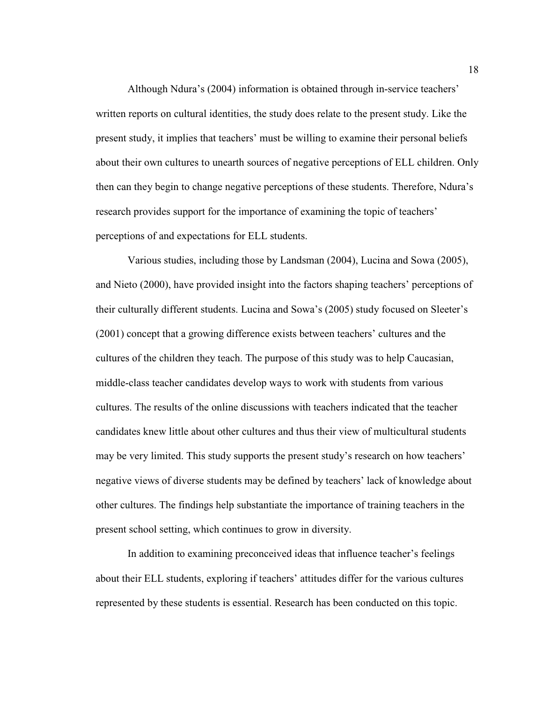Although Ndura's (2004) information is obtained through in-service teachers' written reports on cultural identities, the study does relate to the present study. Like the present study, it implies that teachers' must be willing to examine their personal beliefs about their own cultures to unearth sources of negative perceptions of ELL children. Only then can they begin to change negative perceptions of these students. Therefore, Ndura's research provides support for the importance of examining the topic of teachers' perceptions of and expectations for ELL students.

 Various studies, including those by Landsman (2004), Lucina and Sowa (2005), and Nieto (2000), have provided insight into the factors shaping teachers' perceptions of their culturally different students. Lucina and Sowa's (2005) study focused on Sleeter's (2001) concept that a growing difference exists between teachers' cultures and the cultures of the children they teach. The purpose of this study was to help Caucasian, middle-class teacher candidates develop ways to work with students from various cultures. The results of the online discussions with teachers indicated that the teacher candidates knew little about other cultures and thus their view of multicultural students may be very limited. This study supports the present study's research on how teachers' negative views of diverse students may be defined by teachers' lack of knowledge about other cultures. The findings help substantiate the importance of training teachers in the present school setting, which continues to grow in diversity.

 In addition to examining preconceived ideas that influence teacher's feelings about their ELL students, exploring if teachers' attitudes differ for the various cultures represented by these students is essential. Research has been conducted on this topic.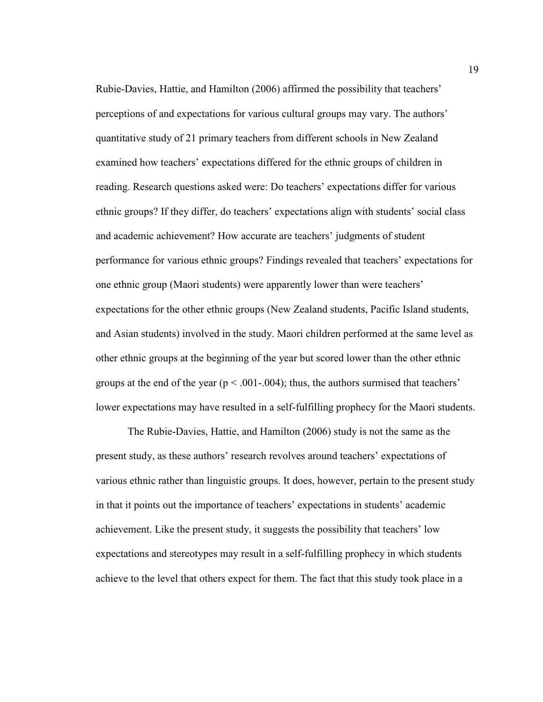Rubie-Davies, Hattie, and Hamilton (2006) affirmed the possibility that teachers' perceptions of and expectations for various cultural groups may vary. The authors' quantitative study of 21 primary teachers from different schools in New Zealand examined how teachers' expectations differed for the ethnic groups of children in reading. Research questions asked were: Do teachers' expectations differ for various ethnic groups? If they differ, do teachers' expectations align with students' social class and academic achievement? How accurate are teachers' judgments of student performance for various ethnic groups? Findings revealed that teachers' expectations for one ethnic group (Maori students) were apparently lower than were teachers' expectations for the other ethnic groups (New Zealand students, Pacific Island students, and Asian students) involved in the study. Maori children performed at the same level as other ethnic groups at the beginning of the year but scored lower than the other ethnic groups at the end of the year ( $p < .001-.004$ ); thus, the authors surmised that teachers' lower expectations may have resulted in a self-fulfilling prophecy for the Maori students.

 The Rubie-Davies, Hattie, and Hamilton (2006) study is not the same as the present study, as these authors' research revolves around teachers' expectations of various ethnic rather than linguistic groups. It does, however, pertain to the present study in that it points out the importance of teachers' expectations in students' academic achievement. Like the present study, it suggests the possibility that teachers' low expectations and stereotypes may result in a self-fulfilling prophecy in which students achieve to the level that others expect for them. The fact that this study took place in a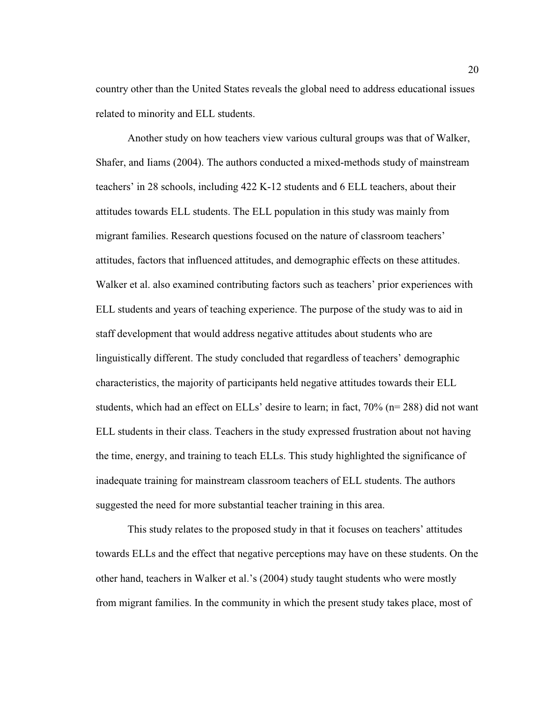country other than the United States reveals the global need to address educational issues related to minority and ELL students.

 Another study on how teachers view various cultural groups was that of Walker, Shafer, and Iiams (2004). The authors conducted a mixed-methods study of mainstream teachers' in 28 schools, including 422 K-12 students and 6 ELL teachers, about their attitudes towards ELL students. The ELL population in this study was mainly from migrant families. Research questions focused on the nature of classroom teachers' attitudes, factors that influenced attitudes, and demographic effects on these attitudes. Walker et al. also examined contributing factors such as teachers' prior experiences with ELL students and years of teaching experience. The purpose of the study was to aid in staff development that would address negative attitudes about students who are linguistically different. The study concluded that regardless of teachers' demographic characteristics, the majority of participants held negative attitudes towards their ELL students, which had an effect on ELLs' desire to learn; in fact,  $70\%$  ( $n=288$ ) did not want ELL students in their class. Teachers in the study expressed frustration about not having the time, energy, and training to teach ELLs. This study highlighted the significance of inadequate training for mainstream classroom teachers of ELL students. The authors suggested the need for more substantial teacher training in this area.

This study relates to the proposed study in that it focuses on teachers' attitudes towards ELLs and the effect that negative perceptions may have on these students. On the other hand, teachers in Walker et al.'s (2004) study taught students who were mostly from migrant families. In the community in which the present study takes place, most of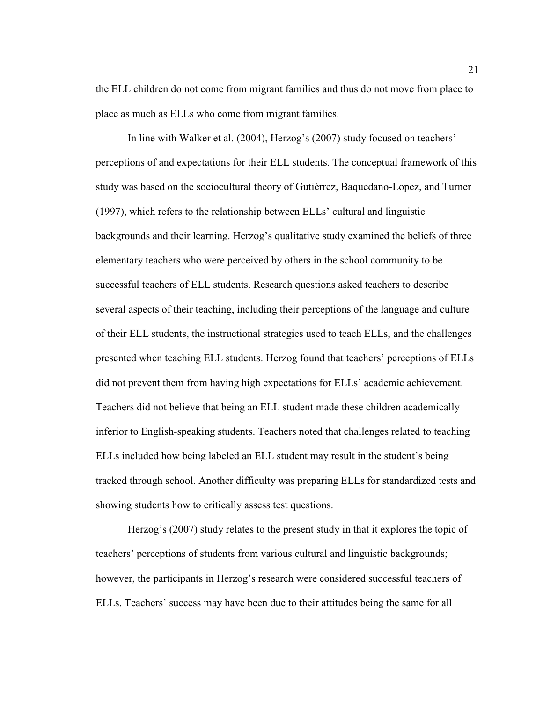the ELL children do not come from migrant families and thus do not move from place to place as much as ELLs who come from migrant families.

 In line with Walker et al. (2004), Herzog's (2007) study focused on teachers' perceptions of and expectations for their ELL students. The conceptual framework of this study was based on the sociocultural theory of Gutiérrez, Baquedano-Lopez, and Turner (1997), which refers to the relationship between ELLs' cultural and linguistic backgrounds and their learning. Herzog's qualitative study examined the beliefs of three elementary teachers who were perceived by others in the school community to be successful teachers of ELL students. Research questions asked teachers to describe several aspects of their teaching, including their perceptions of the language and culture of their ELL students, the instructional strategies used to teach ELLs, and the challenges presented when teaching ELL students. Herzog found that teachers' perceptions of ELLs did not prevent them from having high expectations for ELLs' academic achievement. Teachers did not believe that being an ELL student made these children academically inferior to English-speaking students. Teachers noted that challenges related to teaching ELLs included how being labeled an ELL student may result in the student's being tracked through school. Another difficulty was preparing ELLs for standardized tests and showing students how to critically assess test questions.

 Herzog's (2007) study relates to the present study in that it explores the topic of teachers' perceptions of students from various cultural and linguistic backgrounds; however, the participants in Herzog's research were considered successful teachers of ELLs. Teachers' success may have been due to their attitudes being the same for all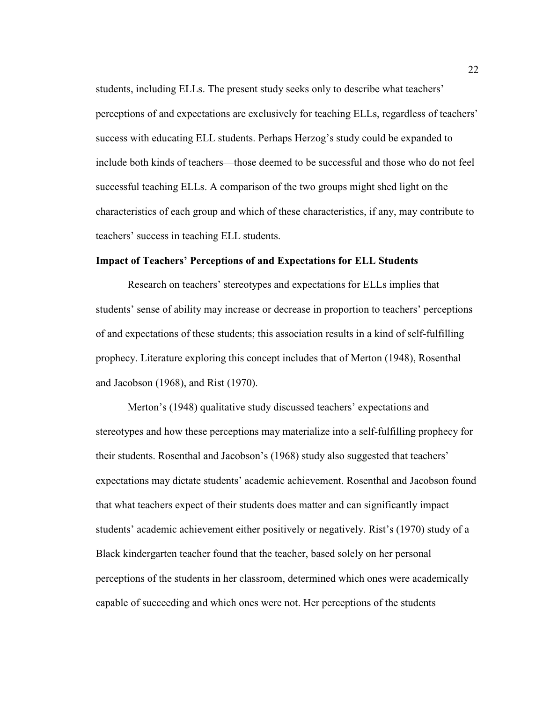students, including ELLs. The present study seeks only to describe what teachers' perceptions of and expectations are exclusively for teaching ELLs, regardless of teachers' success with educating ELL students. Perhaps Herzog's study could be expanded to include both kinds of teachers—those deemed to be successful and those who do not feel successful teaching ELLs. A comparison of the two groups might shed light on the characteristics of each group and which of these characteristics, if any, may contribute to teachers' success in teaching ELL students.

# **Impact of Teachers' Perceptions of and Expectations for ELL Students**

Research on teachers' stereotypes and expectations for ELLs implies that students' sense of ability may increase or decrease in proportion to teachers' perceptions of and expectations of these students; this association results in a kind of self-fulfilling prophecy. Literature exploring this concept includes that of Merton (1948), Rosenthal and Jacobson (1968), and Rist (1970).

 Merton's (1948) qualitative study discussed teachers' expectations and stereotypes and how these perceptions may materialize into a self-fulfilling prophecy for their students. Rosenthal and Jacobson's (1968) study also suggested that teachers' expectations may dictate students' academic achievement. Rosenthal and Jacobson found that what teachers expect of their students does matter and can significantly impact students' academic achievement either positively or negatively. Rist's (1970) study of a Black kindergarten teacher found that the teacher, based solely on her personal perceptions of the students in her classroom, determined which ones were academically capable of succeeding and which ones were not. Her perceptions of the students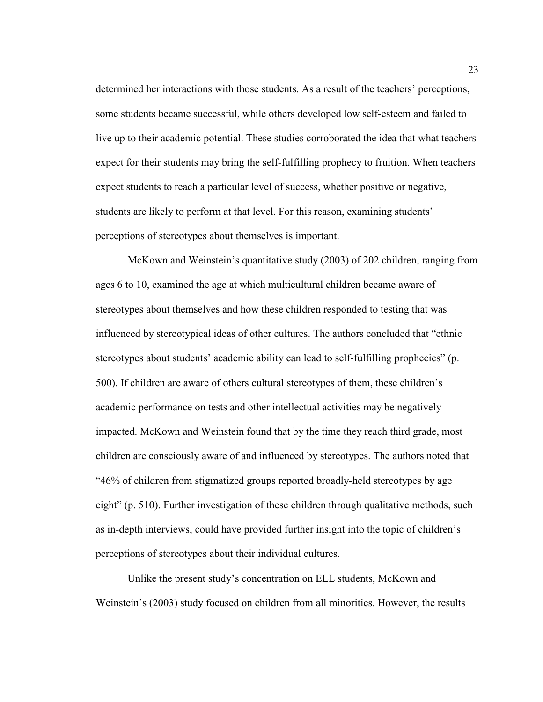determined her interactions with those students. As a result of the teachers' perceptions, some students became successful, while others developed low self-esteem and failed to live up to their academic potential. These studies corroborated the idea that what teachers expect for their students may bring the self-fulfilling prophecy to fruition. When teachers expect students to reach a particular level of success, whether positive or negative, students are likely to perform at that level. For this reason, examining students' perceptions of stereotypes about themselves is important.

McKown and Weinstein's quantitative study (2003) of 202 children, ranging from ages 6 to 10, examined the age at which multicultural children became aware of stereotypes about themselves and how these children responded to testing that was influenced by stereotypical ideas of other cultures. The authors concluded that "ethnic stereotypes about students' academic ability can lead to self-fulfilling prophecies" (p. 500). If children are aware of others cultural stereotypes of them, these children's academic performance on tests and other intellectual activities may be negatively impacted. McKown and Weinstein found that by the time they reach third grade, most children are consciously aware of and influenced by stereotypes. The authors noted that "46% of children from stigmatized groups reported broadly-held stereotypes by age eight" (p. 510). Further investigation of these children through qualitative methods, such as in-depth interviews, could have provided further insight into the topic of children's perceptions of stereotypes about their individual cultures.

 Unlike the present study's concentration on ELL students, McKown and Weinstein's (2003) study focused on children from all minorities. However, the results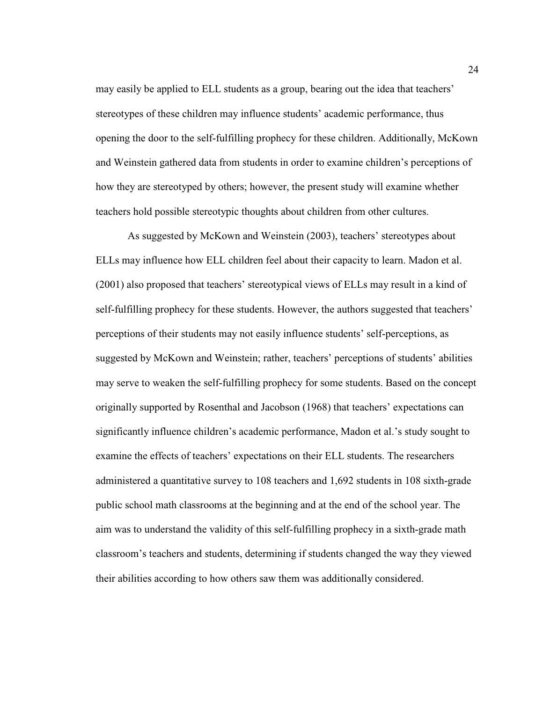may easily be applied to ELL students as a group, bearing out the idea that teachers' stereotypes of these children may influence students' academic performance, thus opening the door to the self-fulfilling prophecy for these children. Additionally, McKown and Weinstein gathered data from students in order to examine children's perceptions of how they are stereotyped by others; however, the present study will examine whether teachers hold possible stereotypic thoughts about children from other cultures.

 As suggested by McKown and Weinstein (2003), teachers' stereotypes about ELLs may influence how ELL children feel about their capacity to learn. Madon et al. (2001) also proposed that teachers' stereotypical views of ELLs may result in a kind of self-fulfilling prophecy for these students. However, the authors suggested that teachers' perceptions of their students may not easily influence students' self-perceptions, as suggested by McKown and Weinstein; rather, teachers' perceptions of students' abilities may serve to weaken the self-fulfilling prophecy for some students. Based on the concept originally supported by Rosenthal and Jacobson (1968) that teachers' expectations can significantly influence children's academic performance, Madon et al.'s study sought to examine the effects of teachers' expectations on their ELL students. The researchers administered a quantitative survey to 108 teachers and 1,692 students in 108 sixth-grade public school math classrooms at the beginning and at the end of the school year. The aim was to understand the validity of this self-fulfilling prophecy in a sixth-grade math classroom's teachers and students, determining if students changed the way they viewed their abilities according to how others saw them was additionally considered.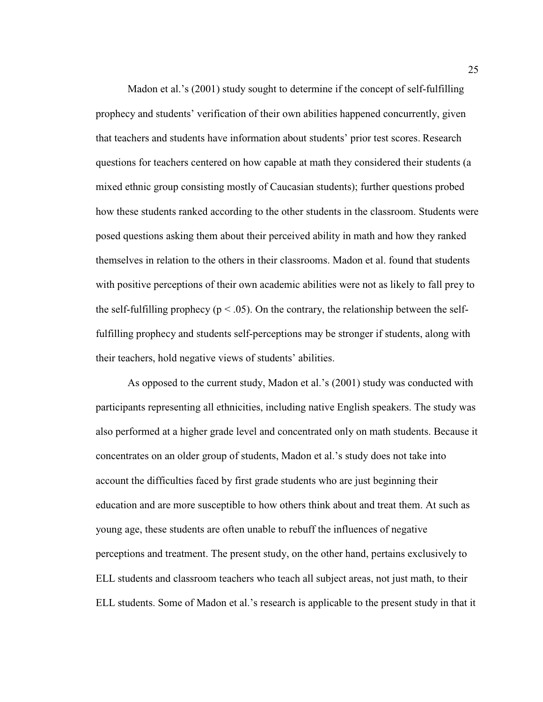Madon et al.'s (2001) study sought to determine if the concept of self-fulfilling prophecy and students' verification of their own abilities happened concurrently, given that teachers and students have information about students' prior test scores. Research questions for teachers centered on how capable at math they considered their students (a mixed ethnic group consisting mostly of Caucasian students); further questions probed how these students ranked according to the other students in the classroom. Students were posed questions asking them about their perceived ability in math and how they ranked themselves in relation to the others in their classrooms. Madon et al. found that students with positive perceptions of their own academic abilities were not as likely to fall prey to the self-fulfilling prophecy ( $p < .05$ ). On the contrary, the relationship between the selffulfilling prophecy and students self-perceptions may be stronger if students, along with their teachers, hold negative views of students' abilities.

 As opposed to the current study, Madon et al.'s (2001) study was conducted with participants representing all ethnicities, including native English speakers. The study was also performed at a higher grade level and concentrated only on math students. Because it concentrates on an older group of students, Madon et al.'s study does not take into account the difficulties faced by first grade students who are just beginning their education and are more susceptible to how others think about and treat them. At such as young age, these students are often unable to rebuff the influences of negative perceptions and treatment. The present study, on the other hand, pertains exclusively to ELL students and classroom teachers who teach all subject areas, not just math, to their ELL students. Some of Madon et al.'s research is applicable to the present study in that it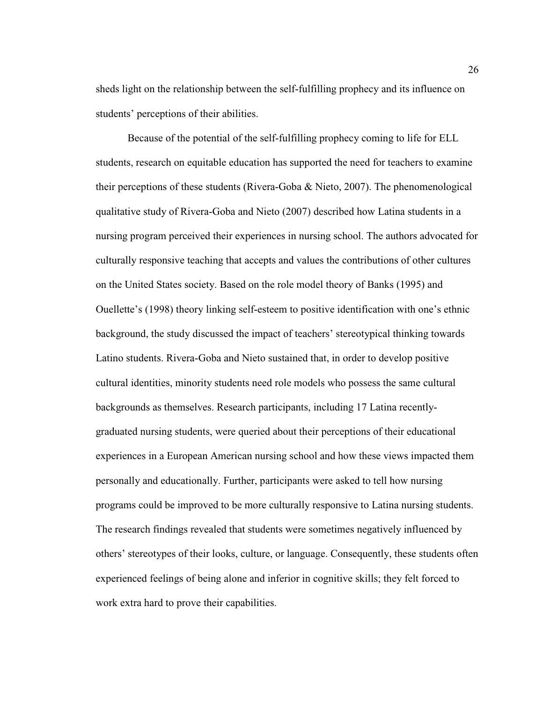sheds light on the relationship between the self-fulfilling prophecy and its influence on students' perceptions of their abilities.

 Because of the potential of the self-fulfilling prophecy coming to life for ELL students, research on equitable education has supported the need for teachers to examine their perceptions of these students (Rivera-Goba & Nieto, 2007). The phenomenological qualitative study of Rivera-Goba and Nieto (2007) described how Latina students in a nursing program perceived their experiences in nursing school. The authors advocated for culturally responsive teaching that accepts and values the contributions of other cultures on the United States society. Based on the role model theory of Banks (1995) and Ouellette's (1998) theory linking self-esteem to positive identification with one's ethnic background, the study discussed the impact of teachers' stereotypical thinking towards Latino students. Rivera-Goba and Nieto sustained that, in order to develop positive cultural identities, minority students need role models who possess the same cultural backgrounds as themselves. Research participants, including 17 Latina recentlygraduated nursing students, were queried about their perceptions of their educational experiences in a European American nursing school and how these views impacted them personally and educationally. Further, participants were asked to tell how nursing programs could be improved to be more culturally responsive to Latina nursing students. The research findings revealed that students were sometimes negatively influenced by others' stereotypes of their looks, culture, or language. Consequently, these students often experienced feelings of being alone and inferior in cognitive skills; they felt forced to work extra hard to prove their capabilities.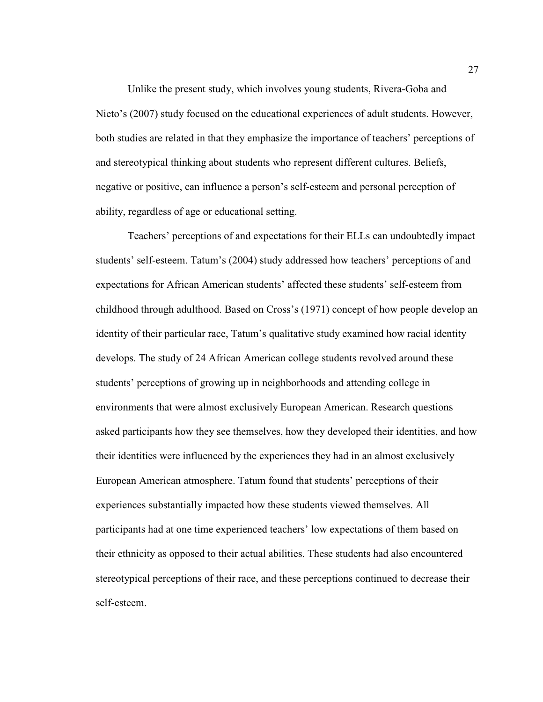Unlike the present study, which involves young students, Rivera-Goba and Nieto's (2007) study focused on the educational experiences of adult students. However, both studies are related in that they emphasize the importance of teachers' perceptions of and stereotypical thinking about students who represent different cultures. Beliefs, negative or positive, can influence a person's self-esteem and personal perception of ability, regardless of age or educational setting.

 Teachers' perceptions of and expectations for their ELLs can undoubtedly impact students' self-esteem. Tatum's (2004) study addressed how teachers' perceptions of and expectations for African American students' affected these students' self-esteem from childhood through adulthood. Based on Cross's (1971) concept of how people develop an identity of their particular race, Tatum's qualitative study examined how racial identity develops. The study of 24 African American college students revolved around these students' perceptions of growing up in neighborhoods and attending college in environments that were almost exclusively European American. Research questions asked participants how they see themselves, how they developed their identities, and how their identities were influenced by the experiences they had in an almost exclusively European American atmosphere. Tatum found that students' perceptions of their experiences substantially impacted how these students viewed themselves. All participants had at one time experienced teachers' low expectations of them based on their ethnicity as opposed to their actual abilities. These students had also encountered stereotypical perceptions of their race, and these perceptions continued to decrease their self-esteem.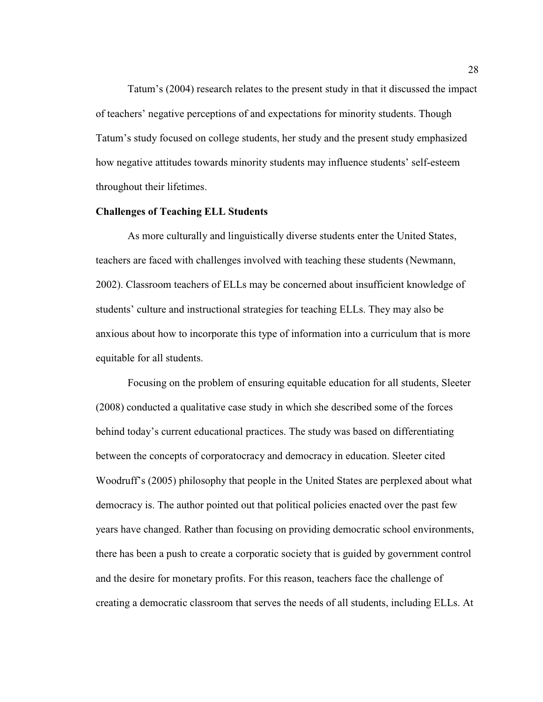Tatum's (2004) research relates to the present study in that it discussed the impact of teachers' negative perceptions of and expectations for minority students. Though Tatum's study focused on college students, her study and the present study emphasized how negative attitudes towards minority students may influence students' self-esteem throughout their lifetimes.

# **Challenges of Teaching ELL Students**

As more culturally and linguistically diverse students enter the United States, teachers are faced with challenges involved with teaching these students (Newmann, 2002). Classroom teachers of ELLs may be concerned about insufficient knowledge of students' culture and instructional strategies for teaching ELLs. They may also be anxious about how to incorporate this type of information into a curriculum that is more equitable for all students.

 Focusing on the problem of ensuring equitable education for all students, Sleeter (2008) conducted a qualitative case study in which she described some of the forces behind today's current educational practices. The study was based on differentiating between the concepts of corporatocracy and democracy in education. Sleeter cited Woodruff's (2005) philosophy that people in the United States are perplexed about what democracy is. The author pointed out that political policies enacted over the past few years have changed. Rather than focusing on providing democratic school environments, there has been a push to create a corporatic society that is guided by government control and the desire for monetary profits. For this reason, teachers face the challenge of creating a democratic classroom that serves the needs of all students, including ELLs. At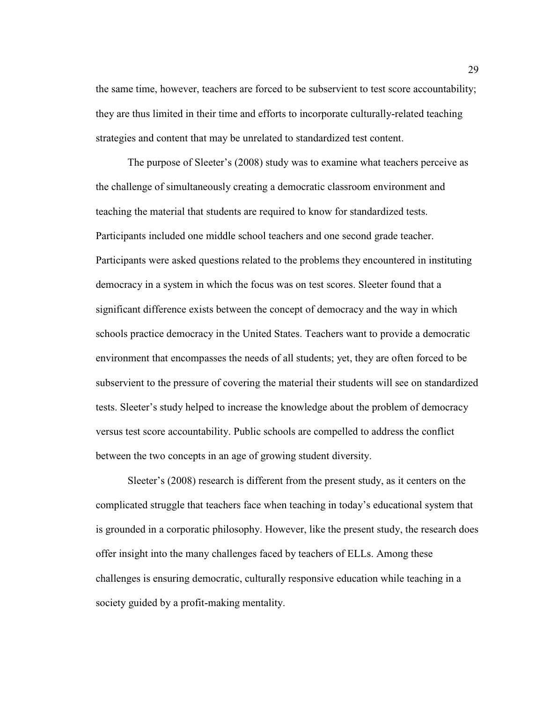the same time, however, teachers are forced to be subservient to test score accountability; they are thus limited in their time and efforts to incorporate culturally-related teaching strategies and content that may be unrelated to standardized test content.

 The purpose of Sleeter's (2008) study was to examine what teachers perceive as the challenge of simultaneously creating a democratic classroom environment and teaching the material that students are required to know for standardized tests. Participants included one middle school teachers and one second grade teacher. Participants were asked questions related to the problems they encountered in instituting democracy in a system in which the focus was on test scores. Sleeter found that a significant difference exists between the concept of democracy and the way in which schools practice democracy in the United States. Teachers want to provide a democratic environment that encompasses the needs of all students; yet, they are often forced to be subservient to the pressure of covering the material their students will see on standardized tests. Sleeter's study helped to increase the knowledge about the problem of democracy versus test score accountability. Public schools are compelled to address the conflict between the two concepts in an age of growing student diversity.

 Sleeter's (2008) research is different from the present study, as it centers on the complicated struggle that teachers face when teaching in today's educational system that is grounded in a corporatic philosophy. However, like the present study, the research does offer insight into the many challenges faced by teachers of ELLs. Among these challenges is ensuring democratic, culturally responsive education while teaching in a society guided by a profit-making mentality.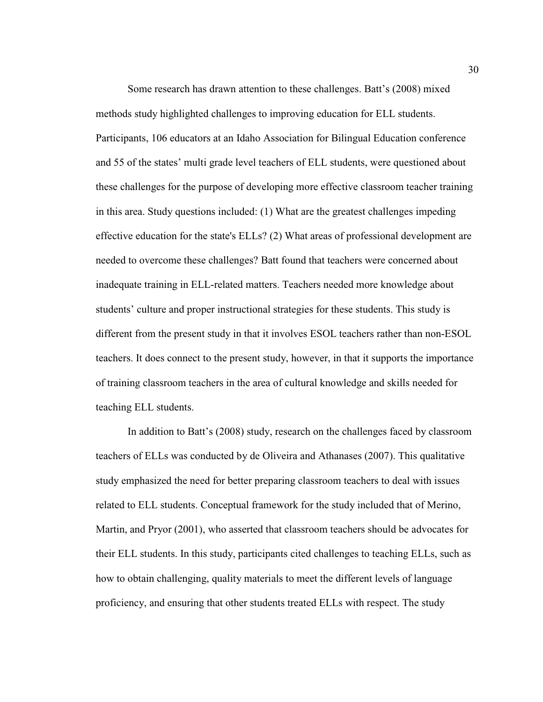Some research has drawn attention to these challenges. Batt's (2008) mixed methods study highlighted challenges to improving education for ELL students. Participants, 106 educators at an Idaho Association for Bilingual Education conference and 55 of the states' multi grade level teachers of ELL students, were questioned about these challenges for the purpose of developing more effective classroom teacher training in this area. Study questions included: (1) What are the greatest challenges impeding effective education for the state's ELLs? (2) What areas of professional development are needed to overcome these challenges? Batt found that teachers were concerned about inadequate training in ELL-related matters. Teachers needed more knowledge about students' culture and proper instructional strategies for these students. This study is different from the present study in that it involves ESOL teachers rather than non-ESOL teachers. It does connect to the present study, however, in that it supports the importance of training classroom teachers in the area of cultural knowledge and skills needed for teaching ELL students.

 In addition to Batt's (2008) study, research on the challenges faced by classroom teachers of ELLs was conducted by de Oliveira and Athanases (2007). This qualitative study emphasized the need for better preparing classroom teachers to deal with issues related to ELL students. Conceptual framework for the study included that of Merino, Martin, and Pryor (2001), who asserted that classroom teachers should be advocates for their ELL students. In this study, participants cited challenges to teaching ELLs, such as how to obtain challenging, quality materials to meet the different levels of language proficiency, and ensuring that other students treated ELLs with respect. The study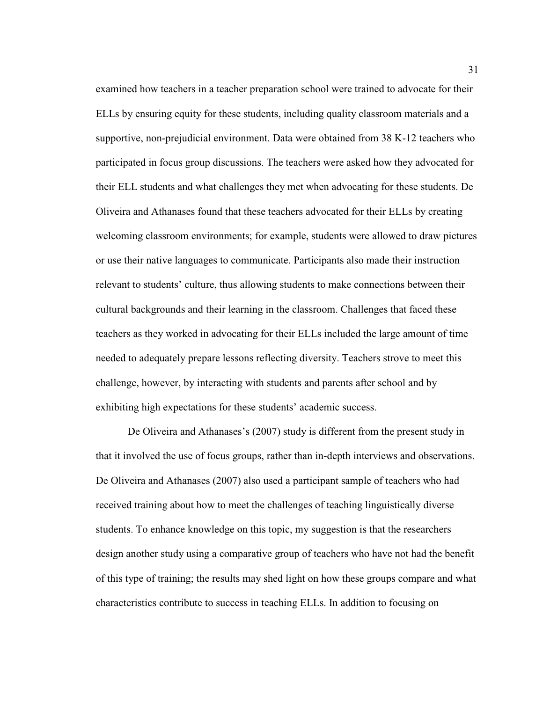examined how teachers in a teacher preparation school were trained to advocate for their ELLs by ensuring equity for these students, including quality classroom materials and a supportive, non-prejudicial environment. Data were obtained from 38 K-12 teachers who participated in focus group discussions. The teachers were asked how they advocated for their ELL students and what challenges they met when advocating for these students. De Oliveira and Athanases found that these teachers advocated for their ELLs by creating welcoming classroom environments; for example, students were allowed to draw pictures or use their native languages to communicate. Participants also made their instruction relevant to students' culture, thus allowing students to make connections between their cultural backgrounds and their learning in the classroom. Challenges that faced these teachers as they worked in advocating for their ELLs included the large amount of time needed to adequately prepare lessons reflecting diversity. Teachers strove to meet this challenge, however, by interacting with students and parents after school and by exhibiting high expectations for these students' academic success.

De Oliveira and Athanases's (2007) study is different from the present study in that it involved the use of focus groups, rather than in-depth interviews and observations. De Oliveira and Athanases (2007) also used a participant sample of teachers who had received training about how to meet the challenges of teaching linguistically diverse students. To enhance knowledge on this topic, my suggestion is that the researchers design another study using a comparative group of teachers who have not had the benefit of this type of training; the results may shed light on how these groups compare and what characteristics contribute to success in teaching ELLs. In addition to focusing on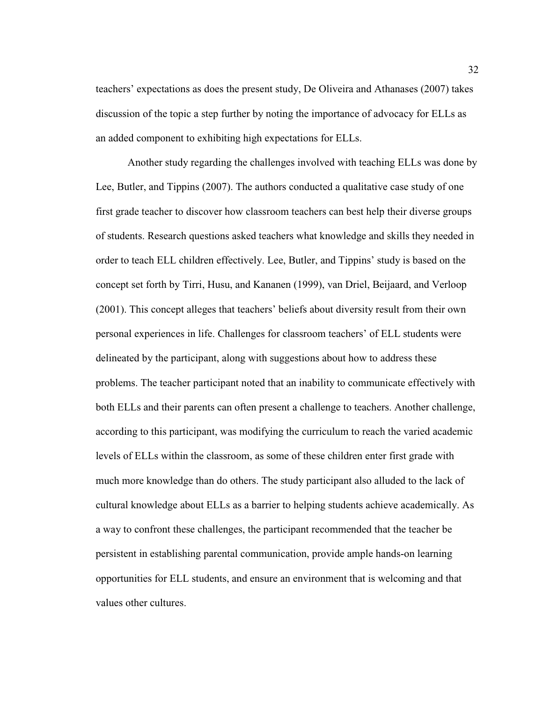teachers' expectations as does the present study, De Oliveira and Athanases (2007) takes discussion of the topic a step further by noting the importance of advocacy for ELLs as an added component to exhibiting high expectations for ELLs.

 Another study regarding the challenges involved with teaching ELLs was done by Lee, Butler, and Tippins (2007). The authors conducted a qualitative case study of one first grade teacher to discover how classroom teachers can best help their diverse groups of students. Research questions asked teachers what knowledge and skills they needed in order to teach ELL children effectively. Lee, Butler, and Tippins' study is based on the concept set forth by Tirri, Husu, and Kananen (1999), van Driel, Beijaard, and Verloop (2001). This concept alleges that teachers' beliefs about diversity result from their own personal experiences in life. Challenges for classroom teachers' of ELL students were delineated by the participant, along with suggestions about how to address these problems. The teacher participant noted that an inability to communicate effectively with both ELLs and their parents can often present a challenge to teachers. Another challenge, according to this participant, was modifying the curriculum to reach the varied academic levels of ELLs within the classroom, as some of these children enter first grade with much more knowledge than do others. The study participant also alluded to the lack of cultural knowledge about ELLs as a barrier to helping students achieve academically. As a way to confront these challenges, the participant recommended that the teacher be persistent in establishing parental communication, provide ample hands-on learning opportunities for ELL students, and ensure an environment that is welcoming and that values other cultures.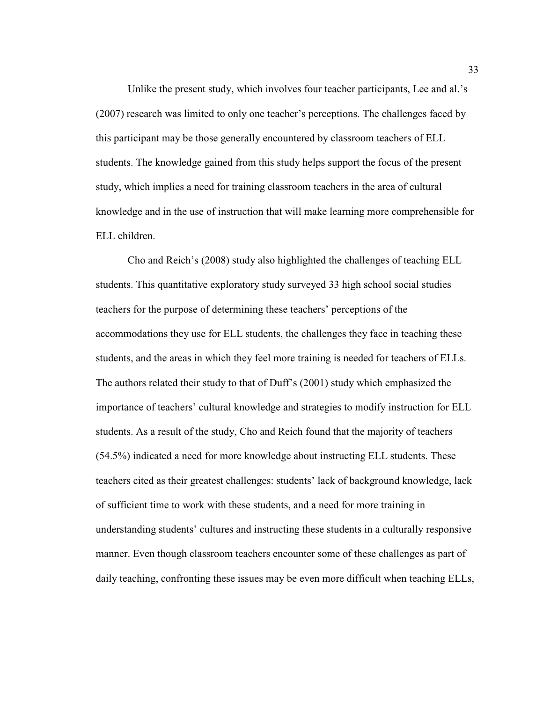Unlike the present study, which involves four teacher participants, Lee and al.'s (2007) research was limited to only one teacher's perceptions. The challenges faced by this participant may be those generally encountered by classroom teachers of ELL students. The knowledge gained from this study helps support the focus of the present study, which implies a need for training classroom teachers in the area of cultural knowledge and in the use of instruction that will make learning more comprehensible for ELL children.

 Cho and Reich's (2008) study also highlighted the challenges of teaching ELL students. This quantitative exploratory study surveyed 33 high school social studies teachers for the purpose of determining these teachers' perceptions of the accommodations they use for ELL students, the challenges they face in teaching these students, and the areas in which they feel more training is needed for teachers of ELLs. The authors related their study to that of Duff's (2001) study which emphasized the importance of teachers' cultural knowledge and strategies to modify instruction for ELL students. As a result of the study, Cho and Reich found that the majority of teachers (54.5%) indicated a need for more knowledge about instructing ELL students. These teachers cited as their greatest challenges: students' lack of background knowledge, lack of sufficient time to work with these students, and a need for more training in understanding students' cultures and instructing these students in a culturally responsive manner. Even though classroom teachers encounter some of these challenges as part of daily teaching, confronting these issues may be even more difficult when teaching ELLs,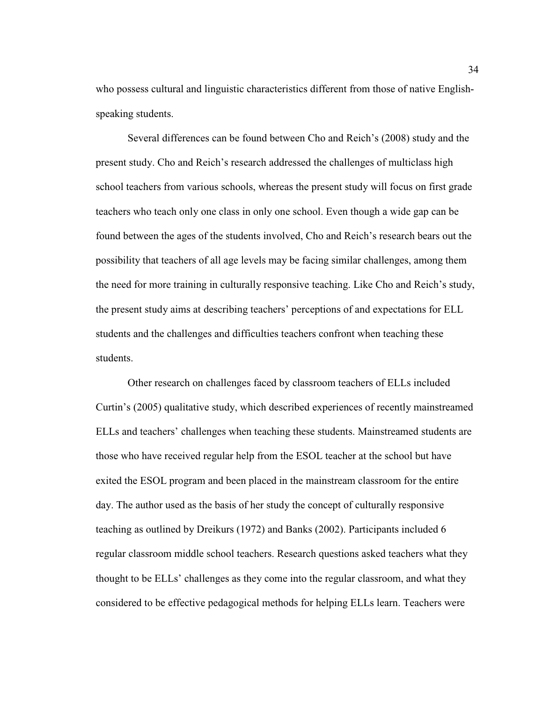who possess cultural and linguistic characteristics different from those of native Englishspeaking students.

 Several differences can be found between Cho and Reich's (2008) study and the present study. Cho and Reich's research addressed the challenges of multiclass high school teachers from various schools, whereas the present study will focus on first grade teachers who teach only one class in only one school. Even though a wide gap can be found between the ages of the students involved, Cho and Reich's research bears out the possibility that teachers of all age levels may be facing similar challenges, among them the need for more training in culturally responsive teaching. Like Cho and Reich's study, the present study aims at describing teachers' perceptions of and expectations for ELL students and the challenges and difficulties teachers confront when teaching these students.

 Other research on challenges faced by classroom teachers of ELLs included Curtin's (2005) qualitative study, which described experiences of recently mainstreamed ELLs and teachers' challenges when teaching these students. Mainstreamed students are those who have received regular help from the ESOL teacher at the school but have exited the ESOL program and been placed in the mainstream classroom for the entire day. The author used as the basis of her study the concept of culturally responsive teaching as outlined by Dreikurs (1972) and Banks (2002). Participants included 6 regular classroom middle school teachers. Research questions asked teachers what they thought to be ELLs' challenges as they come into the regular classroom, and what they considered to be effective pedagogical methods for helping ELLs learn. Teachers were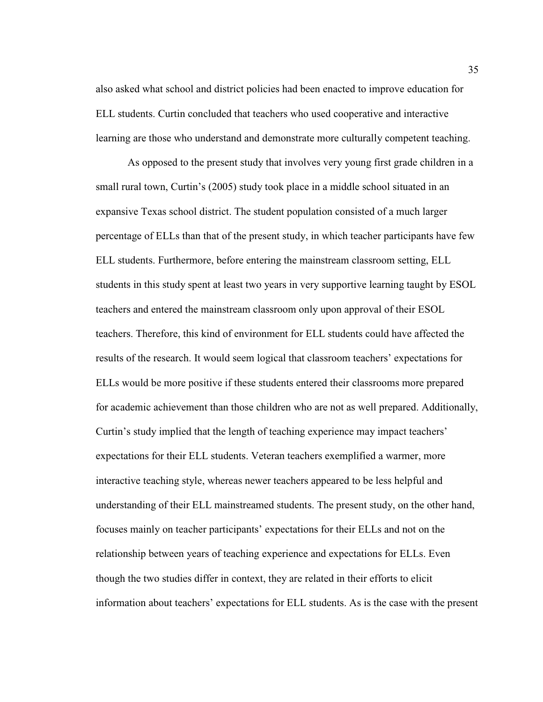also asked what school and district policies had been enacted to improve education for ELL students. Curtin concluded that teachers who used cooperative and interactive learning are those who understand and demonstrate more culturally competent teaching.

 As opposed to the present study that involves very young first grade children in a small rural town, Curtin's (2005) study took place in a middle school situated in an expansive Texas school district. The student population consisted of a much larger percentage of ELLs than that of the present study, in which teacher participants have few ELL students. Furthermore, before entering the mainstream classroom setting, ELL students in this study spent at least two years in very supportive learning taught by ESOL teachers and entered the mainstream classroom only upon approval of their ESOL teachers. Therefore, this kind of environment for ELL students could have affected the results of the research. It would seem logical that classroom teachers' expectations for ELLs would be more positive if these students entered their classrooms more prepared for academic achievement than those children who are not as well prepared. Additionally, Curtin's study implied that the length of teaching experience may impact teachers' expectations for their ELL students. Veteran teachers exemplified a warmer, more interactive teaching style, whereas newer teachers appeared to be less helpful and understanding of their ELL mainstreamed students. The present study, on the other hand, focuses mainly on teacher participants' expectations for their ELLs and not on the relationship between years of teaching experience and expectations for ELLs. Even though the two studies differ in context, they are related in their efforts to elicit information about teachers' expectations for ELL students. As is the case with the present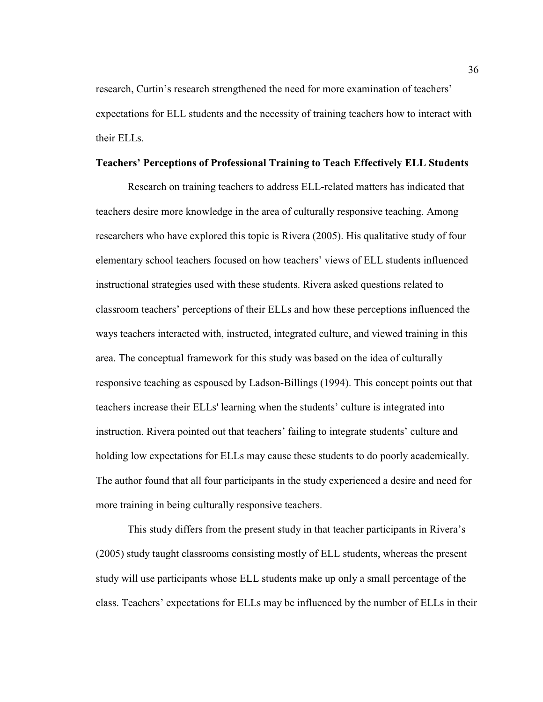research, Curtin's research strengthened the need for more examination of teachers' expectations for ELL students and the necessity of training teachers how to interact with their ELLs.

# **Teachers' Perceptions of Professional Training to Teach Effectively ELL Students**

 Research on training teachers to address ELL-related matters has indicated that teachers desire more knowledge in the area of culturally responsive teaching. Among researchers who have explored this topic is Rivera (2005). His qualitative study of four elementary school teachers focused on how teachers' views of ELL students influenced instructional strategies used with these students. Rivera asked questions related to classroom teachers' perceptions of their ELLs and how these perceptions influenced the ways teachers interacted with, instructed, integrated culture, and viewed training in this area. The conceptual framework for this study was based on the idea of culturally responsive teaching as espoused by Ladson-Billings (1994). This concept points out that teachers increase their ELLs' learning when the students' culture is integrated into instruction. Rivera pointed out that teachers' failing to integrate students' culture and holding low expectations for ELLs may cause these students to do poorly academically. The author found that all four participants in the study experienced a desire and need for more training in being culturally responsive teachers.

 This study differs from the present study in that teacher participants in Rivera's (2005) study taught classrooms consisting mostly of ELL students, whereas the present study will use participants whose ELL students make up only a small percentage of the class. Teachers' expectations for ELLs may be influenced by the number of ELLs in their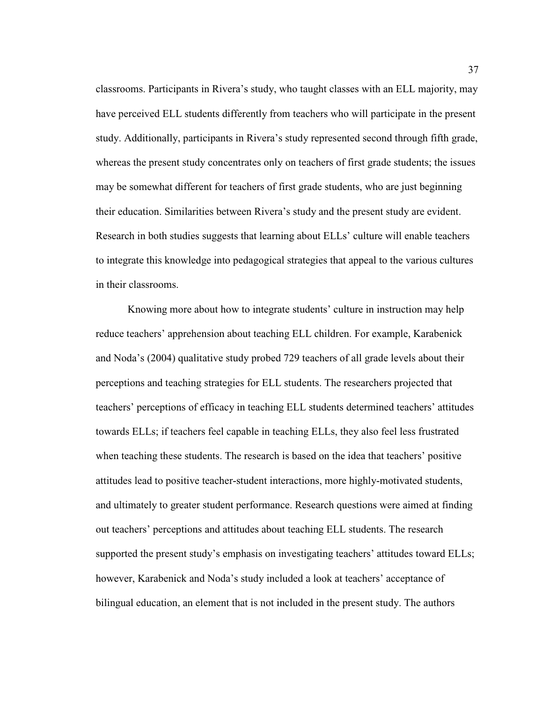classrooms. Participants in Rivera's study, who taught classes with an ELL majority, may have perceived ELL students differently from teachers who will participate in the present study. Additionally, participants in Rivera's study represented second through fifth grade, whereas the present study concentrates only on teachers of first grade students; the issues may be somewhat different for teachers of first grade students, who are just beginning their education. Similarities between Rivera's study and the present study are evident. Research in both studies suggests that learning about ELLs' culture will enable teachers to integrate this knowledge into pedagogical strategies that appeal to the various cultures in their classrooms.

 Knowing more about how to integrate students' culture in instruction may help reduce teachers' apprehension about teaching ELL children. For example, Karabenick and Noda's (2004) qualitative study probed 729 teachers of all grade levels about their perceptions and teaching strategies for ELL students. The researchers projected that teachers' perceptions of efficacy in teaching ELL students determined teachers' attitudes towards ELLs; if teachers feel capable in teaching ELLs, they also feel less frustrated when teaching these students. The research is based on the idea that teachers' positive attitudes lead to positive teacher-student interactions, more highly-motivated students, and ultimately to greater student performance. Research questions were aimed at finding out teachers' perceptions and attitudes about teaching ELL students. The research supported the present study's emphasis on investigating teachers' attitudes toward ELLs; however, Karabenick and Noda's study included a look at teachers' acceptance of bilingual education, an element that is not included in the present study. The authors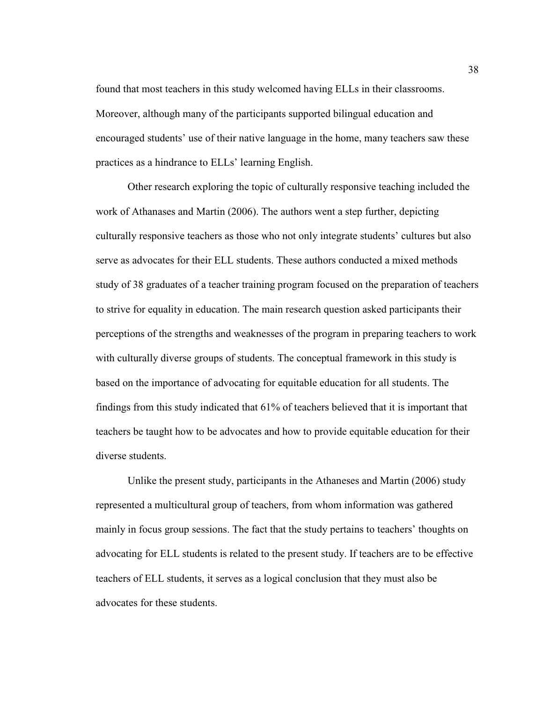found that most teachers in this study welcomed having ELLs in their classrooms. Moreover, although many of the participants supported bilingual education and encouraged students' use of their native language in the home, many teachers saw these practices as a hindrance to ELLs' learning English.

 Other research exploring the topic of culturally responsive teaching included the work of Athanases and Martin (2006). The authors went a step further, depicting culturally responsive teachers as those who not only integrate students' cultures but also serve as advocates for their ELL students. These authors conducted a mixed methods study of 38 graduates of a teacher training program focused on the preparation of teachers to strive for equality in education. The main research question asked participants their perceptions of the strengths and weaknesses of the program in preparing teachers to work with culturally diverse groups of students. The conceptual framework in this study is based on the importance of advocating for equitable education for all students. The findings from this study indicated that 61% of teachers believed that it is important that teachers be taught how to be advocates and how to provide equitable education for their diverse students.

 Unlike the present study, participants in the Athaneses and Martin (2006) study represented a multicultural group of teachers, from whom information was gathered mainly in focus group sessions. The fact that the study pertains to teachers' thoughts on advocating for ELL students is related to the present study. If teachers are to be effective teachers of ELL students, it serves as a logical conclusion that they must also be advocates for these students.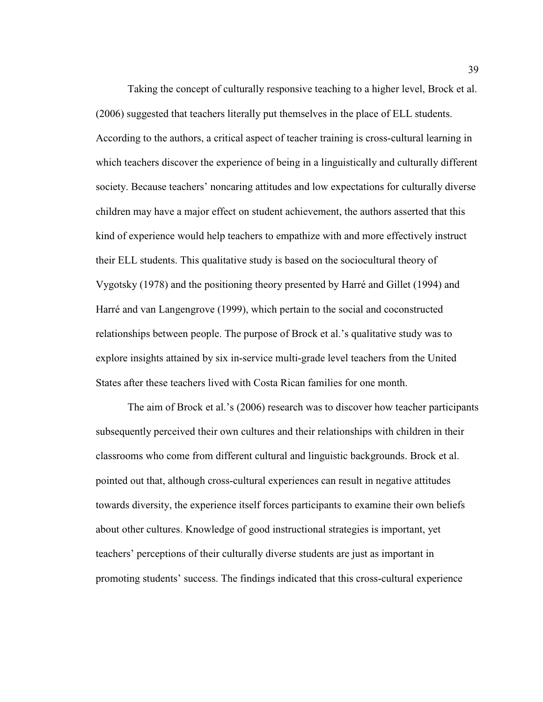Taking the concept of culturally responsive teaching to a higher level, Brock et al. (2006) suggested that teachers literally put themselves in the place of ELL students. According to the authors, a critical aspect of teacher training is cross-cultural learning in which teachers discover the experience of being in a linguistically and culturally different society. Because teachers' noncaring attitudes and low expectations for culturally diverse children may have a major effect on student achievement, the authors asserted that this kind of experience would help teachers to empathize with and more effectively instruct their ELL students. This qualitative study is based on the sociocultural theory of Vygotsky (1978) and the positioning theory presented by Harré and Gillet (1994) and Harré and van Langengrove (1999), which pertain to the social and coconstructed relationships between people. The purpose of Brock et al.'s qualitative study was to explore insights attained by six in-service multi-grade level teachers from the United States after these teachers lived with Costa Rican families for one month.

 The aim of Brock et al.'s (2006) research was to discover how teacher participants subsequently perceived their own cultures and their relationships with children in their classrooms who come from different cultural and linguistic backgrounds. Brock et al. pointed out that, although cross-cultural experiences can result in negative attitudes towards diversity, the experience itself forces participants to examine their own beliefs about other cultures. Knowledge of good instructional strategies is important, yet teachers' perceptions of their culturally diverse students are just as important in promoting students' success. The findings indicated that this cross-cultural experience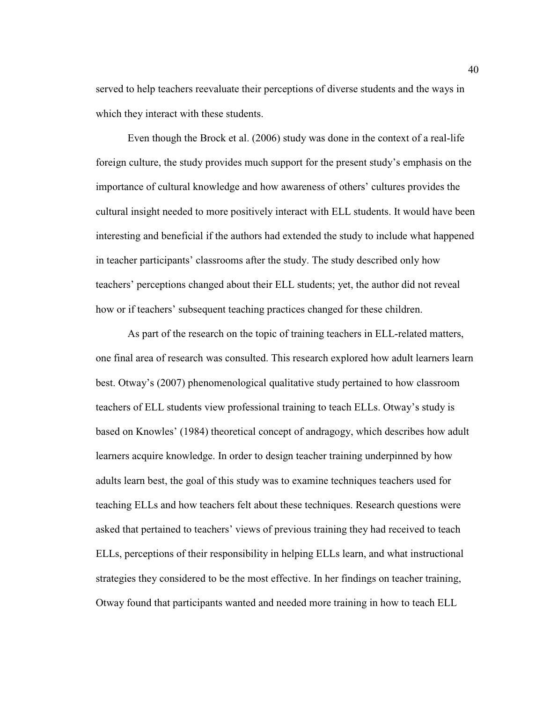served to help teachers reevaluate their perceptions of diverse students and the ways in which they interact with these students.

 Even though the Brock et al. (2006) study was done in the context of a real-life foreign culture, the study provides much support for the present study's emphasis on the importance of cultural knowledge and how awareness of others' cultures provides the cultural insight needed to more positively interact with ELL students. It would have been interesting and beneficial if the authors had extended the study to include what happened in teacher participants' classrooms after the study. The study described only how teachers' perceptions changed about their ELL students; yet, the author did not reveal how or if teachers' subsequent teaching practices changed for these children.

 As part of the research on the topic of training teachers in ELL-related matters, one final area of research was consulted. This research explored how adult learners learn best. Otway's (2007) phenomenological qualitative study pertained to how classroom teachers of ELL students view professional training to teach ELLs. Otway's study is based on Knowles' (1984) theoretical concept of andragogy, which describes how adult learners acquire knowledge. In order to design teacher training underpinned by how adults learn best, the goal of this study was to examine techniques teachers used for teaching ELLs and how teachers felt about these techniques. Research questions were asked that pertained to teachers' views of previous training they had received to teach ELLs, perceptions of their responsibility in helping ELLs learn, and what instructional strategies they considered to be the most effective. In her findings on teacher training, Otway found that participants wanted and needed more training in how to teach ELL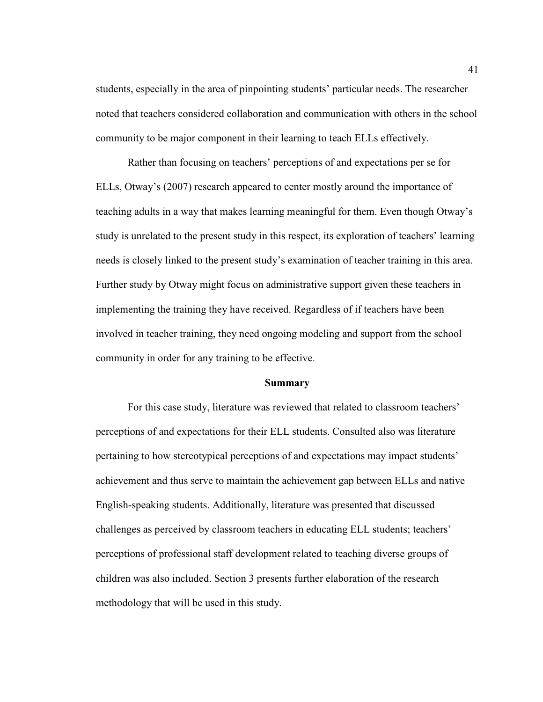students, especially in the area of pinpointing students' particular needs. The researcher noted that teachers considered collaboration and communication with others in the school community to be major component in their learning to teach ELLs effectively.

 Rather than focusing on teachers' perceptions of and expectations per se for ELLs, Otway's (2007) research appeared to center mostly around the importance of teaching adults in a way that makes learning meaningful for them. Even though Otway's study is unrelated to the present study in this respect, its exploration of teachers' learning needs is closely linked to the present study's examination of teacher training in this area. Further study by Otway might focus on administrative support given these teachers in implementing the training they have received. Regardless of if teachers have been involved in teacher training, they need ongoing modeling and support from the school community in order for any training to be effective.

# **Summary**

 For this case study, literature was reviewed that related to classroom teachers' perceptions of and expectations for their ELL students. Consulted also was literature pertaining to how stereotypical perceptions of and expectations may impact students' achievement and thus serve to maintain the achievement gap between ELLs and native English-speaking students. Additionally, literature was presented that discussed challenges as perceived by classroom teachers in educating ELL students; teachers' perceptions of professional staff development related to teaching diverse groups of children was also included. Section 3 presents further elaboration of the research methodology that will be used in this study.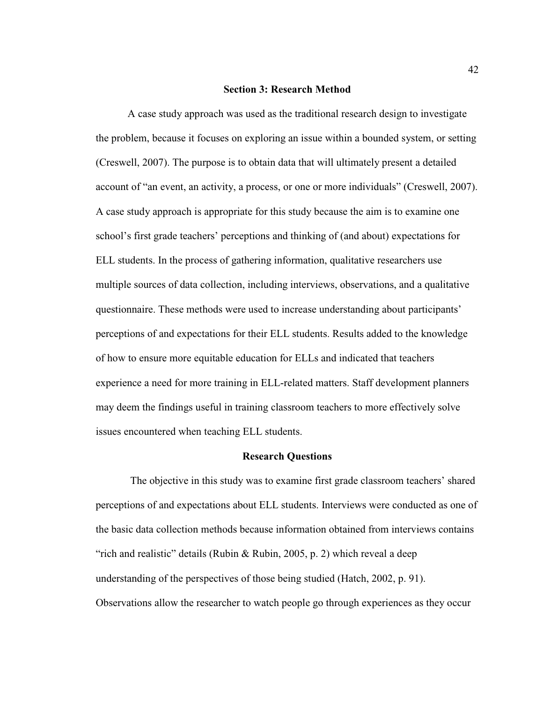#### **Section 3: Research Method**

 A case study approach was used as the traditional research design to investigate the problem, because it focuses on exploring an issue within a bounded system, or setting (Creswell, 2007). The purpose is to obtain data that will ultimately present a detailed account of "an event, an activity, a process, or one or more individuals" (Creswell, 2007). A case study approach is appropriate for this study because the aim is to examine one school's first grade teachers' perceptions and thinking of (and about) expectations for ELL students. In the process of gathering information, qualitative researchers use multiple sources of data collection, including interviews, observations, and a qualitative questionnaire. These methods were used to increase understanding about participants' perceptions of and expectations for their ELL students. Results added to the knowledge of how to ensure more equitable education for ELLs and indicated that teachers experience a need for more training in ELL-related matters. Staff development planners may deem the findings useful in training classroom teachers to more effectively solve issues encountered when teaching ELL students.

#### **Research Questions**

The objective in this study was to examine first grade classroom teachers' shared perceptions of and expectations about ELL students. Interviews were conducted as one of the basic data collection methods because information obtained from interviews contains "rich and realistic" details (Rubin & Rubin, 2005, p. 2) which reveal a deep understanding of the perspectives of those being studied (Hatch, 2002, p. 91). Observations allow the researcher to watch people go through experiences as they occur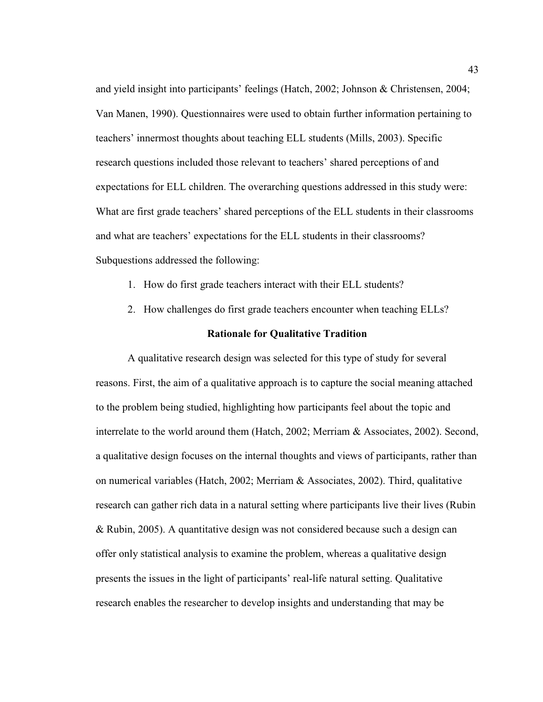and yield insight into participants' feelings (Hatch, 2002; Johnson & Christensen, 2004; Van Manen, 1990). Questionnaires were used to obtain further information pertaining to teachers' innermost thoughts about teaching ELL students (Mills, 2003). Specific research questions included those relevant to teachers' shared perceptions of and expectations for ELL children. The overarching questions addressed in this study were: What are first grade teachers' shared perceptions of the ELL students in their classrooms and what are teachers' expectations for the ELL students in their classrooms? Subquestions addressed the following:

- 1. How do first grade teachers interact with their ELL students?
- 2. How challenges do first grade teachers encounter when teaching ELLs?

### **Rationale for Qualitative Tradition**

 A qualitative research design was selected for this type of study for several reasons. First, the aim of a qualitative approach is to capture the social meaning attached to the problem being studied, highlighting how participants feel about the topic and interrelate to the world around them (Hatch, 2002; Merriam & Associates, 2002). Second, a qualitative design focuses on the internal thoughts and views of participants, rather than on numerical variables (Hatch, 2002; Merriam & Associates, 2002). Third, qualitative research can gather rich data in a natural setting where participants live their lives (Rubin & Rubin, 2005). A quantitative design was not considered because such a design can offer only statistical analysis to examine the problem, whereas a qualitative design presents the issues in the light of participants' real-life natural setting. Qualitative research enables the researcher to develop insights and understanding that may be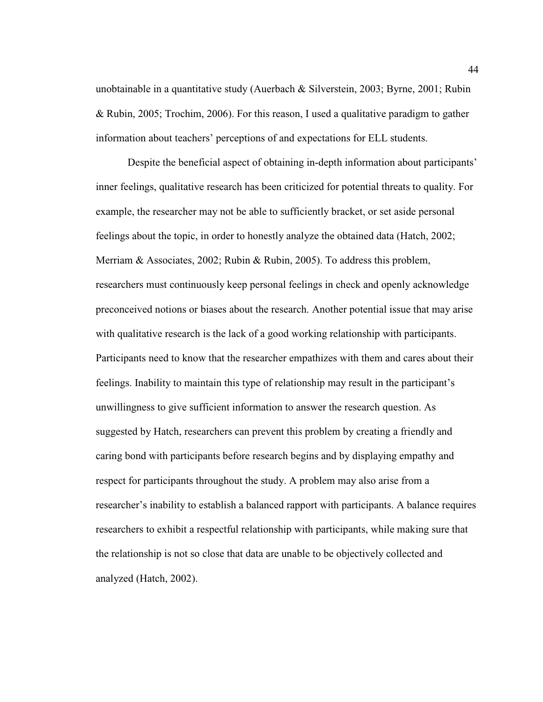unobtainable in a quantitative study (Auerbach & Silverstein, 2003; Byrne, 2001; Rubin & Rubin, 2005; Trochim, 2006). For this reason, I used a qualitative paradigm to gather information about teachers' perceptions of and expectations for ELL students.

 Despite the beneficial aspect of obtaining in-depth information about participants' inner feelings, qualitative research has been criticized for potential threats to quality. For example, the researcher may not be able to sufficiently bracket, or set aside personal feelings about the topic, in order to honestly analyze the obtained data (Hatch, 2002; Merriam & Associates, 2002; Rubin & Rubin, 2005). To address this problem, researchers must continuously keep personal feelings in check and openly acknowledge preconceived notions or biases about the research. Another potential issue that may arise with qualitative research is the lack of a good working relationship with participants. Participants need to know that the researcher empathizes with them and cares about their feelings. Inability to maintain this type of relationship may result in the participant's unwillingness to give sufficient information to answer the research question. As suggested by Hatch, researchers can prevent this problem by creating a friendly and caring bond with participants before research begins and by displaying empathy and respect for participants throughout the study. A problem may also arise from a researcher's inability to establish a balanced rapport with participants. A balance requires researchers to exhibit a respectful relationship with participants, while making sure that the relationship is not so close that data are unable to be objectively collected and analyzed (Hatch, 2002).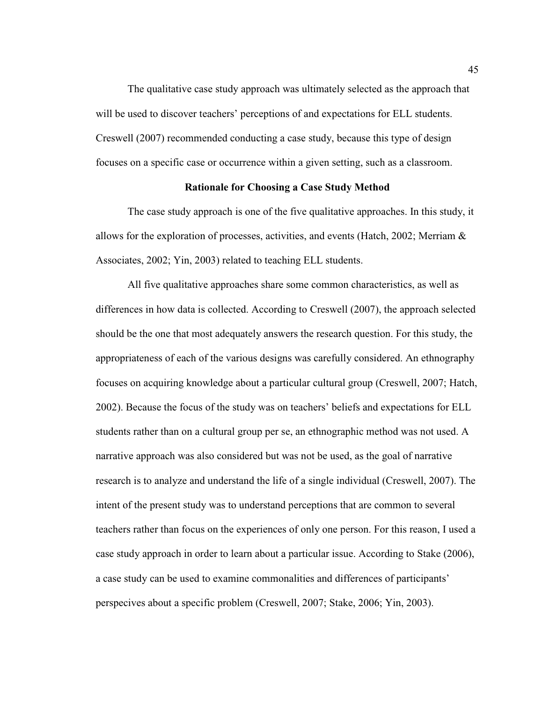The qualitative case study approach was ultimately selected as the approach that will be used to discover teachers' perceptions of and expectations for ELL students. Creswell (2007) recommended conducting a case study, because this type of design focuses on a specific case or occurrence within a given setting, such as a classroom.

# **Rationale for Choosing a Case Study Method**

 The case study approach is one of the five qualitative approaches. In this study, it allows for the exploration of processes, activities, and events (Hatch, 2002; Merriam  $\&$ Associates, 2002; Yin, 2003) related to teaching ELL students.

 All five qualitative approaches share some common characteristics, as well as differences in how data is collected. According to Creswell (2007), the approach selected should be the one that most adequately answers the research question. For this study, the appropriateness of each of the various designs was carefully considered. An ethnography focuses on acquiring knowledge about a particular cultural group (Creswell, 2007; Hatch, 2002). Because the focus of the study was on teachers' beliefs and expectations for ELL students rather than on a cultural group per se, an ethnographic method was not used. A narrative approach was also considered but was not be used, as the goal of narrative research is to analyze and understand the life of a single individual (Creswell, 2007). The intent of the present study was to understand perceptions that are common to several teachers rather than focus on the experiences of only one person. For this reason, I used a case study approach in order to learn about a particular issue. According to Stake (2006), a case study can be used to examine commonalities and differences of participants' perspecives about a specific problem (Creswell, 2007; Stake, 2006; Yin, 2003).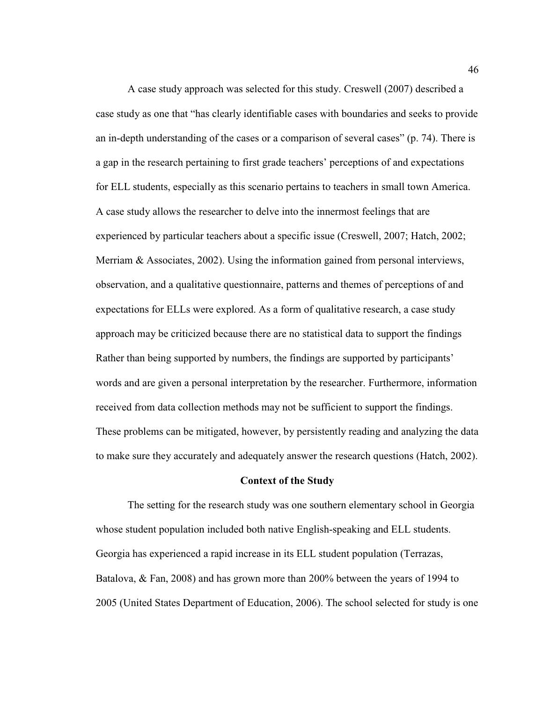A case study approach was selected for this study. Creswell (2007) described a case study as one that "has clearly identifiable cases with boundaries and seeks to provide an in-depth understanding of the cases or a comparison of several cases" (p. 74). There is a gap in the research pertaining to first grade teachers' perceptions of and expectations for ELL students, especially as this scenario pertains to teachers in small town America. A case study allows the researcher to delve into the innermost feelings that are experienced by particular teachers about a specific issue (Creswell, 2007; Hatch, 2002; Merriam  $\&$  Associates, 2002). Using the information gained from personal interviews, observation, and a qualitative questionnaire, patterns and themes of perceptions of and expectations for ELLs were explored. As a form of qualitative research, a case study approach may be criticized because there are no statistical data to support the findings Rather than being supported by numbers, the findings are supported by participants' words and are given a personal interpretation by the researcher. Furthermore, information received from data collection methods may not be sufficient to support the findings. These problems can be mitigated, however, by persistently reading and analyzing the data to make sure they accurately and adequately answer the research questions (Hatch, 2002).

#### **Context of the Study**

 The setting for the research study was one southern elementary school in Georgia whose student population included both native English-speaking and ELL students. Georgia has experienced a rapid increase in its ELL student population (Terrazas, Batalova, & Fan, 2008) and has grown more than 200% between the years of 1994 to 2005 (United States Department of Education, 2006). The school selected for study is one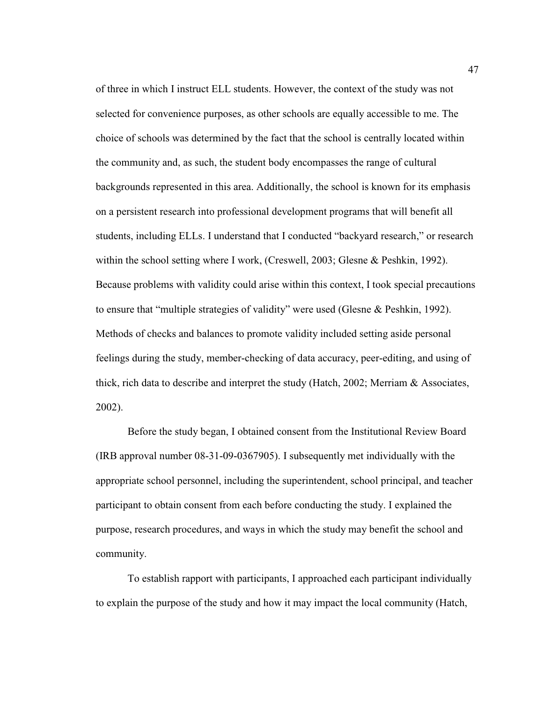of three in which I instruct ELL students. However, the context of the study was not selected for convenience purposes, as other schools are equally accessible to me. The choice of schools was determined by the fact that the school is centrally located within the community and, as such, the student body encompasses the range of cultural backgrounds represented in this area. Additionally, the school is known for its emphasis on a persistent research into professional development programs that will benefit all students, including ELLs. I understand that I conducted "backyard research," or research within the school setting where I work, (Creswell, 2003; Glesne & Peshkin, 1992). Because problems with validity could arise within this context, I took special precautions to ensure that "multiple strategies of validity" were used (Glesne & Peshkin, 1992). Methods of checks and balances to promote validity included setting aside personal feelings during the study, member-checking of data accuracy, peer-editing, and using of thick, rich data to describe and interpret the study (Hatch,  $2002$ ; Merriam & Associates, 2002).

 Before the study began, I obtained consent from the Institutional Review Board (IRB approval number 08-31-09-0367905). I subsequently met individually with the appropriate school personnel, including the superintendent, school principal, and teacher participant to obtain consent from each before conducting the study. I explained the purpose, research procedures, and ways in which the study may benefit the school and community.

 To establish rapport with participants, I approached each participant individually to explain the purpose of the study and how it may impact the local community (Hatch,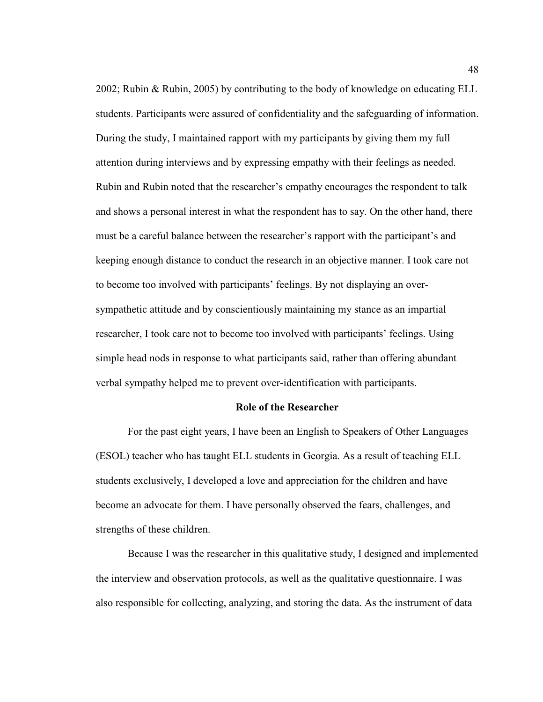2002; Rubin & Rubin, 2005) by contributing to the body of knowledge on educating ELL students. Participants were assured of confidentiality and the safeguarding of information. During the study, I maintained rapport with my participants by giving them my full attention during interviews and by expressing empathy with their feelings as needed. Rubin and Rubin noted that the researcher's empathy encourages the respondent to talk and shows a personal interest in what the respondent has to say. On the other hand, there must be a careful balance between the researcher's rapport with the participant's and keeping enough distance to conduct the research in an objective manner. I took care not to become too involved with participants' feelings. By not displaying an oversympathetic attitude and by conscientiously maintaining my stance as an impartial researcher, I took care not to become too involved with participants' feelings. Using simple head nods in response to what participants said, rather than offering abundant verbal sympathy helped me to prevent over-identification with participants.

### **Role of the Researcher**

 For the past eight years, I have been an English to Speakers of Other Languages (ESOL) teacher who has taught ELL students in Georgia. As a result of teaching ELL students exclusively, I developed a love and appreciation for the children and have become an advocate for them. I have personally observed the fears, challenges, and strengths of these children.

 Because I was the researcher in this qualitative study, I designed and implemented the interview and observation protocols, as well as the qualitative questionnaire. I was also responsible for collecting, analyzing, and storing the data. As the instrument of data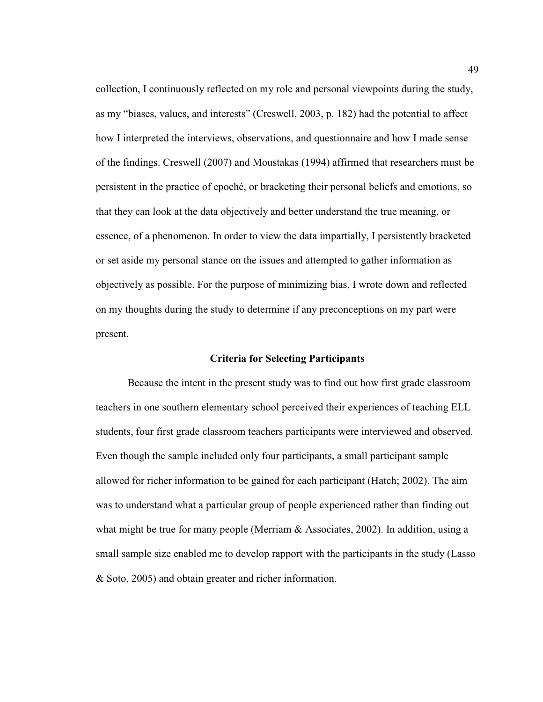collection, I continuously reflected on my role and personal viewpoints during the study, as my "biases, values, and interests" (Creswell, 2003, p. 182) had the potential to affect how I interpreted the interviews, observations, and questionnaire and how I made sense of the findings. Creswell (2007) and Moustakas (1994) affirmed that researchers must be persistent in the practice of epoché, or bracketing their personal beliefs and emotions, so that they can look at the data objectively and better understand the true meaning, or essence, of a phenomenon. In order to view the data impartially, I persistently bracketed or set aside my personal stance on the issues and attempted to gather information as objectively as possible. For the purpose of minimizing bias, I wrote down and reflected on my thoughts during the study to determine if any preconceptions on my part were present.

# **Criteria for Selecting Participants**

 Because the intent in the present study was to find out how first grade classroom teachers in one southern elementary school perceived their experiences of teaching ELL students, four first grade classroom teachers participants were interviewed and observed. Even though the sample included only four participants, a small participant sample allowed for richer information to be gained for each participant (Hatch; 2002). The aim was to understand what a particular group of people experienced rather than finding out what might be true for many people (Merriam  $\&$  Associates, 2002). In addition, using a small sample size enabled me to develop rapport with the participants in the study (Lasso & Soto, 2005) and obtain greater and richer information.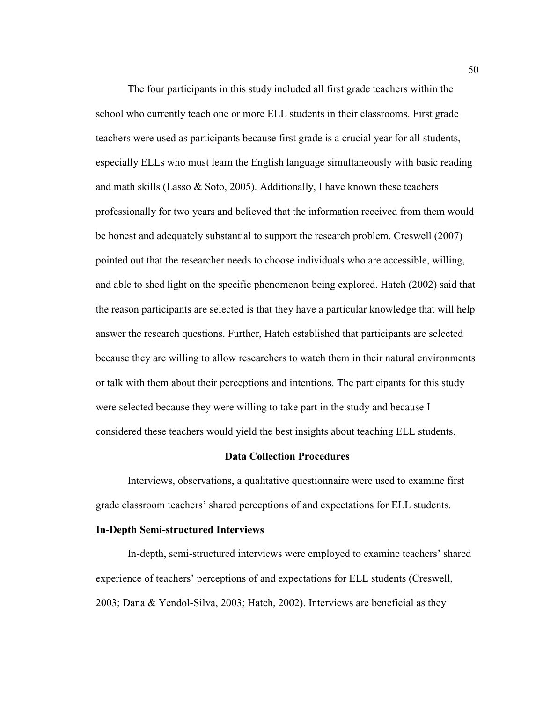The four participants in this study included all first grade teachers within the school who currently teach one or more ELL students in their classrooms. First grade teachers were used as participants because first grade is a crucial year for all students, especially ELLs who must learn the English language simultaneously with basic reading and math skills (Lasso  $\&$  Soto, 2005). Additionally, I have known these teachers professionally for two years and believed that the information received from them would be honest and adequately substantial to support the research problem. Creswell (2007) pointed out that the researcher needs to choose individuals who are accessible, willing, and able to shed light on the specific phenomenon being explored. Hatch (2002) said that the reason participants are selected is that they have a particular knowledge that will help answer the research questions. Further, Hatch established that participants are selected because they are willing to allow researchers to watch them in their natural environments or talk with them about their perceptions and intentions. The participants for this study were selected because they were willing to take part in the study and because I considered these teachers would yield the best insights about teaching ELL students.

#### **Data Collection Procedures**

 Interviews, observations, a qualitative questionnaire were used to examine first grade classroom teachers' shared perceptions of and expectations for ELL students.

## **In-Depth Semi-structured Interviews**

 In-depth, semi-structured interviews were employed to examine teachers' shared experience of teachers' perceptions of and expectations for ELL students (Creswell, 2003; Dana & Yendol-Silva, 2003; Hatch, 2002). Interviews are beneficial as they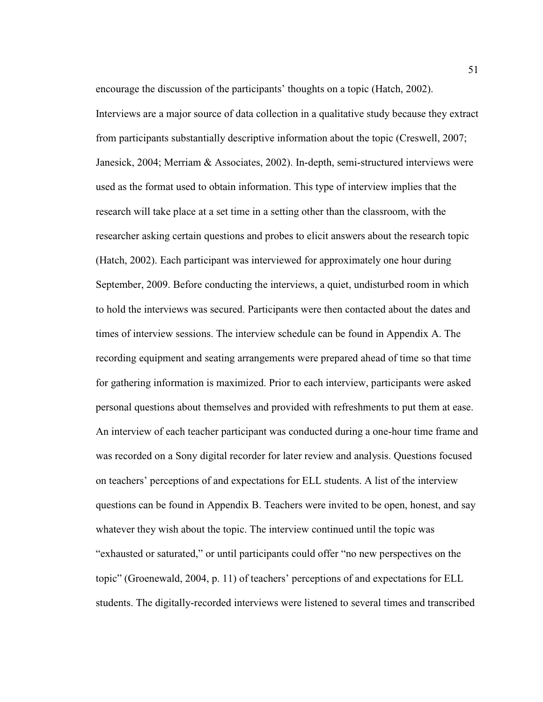encourage the discussion of the participants' thoughts on a topic (Hatch, 2002).

Interviews are a major source of data collection in a qualitative study because they extract from participants substantially descriptive information about the topic (Creswell, 2007; Janesick, 2004; Merriam & Associates, 2002). In-depth, semi-structured interviews were used as the format used to obtain information. This type of interview implies that the research will take place at a set time in a setting other than the classroom, with the researcher asking certain questions and probes to elicit answers about the research topic (Hatch, 2002). Each participant was interviewed for approximately one hour during September, 2009. Before conducting the interviews, a quiet, undisturbed room in which to hold the interviews was secured. Participants were then contacted about the dates and times of interview sessions. The interview schedule can be found in Appendix A. The recording equipment and seating arrangements were prepared ahead of time so that time for gathering information is maximized. Prior to each interview, participants were asked personal questions about themselves and provided with refreshments to put them at ease. An interview of each teacher participant was conducted during a one-hour time frame and was recorded on a Sony digital recorder for later review and analysis. Questions focused on teachers' perceptions of and expectations for ELL students. A list of the interview questions can be found in Appendix B. Teachers were invited to be open, honest, and say whatever they wish about the topic. The interview continued until the topic was "exhausted or saturated," or until participants could offer "no new perspectives on the topic" (Groenewald, 2004, p. 11) of teachers' perceptions of and expectations for ELL students. The digitally-recorded interviews were listened to several times and transcribed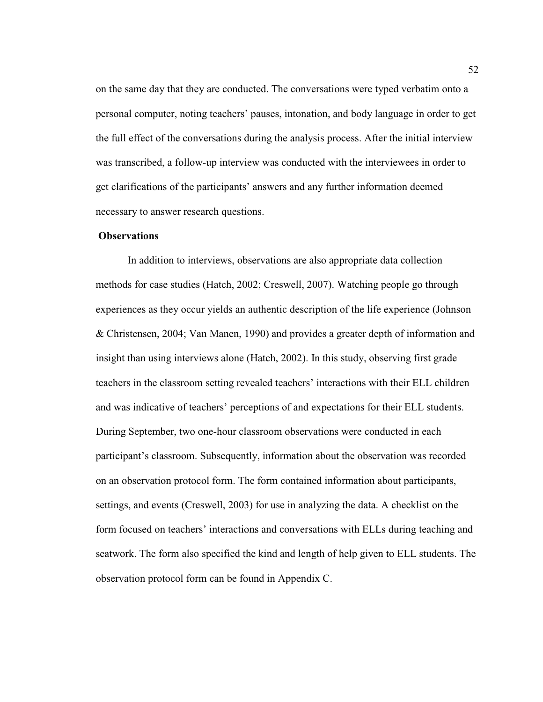on the same day that they are conducted. The conversations were typed verbatim onto a personal computer, noting teachers' pauses, intonation, and body language in order to get the full effect of the conversations during the analysis process. After the initial interview was transcribed, a follow-up interview was conducted with the interviewees in order to get clarifications of the participants' answers and any further information deemed necessary to answer research questions.

# **Observations**

 In addition to interviews, observations are also appropriate data collection methods for case studies (Hatch, 2002; Creswell, 2007). Watching people go through experiences as they occur yields an authentic description of the life experience (Johnson & Christensen, 2004; Van Manen, 1990) and provides a greater depth of information and insight than using interviews alone (Hatch, 2002). In this study, observing first grade teachers in the classroom setting revealed teachers' interactions with their ELL children and was indicative of teachers' perceptions of and expectations for their ELL students. During September, two one-hour classroom observations were conducted in each participant's classroom. Subsequently, information about the observation was recorded on an observation protocol form. The form contained information about participants, settings, and events (Creswell, 2003) for use in analyzing the data. A checklist on the form focused on teachers' interactions and conversations with ELLs during teaching and seatwork. The form also specified the kind and length of help given to ELL students. The observation protocol form can be found in Appendix C.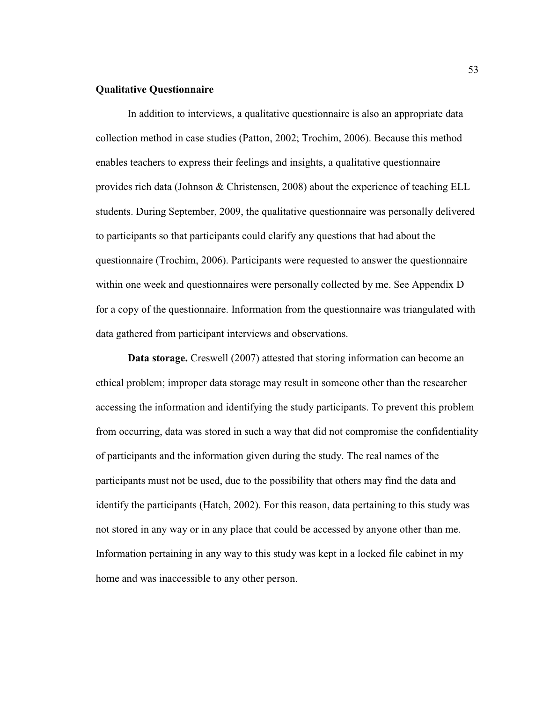# **Qualitative Questionnaire**

 In addition to interviews, a qualitative questionnaire is also an appropriate data collection method in case studies (Patton, 2002; Trochim, 2006). Because this method enables teachers to express their feelings and insights, a qualitative questionnaire provides rich data (Johnson & Christensen, 2008) about the experience of teaching ELL students. During September, 2009, the qualitative questionnaire was personally delivered to participants so that participants could clarify any questions that had about the questionnaire (Trochim, 2006). Participants were requested to answer the questionnaire within one week and questionnaires were personally collected by me. See Appendix D for a copy of the questionnaire. Information from the questionnaire was triangulated with data gathered from participant interviews and observations.

**Data storage.** Creswell (2007) attested that storing information can become an ethical problem; improper data storage may result in someone other than the researcher accessing the information and identifying the study participants. To prevent this problem from occurring, data was stored in such a way that did not compromise the confidentiality of participants and the information given during the study. The real names of the participants must not be used, due to the possibility that others may find the data and identify the participants (Hatch, 2002). For this reason, data pertaining to this study was not stored in any way or in any place that could be accessed by anyone other than me. Information pertaining in any way to this study was kept in a locked file cabinet in my home and was inaccessible to any other person.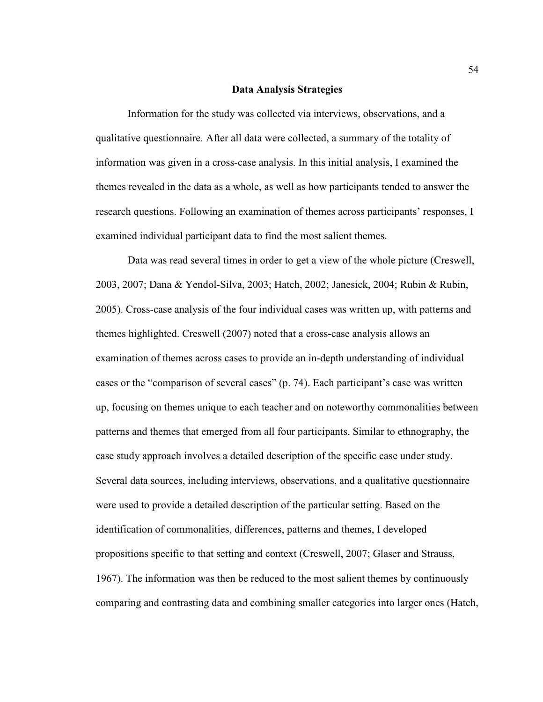### **Data Analysis Strategies**

 Information for the study was collected via interviews, observations, and a qualitative questionnaire. After all data were collected, a summary of the totality of information was given in a cross-case analysis. In this initial analysis, I examined the themes revealed in the data as a whole, as well as how participants tended to answer the research questions. Following an examination of themes across participants' responses, I examined individual participant data to find the most salient themes.

 Data was read several times in order to get a view of the whole picture (Creswell, 2003, 2007; Dana & Yendol-Silva, 2003; Hatch, 2002; Janesick, 2004; Rubin & Rubin, 2005). Cross-case analysis of the four individual cases was written up, with patterns and themes highlighted. Creswell (2007) noted that a cross-case analysis allows an examination of themes across cases to provide an in-depth understanding of individual cases or the "comparison of several cases" (p. 74). Each participant's case was written up, focusing on themes unique to each teacher and on noteworthy commonalities between patterns and themes that emerged from all four participants. Similar to ethnography, the case study approach involves a detailed description of the specific case under study. Several data sources, including interviews, observations, and a qualitative questionnaire were used to provide a detailed description of the particular setting. Based on the identification of commonalities, differences, patterns and themes, I developed propositions specific to that setting and context (Creswell, 2007; Glaser and Strauss, 1967). The information was then be reduced to the most salient themes by continuously comparing and contrasting data and combining smaller categories into larger ones (Hatch,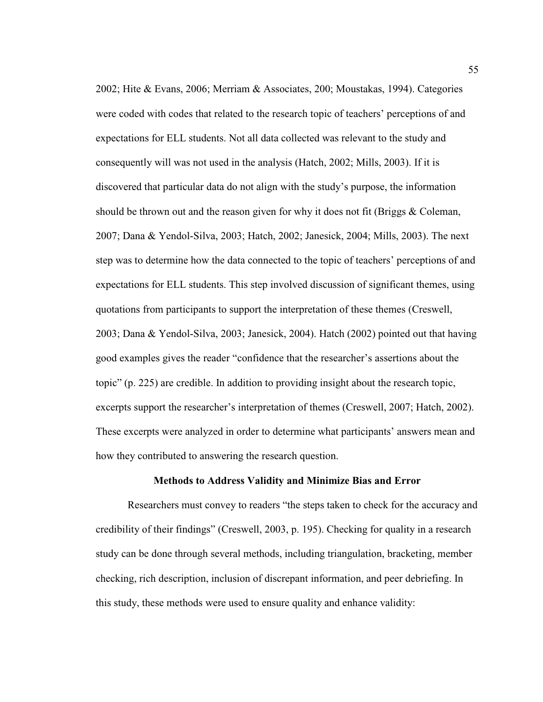2002; Hite & Evans, 2006; Merriam & Associates, 200; Moustakas, 1994). Categories were coded with codes that related to the research topic of teachers' perceptions of and expectations for ELL students. Not all data collected was relevant to the study and consequently will was not used in the analysis (Hatch, 2002; Mills, 2003). If it is discovered that particular data do not align with the study's purpose, the information should be thrown out and the reason given for why it does not fit (Briggs & Coleman, 2007; Dana & Yendol-Silva, 2003; Hatch, 2002; Janesick, 2004; Mills, 2003). The next step was to determine how the data connected to the topic of teachers' perceptions of and expectations for ELL students. This step involved discussion of significant themes, using quotations from participants to support the interpretation of these themes (Creswell, 2003; Dana & Yendol-Silva, 2003; Janesick, 2004). Hatch (2002) pointed out that having good examples gives the reader "confidence that the researcher's assertions about the topic" (p. 225) are credible. In addition to providing insight about the research topic, excerpts support the researcher's interpretation of themes (Creswell, 2007; Hatch, 2002). These excerpts were analyzed in order to determine what participants' answers mean and how they contributed to answering the research question.

# **Methods to Address Validity and Minimize Bias and Error**

 Researchers must convey to readers "the steps taken to check for the accuracy and credibility of their findings" (Creswell, 2003, p. 195). Checking for quality in a research study can be done through several methods, including triangulation, bracketing, member checking, rich description, inclusion of discrepant information, and peer debriefing. In this study, these methods were used to ensure quality and enhance validity: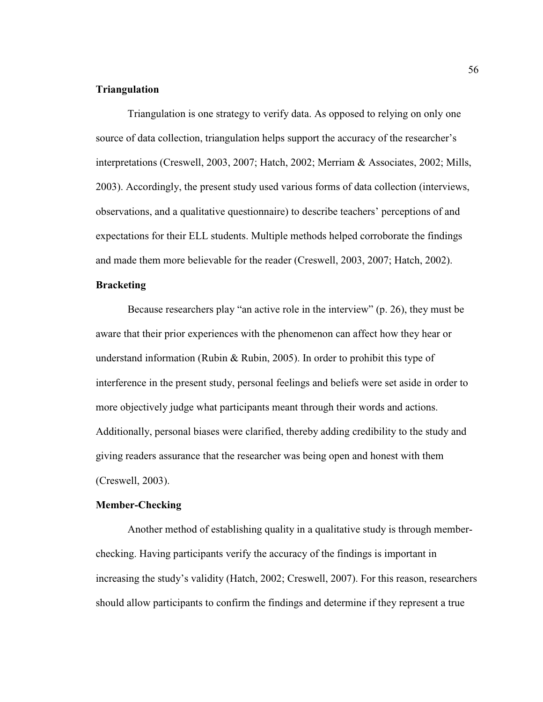# **Triangulation**

 Triangulation is one strategy to verify data. As opposed to relying on only one source of data collection, triangulation helps support the accuracy of the researcher's interpretations (Creswell, 2003, 2007; Hatch, 2002; Merriam & Associates, 2002; Mills, 2003). Accordingly, the present study used various forms of data collection (interviews, observations, and a qualitative questionnaire) to describe teachers' perceptions of and expectations for their ELL students. Multiple methods helped corroborate the findings and made them more believable for the reader (Creswell, 2003, 2007; Hatch, 2002).

# **Bracketing**

Because researchers play "an active role in the interview" (p. 26), they must be aware that their prior experiences with the phenomenon can affect how they hear or understand information (Rubin & Rubin, 2005). In order to prohibit this type of interference in the present study, personal feelings and beliefs were set aside in order to more objectively judge what participants meant through their words and actions. Additionally, personal biases were clarified, thereby adding credibility to the study and giving readers assurance that the researcher was being open and honest with them (Creswell, 2003).

# **Member-Checking**

 Another method of establishing quality in a qualitative study is through memberchecking. Having participants verify the accuracy of the findings is important in increasing the study's validity (Hatch, 2002; Creswell, 2007). For this reason, researchers should allow participants to confirm the findings and determine if they represent a true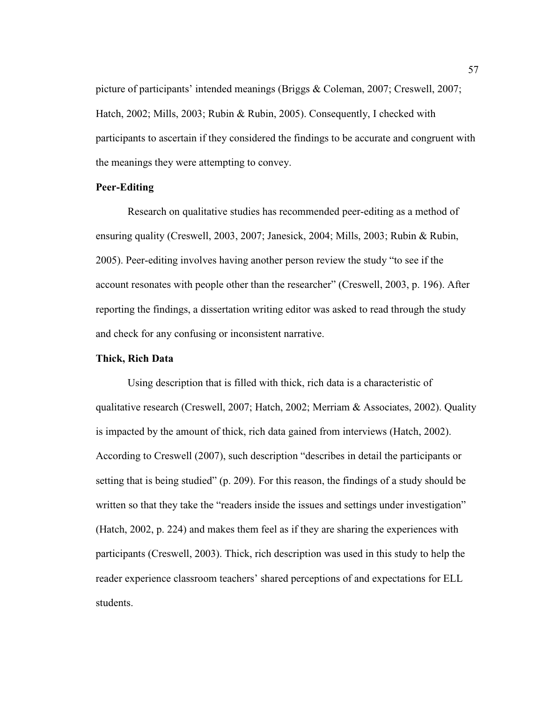picture of participants' intended meanings (Briggs & Coleman, 2007; Creswell, 2007; Hatch, 2002; Mills, 2003; Rubin & Rubin, 2005). Consequently, I checked with participants to ascertain if they considered the findings to be accurate and congruent with the meanings they were attempting to convey.

# **Peer-Editing**

 Research on qualitative studies has recommended peer-editing as a method of ensuring quality (Creswell, 2003, 2007; Janesick, 2004; Mills, 2003; Rubin & Rubin, 2005). Peer-editing involves having another person review the study "to see if the account resonates with people other than the researcher" (Creswell, 2003, p. 196). After reporting the findings, a dissertation writing editor was asked to read through the study and check for any confusing or inconsistent narrative.

# **Thick, Rich Data**

 Using description that is filled with thick, rich data is a characteristic of qualitative research (Creswell, 2007; Hatch, 2002; Merriam & Associates, 2002). Quality is impacted by the amount of thick, rich data gained from interviews (Hatch, 2002). According to Creswell (2007), such description "describes in detail the participants or setting that is being studied" (p. 209). For this reason, the findings of a study should be written so that they take the "readers inside the issues and settings under investigation" (Hatch, 2002, p. 224) and makes them feel as if they are sharing the experiences with participants (Creswell, 2003). Thick, rich description was used in this study to help the reader experience classroom teachers' shared perceptions of and expectations for ELL students.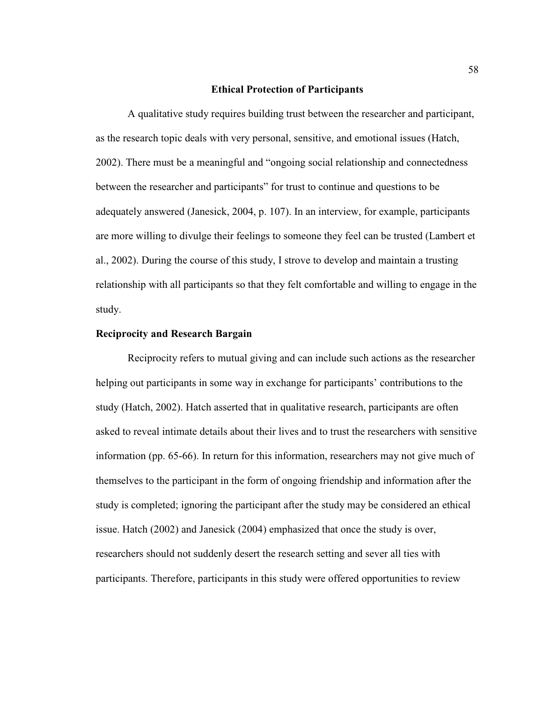## **Ethical Protection of Participants**

 A qualitative study requires building trust between the researcher and participant, as the research topic deals with very personal, sensitive, and emotional issues (Hatch, 2002). There must be a meaningful and "ongoing social relationship and connectedness between the researcher and participants" for trust to continue and questions to be adequately answered (Janesick, 2004, p. 107). In an interview, for example, participants are more willing to divulge their feelings to someone they feel can be trusted (Lambert et al., 2002). During the course of this study, I strove to develop and maintain a trusting relationship with all participants so that they felt comfortable and willing to engage in the study.

# **Reciprocity and Research Bargain**

Reciprocity refers to mutual giving and can include such actions as the researcher helping out participants in some way in exchange for participants' contributions to the study (Hatch, 2002). Hatch asserted that in qualitative research, participants are often asked to reveal intimate details about their lives and to trust the researchers with sensitive information (pp. 65-66). In return for this information, researchers may not give much of themselves to the participant in the form of ongoing friendship and information after the study is completed; ignoring the participant after the study may be considered an ethical issue. Hatch (2002) and Janesick (2004) emphasized that once the study is over, researchers should not suddenly desert the research setting and sever all ties with participants. Therefore, participants in this study were offered opportunities to review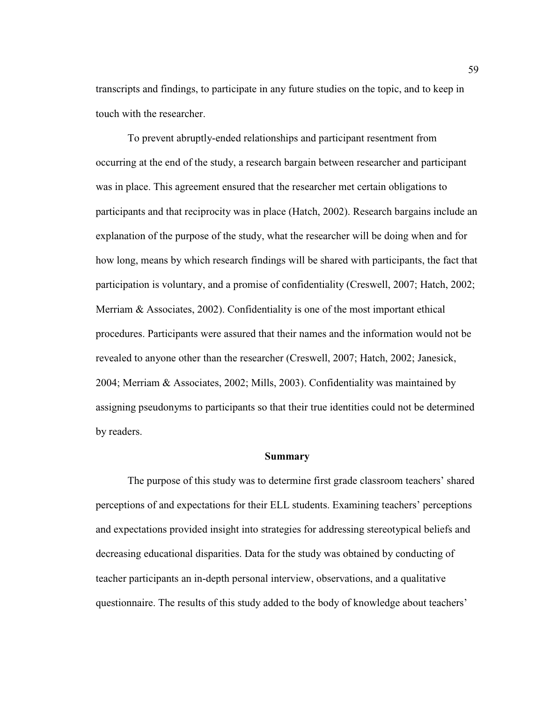transcripts and findings, to participate in any future studies on the topic, and to keep in touch with the researcher.

 To prevent abruptly-ended relationships and participant resentment from occurring at the end of the study, a research bargain between researcher and participant was in place. This agreement ensured that the researcher met certain obligations to participants and that reciprocity was in place (Hatch, 2002). Research bargains include an explanation of the purpose of the study, what the researcher will be doing when and for how long, means by which research findings will be shared with participants, the fact that participation is voluntary, and a promise of confidentiality (Creswell, 2007; Hatch, 2002; Merriam  $\&$  Associates, 2002). Confidentiality is one of the most important ethical procedures. Participants were assured that their names and the information would not be revealed to anyone other than the researcher (Creswell, 2007; Hatch, 2002; Janesick, 2004; Merriam & Associates, 2002; Mills, 2003). Confidentiality was maintained by assigning pseudonyms to participants so that their true identities could not be determined by readers.

#### **Summary**

The purpose of this study was to determine first grade classroom teachers' shared perceptions of and expectations for their ELL students. Examining teachers' perceptions and expectations provided insight into strategies for addressing stereotypical beliefs and decreasing educational disparities. Data for the study was obtained by conducting of teacher participants an in-depth personal interview, observations, and a qualitative questionnaire. The results of this study added to the body of knowledge about teachers'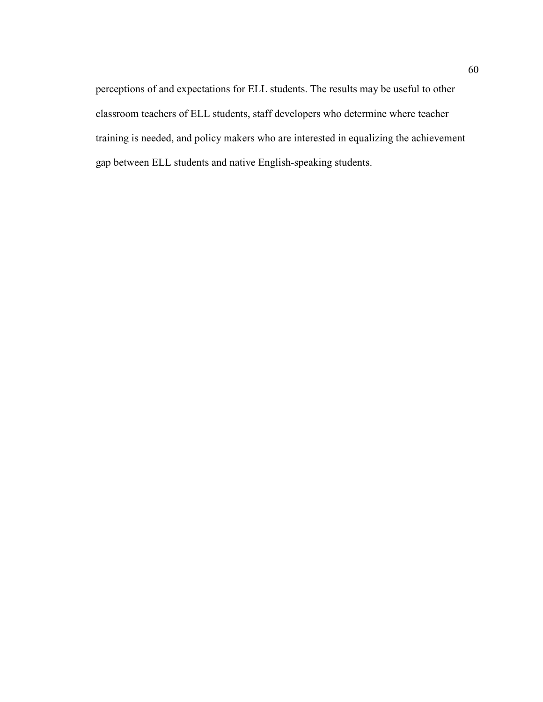perceptions of and expectations for ELL students. The results may be useful to other classroom teachers of ELL students, staff developers who determine where teacher training is needed, and policy makers who are interested in equalizing the achievement gap between ELL students and native English-speaking students.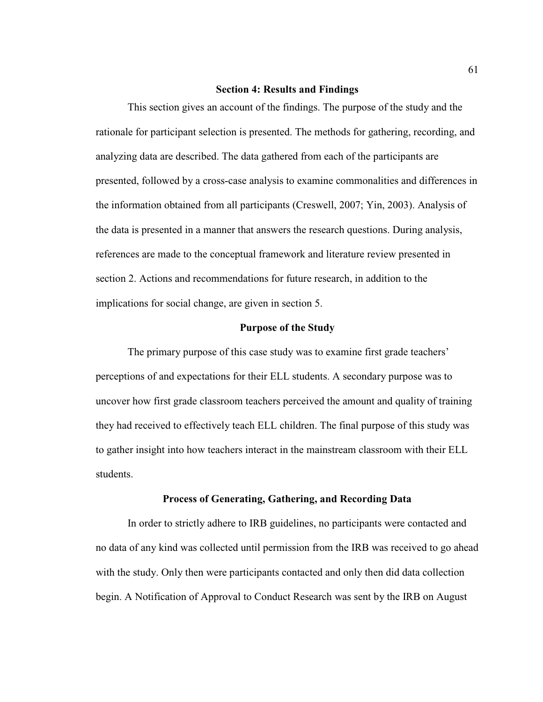## **Section 4: Results and Findings**

 This section gives an account of the findings. The purpose of the study and the rationale for participant selection is presented. The methods for gathering, recording, and analyzing data are described. The data gathered from each of the participants are presented, followed by a cross-case analysis to examine commonalities and differences in the information obtained from all participants (Creswell, 2007; Yin, 2003). Analysis of the data is presented in a manner that answers the research questions. During analysis, references are made to the conceptual framework and literature review presented in section 2. Actions and recommendations for future research, in addition to the implications for social change, are given in section 5.

## **Purpose of the Study**

 The primary purpose of this case study was to examine first grade teachers' perceptions of and expectations for their ELL students. A secondary purpose was to uncover how first grade classroom teachers perceived the amount and quality of training they had received to effectively teach ELL children. The final purpose of this study was to gather insight into how teachers interact in the mainstream classroom with their ELL students.

## **Process of Generating, Gathering, and Recording Data**

In order to strictly adhere to IRB guidelines, no participants were contacted and no data of any kind was collected until permission from the IRB was received to go ahead with the study. Only then were participants contacted and only then did data collection begin. A Notification of Approval to Conduct Research was sent by the IRB on August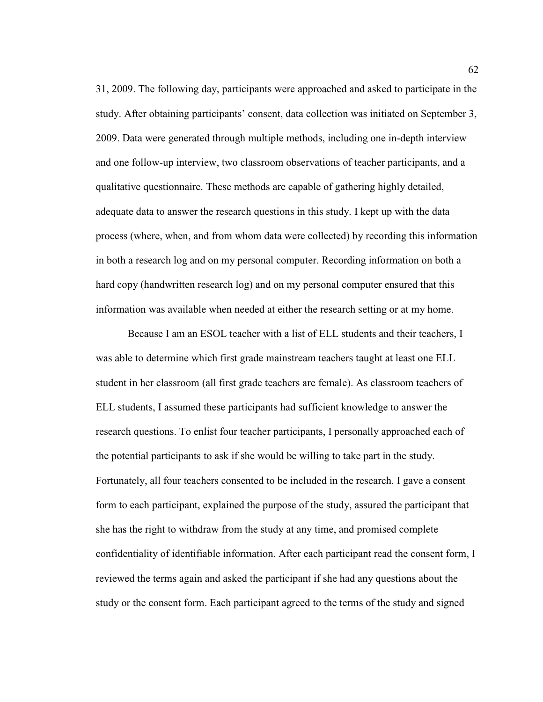31, 2009. The following day, participants were approached and asked to participate in the study. After obtaining participants' consent, data collection was initiated on September 3, 2009. Data were generated through multiple methods, including one in-depth interview and one follow-up interview, two classroom observations of teacher participants, and a qualitative questionnaire. These methods are capable of gathering highly detailed, adequate data to answer the research questions in this study. I kept up with the data process (where, when, and from whom data were collected) by recording this information in both a research log and on my personal computer. Recording information on both a hard copy (handwritten research log) and on my personal computer ensured that this information was available when needed at either the research setting or at my home.

Because I am an ESOL teacher with a list of ELL students and their teachers, I was able to determine which first grade mainstream teachers taught at least one ELL student in her classroom (all first grade teachers are female). As classroom teachers of ELL students, I assumed these participants had sufficient knowledge to answer the research questions. To enlist four teacher participants, I personally approached each of the potential participants to ask if she would be willing to take part in the study. Fortunately, all four teachers consented to be included in the research. I gave a consent form to each participant, explained the purpose of the study, assured the participant that she has the right to withdraw from the study at any time, and promised complete confidentiality of identifiable information. After each participant read the consent form, I reviewed the terms again and asked the participant if she had any questions about the study or the consent form. Each participant agreed to the terms of the study and signed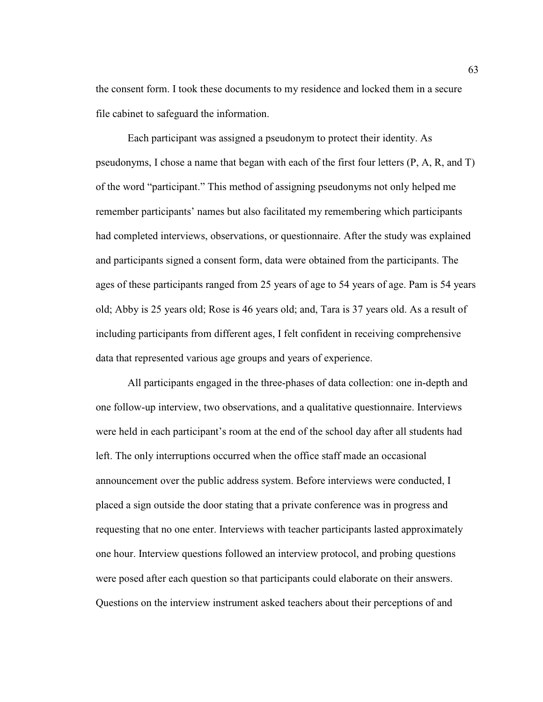the consent form. I took these documents to my residence and locked them in a secure file cabinet to safeguard the information.

Each participant was assigned a pseudonym to protect their identity. As pseudonyms, I chose a name that began with each of the first four letters (P, A, R, and T) of the word "participant." This method of assigning pseudonyms not only helped me remember participants' names but also facilitated my remembering which participants had completed interviews, observations, or questionnaire. After the study was explained and participants signed a consent form, data were obtained from the participants. The ages of these participants ranged from 25 years of age to 54 years of age. Pam is 54 years old; Abby is 25 years old; Rose is 46 years old; and, Tara is 37 years old. As a result of including participants from different ages, I felt confident in receiving comprehensive data that represented various age groups and years of experience.

All participants engaged in the three-phases of data collection: one in-depth and one follow-up interview, two observations, and a qualitative questionnaire. Interviews were held in each participant's room at the end of the school day after all students had left. The only interruptions occurred when the office staff made an occasional announcement over the public address system. Before interviews were conducted, I placed a sign outside the door stating that a private conference was in progress and requesting that no one enter. Interviews with teacher participants lasted approximately one hour. Interview questions followed an interview protocol, and probing questions were posed after each question so that participants could elaborate on their answers. Questions on the interview instrument asked teachers about their perceptions of and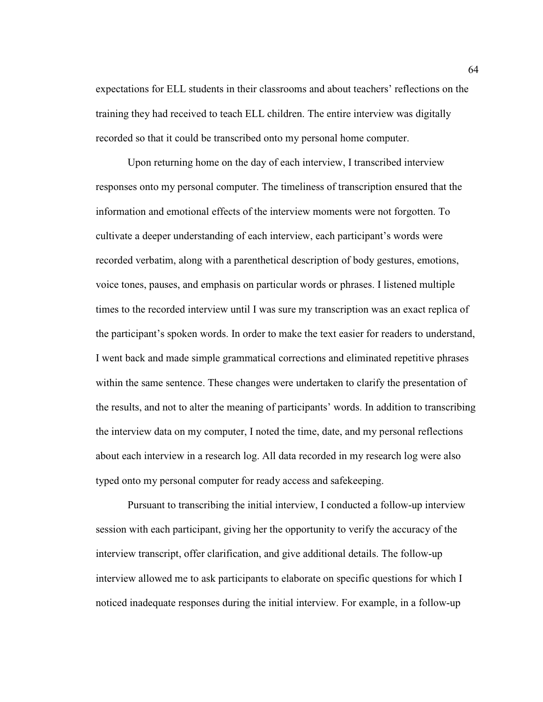expectations for ELL students in their classrooms and about teachers' reflections on the training they had received to teach ELL children. The entire interview was digitally recorded so that it could be transcribed onto my personal home computer.

Upon returning home on the day of each interview, I transcribed interview responses onto my personal computer. The timeliness of transcription ensured that the information and emotional effects of the interview moments were not forgotten. To cultivate a deeper understanding of each interview, each participant's words were recorded verbatim, along with a parenthetical description of body gestures, emotions, voice tones, pauses, and emphasis on particular words or phrases. I listened multiple times to the recorded interview until I was sure my transcription was an exact replica of the participant's spoken words. In order to make the text easier for readers to understand, I went back and made simple grammatical corrections and eliminated repetitive phrases within the same sentence. These changes were undertaken to clarify the presentation of the results, and not to alter the meaning of participants' words. In addition to transcribing the interview data on my computer, I noted the time, date, and my personal reflections about each interview in a research log. All data recorded in my research log were also typed onto my personal computer for ready access and safekeeping.

Pursuant to transcribing the initial interview, I conducted a follow-up interview session with each participant, giving her the opportunity to verify the accuracy of the interview transcript, offer clarification, and give additional details. The follow-up interview allowed me to ask participants to elaborate on specific questions for which I noticed inadequate responses during the initial interview. For example, in a follow-up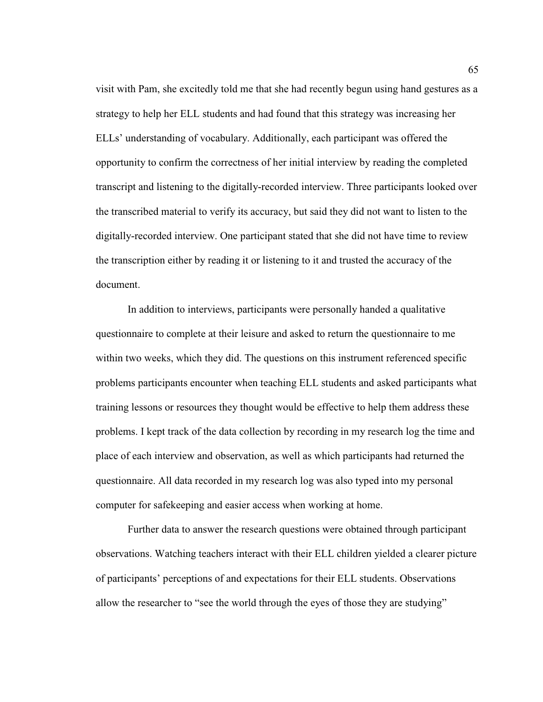visit with Pam, she excitedly told me that she had recently begun using hand gestures as a strategy to help her ELL students and had found that this strategy was increasing her ELLs' understanding of vocabulary. Additionally, each participant was offered the opportunity to confirm the correctness of her initial interview by reading the completed transcript and listening to the digitally-recorded interview. Three participants looked over the transcribed material to verify its accuracy, but said they did not want to listen to the digitally-recorded interview. One participant stated that she did not have time to review the transcription either by reading it or listening to it and trusted the accuracy of the document.

In addition to interviews, participants were personally handed a qualitative questionnaire to complete at their leisure and asked to return the questionnaire to me within two weeks, which they did. The questions on this instrument referenced specific problems participants encounter when teaching ELL students and asked participants what training lessons or resources they thought would be effective to help them address these problems. I kept track of the data collection by recording in my research log the time and place of each interview and observation, as well as which participants had returned the questionnaire. All data recorded in my research log was also typed into my personal computer for safekeeping and easier access when working at home.

Further data to answer the research questions were obtained through participant observations. Watching teachers interact with their ELL children yielded a clearer picture of participants' perceptions of and expectations for their ELL students. Observations allow the researcher to "see the world through the eyes of those they are studying"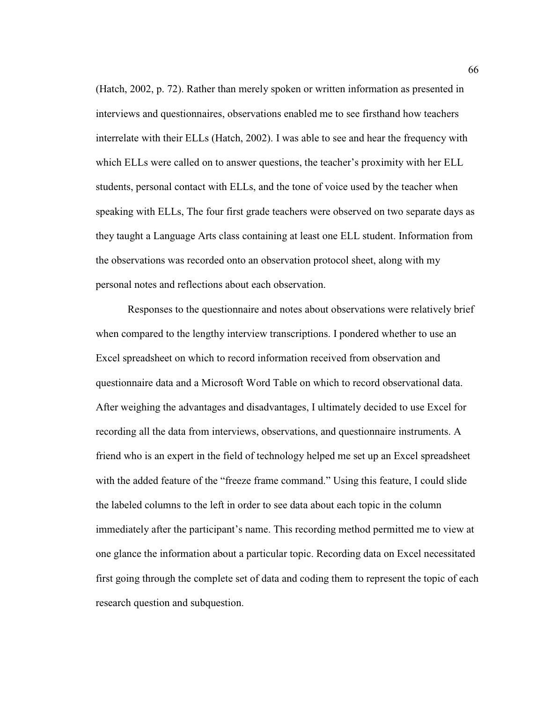(Hatch, 2002, p. 72). Rather than merely spoken or written information as presented in interviews and questionnaires, observations enabled me to see firsthand how teachers interrelate with their ELLs (Hatch, 2002). I was able to see and hear the frequency with which ELLs were called on to answer questions, the teacher's proximity with her ELL students, personal contact with ELLs, and the tone of voice used by the teacher when speaking with ELLs, The four first grade teachers were observed on two separate days as they taught a Language Arts class containing at least one ELL student. Information from the observations was recorded onto an observation protocol sheet, along with my personal notes and reflections about each observation.

Responses to the questionnaire and notes about observations were relatively brief when compared to the lengthy interview transcriptions. I pondered whether to use an Excel spreadsheet on which to record information received from observation and questionnaire data and a Microsoft Word Table on which to record observational data. After weighing the advantages and disadvantages, I ultimately decided to use Excel for recording all the data from interviews, observations, and questionnaire instruments. A friend who is an expert in the field of technology helped me set up an Excel spreadsheet with the added feature of the "freeze frame command." Using this feature, I could slide the labeled columns to the left in order to see data about each topic in the column immediately after the participant's name. This recording method permitted me to view at one glance the information about a particular topic. Recording data on Excel necessitated first going through the complete set of data and coding them to represent the topic of each research question and subquestion.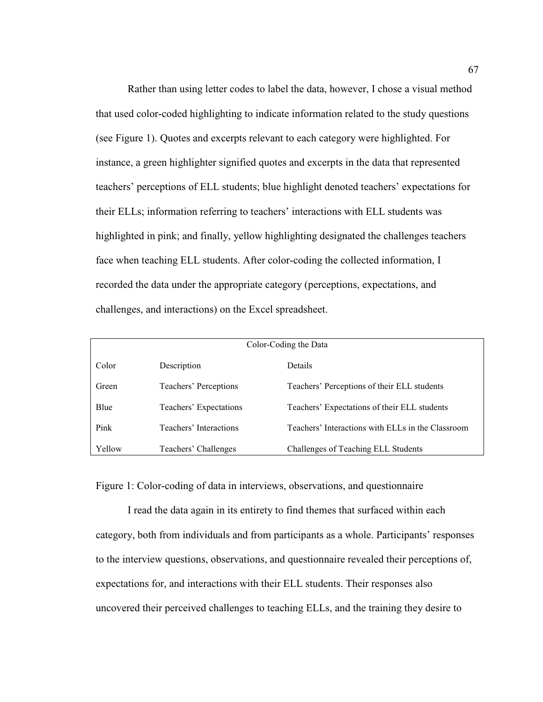Rather than using letter codes to label the data, however, I chose a visual method that used color-coded highlighting to indicate information related to the study questions (see Figure 1). Quotes and excerpts relevant to each category were highlighted. For instance, a green highlighter signified quotes and excerpts in the data that represented teachers' perceptions of ELL students; blue highlight denoted teachers' expectations for their ELLs; information referring to teachers' interactions with ELL students was highlighted in pink; and finally, yellow highlighting designated the challenges teachers face when teaching ELL students. After color-coding the collected information, I recorded the data under the appropriate category (perceptions, expectations, and challenges, and interactions) on the Excel spreadsheet.

| Color-Coding the Data |                        |                                                   |
|-----------------------|------------------------|---------------------------------------------------|
| Color                 | Description            | Details                                           |
| Green                 | Teachers' Perceptions  | Teachers' Perceptions of their ELL students       |
| Blue                  | Teachers' Expectations | Teachers' Expectations of their ELL students      |
| Pink                  | Teachers' Interactions | Teachers' Interactions with ELLs in the Classroom |
| Yellow                | Teachers' Challenges   | Challenges of Teaching ELL Students               |

Figure 1: Color-coding of data in interviews, observations, and questionnaire

I read the data again in its entirety to find themes that surfaced within each category, both from individuals and from participants as a whole. Participants' responses to the interview questions, observations, and questionnaire revealed their perceptions of, expectations for, and interactions with their ELL students. Their responses also uncovered their perceived challenges to teaching ELLs, and the training they desire to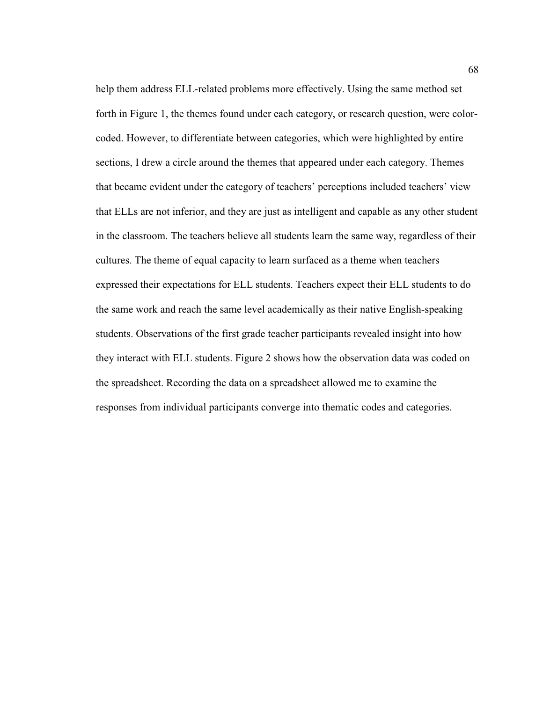help them address ELL-related problems more effectively. Using the same method set forth in Figure 1, the themes found under each category, or research question, were colorcoded. However, to differentiate between categories, which were highlighted by entire sections, I drew a circle around the themes that appeared under each category. Themes that became evident under the category of teachers' perceptions included teachers' view that ELLs are not inferior, and they are just as intelligent and capable as any other student in the classroom. The teachers believe all students learn the same way, regardless of their cultures. The theme of equal capacity to learn surfaced as a theme when teachers expressed their expectations for ELL students. Teachers expect their ELL students to do the same work and reach the same level academically as their native English-speaking students. Observations of the first grade teacher participants revealed insight into how they interact with ELL students. Figure 2 shows how the observation data was coded on the spreadsheet. Recording the data on a spreadsheet allowed me to examine the responses from individual participants converge into thematic codes and categories.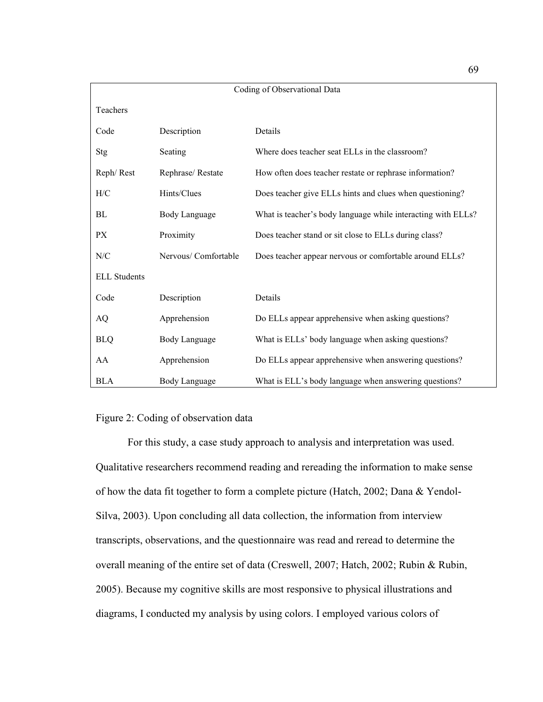| Coding of Observational Data |                     |                                                              |
|------------------------------|---------------------|--------------------------------------------------------------|
| Teachers                     |                     |                                                              |
| Code                         | Description         | Details                                                      |
| Stg                          | Seating             | Where does teacher seat ELLs in the classroom?               |
| Reph/Rest                    | Rephrase/Restate    | How often does teacher restate or rephrase information?      |
| H/C                          | Hints/Clues         | Does teacher give ELLs hints and clues when questioning?     |
| BL                           | Body Language       | What is teacher's body language while interacting with ELLs? |
| <b>PX</b>                    | Proximity           | Does teacher stand or sit close to ELLs during class?        |
| N/C                          | Nervous/Comfortable | Does teacher appear nervous or comfortable around ELLs?      |
| <b>ELL Students</b>          |                     |                                                              |
| Code                         | Description         | Details                                                      |
| AQ                           | Apprehension        | Do ELLs appear apprehensive when asking questions?           |
| <b>BLQ</b>                   | Body Language       | What is ELLs' body language when asking questions?           |
| AA                           | Apprehension        | Do ELLs appear apprehensive when answering questions?        |
| <b>BLA</b>                   | Body Language       | What is ELL's body language when answering questions?        |

# Figure 2: Coding of observation data

 For this study, a case study approach to analysis and interpretation was used. Qualitative researchers recommend reading and rereading the information to make sense of how the data fit together to form a complete picture (Hatch, 2002; Dana & Yendol-Silva, 2003). Upon concluding all data collection, the information from interview transcripts, observations, and the questionnaire was read and reread to determine the overall meaning of the entire set of data (Creswell, 2007; Hatch, 2002; Rubin & Rubin, 2005). Because my cognitive skills are most responsive to physical illustrations and diagrams, I conducted my analysis by using colors. I employed various colors of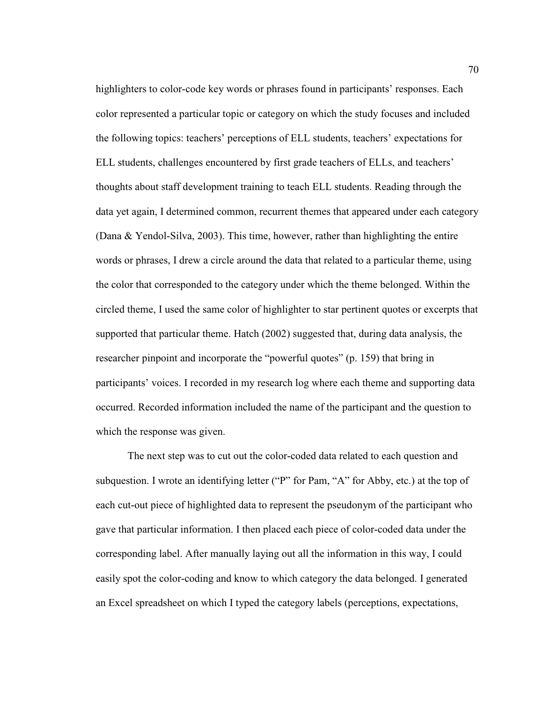highlighters to color-code key words or phrases found in participants' responses. Each color represented a particular topic or category on which the study focuses and included the following topics: teachers' perceptions of ELL students, teachers' expectations for ELL students, challenges encountered by first grade teachers of ELLs, and teachers' thoughts about staff development training to teach ELL students. Reading through the data yet again, I determined common, recurrent themes that appeared under each category (Dana & Yendol-Silva, 2003). This time, however, rather than highlighting the entire words or phrases, I drew a circle around the data that related to a particular theme, using the color that corresponded to the category under which the theme belonged. Within the circled theme, I used the same color of highlighter to star pertinent quotes or excerpts that supported that particular theme. Hatch (2002) suggested that, during data analysis, the researcher pinpoint and incorporate the "powerful quotes" (p. 159) that bring in participants' voices. I recorded in my research log where each theme and supporting data occurred. Recorded information included the name of the participant and the question to which the response was given.

The next step was to cut out the color-coded data related to each question and subquestion. I wrote an identifying letter ("P" for Pam, "A" for Abby, etc.) at the top of each cut-out piece of highlighted data to represent the pseudonym of the participant who gave that particular information. I then placed each piece of color-coded data under the corresponding label. After manually laying out all the information in this way, I could easily spot the color-coding and know to which category the data belonged. I generated an Excel spreadsheet on which I typed the category labels (perceptions, expectations,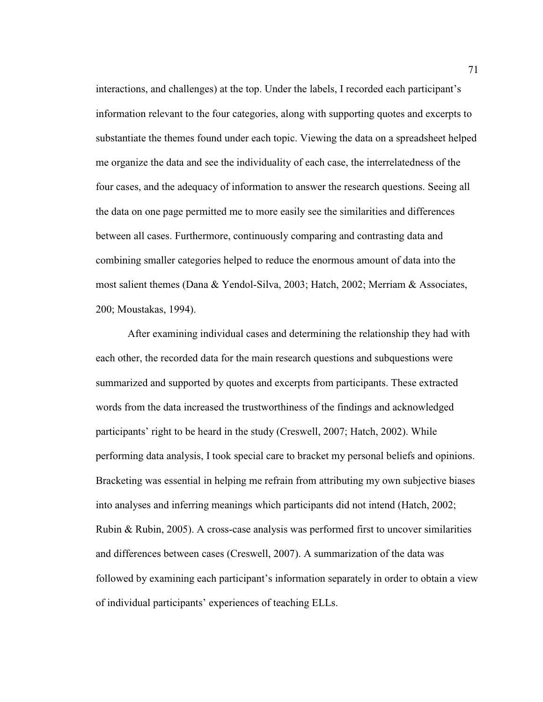interactions, and challenges) at the top. Under the labels, I recorded each participant's information relevant to the four categories, along with supporting quotes and excerpts to substantiate the themes found under each topic. Viewing the data on a spreadsheet helped me organize the data and see the individuality of each case, the interrelatedness of the four cases, and the adequacy of information to answer the research questions. Seeing all the data on one page permitted me to more easily see the similarities and differences between all cases. Furthermore, continuously comparing and contrasting data and combining smaller categories helped to reduce the enormous amount of data into the most salient themes (Dana & Yendol-Silva, 2003; Hatch, 2002; Merriam & Associates, 200; Moustakas, 1994).

After examining individual cases and determining the relationship they had with each other, the recorded data for the main research questions and subquestions were summarized and supported by quotes and excerpts from participants. These extracted words from the data increased the trustworthiness of the findings and acknowledged participants' right to be heard in the study (Creswell, 2007; Hatch, 2002). While performing data analysis, I took special care to bracket my personal beliefs and opinions. Bracketing was essential in helping me refrain from attributing my own subjective biases into analyses and inferring meanings which participants did not intend (Hatch, 2002; Rubin & Rubin, 2005). A cross-case analysis was performed first to uncover similarities and differences between cases (Creswell, 2007). A summarization of the data was followed by examining each participant's information separately in order to obtain a view of individual participants' experiences of teaching ELLs.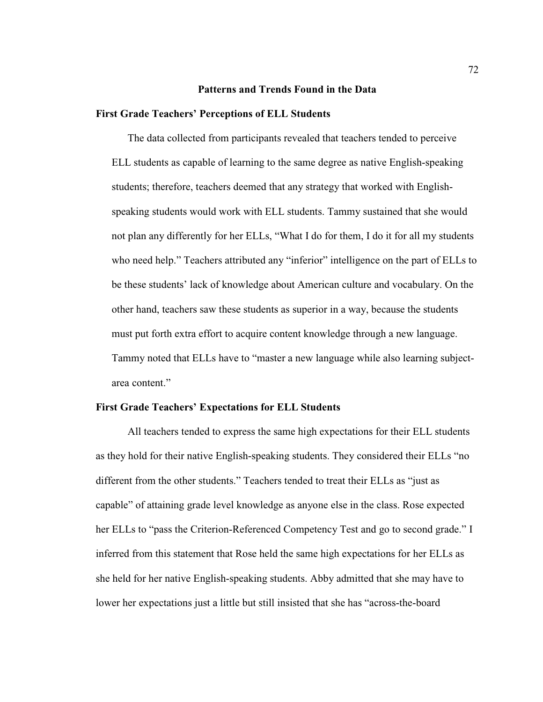### **Patterns and Trends Found in the Data**

#### **First Grade Teachers' Perceptions of ELL Students**

 The data collected from participants revealed that teachers tended to perceive ELL students as capable of learning to the same degree as native English-speaking students; therefore, teachers deemed that any strategy that worked with Englishspeaking students would work with ELL students. Tammy sustained that she would not plan any differently for her ELLs, "What I do for them, I do it for all my students who need help." Teachers attributed any "inferior" intelligence on the part of ELLs to be these students' lack of knowledge about American culture and vocabulary. On the other hand, teachers saw these students as superior in a way, because the students must put forth extra effort to acquire content knowledge through a new language. Tammy noted that ELLs have to "master a new language while also learning subjectarea content."

## **First Grade Teachers' Expectations for ELL Students**

 All teachers tended to express the same high expectations for their ELL students as they hold for their native English-speaking students. They considered their ELLs "no different from the other students." Teachers tended to treat their ELLs as "just as capable" of attaining grade level knowledge as anyone else in the class. Rose expected her ELLs to "pass the Criterion-Referenced Competency Test and go to second grade." I inferred from this statement that Rose held the same high expectations for her ELLs as she held for her native English-speaking students. Abby admitted that she may have to lower her expectations just a little but still insisted that she has "across-the-board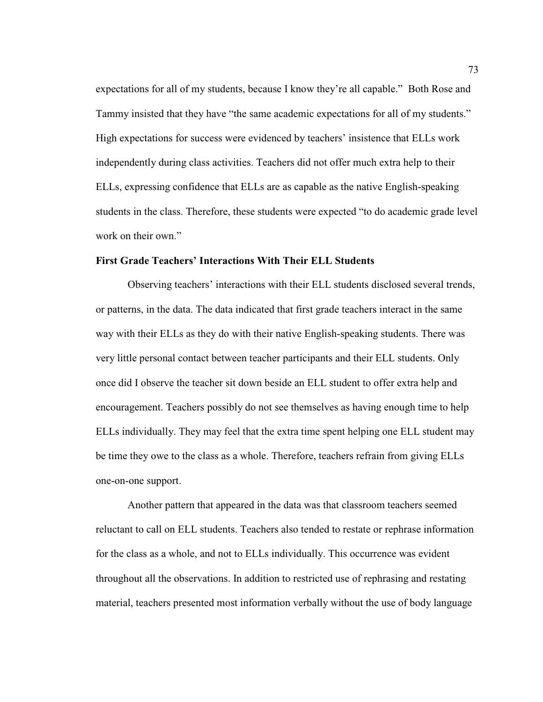expectations for all of my students, because I know they're all capable." Both Rose and Tammy insisted that they have "the same academic expectations for all of my students." High expectations for success were evidenced by teachers' insistence that ELLs work independently during class activities. Teachers did not offer much extra help to their ELLs, expressing confidence that ELLs are as capable as the native English-speaking students in the class. Therefore, these students were expected "to do academic grade level work on their own."

## **First Grade Teachers' Interactions With Their ELL Students**

 Observing teachers' interactions with their ELL students disclosed several trends, or patterns, in the data. The data indicated that first grade teachers interact in the same way with their ELLs as they do with their native English-speaking students. There was very little personal contact between teacher participants and their ELL students. Only once did I observe the teacher sit down beside an ELL student to offer extra help and encouragement. Teachers possibly do not see themselves as having enough time to help ELLs individually. They may feel that the extra time spent helping one ELL student may be time they owe to the class as a whole. Therefore, teachers refrain from giving ELLs one-on-one support.

 Another pattern that appeared in the data was that classroom teachers seemed reluctant to call on ELL students. Teachers also tended to restate or rephrase information for the class as a whole, and not to ELLs individually. This occurrence was evident throughout all the observations. In addition to restricted use of rephrasing and restating material, teachers presented most information verbally without the use of body language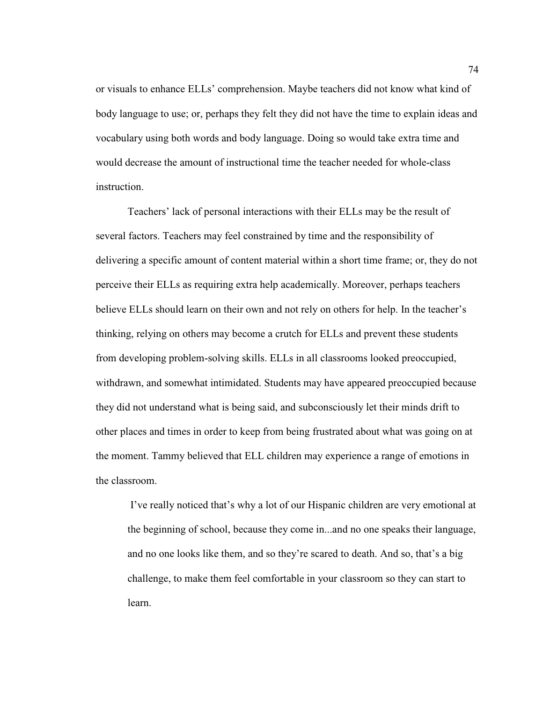or visuals to enhance ELLs' comprehension. Maybe teachers did not know what kind of body language to use; or, perhaps they felt they did not have the time to explain ideas and vocabulary using both words and body language. Doing so would take extra time and would decrease the amount of instructional time the teacher needed for whole-class instruction.

 Teachers' lack of personal interactions with their ELLs may be the result of several factors. Teachers may feel constrained by time and the responsibility of delivering a specific amount of content material within a short time frame; or, they do not perceive their ELLs as requiring extra help academically. Moreover, perhaps teachers believe ELLs should learn on their own and not rely on others for help. In the teacher's thinking, relying on others may become a crutch for ELLs and prevent these students from developing problem-solving skills. ELLs in all classrooms looked preoccupied, withdrawn, and somewhat intimidated. Students may have appeared preoccupied because they did not understand what is being said, and subconsciously let their minds drift to other places and times in order to keep from being frustrated about what was going on at the moment. Tammy believed that ELL children may experience a range of emotions in the classroom.

 I've really noticed that's why a lot of our Hispanic children are very emotional at the beginning of school, because they come in...and no one speaks their language, and no one looks like them, and so they're scared to death. And so, that's a big challenge, to make them feel comfortable in your classroom so they can start to learn.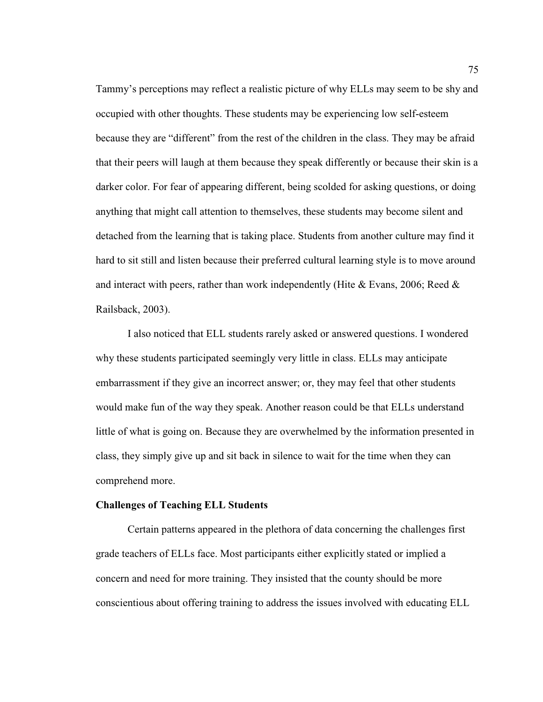Tammy's perceptions may reflect a realistic picture of why ELLs may seem to be shy and occupied with other thoughts. These students may be experiencing low self-esteem because they are "different" from the rest of the children in the class. They may be afraid that their peers will laugh at them because they speak differently or because their skin is a darker color. For fear of appearing different, being scolded for asking questions, or doing anything that might call attention to themselves, these students may become silent and detached from the learning that is taking place. Students from another culture may find it hard to sit still and listen because their preferred cultural learning style is to move around and interact with peers, rather than work independently (Hite  $&$  Evans, 2006; Reed  $&$ Railsback, 2003).

 I also noticed that ELL students rarely asked or answered questions. I wondered why these students participated seemingly very little in class. ELLs may anticipate embarrassment if they give an incorrect answer; or, they may feel that other students would make fun of the way they speak. Another reason could be that ELLs understand little of what is going on. Because they are overwhelmed by the information presented in class, they simply give up and sit back in silence to wait for the time when they can comprehend more.

## **Challenges of Teaching ELL Students**

Certain patterns appeared in the plethora of data concerning the challenges first grade teachers of ELLs face. Most participants either explicitly stated or implied a concern and need for more training. They insisted that the county should be more conscientious about offering training to address the issues involved with educating ELL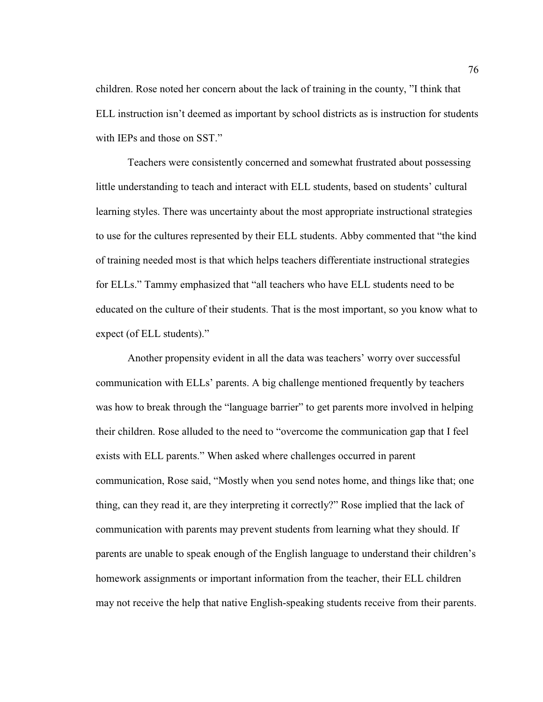children. Rose noted her concern about the lack of training in the county, "I think that ELL instruction isn't deemed as important by school districts as is instruction for students with IEPs and those on SST."

Teachers were consistently concerned and somewhat frustrated about possessing little understanding to teach and interact with ELL students, based on students' cultural learning styles. There was uncertainty about the most appropriate instructional strategies to use for the cultures represented by their ELL students. Abby commented that "the kind of training needed most is that which helps teachers differentiate instructional strategies for ELLs." Tammy emphasized that "all teachers who have ELL students need to be educated on the culture of their students. That is the most important, so you know what to expect (of ELL students)."

Another propensity evident in all the data was teachers' worry over successful communication with ELLs' parents. A big challenge mentioned frequently by teachers was how to break through the "language barrier" to get parents more involved in helping their children. Rose alluded to the need to "overcome the communication gap that I feel exists with ELL parents." When asked where challenges occurred in parent communication, Rose said, "Mostly when you send notes home, and things like that; one thing, can they read it, are they interpreting it correctly?" Rose implied that the lack of communication with parents may prevent students from learning what they should. If parents are unable to speak enough of the English language to understand their children's homework assignments or important information from the teacher, their ELL children may not receive the help that native English-speaking students receive from their parents.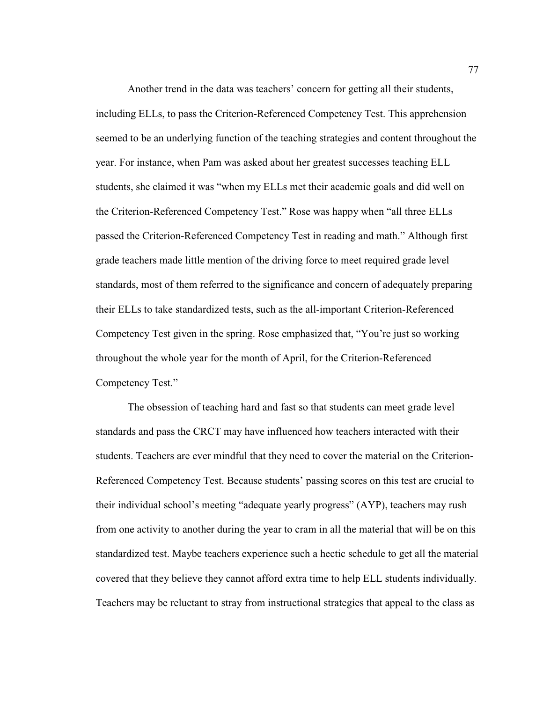Another trend in the data was teachers' concern for getting all their students, including ELLs, to pass the Criterion-Referenced Competency Test. This apprehension seemed to be an underlying function of the teaching strategies and content throughout the year. For instance, when Pam was asked about her greatest successes teaching ELL students, she claimed it was "when my ELLs met their academic goals and did well on the Criterion-Referenced Competency Test." Rose was happy when "all three ELLs passed the Criterion-Referenced Competency Test in reading and math." Although first grade teachers made little mention of the driving force to meet required grade level standards, most of them referred to the significance and concern of adequately preparing their ELLs to take standardized tests, such as the all-important Criterion-Referenced Competency Test given in the spring. Rose emphasized that, "You're just so working throughout the whole year for the month of April, for the Criterion-Referenced Competency Test."

The obsession of teaching hard and fast so that students can meet grade level standards and pass the CRCT may have influenced how teachers interacted with their students. Teachers are ever mindful that they need to cover the material on the Criterion-Referenced Competency Test. Because students' passing scores on this test are crucial to their individual school's meeting "adequate yearly progress" (AYP), teachers may rush from one activity to another during the year to cram in all the material that will be on this standardized test. Maybe teachers experience such a hectic schedule to get all the material covered that they believe they cannot afford extra time to help ELL students individually. Teachers may be reluctant to stray from instructional strategies that appeal to the class as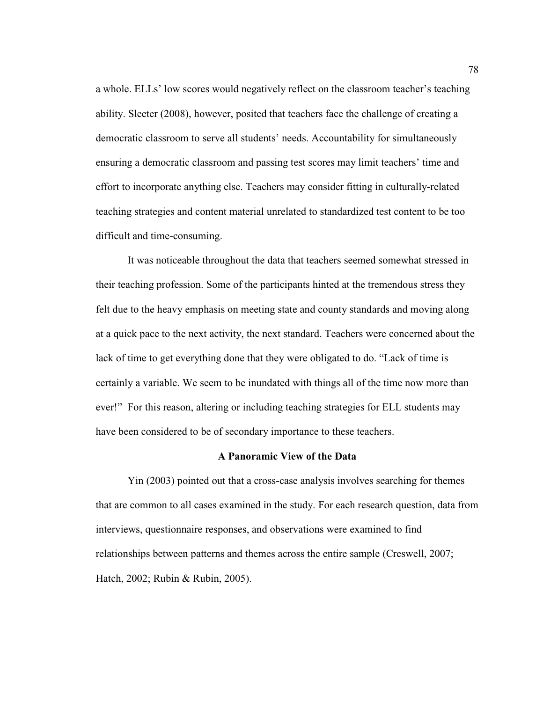a whole. ELLs' low scores would negatively reflect on the classroom teacher's teaching ability. Sleeter (2008), however, posited that teachers face the challenge of creating a democratic classroom to serve all students' needs. Accountability for simultaneously ensuring a democratic classroom and passing test scores may limit teachers' time and effort to incorporate anything else. Teachers may consider fitting in culturally-related teaching strategies and content material unrelated to standardized test content to be too difficult and time-consuming.

 It was noticeable throughout the data that teachers seemed somewhat stressed in their teaching profession. Some of the participants hinted at the tremendous stress they felt due to the heavy emphasis on meeting state and county standards and moving along at a quick pace to the next activity, the next standard. Teachers were concerned about the lack of time to get everything done that they were obligated to do. "Lack of time is certainly a variable. We seem to be inundated with things all of the time now more than ever!" For this reason, altering or including teaching strategies for ELL students may have been considered to be of secondary importance to these teachers.

## **A Panoramic View of the Data**

 Yin (2003) pointed out that a cross-case analysis involves searching for themes that are common to all cases examined in the study. For each research question, data from interviews, questionnaire responses, and observations were examined to find relationships between patterns and themes across the entire sample (Creswell, 2007; Hatch, 2002; Rubin & Rubin, 2005).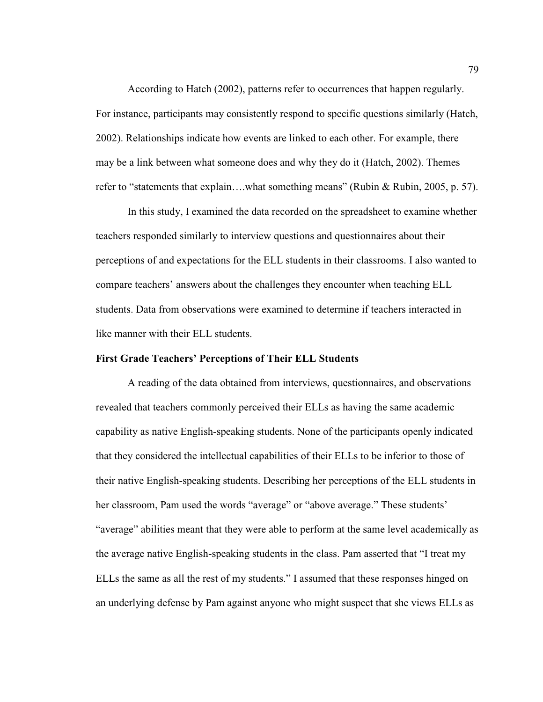According to Hatch (2002), patterns refer to occurrences that happen regularly. For instance, participants may consistently respond to specific questions similarly (Hatch, 2002). Relationships indicate how events are linked to each other. For example, there may be a link between what someone does and why they do it (Hatch, 2002). Themes refer to "statements that explain….what something means" (Rubin & Rubin, 2005, p. 57).

 In this study, I examined the data recorded on the spreadsheet to examine whether teachers responded similarly to interview questions and questionnaires about their perceptions of and expectations for the ELL students in their classrooms. I also wanted to compare teachers' answers about the challenges they encounter when teaching ELL students. Data from observations were examined to determine if teachers interacted in like manner with their ELL students.

#### **First Grade Teachers' Perceptions of Their ELL Students**

 A reading of the data obtained from interviews, questionnaires, and observations revealed that teachers commonly perceived their ELLs as having the same academic capability as native English-speaking students. None of the participants openly indicated that they considered the intellectual capabilities of their ELLs to be inferior to those of their native English-speaking students. Describing her perceptions of the ELL students in her classroom, Pam used the words "average" or "above average." These students' "average" abilities meant that they were able to perform at the same level academically as the average native English-speaking students in the class. Pam asserted that "I treat my ELLs the same as all the rest of my students." I assumed that these responses hinged on an underlying defense by Pam against anyone who might suspect that she views ELLs as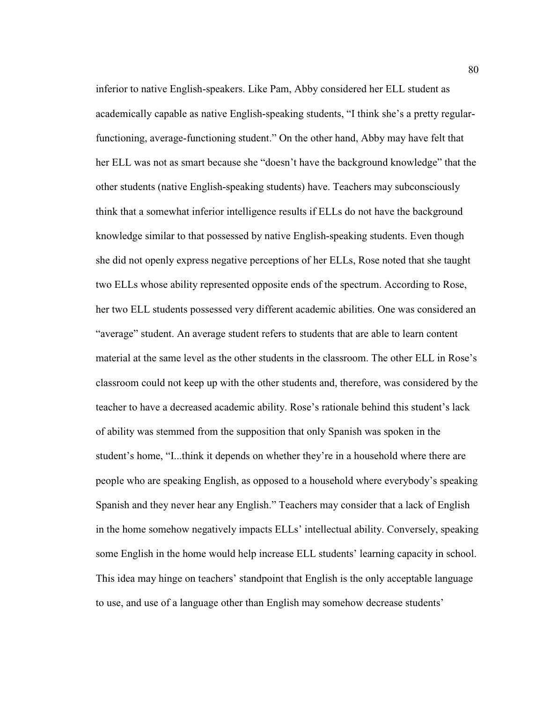inferior to native English-speakers. Like Pam, Abby considered her ELL student as academically capable as native English-speaking students, "I think she's a pretty regularfunctioning, average-functioning student." On the other hand, Abby may have felt that her ELL was not as smart because she "doesn't have the background knowledge" that the other students (native English-speaking students) have. Teachers may subconsciously think that a somewhat inferior intelligence results if ELLs do not have the background knowledge similar to that possessed by native English-speaking students. Even though she did not openly express negative perceptions of her ELLs, Rose noted that she taught two ELLs whose ability represented opposite ends of the spectrum. According to Rose, her two ELL students possessed very different academic abilities. One was considered an "average" student. An average student refers to students that are able to learn content material at the same level as the other students in the classroom. The other ELL in Rose's classroom could not keep up with the other students and, therefore, was considered by the teacher to have a decreased academic ability. Rose's rationale behind this student's lack of ability was stemmed from the supposition that only Spanish was spoken in the student's home, "I...think it depends on whether they're in a household where there are people who are speaking English, as opposed to a household where everybody's speaking Spanish and they never hear any English." Teachers may consider that a lack of English in the home somehow negatively impacts ELLs' intellectual ability. Conversely, speaking some English in the home would help increase ELL students' learning capacity in school. This idea may hinge on teachers' standpoint that English is the only acceptable language to use, and use of a language other than English may somehow decrease students'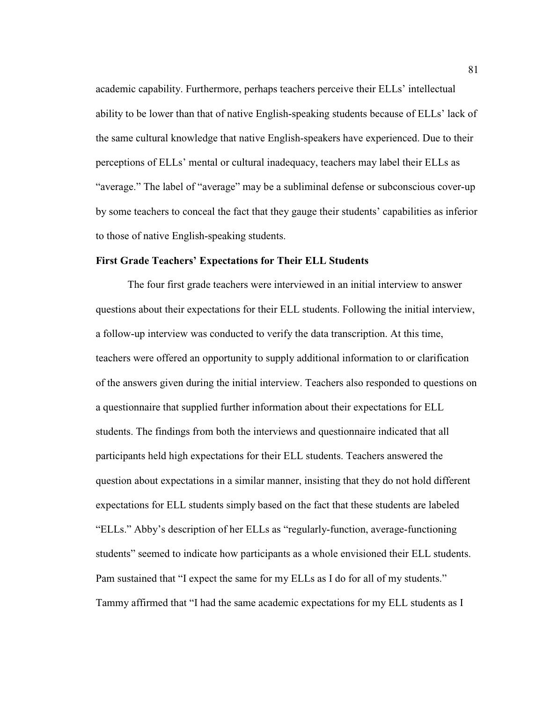academic capability. Furthermore, perhaps teachers perceive their ELLs' intellectual ability to be lower than that of native English-speaking students because of ELLs' lack of the same cultural knowledge that native English-speakers have experienced. Due to their perceptions of ELLs' mental or cultural inadequacy, teachers may label their ELLs as "average." The label of "average" may be a subliminal defense or subconscious cover-up by some teachers to conceal the fact that they gauge their students' capabilities as inferior to those of native English-speaking students.

# **First Grade Teachers' Expectations for Their ELL Students**

 The four first grade teachers were interviewed in an initial interview to answer questions about their expectations for their ELL students. Following the initial interview, a follow-up interview was conducted to verify the data transcription. At this time, teachers were offered an opportunity to supply additional information to or clarification of the answers given during the initial interview. Teachers also responded to questions on a questionnaire that supplied further information about their expectations for ELL students. The findings from both the interviews and questionnaire indicated that all participants held high expectations for their ELL students. Teachers answered the question about expectations in a similar manner, insisting that they do not hold different expectations for ELL students simply based on the fact that these students are labeled "ELLs." Abby's description of her ELLs as "regularly-function, average-functioning students" seemed to indicate how participants as a whole envisioned their ELL students. Pam sustained that "I expect the same for my ELLs as I do for all of my students." Tammy affirmed that "I had the same academic expectations for my ELL students as I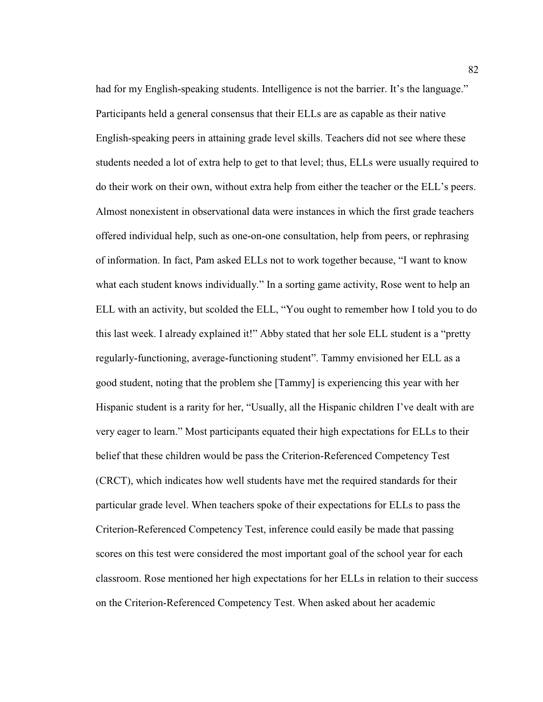had for my English-speaking students. Intelligence is not the barrier. It's the language." Participants held a general consensus that their ELLs are as capable as their native English-speaking peers in attaining grade level skills. Teachers did not see where these students needed a lot of extra help to get to that level; thus, ELLs were usually required to do their work on their own, without extra help from either the teacher or the ELL's peers. Almost nonexistent in observational data were instances in which the first grade teachers offered individual help, such as one-on-one consultation, help from peers, or rephrasing of information. In fact, Pam asked ELLs not to work together because, "I want to know what each student knows individually." In a sorting game activity, Rose went to help an ELL with an activity, but scolded the ELL, "You ought to remember how I told you to do this last week. I already explained it!" Abby stated that her sole ELL student is a "pretty regularly-functioning, average-functioning student". Tammy envisioned her ELL as a good student, noting that the problem she [Tammy] is experiencing this year with her Hispanic student is a rarity for her, "Usually, all the Hispanic children I've dealt with are very eager to learn." Most participants equated their high expectations for ELLs to their belief that these children would be pass the Criterion-Referenced Competency Test (CRCT), which indicates how well students have met the required standards for their particular grade level. When teachers spoke of their expectations for ELLs to pass the Criterion-Referenced Competency Test, inference could easily be made that passing scores on this test were considered the most important goal of the school year for each classroom. Rose mentioned her high expectations for her ELLs in relation to their success on the Criterion-Referenced Competency Test. When asked about her academic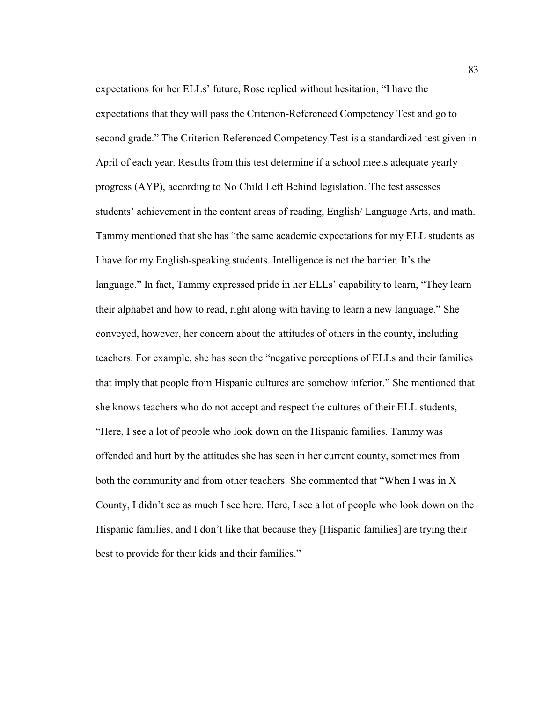expectations for her ELLs' future, Rose replied without hesitation, "I have the expectations that they will pass the Criterion-Referenced Competency Test and go to second grade." The Criterion-Referenced Competency Test is a standardized test given in April of each year. Results from this test determine if a school meets adequate yearly progress (AYP), according to No Child Left Behind legislation. The test assesses students' achievement in the content areas of reading, English/ Language Arts, and math. Tammy mentioned that she has "the same academic expectations for my ELL students as I have for my English-speaking students. Intelligence is not the barrier. It's the language." In fact, Tammy expressed pride in her ELLs' capability to learn, "They learn their alphabet and how to read, right along with having to learn a new language." She conveyed, however, her concern about the attitudes of others in the county, including teachers. For example, she has seen the "negative perceptions of ELLs and their families that imply that people from Hispanic cultures are somehow inferior." She mentioned that she knows teachers who do not accept and respect the cultures of their ELL students, "Here, I see a lot of people who look down on the Hispanic families. Tammy was offended and hurt by the attitudes she has seen in her current county, sometimes from both the community and from other teachers. She commented that "When I was in X County, I didn't see as much I see here. Here, I see a lot of people who look down on the Hispanic families, and I don't like that because they [Hispanic families] are trying their best to provide for their kids and their families."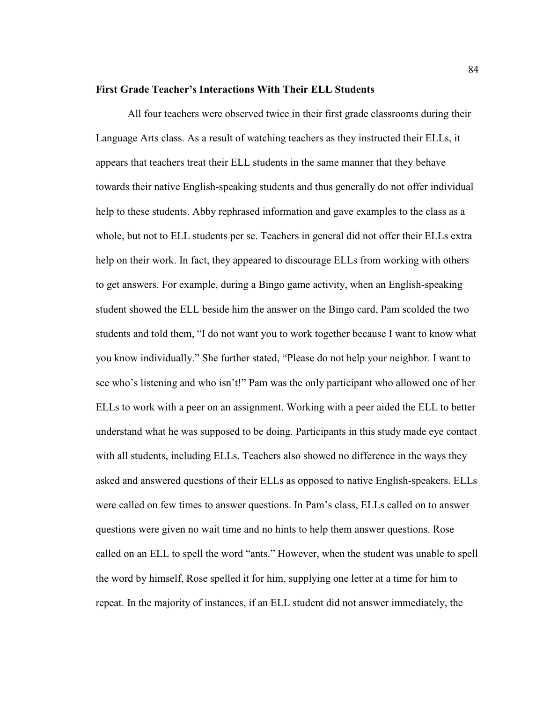#### **First Grade Teacher's Interactions With Their ELL Students**

 All four teachers were observed twice in their first grade classrooms during their Language Arts class. As a result of watching teachers as they instructed their ELLs, it appears that teachers treat their ELL students in the same manner that they behave towards their native English-speaking students and thus generally do not offer individual help to these students. Abby rephrased information and gave examples to the class as a whole, but not to ELL students per se. Teachers in general did not offer their ELLs extra help on their work. In fact, they appeared to discourage ELLs from working with others to get answers. For example, during a Bingo game activity, when an English-speaking student showed the ELL beside him the answer on the Bingo card, Pam scolded the two students and told them, "I do not want you to work together because I want to know what you know individually." She further stated, "Please do not help your neighbor. I want to see who's listening and who isn't!" Pam was the only participant who allowed one of her ELLs to work with a peer on an assignment. Working with a peer aided the ELL to better understand what he was supposed to be doing. Participants in this study made eye contact with all students, including ELLs. Teachers also showed no difference in the ways they asked and answered questions of their ELLs as opposed to native English-speakers. ELLs were called on few times to answer questions. In Pam's class, ELLs called on to answer questions were given no wait time and no hints to help them answer questions. Rose called on an ELL to spell the word "ants." However, when the student was unable to spell the word by himself, Rose spelled it for him, supplying one letter at a time for him to repeat. In the majority of instances, if an ELL student did not answer immediately, the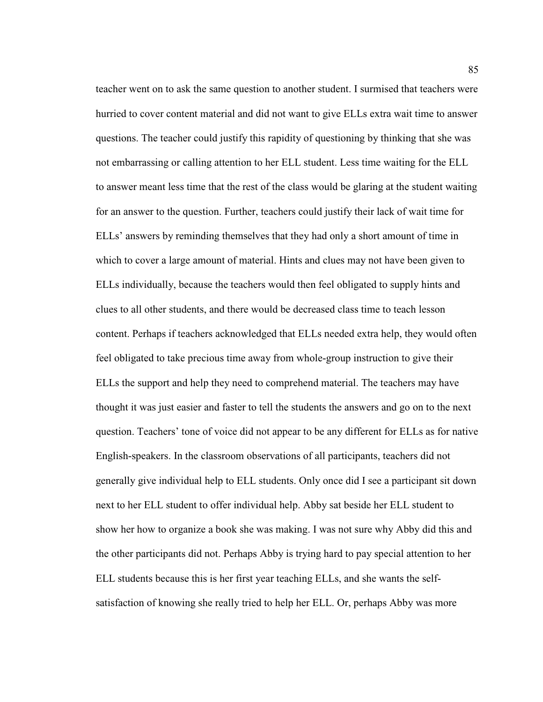teacher went on to ask the same question to another student. I surmised that teachers were hurried to cover content material and did not want to give ELLs extra wait time to answer questions. The teacher could justify this rapidity of questioning by thinking that she was not embarrassing or calling attention to her ELL student. Less time waiting for the ELL to answer meant less time that the rest of the class would be glaring at the student waiting for an answer to the question. Further, teachers could justify their lack of wait time for ELLs' answers by reminding themselves that they had only a short amount of time in which to cover a large amount of material. Hints and clues may not have been given to ELLs individually, because the teachers would then feel obligated to supply hints and clues to all other students, and there would be decreased class time to teach lesson content. Perhaps if teachers acknowledged that ELLs needed extra help, they would often feel obligated to take precious time away from whole-group instruction to give their ELLs the support and help they need to comprehend material. The teachers may have thought it was just easier and faster to tell the students the answers and go on to the next question. Teachers' tone of voice did not appear to be any different for ELLs as for native English-speakers. In the classroom observations of all participants, teachers did not generally give individual help to ELL students. Only once did I see a participant sit down next to her ELL student to offer individual help. Abby sat beside her ELL student to show her how to organize a book she was making. I was not sure why Abby did this and the other participants did not. Perhaps Abby is trying hard to pay special attention to her ELL students because this is her first year teaching ELLs, and she wants the selfsatisfaction of knowing she really tried to help her ELL. Or, perhaps Abby was more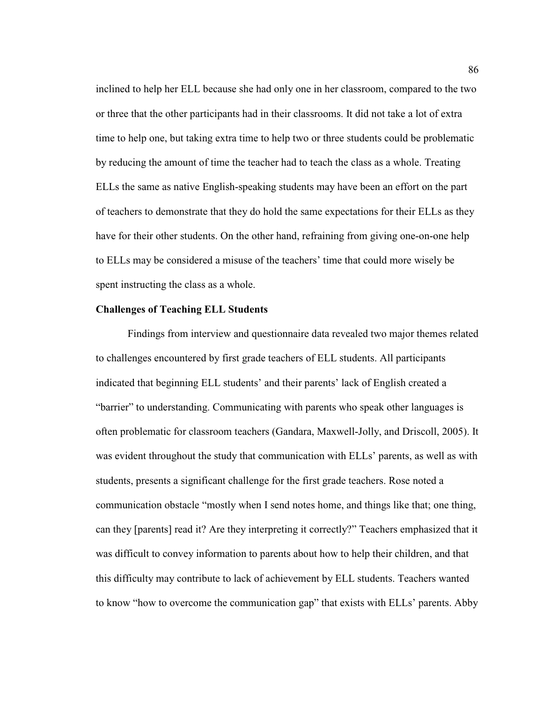inclined to help her ELL because she had only one in her classroom, compared to the two or three that the other participants had in their classrooms. It did not take a lot of extra time to help one, but taking extra time to help two or three students could be problematic by reducing the amount of time the teacher had to teach the class as a whole. Treating ELLs the same as native English-speaking students may have been an effort on the part of teachers to demonstrate that they do hold the same expectations for their ELLs as they have for their other students. On the other hand, refraining from giving one-on-one help to ELLs may be considered a misuse of the teachers' time that could more wisely be spent instructing the class as a whole.

## **Challenges of Teaching ELL Students**

 Findings from interview and questionnaire data revealed two major themes related to challenges encountered by first grade teachers of ELL students. All participants indicated that beginning ELL students' and their parents' lack of English created a "barrier" to understanding. Communicating with parents who speak other languages is often problematic for classroom teachers (Gandara, Maxwell-Jolly, and Driscoll, 2005). It was evident throughout the study that communication with ELLs' parents, as well as with students, presents a significant challenge for the first grade teachers. Rose noted a communication obstacle "mostly when I send notes home, and things like that; one thing, can they [parents] read it? Are they interpreting it correctly?" Teachers emphasized that it was difficult to convey information to parents about how to help their children, and that this difficulty may contribute to lack of achievement by ELL students. Teachers wanted to know "how to overcome the communication gap" that exists with ELLs' parents. Abby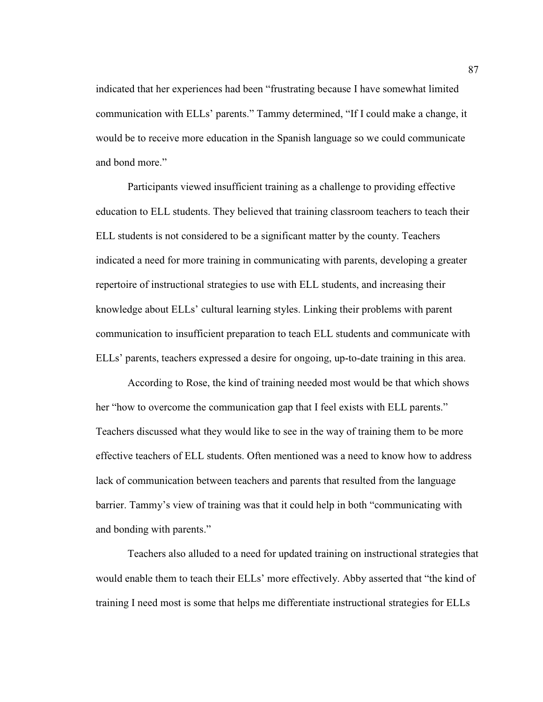indicated that her experiences had been "frustrating because I have somewhat limited communication with ELLs' parents." Tammy determined, "If I could make a change, it would be to receive more education in the Spanish language so we could communicate and bond more."

 Participants viewed insufficient training as a challenge to providing effective education to ELL students. They believed that training classroom teachers to teach their ELL students is not considered to be a significant matter by the county. Teachers indicated a need for more training in communicating with parents, developing a greater repertoire of instructional strategies to use with ELL students, and increasing their knowledge about ELLs' cultural learning styles. Linking their problems with parent communication to insufficient preparation to teach ELL students and communicate with ELLs' parents, teachers expressed a desire for ongoing, up-to-date training in this area.

 According to Rose, the kind of training needed most would be that which shows her "how to overcome the communication gap that I feel exists with ELL parents." Teachers discussed what they would like to see in the way of training them to be more effective teachers of ELL students. Often mentioned was a need to know how to address lack of communication between teachers and parents that resulted from the language barrier. Tammy's view of training was that it could help in both "communicating with and bonding with parents."

 Teachers also alluded to a need for updated training on instructional strategies that would enable them to teach their ELLs' more effectively. Abby asserted that "the kind of training I need most is some that helps me differentiate instructional strategies for ELLs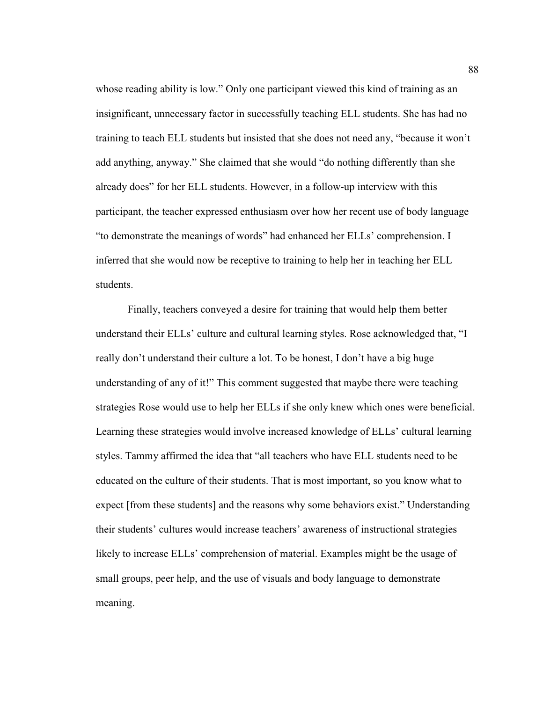whose reading ability is low." Only one participant viewed this kind of training as an insignificant, unnecessary factor in successfully teaching ELL students. She has had no training to teach ELL students but insisted that she does not need any, "because it won't add anything, anyway." She claimed that she would "do nothing differently than she already does" for her ELL students. However, in a follow-up interview with this participant, the teacher expressed enthusiasm over how her recent use of body language "to demonstrate the meanings of words" had enhanced her ELLs' comprehension. I inferred that she would now be receptive to training to help her in teaching her ELL students.

 Finally, teachers conveyed a desire for training that would help them better understand their ELLs' culture and cultural learning styles. Rose acknowledged that, "I really don't understand their culture a lot. To be honest, I don't have a big huge understanding of any of it!" This comment suggested that maybe there were teaching strategies Rose would use to help her ELLs if she only knew which ones were beneficial. Learning these strategies would involve increased knowledge of ELLs' cultural learning styles. Tammy affirmed the idea that "all teachers who have ELL students need to be educated on the culture of their students. That is most important, so you know what to expect [from these students] and the reasons why some behaviors exist." Understanding their students' cultures would increase teachers' awareness of instructional strategies likely to increase ELLs' comprehension of material. Examples might be the usage of small groups, peer help, and the use of visuals and body language to demonstrate meaning.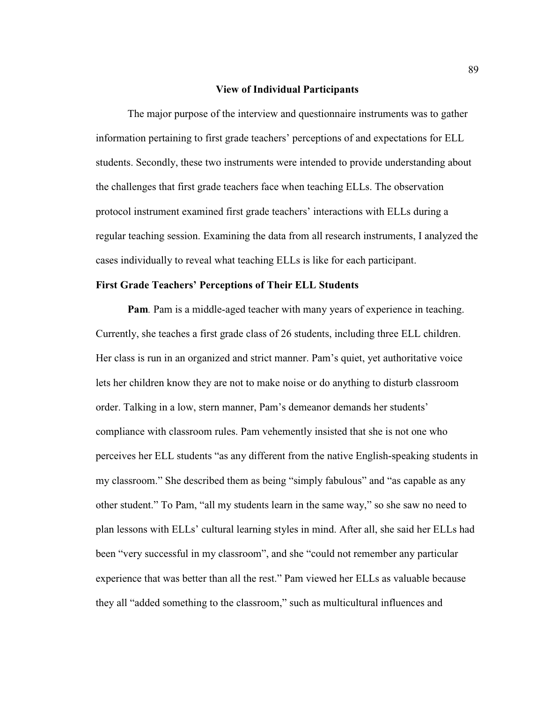#### **View of Individual Participants**

 The major purpose of the interview and questionnaire instruments was to gather information pertaining to first grade teachers' perceptions of and expectations for ELL students. Secondly, these two instruments were intended to provide understanding about the challenges that first grade teachers face when teaching ELLs. The observation protocol instrument examined first grade teachers' interactions with ELLs during a regular teaching session. Examining the data from all research instruments, I analyzed the cases individually to reveal what teaching ELLs is like for each participant.

# **First Grade Teachers' Perceptions of Their ELL Students**

**Pam***.* Pam is a middle-aged teacher with many years of experience in teaching. Currently, she teaches a first grade class of 26 students, including three ELL children. Her class is run in an organized and strict manner. Pam's quiet, yet authoritative voice lets her children know they are not to make noise or do anything to disturb classroom order. Talking in a low, stern manner, Pam's demeanor demands her students' compliance with classroom rules. Pam vehemently insisted that she is not one who perceives her ELL students "as any different from the native English-speaking students in my classroom." She described them as being "simply fabulous" and "as capable as any other student." To Pam, "all my students learn in the same way," so she saw no need to plan lessons with ELLs' cultural learning styles in mind. After all, she said her ELLs had been "very successful in my classroom", and she "could not remember any particular experience that was better than all the rest." Pam viewed her ELLs as valuable because they all "added something to the classroom," such as multicultural influences and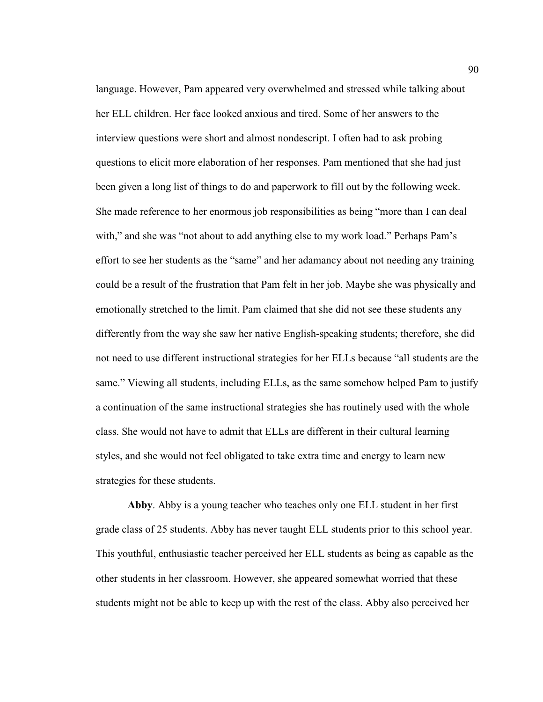language. However, Pam appeared very overwhelmed and stressed while talking about her ELL children. Her face looked anxious and tired. Some of her answers to the interview questions were short and almost nondescript. I often had to ask probing questions to elicit more elaboration of her responses. Pam mentioned that she had just been given a long list of things to do and paperwork to fill out by the following week. She made reference to her enormous job responsibilities as being "more than I can deal with," and she was "not about to add anything else to my work load." Perhaps Pam's effort to see her students as the "same" and her adamancy about not needing any training could be a result of the frustration that Pam felt in her job. Maybe she was physically and emotionally stretched to the limit. Pam claimed that she did not see these students any differently from the way she saw her native English-speaking students; therefore, she did not need to use different instructional strategies for her ELLs because "all students are the same." Viewing all students, including ELLs, as the same somehow helped Pam to justify a continuation of the same instructional strategies she has routinely used with the whole class. She would not have to admit that ELLs are different in their cultural learning styles, and she would not feel obligated to take extra time and energy to learn new strategies for these students.

**Abby**. Abby is a young teacher who teaches only one ELL student in her first grade class of 25 students. Abby has never taught ELL students prior to this school year. This youthful, enthusiastic teacher perceived her ELL students as being as capable as the other students in her classroom. However, she appeared somewhat worried that these students might not be able to keep up with the rest of the class. Abby also perceived her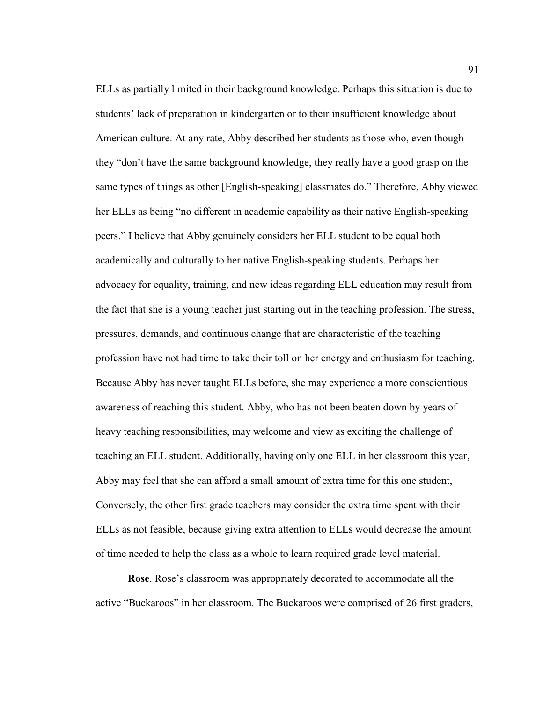ELLs as partially limited in their background knowledge. Perhaps this situation is due to students' lack of preparation in kindergarten or to their insufficient knowledge about American culture. At any rate, Abby described her students as those who, even though they "don't have the same background knowledge, they really have a good grasp on the same types of things as other [English-speaking] classmates do." Therefore, Abby viewed her ELLs as being "no different in academic capability as their native English-speaking peers." I believe that Abby genuinely considers her ELL student to be equal both academically and culturally to her native English-speaking students. Perhaps her advocacy for equality, training, and new ideas regarding ELL education may result from the fact that she is a young teacher just starting out in the teaching profession. The stress, pressures, demands, and continuous change that are characteristic of the teaching profession have not had time to take their toll on her energy and enthusiasm for teaching. Because Abby has never taught ELLs before, she may experience a more conscientious awareness of reaching this student. Abby, who has not been beaten down by years of heavy teaching responsibilities, may welcome and view as exciting the challenge of teaching an ELL student. Additionally, having only one ELL in her classroom this year, Abby may feel that she can afford a small amount of extra time for this one student, Conversely, the other first grade teachers may consider the extra time spent with their ELLs as not feasible, because giving extra attention to ELLs would decrease the amount of time needed to help the class as a whole to learn required grade level material.

**Rose**. Rose's classroom was appropriately decorated to accommodate all the active "Buckaroos" in her classroom. The Buckaroos were comprised of 26 first graders,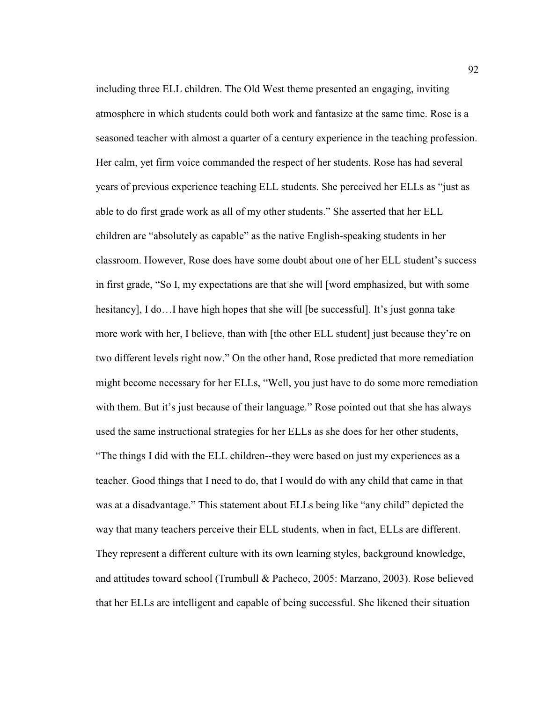including three ELL children. The Old West theme presented an engaging, inviting atmosphere in which students could both work and fantasize at the same time. Rose is a seasoned teacher with almost a quarter of a century experience in the teaching profession. Her calm, yet firm voice commanded the respect of her students. Rose has had several years of previous experience teaching ELL students. She perceived her ELLs as "just as able to do first grade work as all of my other students." She asserted that her ELL children are "absolutely as capable" as the native English-speaking students in her classroom. However, Rose does have some doubt about one of her ELL student's success in first grade, "So I, my expectations are that she will [word emphasized, but with some hesitancy], I do... I have high hopes that she will [be successful]. It's just gonna take more work with her, I believe, than with [the other ELL student] just because they're on two different levels right now." On the other hand, Rose predicted that more remediation might become necessary for her ELLs, "Well, you just have to do some more remediation with them. But it's just because of their language." Rose pointed out that she has always used the same instructional strategies for her ELLs as she does for her other students, "The things I did with the ELL children--they were based on just my experiences as a teacher. Good things that I need to do, that I would do with any child that came in that was at a disadvantage." This statement about ELLs being like "any child" depicted the way that many teachers perceive their ELL students, when in fact, ELLs are different. They represent a different culture with its own learning styles, background knowledge, and attitudes toward school (Trumbull & Pacheco, 2005: Marzano, 2003). Rose believed that her ELLs are intelligent and capable of being successful. She likened their situation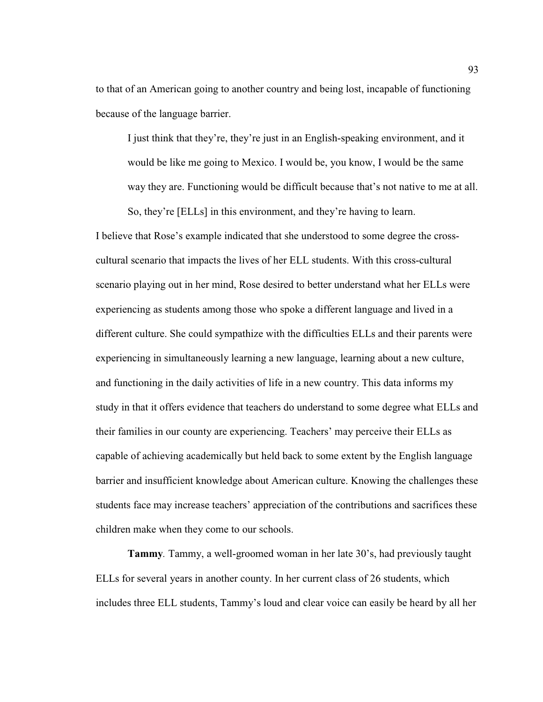to that of an American going to another country and being lost, incapable of functioning because of the language barrier.

 I just think that they're, they're just in an English-speaking environment, and it would be like me going to Mexico. I would be, you know, I would be the same way they are. Functioning would be difficult because that's not native to me at all. So, they're [ELLs] in this environment, and they're having to learn.

I believe that Rose's example indicated that she understood to some degree the crosscultural scenario that impacts the lives of her ELL students. With this cross-cultural scenario playing out in her mind, Rose desired to better understand what her ELLs were experiencing as students among those who spoke a different language and lived in a different culture. She could sympathize with the difficulties ELLs and their parents were experiencing in simultaneously learning a new language, learning about a new culture, and functioning in the daily activities of life in a new country. This data informs my study in that it offers evidence that teachers do understand to some degree what ELLs and their families in our county are experiencing. Teachers' may perceive their ELLs as capable of achieving academically but held back to some extent by the English language barrier and insufficient knowledge about American culture. Knowing the challenges these students face may increase teachers' appreciation of the contributions and sacrifices these children make when they come to our schools.

**Tammy***.* Tammy, a well-groomed woman in her late 30's, had previously taught ELLs for several years in another county. In her current class of 26 students, which includes three ELL students, Tammy's loud and clear voice can easily be heard by all her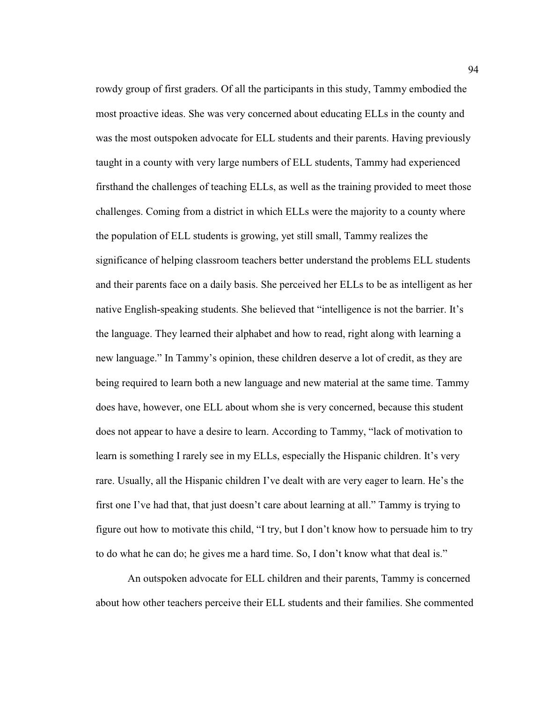rowdy group of first graders. Of all the participants in this study, Tammy embodied the most proactive ideas. She was very concerned about educating ELLs in the county and was the most outspoken advocate for ELL students and their parents. Having previously taught in a county with very large numbers of ELL students, Tammy had experienced firsthand the challenges of teaching ELLs, as well as the training provided to meet those challenges. Coming from a district in which ELLs were the majority to a county where the population of ELL students is growing, yet still small, Tammy realizes the significance of helping classroom teachers better understand the problems ELL students and their parents face on a daily basis. She perceived her ELLs to be as intelligent as her native English-speaking students. She believed that "intelligence is not the barrier. It's the language. They learned their alphabet and how to read, right along with learning a new language." In Tammy's opinion, these children deserve a lot of credit, as they are being required to learn both a new language and new material at the same time. Tammy does have, however, one ELL about whom she is very concerned, because this student does not appear to have a desire to learn. According to Tammy, "lack of motivation to learn is something I rarely see in my ELLs, especially the Hispanic children. It's very rare. Usually, all the Hispanic children I've dealt with are very eager to learn. He's the first one I've had that, that just doesn't care about learning at all." Tammy is trying to figure out how to motivate this child, "I try, but I don't know how to persuade him to try to do what he can do; he gives me a hard time. So, I don't know what that deal is."

 An outspoken advocate for ELL children and their parents, Tammy is concerned about how other teachers perceive their ELL students and their families. She commented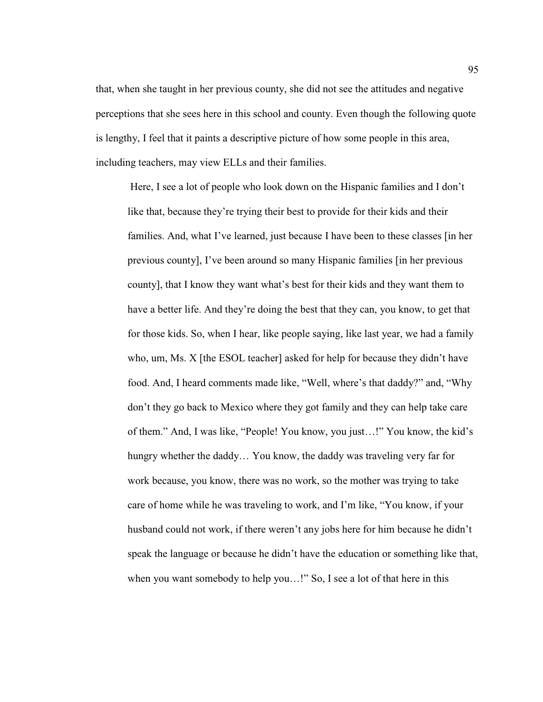that, when she taught in her previous county, she did not see the attitudes and negative perceptions that she sees here in this school and county. Even though the following quote is lengthy, I feel that it paints a descriptive picture of how some people in this area, including teachers, may view ELLs and their families.

 Here, I see a lot of people who look down on the Hispanic families and I don't like that, because they're trying their best to provide for their kids and their families. And, what I've learned, just because I have been to these classes [in her previous county], I've been around so many Hispanic families [in her previous county], that I know they want what's best for their kids and they want them to have a better life. And they're doing the best that they can, you know, to get that for those kids. So, when I hear, like people saying, like last year, we had a family who, um, Ms. X [the ESOL teacher] asked for help for because they didn't have food. And, I heard comments made like, "Well, where's that daddy?" and, "Why don't they go back to Mexico where they got family and they can help take care of them." And, I was like, "People! You know, you just…!" You know, the kid's hungry whether the daddy… You know, the daddy was traveling very far for work because, you know, there was no work, so the mother was trying to take care of home while he was traveling to work, and I'm like, "You know, if your husband could not work, if there weren't any jobs here for him because he didn't speak the language or because he didn't have the education or something like that, when you want somebody to help you...!" So, I see a lot of that here in this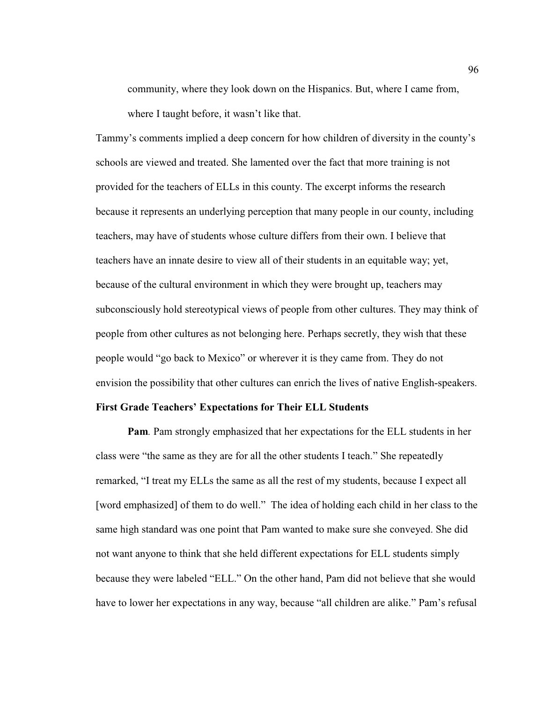community, where they look down on the Hispanics. But, where I came from, where I taught before, it wasn't like that.

Tammy's comments implied a deep concern for how children of diversity in the county's schools are viewed and treated. She lamented over the fact that more training is not provided for the teachers of ELLs in this county. The excerpt informs the research because it represents an underlying perception that many people in our county, including teachers, may have of students whose culture differs from their own. I believe that teachers have an innate desire to view all of their students in an equitable way; yet, because of the cultural environment in which they were brought up, teachers may subconsciously hold stereotypical views of people from other cultures. They may think of people from other cultures as not belonging here. Perhaps secretly, they wish that these people would "go back to Mexico" or wherever it is they came from. They do not envision the possibility that other cultures can enrich the lives of native English-speakers.

# **First Grade Teachers' Expectations for Their ELL Students**

**Pam***.* Pam strongly emphasized that her expectations for the ELL students in her class were "the same as they are for all the other students I teach." She repeatedly remarked, "I treat my ELLs the same as all the rest of my students, because I expect all [word emphasized] of them to do well." The idea of holding each child in her class to the same high standard was one point that Pam wanted to make sure she conveyed. She did not want anyone to think that she held different expectations for ELL students simply because they were labeled "ELL." On the other hand, Pam did not believe that she would have to lower her expectations in any way, because "all children are alike." Pam's refusal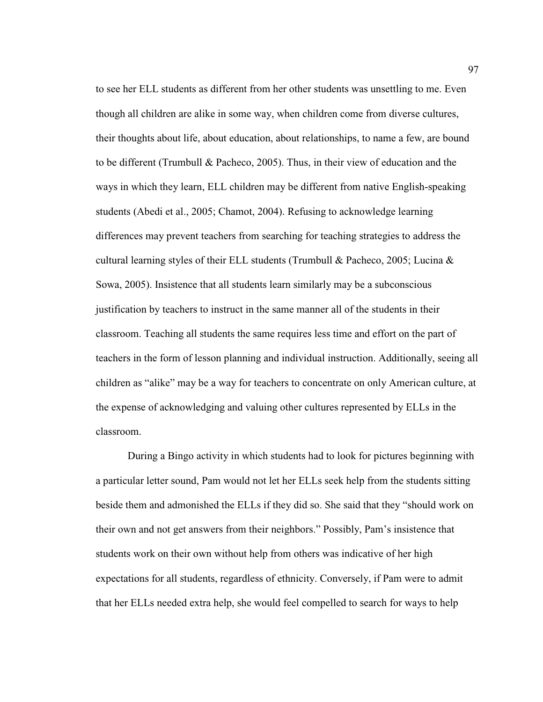to see her ELL students as different from her other students was unsettling to me. Even though all children are alike in some way, when children come from diverse cultures, their thoughts about life, about education, about relationships, to name a few, are bound to be different (Trumbull & Pacheco, 2005). Thus, in their view of education and the ways in which they learn, ELL children may be different from native English-speaking students (Abedi et al., 2005; Chamot, 2004). Refusing to acknowledge learning differences may prevent teachers from searching for teaching strategies to address the cultural learning styles of their ELL students (Trumbull & Pacheco, 2005; Lucina & Sowa, 2005). Insistence that all students learn similarly may be a subconscious justification by teachers to instruct in the same manner all of the students in their classroom. Teaching all students the same requires less time and effort on the part of teachers in the form of lesson planning and individual instruction. Additionally, seeing all children as "alike" may be a way for teachers to concentrate on only American culture, at the expense of acknowledging and valuing other cultures represented by ELLs in the classroom.

 During a Bingo activity in which students had to look for pictures beginning with a particular letter sound, Pam would not let her ELLs seek help from the students sitting beside them and admonished the ELLs if they did so. She said that they "should work on their own and not get answers from their neighbors." Possibly, Pam's insistence that students work on their own without help from others was indicative of her high expectations for all students, regardless of ethnicity. Conversely, if Pam were to admit that her ELLs needed extra help, she would feel compelled to search for ways to help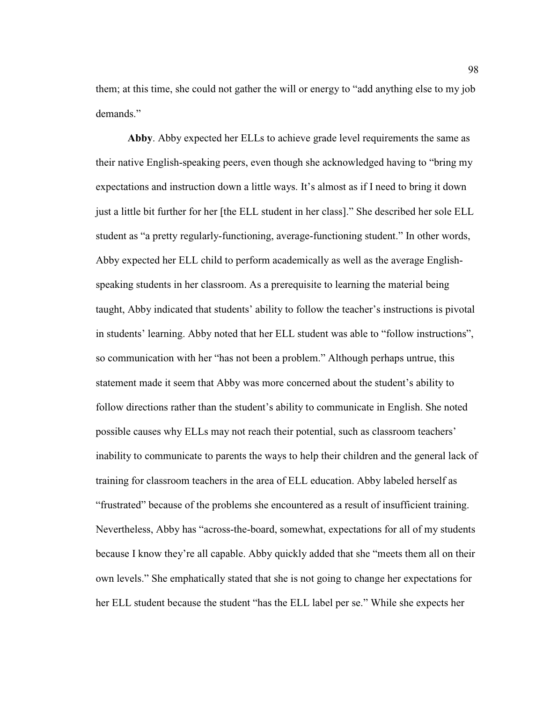them; at this time, she could not gather the will or energy to "add anything else to my job demands."

**Abby**. Abby expected her ELLs to achieve grade level requirements the same as their native English-speaking peers, even though she acknowledged having to "bring my expectations and instruction down a little ways. It's almost as if I need to bring it down just a little bit further for her [the ELL student in her class]." She described her sole ELL student as "a pretty regularly-functioning, average-functioning student." In other words, Abby expected her ELL child to perform academically as well as the average Englishspeaking students in her classroom. As a prerequisite to learning the material being taught, Abby indicated that students' ability to follow the teacher's instructions is pivotal in students' learning. Abby noted that her ELL student was able to "follow instructions", so communication with her "has not been a problem." Although perhaps untrue, this statement made it seem that Abby was more concerned about the student's ability to follow directions rather than the student's ability to communicate in English. She noted possible causes why ELLs may not reach their potential, such as classroom teachers' inability to communicate to parents the ways to help their children and the general lack of training for classroom teachers in the area of ELL education. Abby labeled herself as "frustrated" because of the problems she encountered as a result of insufficient training. Nevertheless, Abby has "across-the-board, somewhat, expectations for all of my students because I know they're all capable. Abby quickly added that she "meets them all on their own levels." She emphatically stated that she is not going to change her expectations for her ELL student because the student "has the ELL label per se." While she expects her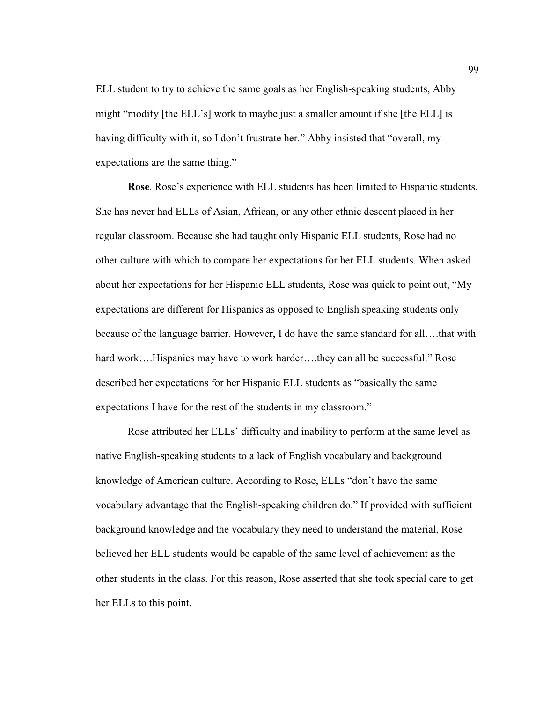ELL student to try to achieve the same goals as her English-speaking students, Abby might "modify [the ELL's] work to maybe just a smaller amount if she [the ELL] is having difficulty with it, so I don't frustrate her." Abby insisted that "overall, my expectations are the same thing."

**Rose***.* Rose's experience with ELL students has been limited to Hispanic students. She has never had ELLs of Asian, African, or any other ethnic descent placed in her regular classroom. Because she had taught only Hispanic ELL students, Rose had no other culture with which to compare her expectations for her ELL students. When asked about her expectations for her Hispanic ELL students, Rose was quick to point out, "My expectations are different for Hispanics as opposed to English speaking students only because of the language barrier. However, I do have the same standard for all….that with hard work….Hispanics may have to work harder….they can all be successful." Rose described her expectations for her Hispanic ELL students as "basically the same expectations I have for the rest of the students in my classroom."

 Rose attributed her ELLs' difficulty and inability to perform at the same level as native English-speaking students to a lack of English vocabulary and background knowledge of American culture. According to Rose, ELLs "don't have the same vocabulary advantage that the English-speaking children do." If provided with sufficient background knowledge and the vocabulary they need to understand the material, Rose believed her ELL students would be capable of the same level of achievement as the other students in the class. For this reason, Rose asserted that she took special care to get her ELLs to this point.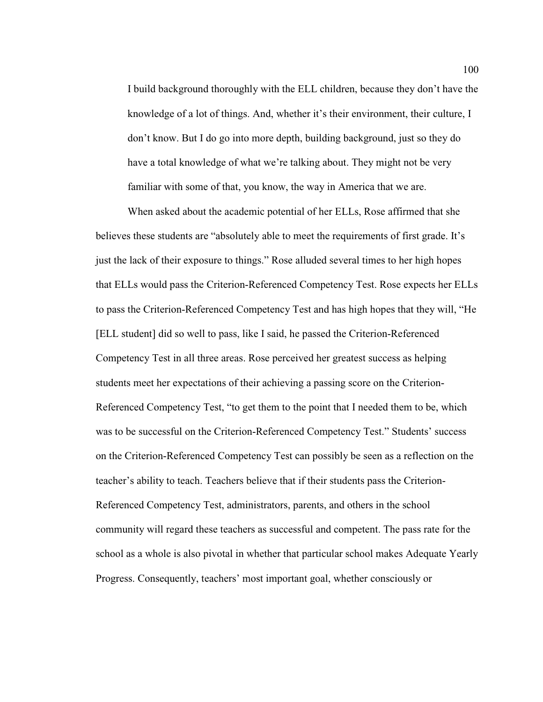I build background thoroughly with the ELL children, because they don't have the knowledge of a lot of things. And, whether it's their environment, their culture, I don't know. But I do go into more depth, building background, just so they do have a total knowledge of what we're talking about. They might not be very familiar with some of that, you know, the way in America that we are.

 When asked about the academic potential of her ELLs, Rose affirmed that she believes these students are "absolutely able to meet the requirements of first grade. It's just the lack of their exposure to things." Rose alluded several times to her high hopes that ELLs would pass the Criterion-Referenced Competency Test. Rose expects her ELLs to pass the Criterion-Referenced Competency Test and has high hopes that they will, "He [ELL student] did so well to pass, like I said, he passed the Criterion-Referenced Competency Test in all three areas. Rose perceived her greatest success as helping students meet her expectations of their achieving a passing score on the Criterion-Referenced Competency Test, "to get them to the point that I needed them to be, which was to be successful on the Criterion-Referenced Competency Test." Students' success on the Criterion-Referenced Competency Test can possibly be seen as a reflection on the teacher's ability to teach. Teachers believe that if their students pass the Criterion-Referenced Competency Test, administrators, parents, and others in the school community will regard these teachers as successful and competent. The pass rate for the school as a whole is also pivotal in whether that particular school makes Adequate Yearly Progress. Consequently, teachers' most important goal, whether consciously or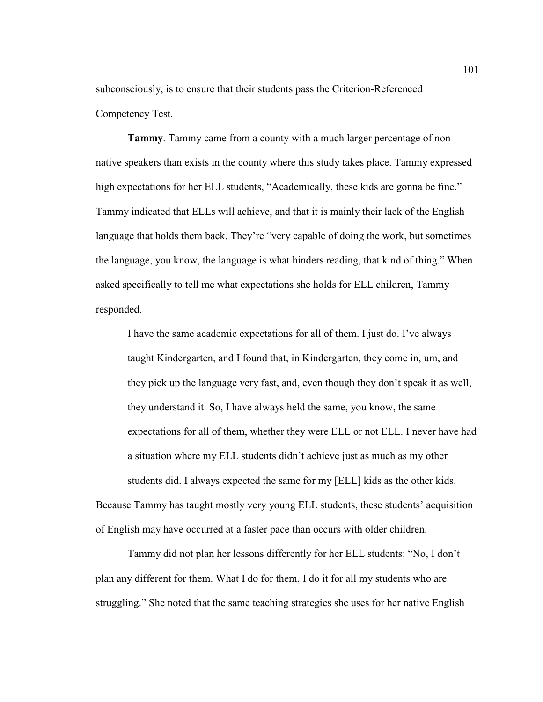subconsciously, is to ensure that their students pass the Criterion-Referenced Competency Test.

**Tammy**. Tammy came from a county with a much larger percentage of nonnative speakers than exists in the county where this study takes place. Tammy expressed high expectations for her ELL students, "Academically, these kids are gonna be fine." Tammy indicated that ELLs will achieve, and that it is mainly their lack of the English language that holds them back. They're "very capable of doing the work, but sometimes the language, you know, the language is what hinders reading, that kind of thing." When asked specifically to tell me what expectations she holds for ELL children, Tammy responded.

 I have the same academic expectations for all of them. I just do. I've always taught Kindergarten, and I found that, in Kindergarten, they come in, um, and they pick up the language very fast, and, even though they don't speak it as well, they understand it. So, I have always held the same, you know, the same expectations for all of them, whether they were ELL or not ELL. I never have had a situation where my ELL students didn't achieve just as much as my other students did. I always expected the same for my [ELL] kids as the other kids. Because Tammy has taught mostly very young ELL students, these students' acquisition of English may have occurred at a faster pace than occurs with older children.

 Tammy did not plan her lessons differently for her ELL students: "No, I don't plan any different for them. What I do for them, I do it for all my students who are struggling." She noted that the same teaching strategies she uses for her native English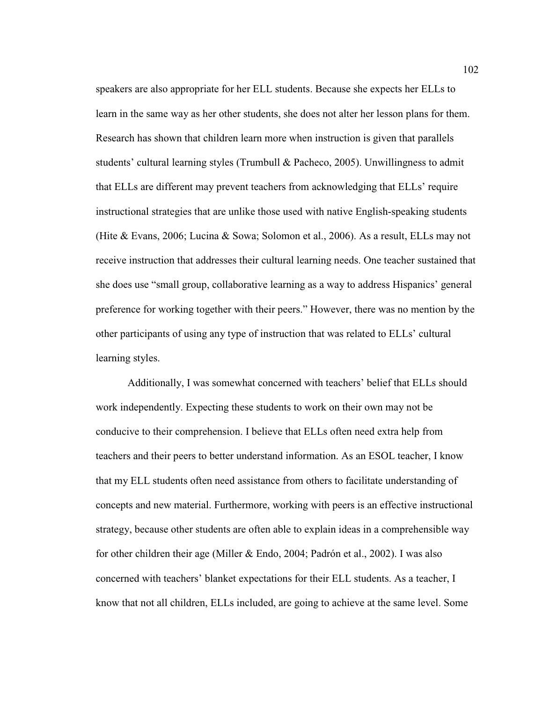speakers are also appropriate for her ELL students. Because she expects her ELLs to learn in the same way as her other students, she does not alter her lesson plans for them. Research has shown that children learn more when instruction is given that parallels students' cultural learning styles (Trumbull & Pacheco, 2005). Unwillingness to admit that ELLs are different may prevent teachers from acknowledging that ELLs' require instructional strategies that are unlike those used with native English-speaking students (Hite & Evans, 2006; Lucina & Sowa; Solomon et al., 2006). As a result, ELLs may not receive instruction that addresses their cultural learning needs. One teacher sustained that she does use "small group, collaborative learning as a way to address Hispanics' general preference for working together with their peers." However, there was no mention by the other participants of using any type of instruction that was related to ELLs' cultural learning styles.

 Additionally, I was somewhat concerned with teachers' belief that ELLs should work independently. Expecting these students to work on their own may not be conducive to their comprehension. I believe that ELLs often need extra help from teachers and their peers to better understand information. As an ESOL teacher, I know that my ELL students often need assistance from others to facilitate understanding of concepts and new material. Furthermore, working with peers is an effective instructional strategy, because other students are often able to explain ideas in a comprehensible way for other children their age (Miller & Endo, 2004; Padrón et al., 2002). I was also concerned with teachers' blanket expectations for their ELL students. As a teacher, I know that not all children, ELLs included, are going to achieve at the same level. Some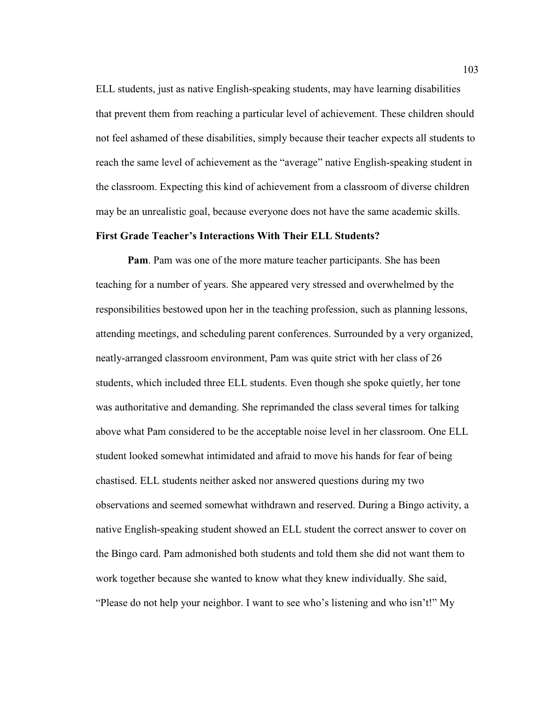ELL students, just as native English-speaking students, may have learning disabilities that prevent them from reaching a particular level of achievement. These children should not feel ashamed of these disabilities, simply because their teacher expects all students to reach the same level of achievement as the "average" native English-speaking student in the classroom. Expecting this kind of achievement from a classroom of diverse children may be an unrealistic goal, because everyone does not have the same academic skills.

## **First Grade Teacher's Interactions With Their ELL Students?**

**Pam**. Pam was one of the more mature teacher participants. She has been teaching for a number of years. She appeared very stressed and overwhelmed by the responsibilities bestowed upon her in the teaching profession, such as planning lessons, attending meetings, and scheduling parent conferences. Surrounded by a very organized, neatly-arranged classroom environment, Pam was quite strict with her class of 26 students, which included three ELL students. Even though she spoke quietly, her tone was authoritative and demanding. She reprimanded the class several times for talking above what Pam considered to be the acceptable noise level in her classroom. One ELL student looked somewhat intimidated and afraid to move his hands for fear of being chastised. ELL students neither asked nor answered questions during my two observations and seemed somewhat withdrawn and reserved. During a Bingo activity, a native English-speaking student showed an ELL student the correct answer to cover on the Bingo card. Pam admonished both students and told them she did not want them to work together because she wanted to know what they knew individually. She said, "Please do not help your neighbor. I want to see who's listening and who isn't!" My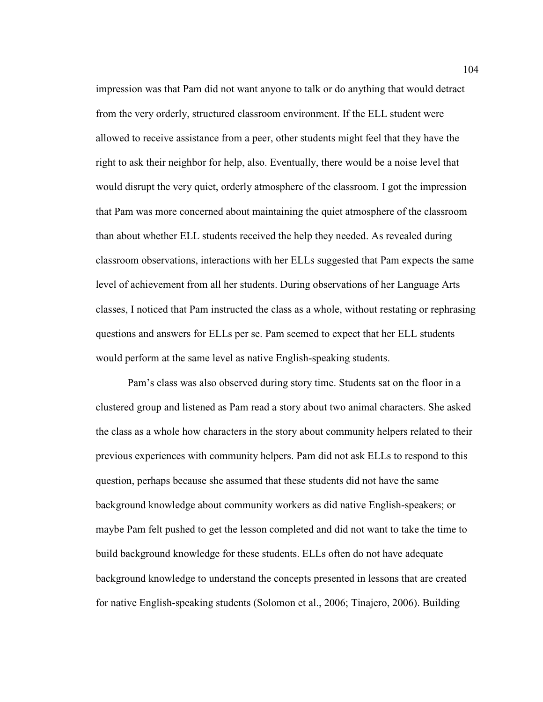impression was that Pam did not want anyone to talk or do anything that would detract from the very orderly, structured classroom environment. If the ELL student were allowed to receive assistance from a peer, other students might feel that they have the right to ask their neighbor for help, also. Eventually, there would be a noise level that would disrupt the very quiet, orderly atmosphere of the classroom. I got the impression that Pam was more concerned about maintaining the quiet atmosphere of the classroom than about whether ELL students received the help they needed. As revealed during classroom observations, interactions with her ELLs suggested that Pam expects the same level of achievement from all her students. During observations of her Language Arts classes, I noticed that Pam instructed the class as a whole, without restating or rephrasing questions and answers for ELLs per se. Pam seemed to expect that her ELL students would perform at the same level as native English-speaking students.

 Pam's class was also observed during story time. Students sat on the floor in a clustered group and listened as Pam read a story about two animal characters. She asked the class as a whole how characters in the story about community helpers related to their previous experiences with community helpers. Pam did not ask ELLs to respond to this question, perhaps because she assumed that these students did not have the same background knowledge about community workers as did native English-speakers; or maybe Pam felt pushed to get the lesson completed and did not want to take the time to build background knowledge for these students. ELLs often do not have adequate background knowledge to understand the concepts presented in lessons that are created for native English-speaking students (Solomon et al., 2006; Tinajero, 2006). Building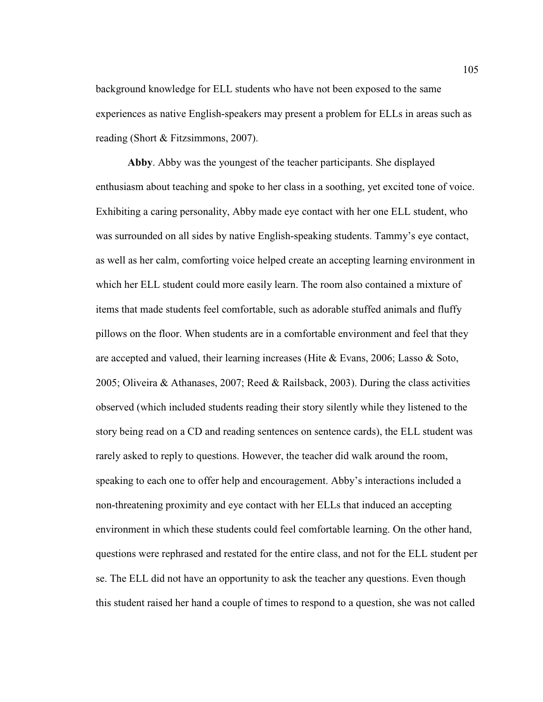background knowledge for ELL students who have not been exposed to the same experiences as native English-speakers may present a problem for ELLs in areas such as reading (Short & Fitzsimmons, 2007).

**Abby**. Abby was the youngest of the teacher participants. She displayed enthusiasm about teaching and spoke to her class in a soothing, yet excited tone of voice. Exhibiting a caring personality, Abby made eye contact with her one ELL student, who was surrounded on all sides by native English-speaking students. Tammy's eye contact, as well as her calm, comforting voice helped create an accepting learning environment in which her ELL student could more easily learn. The room also contained a mixture of items that made students feel comfortable, such as adorable stuffed animals and fluffy pillows on the floor. When students are in a comfortable environment and feel that they are accepted and valued, their learning increases (Hite & Evans, 2006; Lasso & Soto, 2005; Oliveira & Athanases, 2007; Reed & Railsback, 2003). During the class activities observed (which included students reading their story silently while they listened to the story being read on a CD and reading sentences on sentence cards), the ELL student was rarely asked to reply to questions. However, the teacher did walk around the room, speaking to each one to offer help and encouragement. Abby's interactions included a non-threatening proximity and eye contact with her ELLs that induced an accepting environment in which these students could feel comfortable learning. On the other hand, questions were rephrased and restated for the entire class, and not for the ELL student per se. The ELL did not have an opportunity to ask the teacher any questions. Even though this student raised her hand a couple of times to respond to a question, she was not called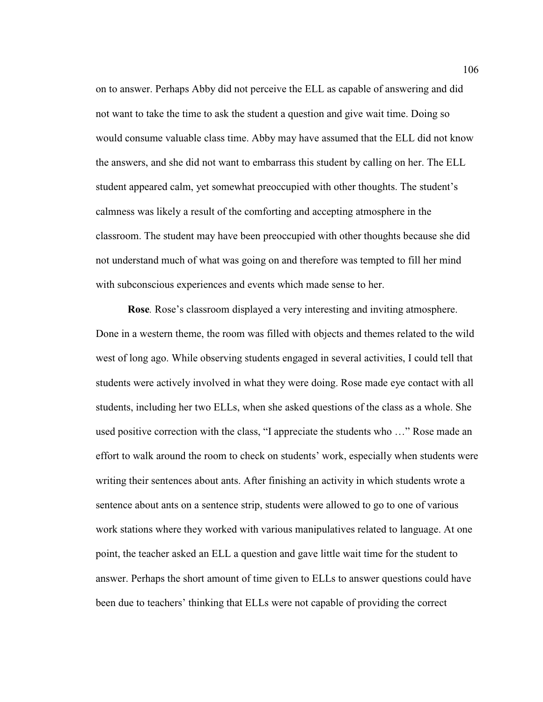on to answer. Perhaps Abby did not perceive the ELL as capable of answering and did not want to take the time to ask the student a question and give wait time. Doing so would consume valuable class time. Abby may have assumed that the ELL did not know the answers, and she did not want to embarrass this student by calling on her. The ELL student appeared calm, yet somewhat preoccupied with other thoughts. The student's calmness was likely a result of the comforting and accepting atmosphere in the classroom. The student may have been preoccupied with other thoughts because she did not understand much of what was going on and therefore was tempted to fill her mind with subconscious experiences and events which made sense to her.

**Rose***.* Rose's classroom displayed a very interesting and inviting atmosphere. Done in a western theme, the room was filled with objects and themes related to the wild west of long ago. While observing students engaged in several activities, I could tell that students were actively involved in what they were doing. Rose made eye contact with all students, including her two ELLs, when she asked questions of the class as a whole. She used positive correction with the class, "I appreciate the students who …" Rose made an effort to walk around the room to check on students' work, especially when students were writing their sentences about ants. After finishing an activity in which students wrote a sentence about ants on a sentence strip, students were allowed to go to one of various work stations where they worked with various manipulatives related to language. At one point, the teacher asked an ELL a question and gave little wait time for the student to answer. Perhaps the short amount of time given to ELLs to answer questions could have been due to teachers' thinking that ELLs were not capable of providing the correct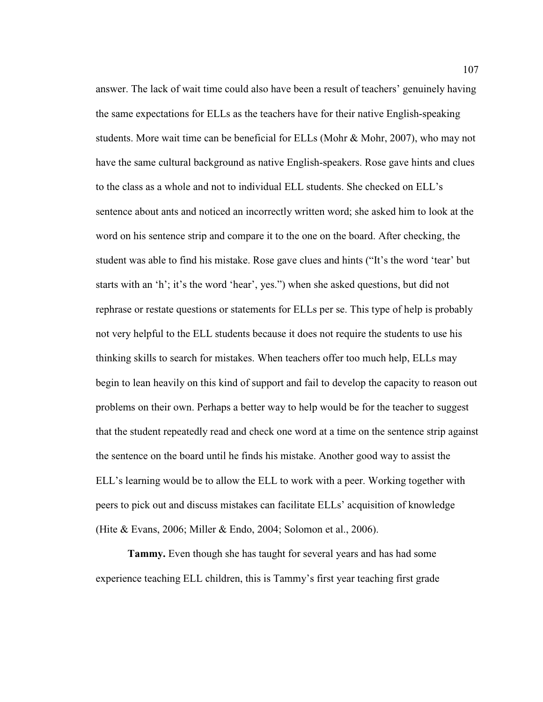answer. The lack of wait time could also have been a result of teachers' genuinely having the same expectations for ELLs as the teachers have for their native English-speaking students. More wait time can be beneficial for ELLs (Mohr & Mohr, 2007), who may not have the same cultural background as native English-speakers. Rose gave hints and clues to the class as a whole and not to individual ELL students. She checked on ELL's sentence about ants and noticed an incorrectly written word; she asked him to look at the word on his sentence strip and compare it to the one on the board. After checking, the student was able to find his mistake. Rose gave clues and hints ("It's the word 'tear' but starts with an 'h'; it's the word 'hear', yes.") when she asked questions, but did not rephrase or restate questions or statements for ELLs per se. This type of help is probably not very helpful to the ELL students because it does not require the students to use his thinking skills to search for mistakes. When teachers offer too much help, ELLs may begin to lean heavily on this kind of support and fail to develop the capacity to reason out problems on their own. Perhaps a better way to help would be for the teacher to suggest that the student repeatedly read and check one word at a time on the sentence strip against the sentence on the board until he finds his mistake. Another good way to assist the ELL's learning would be to allow the ELL to work with a peer. Working together with peers to pick out and discuss mistakes can facilitate ELLs' acquisition of knowledge (Hite & Evans, 2006; Miller & Endo, 2004; Solomon et al., 2006).

**Tammy.** Even though she has taught for several years and has had some experience teaching ELL children, this is Tammy's first year teaching first grade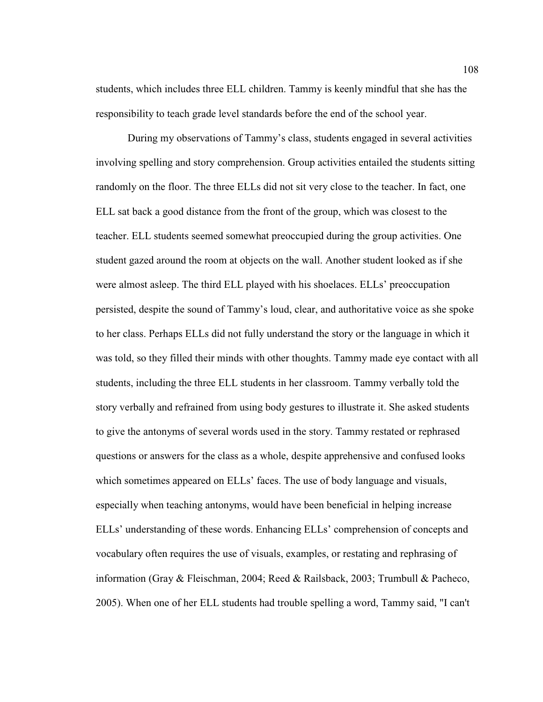students, which includes three ELL children. Tammy is keenly mindful that she has the responsibility to teach grade level standards before the end of the school year.

 During my observations of Tammy's class, students engaged in several activities involving spelling and story comprehension. Group activities entailed the students sitting randomly on the floor. The three ELLs did not sit very close to the teacher. In fact, one ELL sat back a good distance from the front of the group, which was closest to the teacher. ELL students seemed somewhat preoccupied during the group activities. One student gazed around the room at objects on the wall. Another student looked as if she were almost asleep. The third ELL played with his shoelaces. ELLs' preoccupation persisted, despite the sound of Tammy's loud, clear, and authoritative voice as she spoke to her class. Perhaps ELLs did not fully understand the story or the language in which it was told, so they filled their minds with other thoughts. Tammy made eye contact with all students, including the three ELL students in her classroom. Tammy verbally told the story verbally and refrained from using body gestures to illustrate it. She asked students to give the antonyms of several words used in the story. Tammy restated or rephrased questions or answers for the class as a whole, despite apprehensive and confused looks which sometimes appeared on ELLs' faces. The use of body language and visuals, especially when teaching antonyms, would have been beneficial in helping increase ELLs' understanding of these words. Enhancing ELLs' comprehension of concepts and vocabulary often requires the use of visuals, examples, or restating and rephrasing of information (Gray & Fleischman, 2004; Reed & Railsback, 2003; Trumbull & Pacheco, 2005). When one of her ELL students had trouble spelling a word, Tammy said, "I can't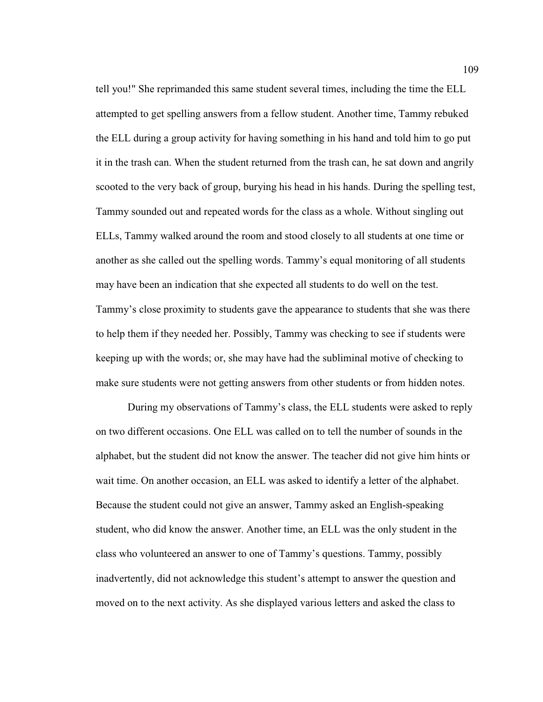tell you!" She reprimanded this same student several times, including the time the ELL attempted to get spelling answers from a fellow student. Another time, Tammy rebuked the ELL during a group activity for having something in his hand and told him to go put it in the trash can. When the student returned from the trash can, he sat down and angrily scooted to the very back of group, burying his head in his hands. During the spelling test, Tammy sounded out and repeated words for the class as a whole. Without singling out ELLs, Tammy walked around the room and stood closely to all students at one time or another as she called out the spelling words. Tammy's equal monitoring of all students may have been an indication that she expected all students to do well on the test. Tammy's close proximity to students gave the appearance to students that she was there to help them if they needed her. Possibly, Tammy was checking to see if students were keeping up with the words; or, she may have had the subliminal motive of checking to make sure students were not getting answers from other students or from hidden notes.

During my observations of Tammy's class, the ELL students were asked to reply on two different occasions. One ELL was called on to tell the number of sounds in the alphabet, but the student did not know the answer. The teacher did not give him hints or wait time. On another occasion, an ELL was asked to identify a letter of the alphabet. Because the student could not give an answer, Tammy asked an English-speaking student, who did know the answer. Another time, an ELL was the only student in the class who volunteered an answer to one of Tammy's questions. Tammy, possibly inadvertently, did not acknowledge this student's attempt to answer the question and moved on to the next activity. As she displayed various letters and asked the class to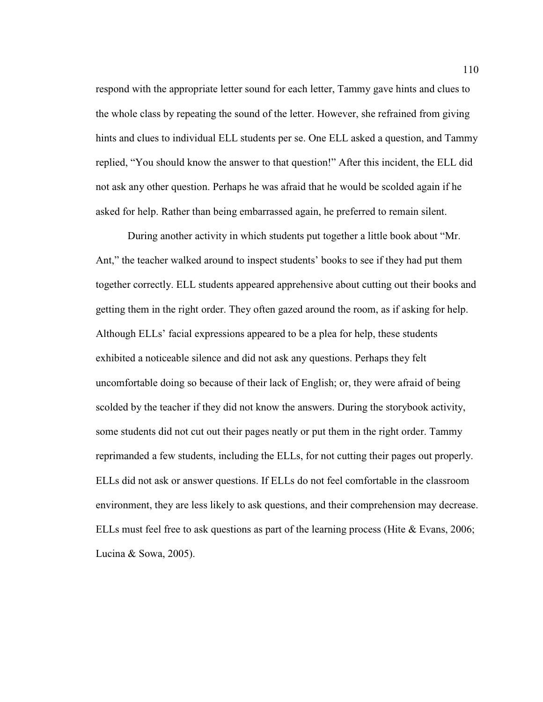respond with the appropriate letter sound for each letter, Tammy gave hints and clues to the whole class by repeating the sound of the letter. However, she refrained from giving hints and clues to individual ELL students per se. One ELL asked a question, and Tammy replied, "You should know the answer to that question!" After this incident, the ELL did not ask any other question. Perhaps he was afraid that he would be scolded again if he asked for help. Rather than being embarrassed again, he preferred to remain silent.

During another activity in which students put together a little book about "Mr. Ant," the teacher walked around to inspect students' books to see if they had put them together correctly. ELL students appeared apprehensive about cutting out their books and getting them in the right order. They often gazed around the room, as if asking for help. Although ELLs' facial expressions appeared to be a plea for help, these students exhibited a noticeable silence and did not ask any questions. Perhaps they felt uncomfortable doing so because of their lack of English; or, they were afraid of being scolded by the teacher if they did not know the answers. During the storybook activity, some students did not cut out their pages neatly or put them in the right order. Tammy reprimanded a few students, including the ELLs, for not cutting their pages out properly. ELLs did not ask or answer questions. If ELLs do not feel comfortable in the classroom environment, they are less likely to ask questions, and their comprehension may decrease. ELLs must feel free to ask questions as part of the learning process (Hite & Evans, 2006; Lucina & Sowa, 2005).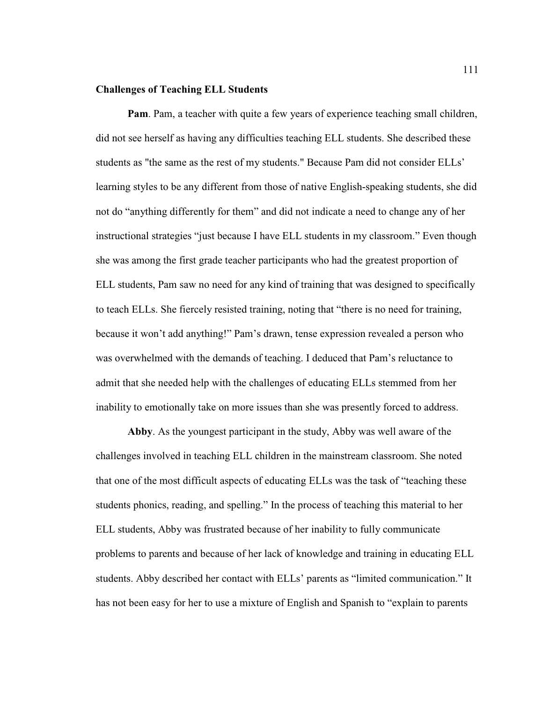# **Challenges of Teaching ELL Students**

**Pam**. Pam, a teacher with quite a few years of experience teaching small children, did not see herself as having any difficulties teaching ELL students. She described these students as "the same as the rest of my students." Because Pam did not consider ELLs' learning styles to be any different from those of native English-speaking students, she did not do "anything differently for them" and did not indicate a need to change any of her instructional strategies "just because I have ELL students in my classroom." Even though she was among the first grade teacher participants who had the greatest proportion of ELL students, Pam saw no need for any kind of training that was designed to specifically to teach ELLs. She fiercely resisted training, noting that "there is no need for training, because it won't add anything!" Pam's drawn, tense expression revealed a person who was overwhelmed with the demands of teaching. I deduced that Pam's reluctance to admit that she needed help with the challenges of educating ELLs stemmed from her inability to emotionally take on more issues than she was presently forced to address.

**Abby**. As the youngest participant in the study, Abby was well aware of the challenges involved in teaching ELL children in the mainstream classroom. She noted that one of the most difficult aspects of educating ELLs was the task of "teaching these students phonics, reading, and spelling." In the process of teaching this material to her ELL students, Abby was frustrated because of her inability to fully communicate problems to parents and because of her lack of knowledge and training in educating ELL students. Abby described her contact with ELLs' parents as "limited communication." It has not been easy for her to use a mixture of English and Spanish to "explain to parents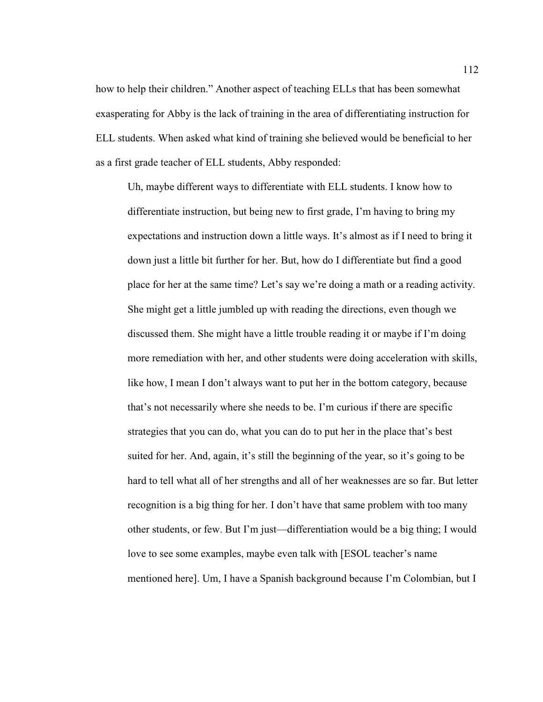how to help their children." Another aspect of teaching ELLs that has been somewhat exasperating for Abby is the lack of training in the area of differentiating instruction for ELL students. When asked what kind of training she believed would be beneficial to her as a first grade teacher of ELL students, Abby responded:

 Uh, maybe different ways to differentiate with ELL students. I know how to differentiate instruction, but being new to first grade, I'm having to bring my expectations and instruction down a little ways. It's almost as if I need to bring it down just a little bit further for her. But, how do I differentiate but find a good place for her at the same time? Let's say we're doing a math or a reading activity. She might get a little jumbled up with reading the directions, even though we discussed them. She might have a little trouble reading it or maybe if I'm doing more remediation with her, and other students were doing acceleration with skills, like how, I mean I don't always want to put her in the bottom category, because that's not necessarily where she needs to be. I'm curious if there are specific strategies that you can do, what you can do to put her in the place that's best suited for her. And, again, it's still the beginning of the year, so it's going to be hard to tell what all of her strengths and all of her weaknesses are so far. But letter recognition is a big thing for her. I don't have that same problem with too many other students, or few. But I'm just—differentiation would be a big thing; I would love to see some examples, maybe even talk with [ESOL teacher's name mentioned here]. Um, I have a Spanish background because I'm Colombian, but I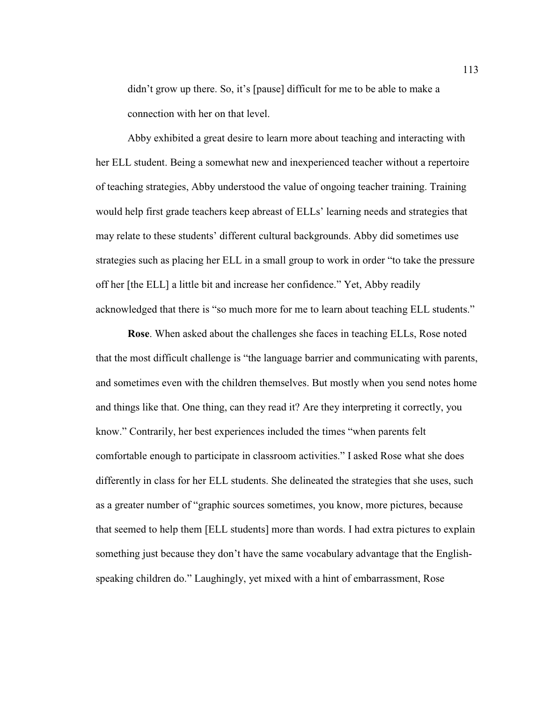didn't grow up there. So, it's [pause] difficult for me to be able to make a connection with her on that level.

 Abby exhibited a great desire to learn more about teaching and interacting with her ELL student. Being a somewhat new and inexperienced teacher without a repertoire of teaching strategies, Abby understood the value of ongoing teacher training. Training would help first grade teachers keep abreast of ELLs' learning needs and strategies that may relate to these students' different cultural backgrounds. Abby did sometimes use strategies such as placing her ELL in a small group to work in order "to take the pressure off her [the ELL] a little bit and increase her confidence." Yet, Abby readily acknowledged that there is "so much more for me to learn about teaching ELL students."

**Rose**. When asked about the challenges she faces in teaching ELLs, Rose noted that the most difficult challenge is "the language barrier and communicating with parents, and sometimes even with the children themselves. But mostly when you send notes home and things like that. One thing, can they read it? Are they interpreting it correctly, you know." Contrarily, her best experiences included the times "when parents felt comfortable enough to participate in classroom activities." I asked Rose what she does differently in class for her ELL students. She delineated the strategies that she uses, such as a greater number of "graphic sources sometimes, you know, more pictures, because that seemed to help them [ELL students] more than words. I had extra pictures to explain something just because they don't have the same vocabulary advantage that the Englishspeaking children do." Laughingly, yet mixed with a hint of embarrassment, Rose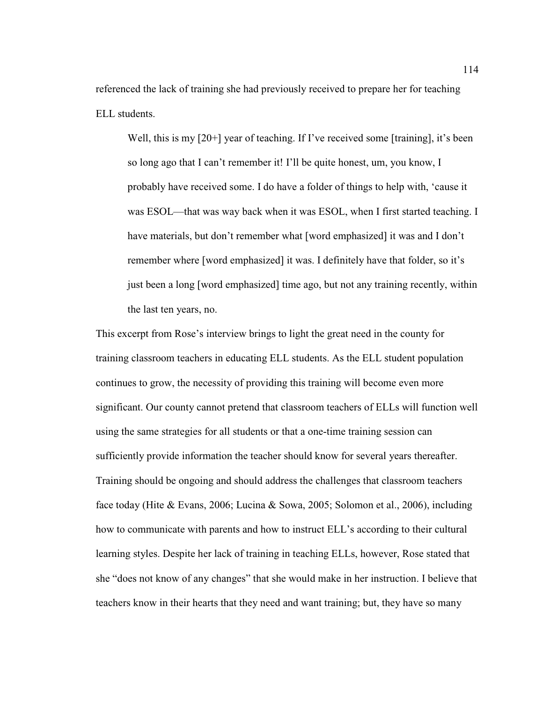referenced the lack of training she had previously received to prepare her for teaching ELL students.

Well, this is my [20+] year of teaching. If I've received some [training], it's been so long ago that I can't remember it! I'll be quite honest, um, you know, I probably have received some. I do have a folder of things to help with, 'cause it was ESOL—that was way back when it was ESOL, when I first started teaching. I have materials, but don't remember what [word emphasized] it was and I don't remember where [word emphasized] it was. I definitely have that folder, so it's just been a long [word emphasized] time ago, but not any training recently, within the last ten years, no.

This excerpt from Rose's interview brings to light the great need in the county for training classroom teachers in educating ELL students. As the ELL student population continues to grow, the necessity of providing this training will become even more significant. Our county cannot pretend that classroom teachers of ELLs will function well using the same strategies for all students or that a one-time training session can sufficiently provide information the teacher should know for several years thereafter. Training should be ongoing and should address the challenges that classroom teachers face today (Hite & Evans, 2006; Lucina & Sowa, 2005; Solomon et al., 2006), including how to communicate with parents and how to instruct ELL's according to their cultural learning styles. Despite her lack of training in teaching ELLs, however, Rose stated that she "does not know of any changes" that she would make in her instruction. I believe that teachers know in their hearts that they need and want training; but, they have so many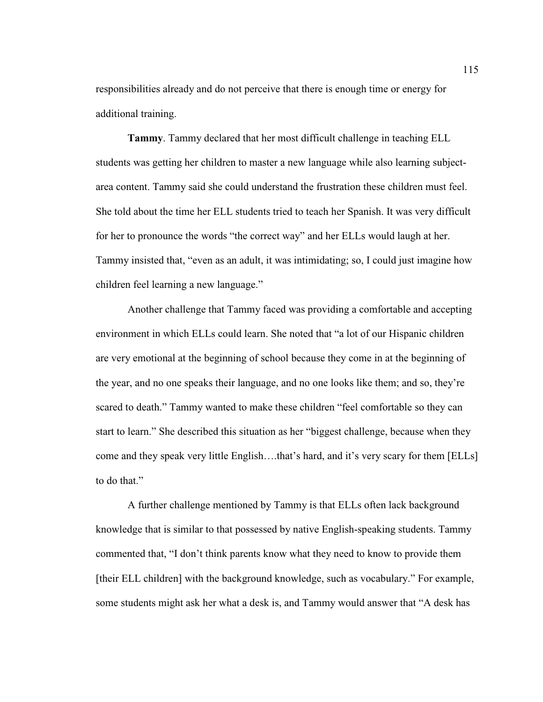responsibilities already and do not perceive that there is enough time or energy for additional training.

**Tammy**. Tammy declared that her most difficult challenge in teaching ELL students was getting her children to master a new language while also learning subjectarea content. Tammy said she could understand the frustration these children must feel. She told about the time her ELL students tried to teach her Spanish. It was very difficult for her to pronounce the words "the correct way" and her ELLs would laugh at her. Tammy insisted that, "even as an adult, it was intimidating; so, I could just imagine how children feel learning a new language."

 Another challenge that Tammy faced was providing a comfortable and accepting environment in which ELLs could learn. She noted that "a lot of our Hispanic children are very emotional at the beginning of school because they come in at the beginning of the year, and no one speaks their language, and no one looks like them; and so, they're scared to death." Tammy wanted to make these children "feel comfortable so they can start to learn." She described this situation as her "biggest challenge, because when they come and they speak very little English….that's hard, and it's very scary for them [ELLs] to do that."

 A further challenge mentioned by Tammy is that ELLs often lack background knowledge that is similar to that possessed by native English-speaking students. Tammy commented that, "I don't think parents know what they need to know to provide them [their ELL children] with the background knowledge, such as vocabulary." For example, some students might ask her what a desk is, and Tammy would answer that "A desk has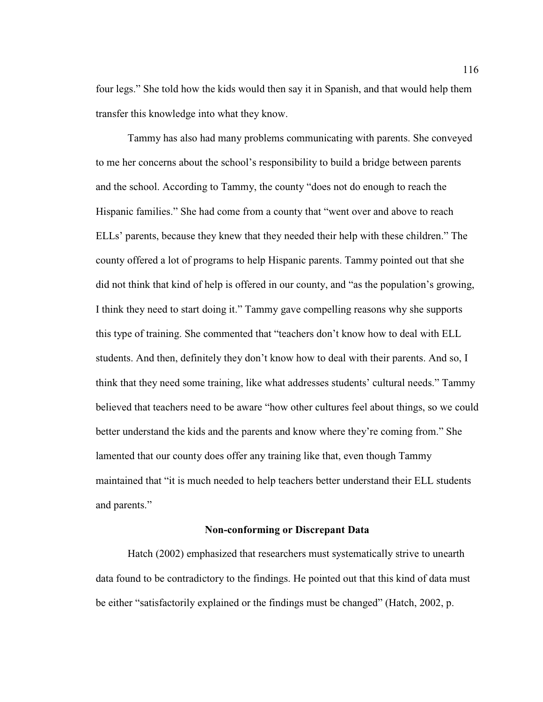four legs." She told how the kids would then say it in Spanish, and that would help them transfer this knowledge into what they know.

 Tammy has also had many problems communicating with parents. She conveyed to me her concerns about the school's responsibility to build a bridge between parents and the school. According to Tammy, the county "does not do enough to reach the Hispanic families." She had come from a county that "went over and above to reach ELLs' parents, because they knew that they needed their help with these children." The county offered a lot of programs to help Hispanic parents. Tammy pointed out that she did not think that kind of help is offered in our county, and "as the population's growing, I think they need to start doing it." Tammy gave compelling reasons why she supports this type of training. She commented that "teachers don't know how to deal with ELL students. And then, definitely they don't know how to deal with their parents. And so, I think that they need some training, like what addresses students' cultural needs." Tammy believed that teachers need to be aware "how other cultures feel about things, so we could better understand the kids and the parents and know where they're coming from." She lamented that our county does offer any training like that, even though Tammy maintained that "it is much needed to help teachers better understand their ELL students and parents."

#### **Non-conforming or Discrepant Data**

 Hatch (2002) emphasized that researchers must systematically strive to unearth data found to be contradictory to the findings. He pointed out that this kind of data must be either "satisfactorily explained or the findings must be changed" (Hatch, 2002, p.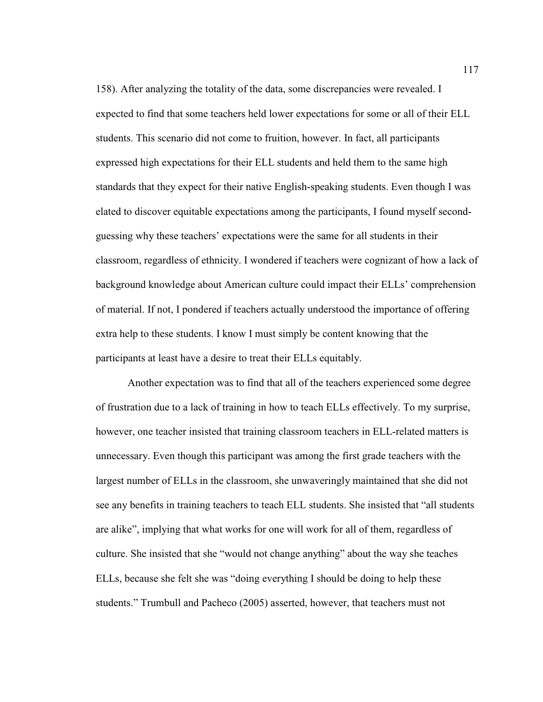158). After analyzing the totality of the data, some discrepancies were revealed. I expected to find that some teachers held lower expectations for some or all of their ELL students. This scenario did not come to fruition, however. In fact, all participants expressed high expectations for their ELL students and held them to the same high standards that they expect for their native English-speaking students. Even though I was elated to discover equitable expectations among the participants, I found myself secondguessing why these teachers' expectations were the same for all students in their classroom, regardless of ethnicity. I wondered if teachers were cognizant of how a lack of background knowledge about American culture could impact their ELLs' comprehension of material. If not, I pondered if teachers actually understood the importance of offering extra help to these students. I know I must simply be content knowing that the participants at least have a desire to treat their ELLs equitably.

 Another expectation was to find that all of the teachers experienced some degree of frustration due to a lack of training in how to teach ELLs effectively. To my surprise, however, one teacher insisted that training classroom teachers in ELL-related matters is unnecessary. Even though this participant was among the first grade teachers with the largest number of ELLs in the classroom, she unwaveringly maintained that she did not see any benefits in training teachers to teach ELL students. She insisted that "all students are alike", implying that what works for one will work for all of them, regardless of culture. She insisted that she "would not change anything" about the way she teaches ELLs, because she felt she was "doing everything I should be doing to help these students." Trumbull and Pacheco (2005) asserted, however, that teachers must not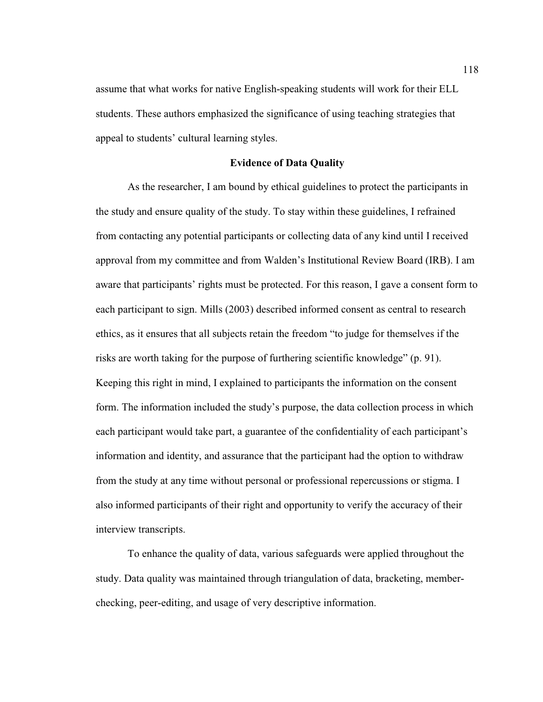assume that what works for native English-speaking students will work for their ELL students. These authors emphasized the significance of using teaching strategies that appeal to students' cultural learning styles.

# **Evidence of Data Quality**

As the researcher, I am bound by ethical guidelines to protect the participants in the study and ensure quality of the study. To stay within these guidelines, I refrained from contacting any potential participants or collecting data of any kind until I received approval from my committee and from Walden's Institutional Review Board (IRB). I am aware that participants' rights must be protected. For this reason, I gave a consent form to each participant to sign. Mills (2003) described informed consent as central to research ethics, as it ensures that all subjects retain the freedom "to judge for themselves if the risks are worth taking for the purpose of furthering scientific knowledge" (p. 91). Keeping this right in mind, I explained to participants the information on the consent form. The information included the study's purpose, the data collection process in which each participant would take part, a guarantee of the confidentiality of each participant's information and identity, and assurance that the participant had the option to withdraw from the study at any time without personal or professional repercussions or stigma. I also informed participants of their right and opportunity to verify the accuracy of their interview transcripts.

 To enhance the quality of data, various safeguards were applied throughout the study. Data quality was maintained through triangulation of data, bracketing, memberchecking, peer-editing, and usage of very descriptive information.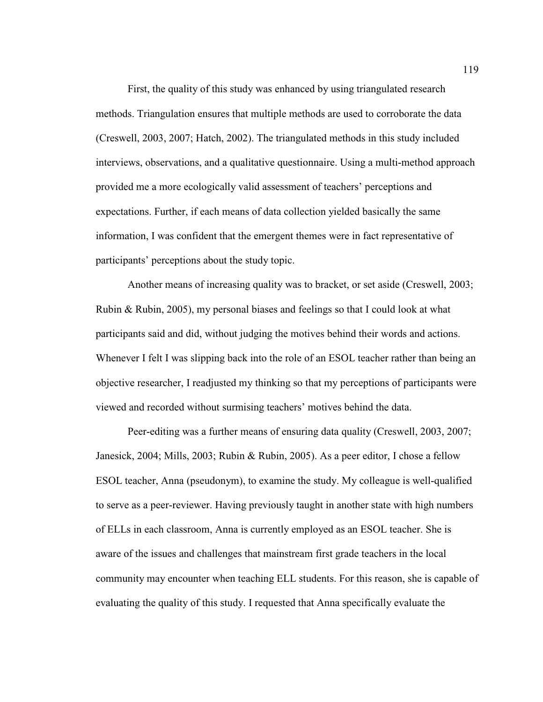First, the quality of this study was enhanced by using triangulated research methods. Triangulation ensures that multiple methods are used to corroborate the data (Creswell, 2003, 2007; Hatch, 2002). The triangulated methods in this study included interviews, observations, and a qualitative questionnaire. Using a multi-method approach provided me a more ecologically valid assessment of teachers' perceptions and expectations. Further, if each means of data collection yielded basically the same information, I was confident that the emergent themes were in fact representative of participants' perceptions about the study topic.

 Another means of increasing quality was to bracket, or set aside (Creswell, 2003; Rubin & Rubin, 2005), my personal biases and feelings so that I could look at what participants said and did, without judging the motives behind their words and actions. Whenever I felt I was slipping back into the role of an ESOL teacher rather than being an objective researcher, I readjusted my thinking so that my perceptions of participants were viewed and recorded without surmising teachers' motives behind the data.

 Peer-editing was a further means of ensuring data quality (Creswell, 2003, 2007; Janesick, 2004; Mills, 2003; Rubin & Rubin, 2005). As a peer editor, I chose a fellow ESOL teacher, Anna (pseudonym), to examine the study. My colleague is well-qualified to serve as a peer-reviewer. Having previously taught in another state with high numbers of ELLs in each classroom, Anna is currently employed as an ESOL teacher. She is aware of the issues and challenges that mainstream first grade teachers in the local community may encounter when teaching ELL students. For this reason, she is capable of evaluating the quality of this study. I requested that Anna specifically evaluate the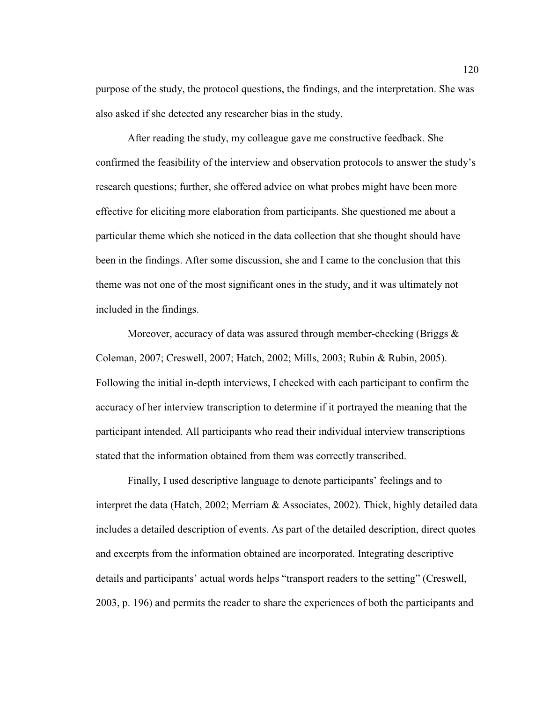purpose of the study, the protocol questions, the findings, and the interpretation. She was also asked if she detected any researcher bias in the study.

 After reading the study, my colleague gave me constructive feedback. She confirmed the feasibility of the interview and observation protocols to answer the study's research questions; further, she offered advice on what probes might have been more effective for eliciting more elaboration from participants. She questioned me about a particular theme which she noticed in the data collection that she thought should have been in the findings. After some discussion, she and I came to the conclusion that this theme was not one of the most significant ones in the study, and it was ultimately not included in the findings.

 Moreover, accuracy of data was assured through member-checking (Briggs & Coleman, 2007; Creswell, 2007; Hatch, 2002; Mills, 2003; Rubin & Rubin, 2005). Following the initial in-depth interviews, I checked with each participant to confirm the accuracy of her interview transcription to determine if it portrayed the meaning that the participant intended. All participants who read their individual interview transcriptions stated that the information obtained from them was correctly transcribed.

 Finally, I used descriptive language to denote participants' feelings and to interpret the data (Hatch, 2002; Merriam & Associates, 2002). Thick, highly detailed data includes a detailed description of events. As part of the detailed description, direct quotes and excerpts from the information obtained are incorporated. Integrating descriptive details and participants' actual words helps "transport readers to the setting" (Creswell, 2003, p. 196) and permits the reader to share the experiences of both the participants and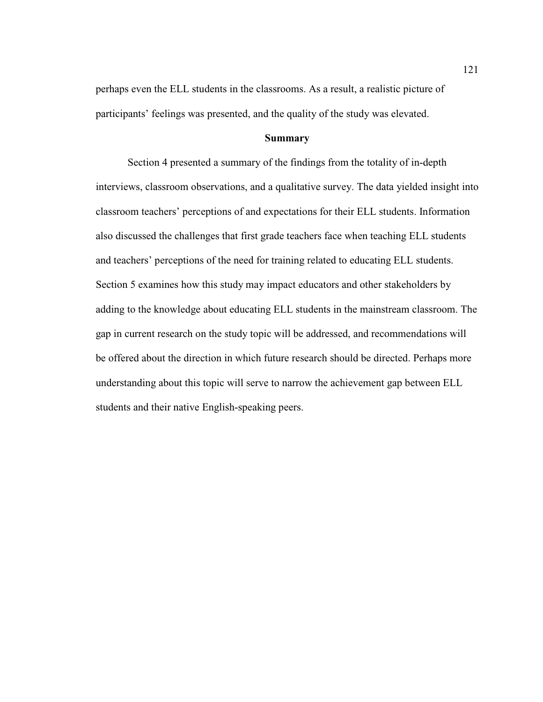perhaps even the ELL students in the classrooms. As a result, a realistic picture of participants' feelings was presented, and the quality of the study was elevated.

# **Summary**

Section 4 presented a summary of the findings from the totality of in-depth interviews, classroom observations, and a qualitative survey. The data yielded insight into classroom teachers' perceptions of and expectations for their ELL students. Information also discussed the challenges that first grade teachers face when teaching ELL students and teachers' perceptions of the need for training related to educating ELL students. Section 5 examines how this study may impact educators and other stakeholders by adding to the knowledge about educating ELL students in the mainstream classroom. The gap in current research on the study topic will be addressed, and recommendations will be offered about the direction in which future research should be directed. Perhaps more understanding about this topic will serve to narrow the achievement gap between ELL students and their native English-speaking peers.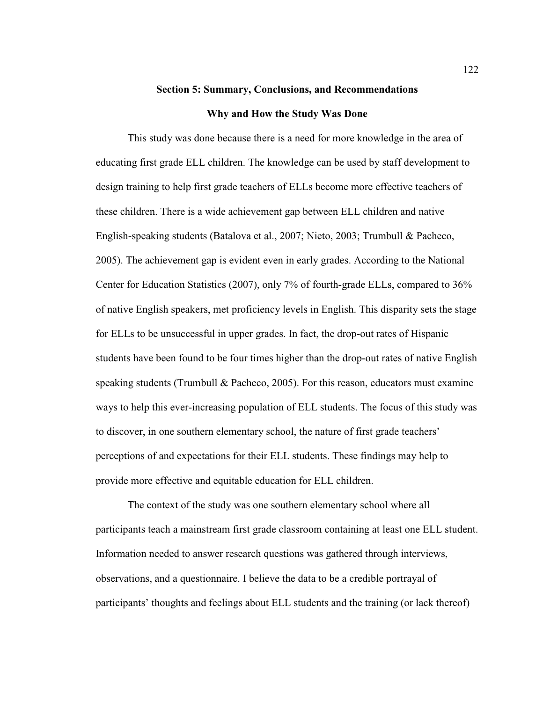# **Section 5: Summary, Conclusions, and Recommendations Why and How the Study Was Done**

This study was done because there is a need for more knowledge in the area of educating first grade ELL children. The knowledge can be used by staff development to design training to help first grade teachers of ELLs become more effective teachers of these children. There is a wide achievement gap between ELL children and native English-speaking students (Batalova et al., 2007; Nieto, 2003; Trumbull & Pacheco, 2005). The achievement gap is evident even in early grades. According to the National Center for Education Statistics (2007), only 7% of fourth-grade ELLs, compared to 36% of native English speakers, met proficiency levels in English. This disparity sets the stage for ELLs to be unsuccessful in upper grades. In fact, the drop-out rates of Hispanic students have been found to be four times higher than the drop-out rates of native English speaking students (Trumbull & Pacheco, 2005). For this reason, educators must examine ways to help this ever-increasing population of ELL students. The focus of this study was to discover, in one southern elementary school, the nature of first grade teachers' perceptions of and expectations for their ELL students. These findings may help to provide more effective and equitable education for ELL children.

The context of the study was one southern elementary school where all participants teach a mainstream first grade classroom containing at least one ELL student. Information needed to answer research questions was gathered through interviews, observations, and a questionnaire. I believe the data to be a credible portrayal of participants' thoughts and feelings about ELL students and the training (or lack thereof)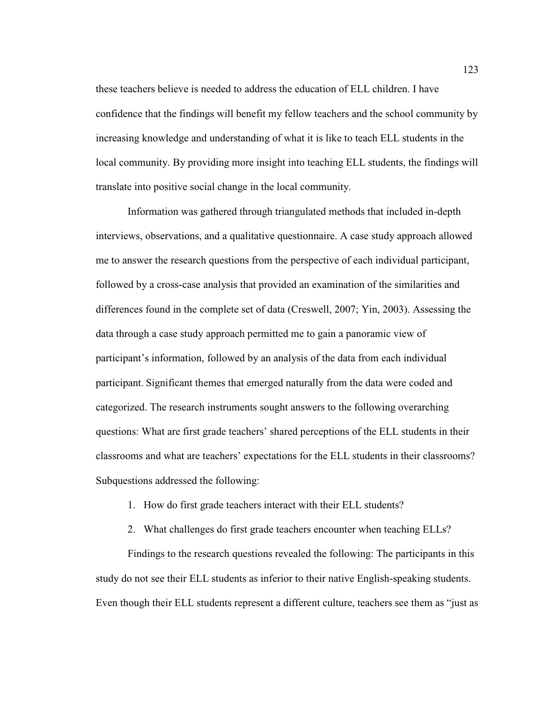these teachers believe is needed to address the education of ELL children. I have confidence that the findings will benefit my fellow teachers and the school community by increasing knowledge and understanding of what it is like to teach ELL students in the local community. By providing more insight into teaching ELL students, the findings will translate into positive social change in the local community.

Information was gathered through triangulated methods that included in-depth interviews, observations, and a qualitative questionnaire. A case study approach allowed me to answer the research questions from the perspective of each individual participant, followed by a cross-case analysis that provided an examination of the similarities and differences found in the complete set of data (Creswell, 2007; Yin, 2003). Assessing the data through a case study approach permitted me to gain a panoramic view of participant's information, followed by an analysis of the data from each individual participant. Significant themes that emerged naturally from the data were coded and categorized. The research instruments sought answers to the following overarching questions: What are first grade teachers' shared perceptions of the ELL students in their classrooms and what are teachers' expectations for the ELL students in their classrooms? Subquestions addressed the following:

- 1. How do first grade teachers interact with their ELL students?
- 2. What challenges do first grade teachers encounter when teaching ELLs?

Findings to the research questions revealed the following: The participants in this study do not see their ELL students as inferior to their native English-speaking students. Even though their ELL students represent a different culture, teachers see them as "just as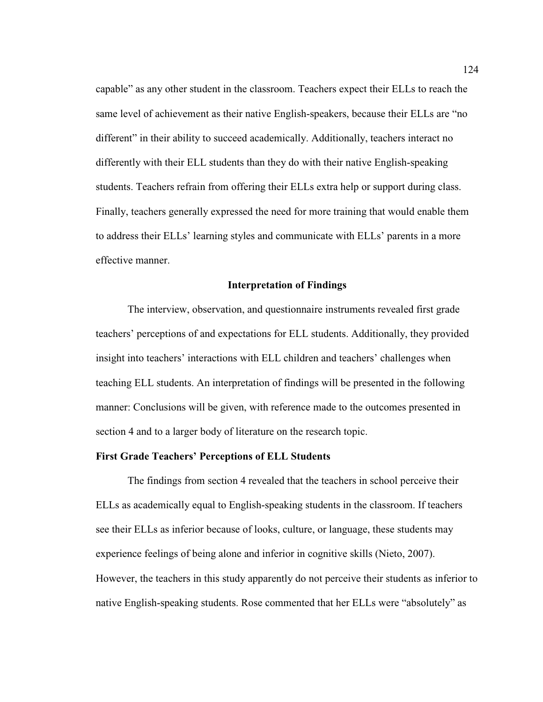capable" as any other student in the classroom. Teachers expect their ELLs to reach the same level of achievement as their native English-speakers, because their ELLs are "no different" in their ability to succeed academically. Additionally, teachers interact no differently with their ELL students than they do with their native English-speaking students. Teachers refrain from offering their ELLs extra help or support during class. Finally, teachers generally expressed the need for more training that would enable them to address their ELLs' learning styles and communicate with ELLs' parents in a more effective manner.

### **Interpretation of Findings**

The interview, observation, and questionnaire instruments revealed first grade teachers' perceptions of and expectations for ELL students. Additionally, they provided insight into teachers' interactions with ELL children and teachers' challenges when teaching ELL students. An interpretation of findings will be presented in the following manner: Conclusions will be given, with reference made to the outcomes presented in section 4 and to a larger body of literature on the research topic.

### **First Grade Teachers' Perceptions of ELL Students**

 The findings from section 4 revealed that the teachers in school perceive their ELLs as academically equal to English-speaking students in the classroom. If teachers see their ELLs as inferior because of looks, culture, or language, these students may experience feelings of being alone and inferior in cognitive skills (Nieto, 2007). However, the teachers in this study apparently do not perceive their students as inferior to native English-speaking students. Rose commented that her ELLs were "absolutely" as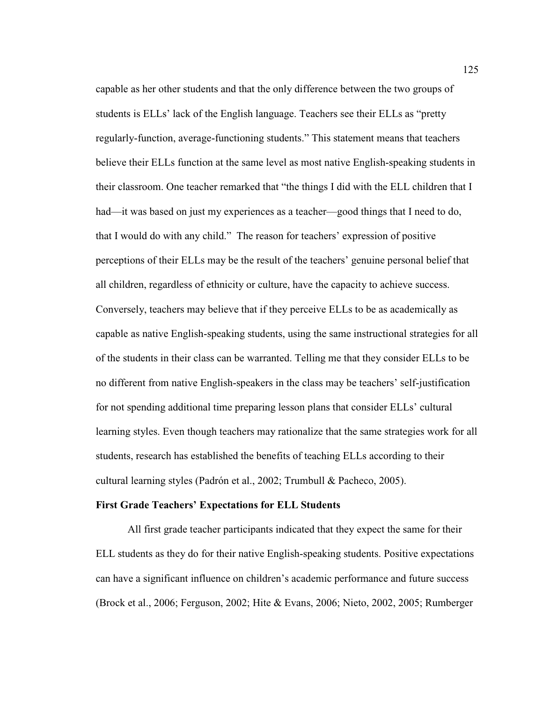capable as her other students and that the only difference between the two groups of students is ELLs' lack of the English language. Teachers see their ELLs as "pretty regularly-function, average-functioning students." This statement means that teachers believe their ELLs function at the same level as most native English-speaking students in their classroom. One teacher remarked that "the things I did with the ELL children that I had—it was based on just my experiences as a teacher—good things that I need to do, that I would do with any child." The reason for teachers' expression of positive perceptions of their ELLs may be the result of the teachers' genuine personal belief that all children, regardless of ethnicity or culture, have the capacity to achieve success. Conversely, teachers may believe that if they perceive ELLs to be as academically as capable as native English-speaking students, using the same instructional strategies for all of the students in their class can be warranted. Telling me that they consider ELLs to be no different from native English-speakers in the class may be teachers' self-justification for not spending additional time preparing lesson plans that consider ELLs' cultural learning styles. Even though teachers may rationalize that the same strategies work for all students, research has established the benefits of teaching ELLs according to their cultural learning styles (Padrón et al., 2002; Trumbull & Pacheco, 2005).

### **First Grade Teachers' Expectations for ELL Students**

 All first grade teacher participants indicated that they expect the same for their ELL students as they do for their native English-speaking students. Positive expectations can have a significant influence on children's academic performance and future success (Brock et al., 2006; Ferguson, 2002; Hite & Evans, 2006; Nieto, 2002, 2005; Rumberger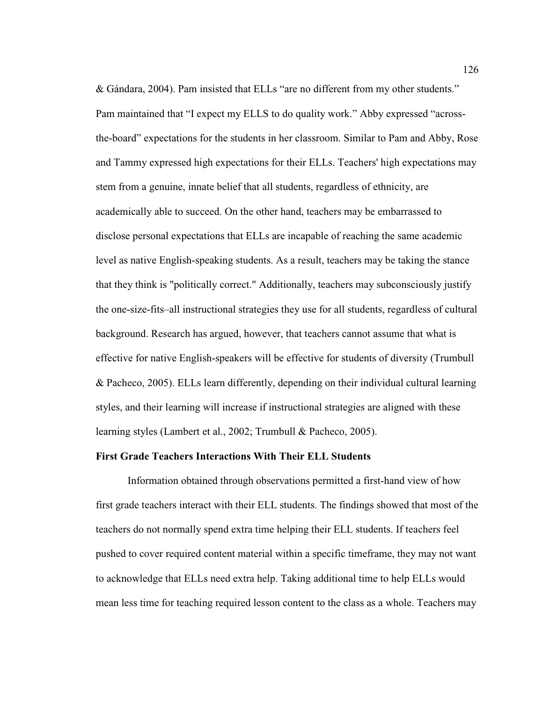& Gándara, 2004). Pam insisted that ELLs "are no different from my other students." Pam maintained that "I expect my ELLS to do quality work." Abby expressed "acrossthe-board" expectations for the students in her classroom. Similar to Pam and Abby, Rose and Tammy expressed high expectations for their ELLs. Teachers' high expectations may stem from a genuine, innate belief that all students, regardless of ethnicity, are academically able to succeed. On the other hand, teachers may be embarrassed to disclose personal expectations that ELLs are incapable of reaching the same academic level as native English-speaking students. As a result, teachers may be taking the stance that they think is "politically correct." Additionally, teachers may subconsciously justify the one-size-fits–all instructional strategies they use for all students, regardless of cultural background. Research has argued, however, that teachers cannot assume that what is effective for native English-speakers will be effective for students of diversity (Trumbull & Pacheco, 2005). ELLs learn differently, depending on their individual cultural learning styles, and their learning will increase if instructional strategies are aligned with these learning styles (Lambert et al., 2002; Trumbull & Pacheco, 2005).

### **First Grade Teachers Interactions With Their ELL Students**

 Information obtained through observations permitted a first-hand view of how first grade teachers interact with their ELL students. The findings showed that most of the teachers do not normally spend extra time helping their ELL students. If teachers feel pushed to cover required content material within a specific timeframe, they may not want to acknowledge that ELLs need extra help. Taking additional time to help ELLs would mean less time for teaching required lesson content to the class as a whole. Teachers may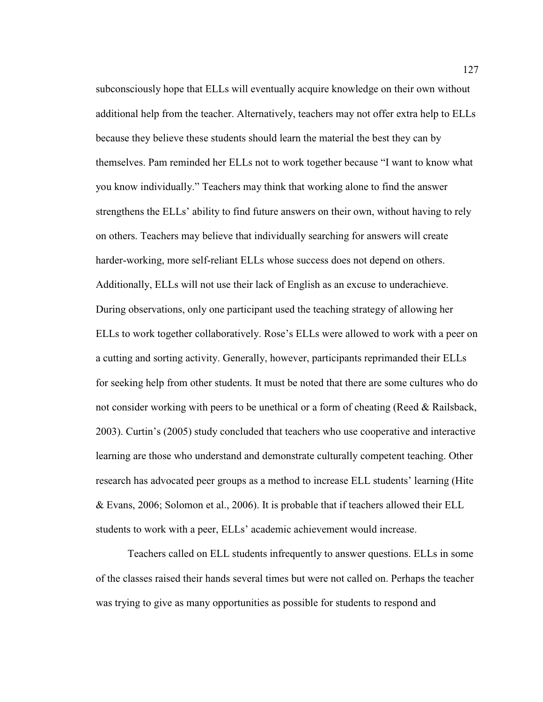subconsciously hope that ELLs will eventually acquire knowledge on their own without additional help from the teacher. Alternatively, teachers may not offer extra help to ELLs because they believe these students should learn the material the best they can by themselves. Pam reminded her ELLs not to work together because "I want to know what you know individually." Teachers may think that working alone to find the answer strengthens the ELLs' ability to find future answers on their own, without having to rely on others. Teachers may believe that individually searching for answers will create harder-working, more self-reliant ELLs whose success does not depend on others. Additionally, ELLs will not use their lack of English as an excuse to underachieve. During observations, only one participant used the teaching strategy of allowing her ELLs to work together collaboratively. Rose's ELLs were allowed to work with a peer on a cutting and sorting activity. Generally, however, participants reprimanded their ELLs for seeking help from other students. It must be noted that there are some cultures who do not consider working with peers to be unethical or a form of cheating (Reed & Railsback, 2003). Curtin's (2005) study concluded that teachers who use cooperative and interactive learning are those who understand and demonstrate culturally competent teaching. Other research has advocated peer groups as a method to increase ELL students' learning (Hite & Evans, 2006; Solomon et al., 2006). It is probable that if teachers allowed their ELL students to work with a peer, ELLs' academic achievement would increase.

 Teachers called on ELL students infrequently to answer questions. ELLs in some of the classes raised their hands several times but were not called on. Perhaps the teacher was trying to give as many opportunities as possible for students to respond and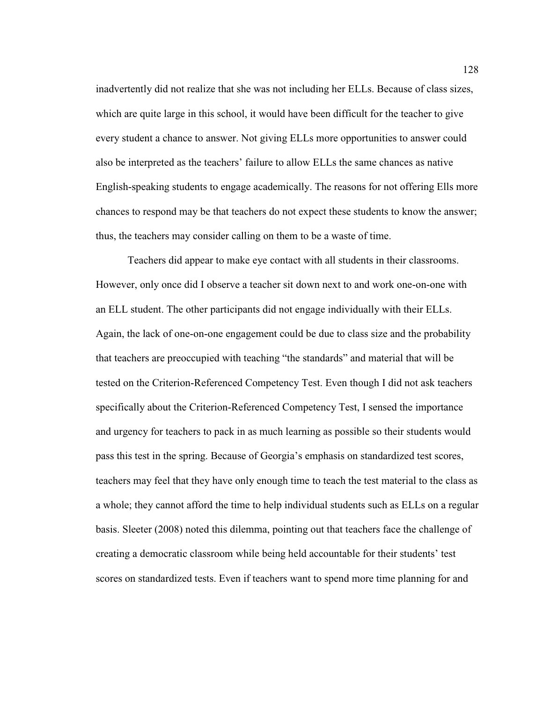inadvertently did not realize that she was not including her ELLs. Because of class sizes, which are quite large in this school, it would have been difficult for the teacher to give every student a chance to answer. Not giving ELLs more opportunities to answer could also be interpreted as the teachers' failure to allow ELLs the same chances as native English-speaking students to engage academically. The reasons for not offering Ells more chances to respond may be that teachers do not expect these students to know the answer; thus, the teachers may consider calling on them to be a waste of time.

 Teachers did appear to make eye contact with all students in their classrooms. However, only once did I observe a teacher sit down next to and work one-on-one with an ELL student. The other participants did not engage individually with their ELLs. Again, the lack of one-on-one engagement could be due to class size and the probability that teachers are preoccupied with teaching "the standards" and material that will be tested on the Criterion-Referenced Competency Test. Even though I did not ask teachers specifically about the Criterion-Referenced Competency Test, I sensed the importance and urgency for teachers to pack in as much learning as possible so their students would pass this test in the spring. Because of Georgia's emphasis on standardized test scores, teachers may feel that they have only enough time to teach the test material to the class as a whole; they cannot afford the time to help individual students such as ELLs on a regular basis. Sleeter (2008) noted this dilemma, pointing out that teachers face the challenge of creating a democratic classroom while being held accountable for their students' test scores on standardized tests. Even if teachers want to spend more time planning for and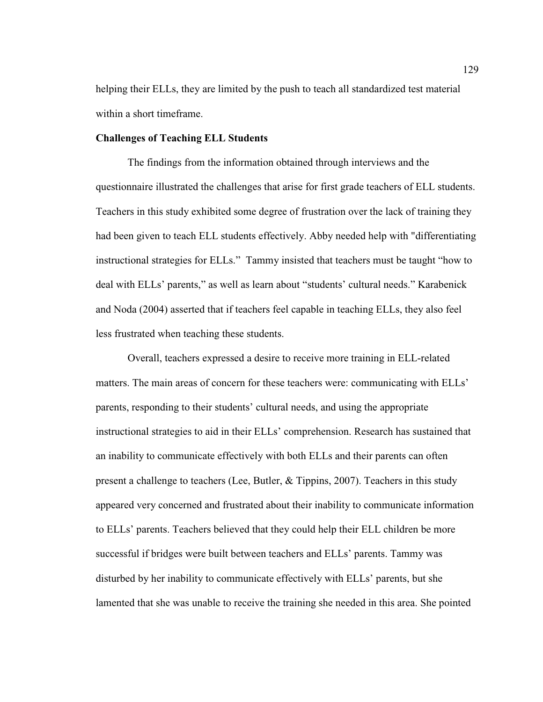helping their ELLs, they are limited by the push to teach all standardized test material within a short timeframe.

# **Challenges of Teaching ELL Students**

 The findings from the information obtained through interviews and the questionnaire illustrated the challenges that arise for first grade teachers of ELL students. Teachers in this study exhibited some degree of frustration over the lack of training they had been given to teach ELL students effectively. Abby needed help with "differentiating instructional strategies for ELLs." Tammy insisted that teachers must be taught "how to deal with ELLs' parents," as well as learn about "students' cultural needs." Karabenick and Noda (2004) asserted that if teachers feel capable in teaching ELLs, they also feel less frustrated when teaching these students.

 Overall, teachers expressed a desire to receive more training in ELL-related matters. The main areas of concern for these teachers were: communicating with ELLs' parents, responding to their students' cultural needs, and using the appropriate instructional strategies to aid in their ELLs' comprehension. Research has sustained that an inability to communicate effectively with both ELLs and their parents can often present a challenge to teachers (Lee, Butler, & Tippins, 2007). Teachers in this study appeared very concerned and frustrated about their inability to communicate information to ELLs' parents. Teachers believed that they could help their ELL children be more successful if bridges were built between teachers and ELLs' parents. Tammy was disturbed by her inability to communicate effectively with ELLs' parents, but she lamented that she was unable to receive the training she needed in this area. She pointed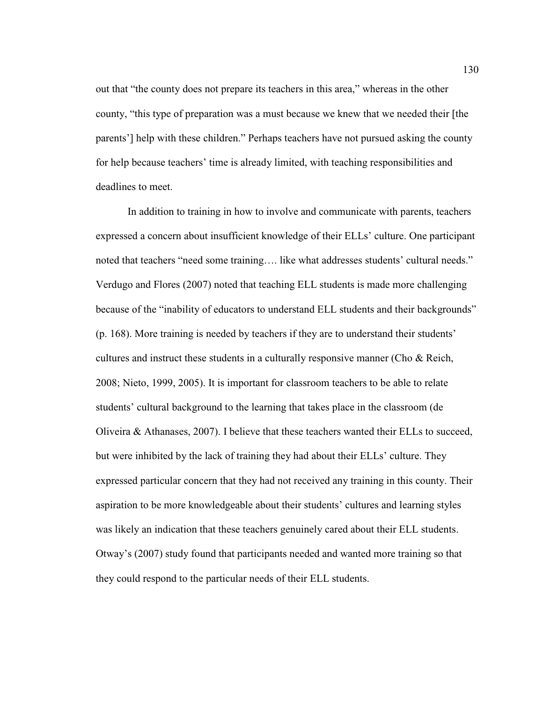out that "the county does not prepare its teachers in this area," whereas in the other county, "this type of preparation was a must because we knew that we needed their [the parents'] help with these children." Perhaps teachers have not pursued asking the county for help because teachers' time is already limited, with teaching responsibilities and deadlines to meet.

 In addition to training in how to involve and communicate with parents, teachers expressed a concern about insufficient knowledge of their ELLs' culture. One participant noted that teachers "need some training…. like what addresses students' cultural needs." Verdugo and Flores (2007) noted that teaching ELL students is made more challenging because of the "inability of educators to understand ELL students and their backgrounds" (p. 168). More training is needed by teachers if they are to understand their students' cultures and instruct these students in a culturally responsive manner (Cho & Reich, 2008; Nieto, 1999, 2005). It is important for classroom teachers to be able to relate students' cultural background to the learning that takes place in the classroom (de Oliveira & Athanases, 2007). I believe that these teachers wanted their ELLs to succeed, but were inhibited by the lack of training they had about their ELLs' culture. They expressed particular concern that they had not received any training in this county. Their aspiration to be more knowledgeable about their students' cultures and learning styles was likely an indication that these teachers genuinely cared about their ELL students. Otway's (2007) study found that participants needed and wanted more training so that they could respond to the particular needs of their ELL students.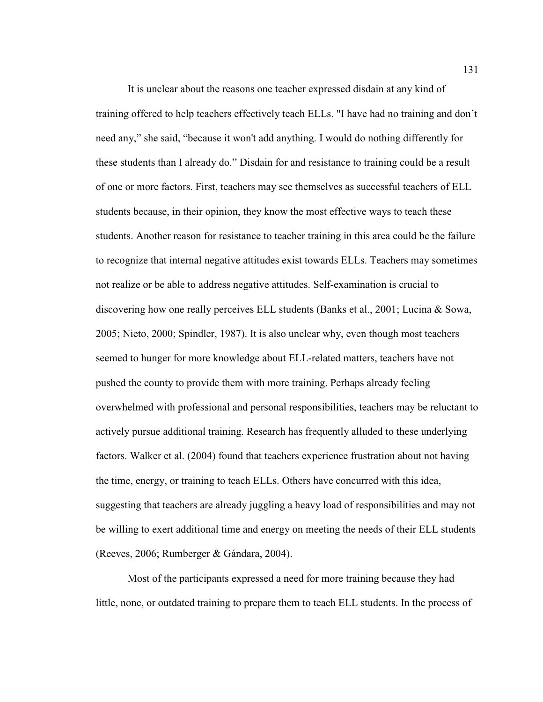It is unclear about the reasons one teacher expressed disdain at any kind of training offered to help teachers effectively teach ELLs. "I have had no training and don't need any," she said, "because it won't add anything. I would do nothing differently for these students than I already do." Disdain for and resistance to training could be a result of one or more factors. First, teachers may see themselves as successful teachers of ELL students because, in their opinion, they know the most effective ways to teach these students. Another reason for resistance to teacher training in this area could be the failure to recognize that internal negative attitudes exist towards ELLs. Teachers may sometimes not realize or be able to address negative attitudes. Self-examination is crucial to discovering how one really perceives ELL students (Banks et al., 2001; Lucina & Sowa, 2005; Nieto, 2000; Spindler, 1987). It is also unclear why, even though most teachers seemed to hunger for more knowledge about ELL-related matters, teachers have not pushed the county to provide them with more training. Perhaps already feeling overwhelmed with professional and personal responsibilities, teachers may be reluctant to actively pursue additional training. Research has frequently alluded to these underlying factors. Walker et al. (2004) found that teachers experience frustration about not having the time, energy, or training to teach ELLs. Others have concurred with this idea, suggesting that teachers are already juggling a heavy load of responsibilities and may not be willing to exert additional time and energy on meeting the needs of their ELL students (Reeves, 2006; Rumberger & Gándara, 2004).

 Most of the participants expressed a need for more training because they had little, none, or outdated training to prepare them to teach ELL students. In the process of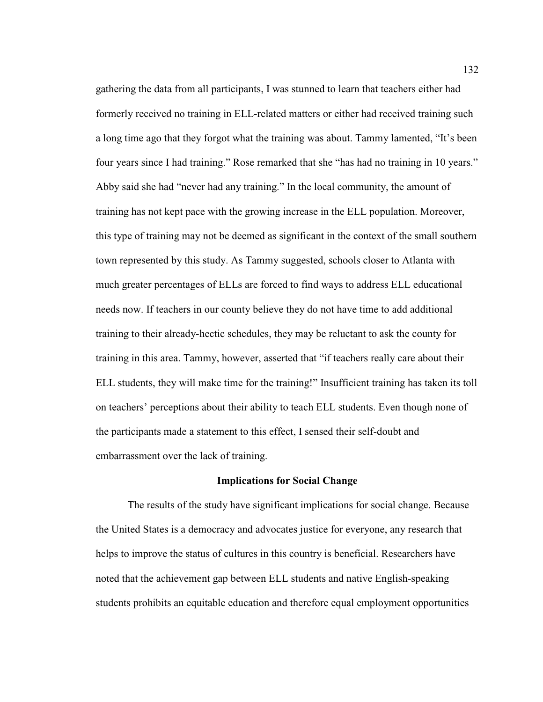gathering the data from all participants, I was stunned to learn that teachers either had formerly received no training in ELL-related matters or either had received training such a long time ago that they forgot what the training was about. Tammy lamented, "It's been four years since I had training." Rose remarked that she "has had no training in 10 years." Abby said she had "never had any training." In the local community, the amount of training has not kept pace with the growing increase in the ELL population. Moreover, this type of training may not be deemed as significant in the context of the small southern town represented by this study. As Tammy suggested, schools closer to Atlanta with much greater percentages of ELLs are forced to find ways to address ELL educational needs now. If teachers in our county believe they do not have time to add additional training to their already-hectic schedules, they may be reluctant to ask the county for training in this area. Tammy, however, asserted that "if teachers really care about their ELL students, they will make time for the training!" Insufficient training has taken its toll on teachers' perceptions about their ability to teach ELL students. Even though none of the participants made a statement to this effect, I sensed their self-doubt and embarrassment over the lack of training.

#### **Implications for Social Change**

 The results of the study have significant implications for social change. Because the United States is a democracy and advocates justice for everyone, any research that helps to improve the status of cultures in this country is beneficial. Researchers have noted that the achievement gap between ELL students and native English-speaking students prohibits an equitable education and therefore equal employment opportunities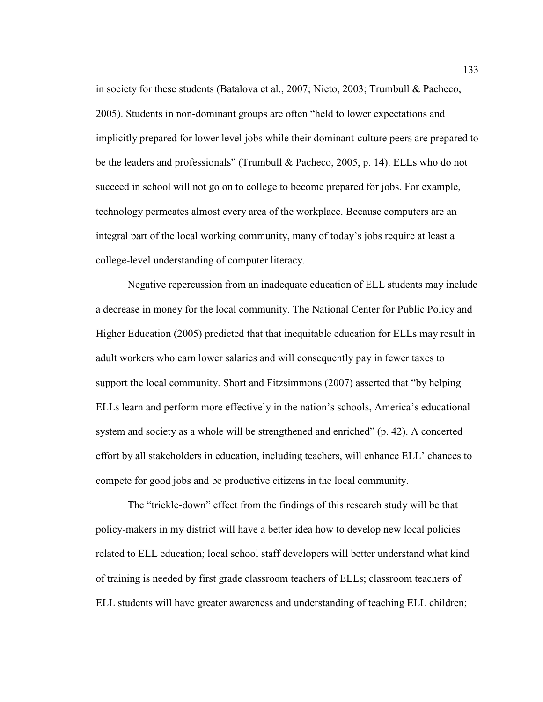in society for these students (Batalova et al., 2007; Nieto, 2003; Trumbull & Pacheco, 2005). Students in non-dominant groups are often "held to lower expectations and implicitly prepared for lower level jobs while their dominant-culture peers are prepared to be the leaders and professionals" (Trumbull & Pacheco, 2005, p. 14). ELLs who do not succeed in school will not go on to college to become prepared for jobs. For example, technology permeates almost every area of the workplace. Because computers are an integral part of the local working community, many of today's jobs require at least a college-level understanding of computer literacy.

 Negative repercussion from an inadequate education of ELL students may include a decrease in money for the local community. The National Center for Public Policy and Higher Education (2005) predicted that that inequitable education for ELLs may result in adult workers who earn lower salaries and will consequently pay in fewer taxes to support the local community. Short and Fitzsimmons (2007) asserted that "by helping ELLs learn and perform more effectively in the nation's schools, America's educational system and society as a whole will be strengthened and enriched" (p. 42). A concerted effort by all stakeholders in education, including teachers, will enhance ELL' chances to compete for good jobs and be productive citizens in the local community.

 The "trickle-down" effect from the findings of this research study will be that policy-makers in my district will have a better idea how to develop new local policies related to ELL education; local school staff developers will better understand what kind of training is needed by first grade classroom teachers of ELLs; classroom teachers of ELL students will have greater awareness and understanding of teaching ELL children;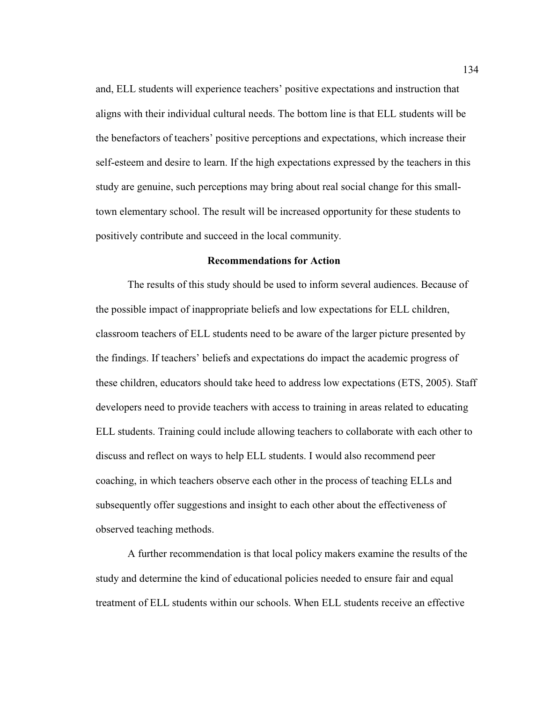and, ELL students will experience teachers' positive expectations and instruction that aligns with their individual cultural needs. The bottom line is that ELL students will be the benefactors of teachers' positive perceptions and expectations, which increase their self-esteem and desire to learn. If the high expectations expressed by the teachers in this study are genuine, such perceptions may bring about real social change for this smalltown elementary school. The result will be increased opportunity for these students to positively contribute and succeed in the local community.

#### **Recommendations for Action**

The results of this study should be used to inform several audiences. Because of the possible impact of inappropriate beliefs and low expectations for ELL children, classroom teachers of ELL students need to be aware of the larger picture presented by the findings. If teachers' beliefs and expectations do impact the academic progress of these children, educators should take heed to address low expectations (ETS, 2005). Staff developers need to provide teachers with access to training in areas related to educating ELL students. Training could include allowing teachers to collaborate with each other to discuss and reflect on ways to help ELL students. I would also recommend peer coaching, in which teachers observe each other in the process of teaching ELLs and subsequently offer suggestions and insight to each other about the effectiveness of observed teaching methods.

 A further recommendation is that local policy makers examine the results of the study and determine the kind of educational policies needed to ensure fair and equal treatment of ELL students within our schools. When ELL students receive an effective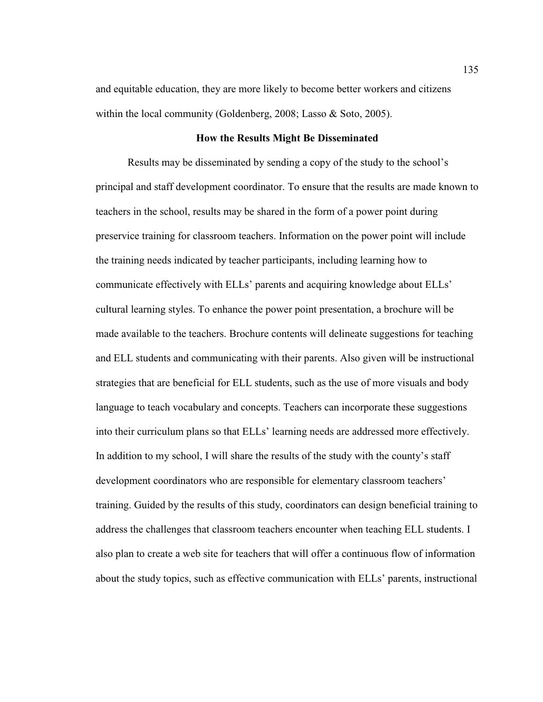and equitable education, they are more likely to become better workers and citizens within the local community (Goldenberg, 2008; Lasso & Soto, 2005).

#### **How the Results Might Be Disseminated**

 Results may be disseminated by sending a copy of the study to the school's principal and staff development coordinator. To ensure that the results are made known to teachers in the school, results may be shared in the form of a power point during preservice training for classroom teachers. Information on the power point will include the training needs indicated by teacher participants, including learning how to communicate effectively with ELLs' parents and acquiring knowledge about ELLs' cultural learning styles. To enhance the power point presentation, a brochure will be made available to the teachers. Brochure contents will delineate suggestions for teaching and ELL students and communicating with their parents. Also given will be instructional strategies that are beneficial for ELL students, such as the use of more visuals and body language to teach vocabulary and concepts. Teachers can incorporate these suggestions into their curriculum plans so that ELLs' learning needs are addressed more effectively. In addition to my school, I will share the results of the study with the county's staff development coordinators who are responsible for elementary classroom teachers' training. Guided by the results of this study, coordinators can design beneficial training to address the challenges that classroom teachers encounter when teaching ELL students. I also plan to create a web site for teachers that will offer a continuous flow of information about the study topics, such as effective communication with ELLs' parents, instructional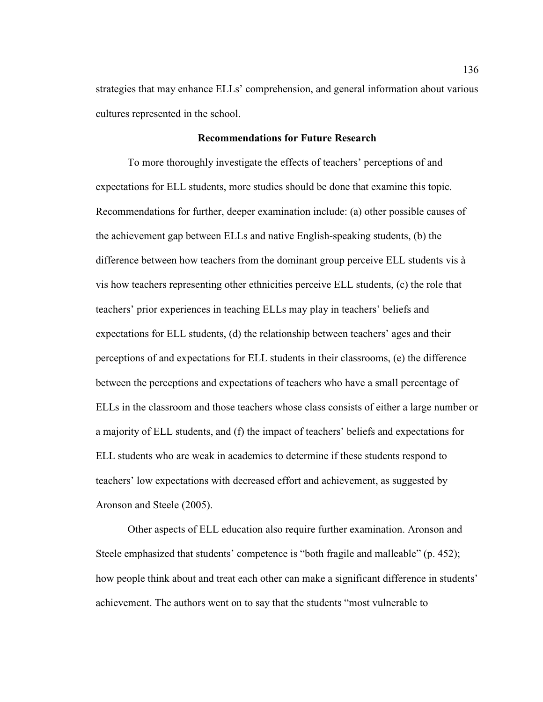strategies that may enhance ELLs' comprehension, and general information about various cultures represented in the school.

#### **Recommendations for Future Research**

 To more thoroughly investigate the effects of teachers' perceptions of and expectations for ELL students, more studies should be done that examine this topic. Recommendations for further, deeper examination include: (a) other possible causes of the achievement gap between ELLs and native English-speaking students, (b) the difference between how teachers from the dominant group perceive ELL students vis à vis how teachers representing other ethnicities perceive ELL students, (c) the role that teachers' prior experiences in teaching ELLs may play in teachers' beliefs and expectations for ELL students, (d) the relationship between teachers' ages and their perceptions of and expectations for ELL students in their classrooms, (e) the difference between the perceptions and expectations of teachers who have a small percentage of ELLs in the classroom and those teachers whose class consists of either a large number or a majority of ELL students, and (f) the impact of teachers' beliefs and expectations for ELL students who are weak in academics to determine if these students respond to teachers' low expectations with decreased effort and achievement, as suggested by Aronson and Steele (2005).

 Other aspects of ELL education also require further examination. Aronson and Steele emphasized that students' competence is "both fragile and malleable" (p. 452); how people think about and treat each other can make a significant difference in students' achievement. The authors went on to say that the students "most vulnerable to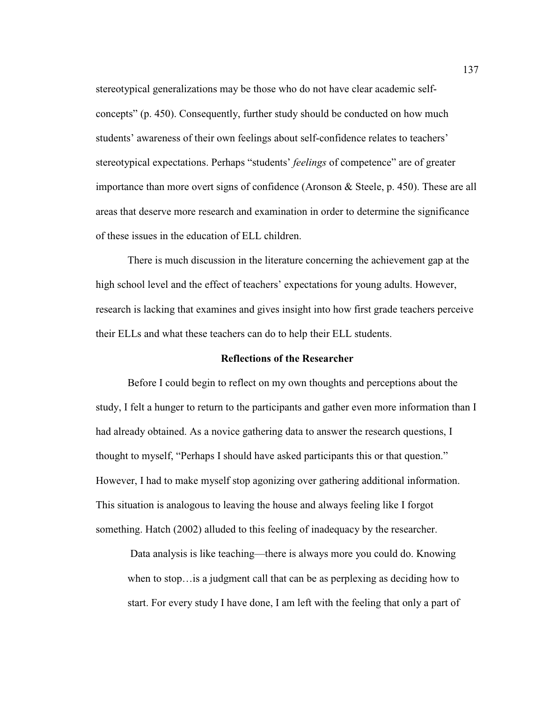stereotypical generalizations may be those who do not have clear academic selfconcepts" (p. 450). Consequently, further study should be conducted on how much students' awareness of their own feelings about self-confidence relates to teachers' stereotypical expectations. Perhaps "students' *feelings* of competence" are of greater importance than more overt signs of confidence (Aronson & Steele, p. 450). These are all areas that deserve more research and examination in order to determine the significance of these issues in the education of ELL children.

 There is much discussion in the literature concerning the achievement gap at the high school level and the effect of teachers' expectations for young adults. However, research is lacking that examines and gives insight into how first grade teachers perceive their ELLs and what these teachers can do to help their ELL students.

#### **Reflections of the Researcher**

 Before I could begin to reflect on my own thoughts and perceptions about the study, I felt a hunger to return to the participants and gather even more information than I had already obtained. As a novice gathering data to answer the research questions, I thought to myself, "Perhaps I should have asked participants this or that question." However, I had to make myself stop agonizing over gathering additional information. This situation is analogous to leaving the house and always feeling like I forgot something. Hatch (2002) alluded to this feeling of inadequacy by the researcher.

 Data analysis is like teaching—there is always more you could do. Knowing when to stop…is a judgment call that can be as perplexing as deciding how to start. For every study I have done, I am left with the feeling that only a part of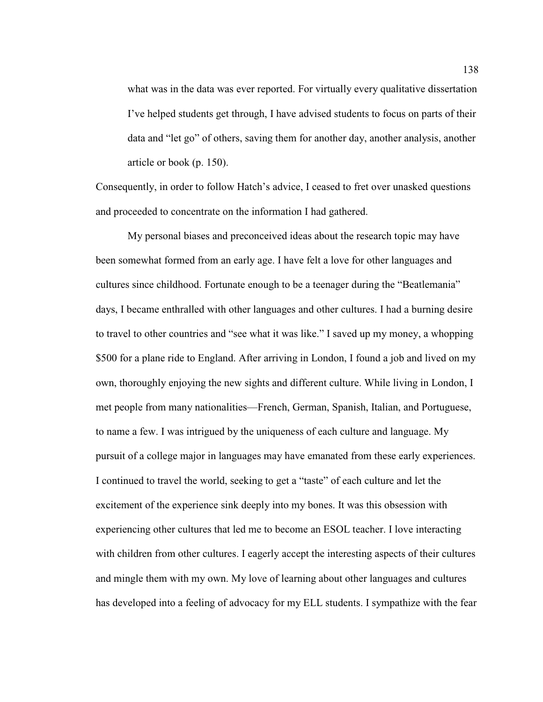what was in the data was ever reported. For virtually every qualitative dissertation I've helped students get through, I have advised students to focus on parts of their data and "let go" of others, saving them for another day, another analysis, another article or book (p. 150).

Consequently, in order to follow Hatch's advice, I ceased to fret over unasked questions and proceeded to concentrate on the information I had gathered.

 My personal biases and preconceived ideas about the research topic may have been somewhat formed from an early age. I have felt a love for other languages and cultures since childhood. Fortunate enough to be a teenager during the "Beatlemania" days, I became enthralled with other languages and other cultures. I had a burning desire to travel to other countries and "see what it was like." I saved up my money, a whopping \$500 for a plane ride to England. After arriving in London, I found a job and lived on my own, thoroughly enjoying the new sights and different culture. While living in London, I met people from many nationalities—French, German, Spanish, Italian, and Portuguese, to name a few. I was intrigued by the uniqueness of each culture and language. My pursuit of a college major in languages may have emanated from these early experiences. I continued to travel the world, seeking to get a "taste" of each culture and let the excitement of the experience sink deeply into my bones. It was this obsession with experiencing other cultures that led me to become an ESOL teacher. I love interacting with children from other cultures. I eagerly accept the interesting aspects of their cultures and mingle them with my own. My love of learning about other languages and cultures has developed into a feeling of advocacy for my ELL students. I sympathize with the fear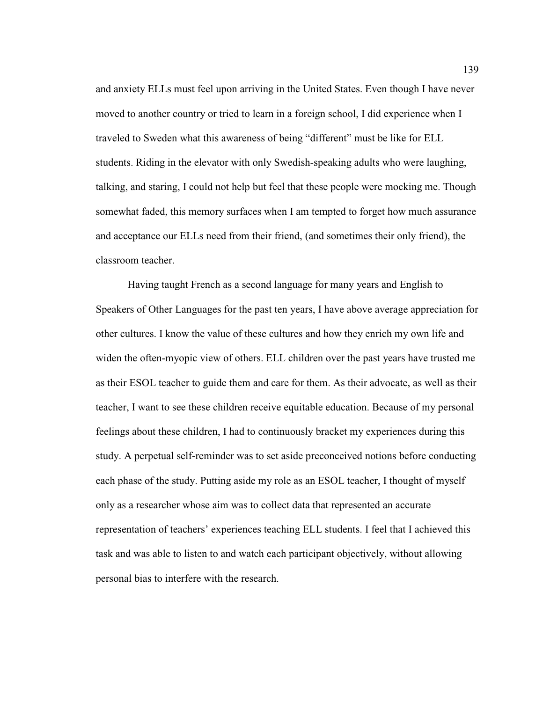and anxiety ELLs must feel upon arriving in the United States. Even though I have never moved to another country or tried to learn in a foreign school, I did experience when I traveled to Sweden what this awareness of being "different" must be like for ELL students. Riding in the elevator with only Swedish-speaking adults who were laughing, talking, and staring, I could not help but feel that these people were mocking me. Though somewhat faded, this memory surfaces when I am tempted to forget how much assurance and acceptance our ELLs need from their friend, (and sometimes their only friend), the classroom teacher.

 Having taught French as a second language for many years and English to Speakers of Other Languages for the past ten years, I have above average appreciation for other cultures. I know the value of these cultures and how they enrich my own life and widen the often-myopic view of others. ELL children over the past years have trusted me as their ESOL teacher to guide them and care for them. As their advocate, as well as their teacher, I want to see these children receive equitable education. Because of my personal feelings about these children, I had to continuously bracket my experiences during this study. A perpetual self-reminder was to set aside preconceived notions before conducting each phase of the study. Putting aside my role as an ESOL teacher, I thought of myself only as a researcher whose aim was to collect data that represented an accurate representation of teachers' experiences teaching ELL students. I feel that I achieved this task and was able to listen to and watch each participant objectively, without allowing personal bias to interfere with the research.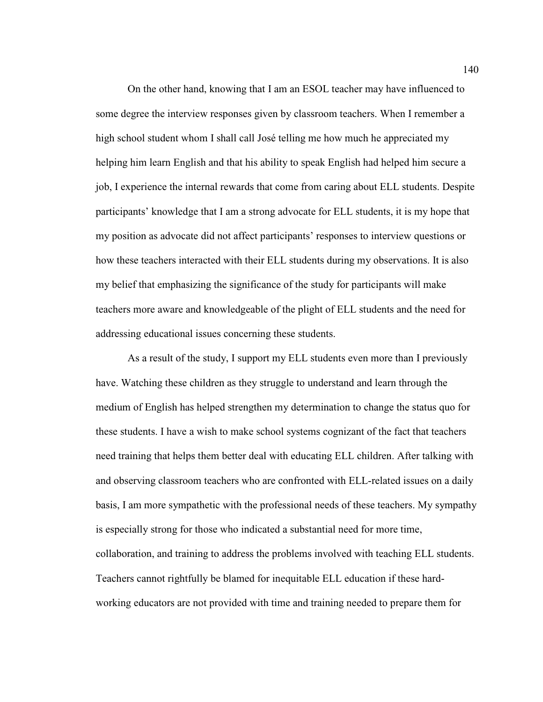On the other hand, knowing that I am an ESOL teacher may have influenced to some degree the interview responses given by classroom teachers. When I remember a high school student whom I shall call José telling me how much he appreciated my helping him learn English and that his ability to speak English had helped him secure a job, I experience the internal rewards that come from caring about ELL students. Despite participants' knowledge that I am a strong advocate for ELL students, it is my hope that my position as advocate did not affect participants' responses to interview questions or how these teachers interacted with their ELL students during my observations. It is also my belief that emphasizing the significance of the study for participants will make teachers more aware and knowledgeable of the plight of ELL students and the need for addressing educational issues concerning these students.

As a result of the study, I support my ELL students even more than I previously have. Watching these children as they struggle to understand and learn through the medium of English has helped strengthen my determination to change the status quo for these students. I have a wish to make school systems cognizant of the fact that teachers need training that helps them better deal with educating ELL children. After talking with and observing classroom teachers who are confronted with ELL-related issues on a daily basis, I am more sympathetic with the professional needs of these teachers. My sympathy is especially strong for those who indicated a substantial need for more time, collaboration, and training to address the problems involved with teaching ELL students. Teachers cannot rightfully be blamed for inequitable ELL education if these hardworking educators are not provided with time and training needed to prepare them for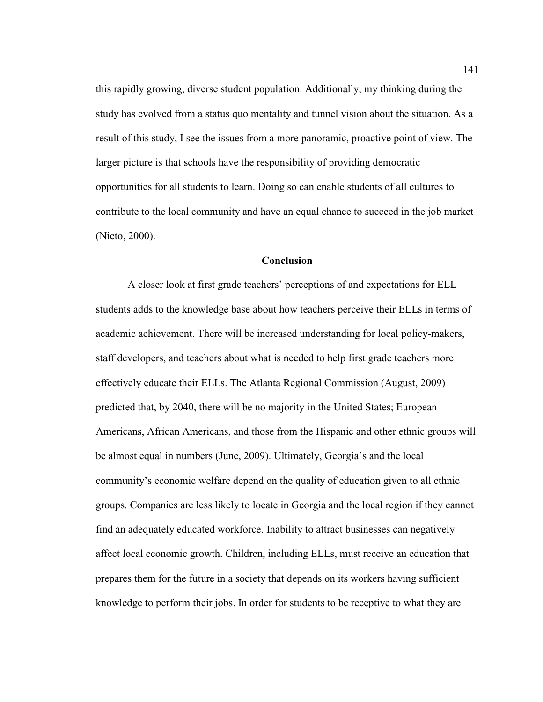this rapidly growing, diverse student population. Additionally, my thinking during the study has evolved from a status quo mentality and tunnel vision about the situation. As a result of this study, I see the issues from a more panoramic, proactive point of view. The larger picture is that schools have the responsibility of providing democratic opportunities for all students to learn. Doing so can enable students of all cultures to contribute to the local community and have an equal chance to succeed in the job market (Nieto, 2000).

#### **Conclusion**

 A closer look at first grade teachers' perceptions of and expectations for ELL students adds to the knowledge base about how teachers perceive their ELLs in terms of academic achievement. There will be increased understanding for local policy-makers, staff developers, and teachers about what is needed to help first grade teachers more effectively educate their ELLs. The Atlanta Regional Commission (August, 2009) predicted that, by 2040, there will be no majority in the United States; European Americans, African Americans, and those from the Hispanic and other ethnic groups will be almost equal in numbers (June, 2009). Ultimately, Georgia's and the local community's economic welfare depend on the quality of education given to all ethnic groups. Companies are less likely to locate in Georgia and the local region if they cannot find an adequately educated workforce. Inability to attract businesses can negatively affect local economic growth. Children, including ELLs, must receive an education that prepares them for the future in a society that depends on its workers having sufficient knowledge to perform their jobs. In order for students to be receptive to what they are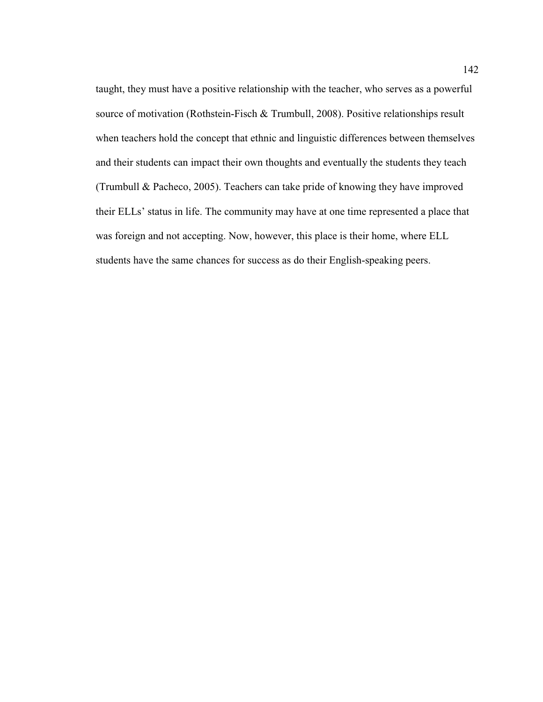taught, they must have a positive relationship with the teacher, who serves as a powerful source of motivation (Rothstein-Fisch & Trumbull, 2008). Positive relationships result when teachers hold the concept that ethnic and linguistic differences between themselves and their students can impact their own thoughts and eventually the students they teach (Trumbull & Pacheco, 2005). Teachers can take pride of knowing they have improved their ELLs' status in life. The community may have at one time represented a place that was foreign and not accepting. Now, however, this place is their home, where ELL students have the same chances for success as do their English-speaking peers.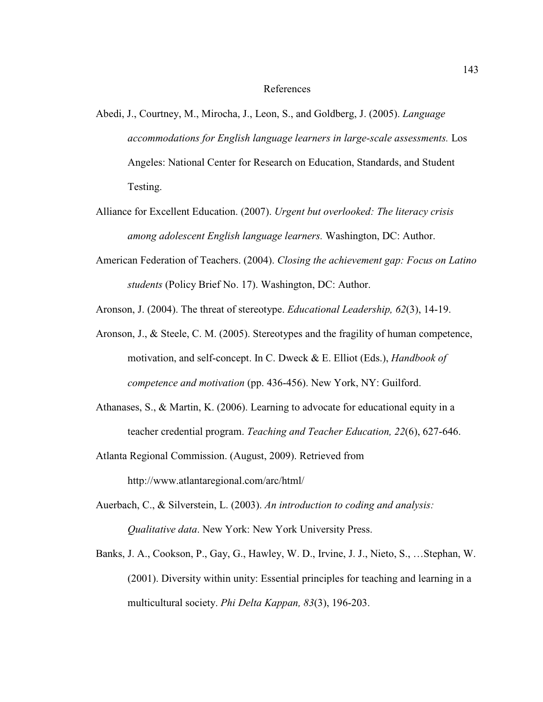#### References

- Abedi, J., Courtney, M., Mirocha, J., Leon, S., and Goldberg, J. (2005). *Language accommodations for English language learners in large-scale assessments.* Los Angeles: National Center for Research on Education, Standards, and Student Testing.
- Alliance for Excellent Education. (2007). *Urgent but overlooked: The literacy crisis among adolescent English language learners.* Washington, DC: Author.
- American Federation of Teachers. (2004). *Closing the achievement gap: Focus on Latino students* (Policy Brief No. 17). Washington, DC: Author.

Aronson, J. (2004). The threat of stereotype. *Educational Leadership, 62*(3), 14-19.

- Aronson, J., & Steele, C. M. (2005). Stereotypes and the fragility of human competence, motivation, and self-concept. In C. Dweck & E. Elliot (Eds.), *Handbook of competence and motivation* (pp. 436-456). New York, NY: Guilford.
- Athanases, S., & Martin, K. (2006). Learning to advocate for educational equity in a teacher credential program. *Teaching and Teacher Education, 22*(6), 627-646.
- Atlanta Regional Commission. (August, 2009). Retrieved from

http://www.atlantaregional.com/arc/html/

- Auerbach, C., & Silverstein, L. (2003). *An introduction to coding and analysis: Qualitative data*. New York: New York University Press.
- Banks, J. A., Cookson, P., Gay, G., Hawley, W. D., Irvine, J. J., Nieto, S., …Stephan, W. (2001). Diversity within unity: Essential principles for teaching and learning in a multicultural society. *Phi Delta Kappan, 83*(3), 196-203.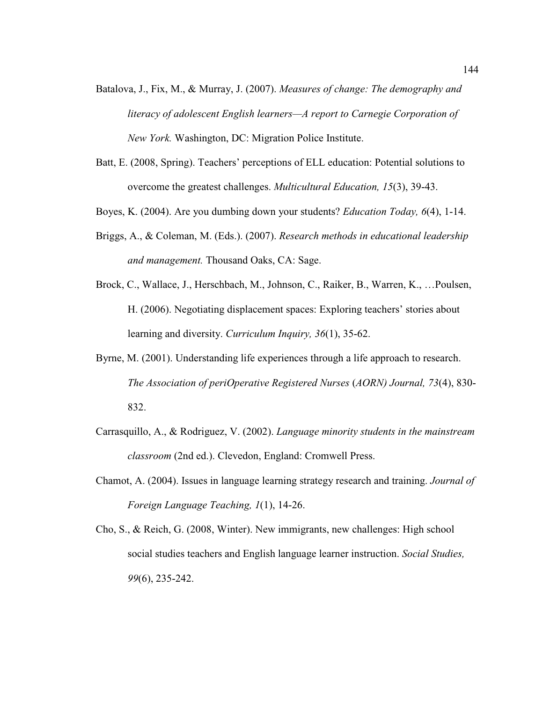- Batalova, J., Fix, M., & Murray, J. (2007). *Measures of change: The demography and literacy of adolescent English learners—A report to Carnegie Corporation of New York.* Washington, DC: Migration Police Institute.
- Batt, E. (2008, Spring). Teachers' perceptions of ELL education: Potential solutions to overcome the greatest challenges. *Multicultural Education, 15*(3), 39-43.
- Boyes, K. (2004). Are you dumbing down your students? *Education Today, 6*(4), 1-14.
- Briggs, A., & Coleman, M. (Eds.). (2007). *Research methods in educational leadership and management.* Thousand Oaks, CA: Sage.
- Brock, C., Wallace, J., Herschbach, M., Johnson, C., Raiker, B., Warren, K., …Poulsen, H. (2006). Negotiating displacement spaces: Exploring teachers' stories about learning and diversity. *Curriculum Inquiry, 36*(1), 35-62.
- Byrne, M. (2001). Understanding life experiences through a life approach to research. *The Association of periOperative Registered Nurses* (*AORN) Journal, 73*(4), 830- 832.
- Carrasquillo, A., & Rodriguez, V. (2002). *Language minority students in the mainstream classroom* (2nd ed.). Clevedon, England: Cromwell Press.
- Chamot, A. (2004). Issues in language learning strategy research and training. *Journal of Foreign Language Teaching, 1*(1), 14-26.
- Cho, S., & Reich, G. (2008, Winter). New immigrants, new challenges: High school social studies teachers and English language learner instruction. *Social Studies, 99*(6), 235-242.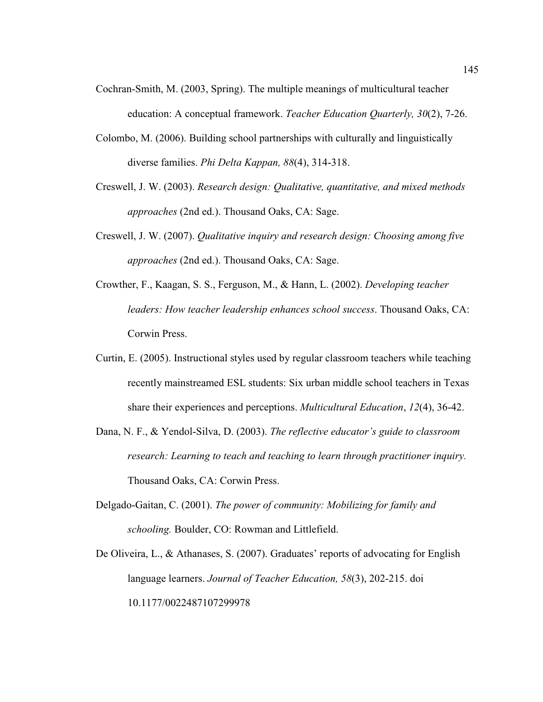- Cochran-Smith, M. (2003, Spring). The multiple meanings of multicultural teacher education: A conceptual framework. *Teacher Education Quarterly, 30*(2), 7-26.
- Colombo, M. (2006). Building school partnerships with culturally and linguistically diverse families. *Phi Delta Kappan, 88*(4), 314-318.
- Creswell, J. W. (2003). *Research design: Qualitative, quantitative, and mixed methods approaches* (2nd ed.). Thousand Oaks, CA: Sage.
- Creswell, J. W. (2007). *Qualitative inquiry and research design: Choosing among five approaches* (2nd ed.). Thousand Oaks, CA: Sage.
- Crowther, F., Kaagan, S. S., Ferguson, M., & Hann, L. (2002). *Developing teacher leaders: How teacher leadership enhances school success*. Thousand Oaks, CA: Corwin Press.
- Curtin, E. (2005). Instructional styles used by regular classroom teachers while teaching recently mainstreamed ESL students: Six urban middle school teachers in Texas share their experiences and perceptions. *Multicultural Education*, *12*(4), 36-42.
- Dana, N. F., & Yendol-Silva, D. (2003). *The reflective educator's guide to classroom research: Learning to teach and teaching to learn through practitioner inquiry.* Thousand Oaks, CA: Corwin Press.
- Delgado-Gaitan, C. (2001). *The power of community: Mobilizing for family and schooling.* Boulder, CO: Rowman and Littlefield.
- De Oliveira, L., & Athanases, S. (2007). Graduates' reports of advocating for English language learners. *Journal of Teacher Education, 58*(3), 202-215. doi 10.1177/0022487107299978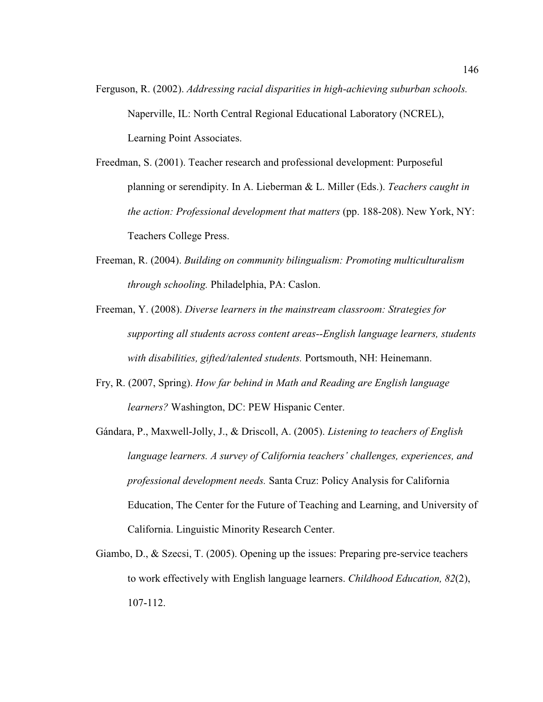- Ferguson, R. (2002). *Addressing racial disparities in high-achieving suburban schools.* Naperville, IL: North Central Regional Educational Laboratory (NCREL), Learning Point Associates.
- Freedman, S. (2001). Teacher research and professional development: Purposeful planning or serendipity. In A. Lieberman & L. Miller (Eds.). *Teachers caught in the action: Professional development that matters* (pp. 188-208). New York, NY: Teachers College Press.
- Freeman, R. (2004). *Building on community bilingualism: Promoting multiculturalism through schooling.* Philadelphia, PA: Caslon.
- Freeman, Y. (2008). *Diverse learners in the mainstream classroom: Strategies for supporting all students across content areas--English language learners, students with disabilities, gifted/talented students.* Portsmouth, NH: Heinemann.
- Fry, R. (2007, Spring). *How far behind in Math and Reading are English language learners?* Washington, DC: PEW Hispanic Center.
- Gándara, P., Maxwell-Jolly, J., & Driscoll, A. (2005). *Listening to teachers of English language learners. A survey of California teachers' challenges, experiences, and professional development needs.* Santa Cruz: Policy Analysis for California Education, The Center for the Future of Teaching and Learning, and University of California. Linguistic Minority Research Center.
- Giambo, D., & Szecsi, T. (2005). Opening up the issues: Preparing pre-service teachers to work effectively with English language learners. *Childhood Education, 82*(2), 107-112.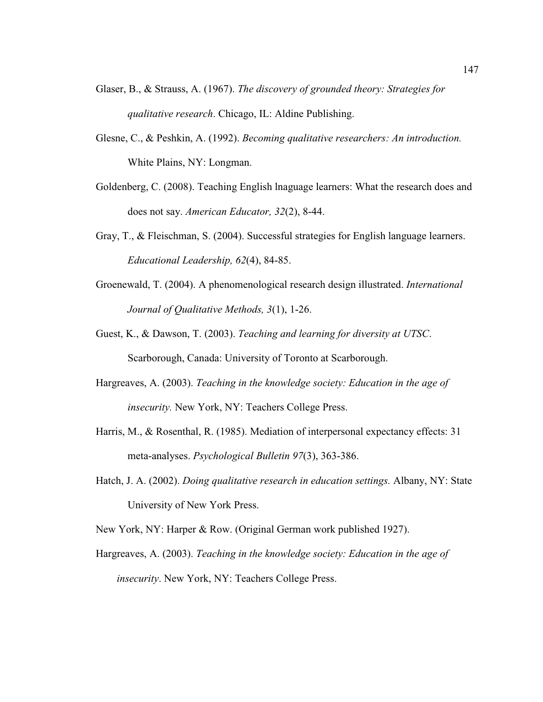- Glaser, B., & Strauss, A. (1967). *The discovery of grounded theory: Strategies for qualitative research*. Chicago, IL: Aldine Publishing.
- Glesne, C., & Peshkin, A. (1992). *Becoming qualitative researchers: An introduction.*  White Plains, NY: Longman.
- Goldenberg, C. (2008). Teaching English lnaguage learners: What the research does and does not say. *American Educator, 32*(2), 8-44.
- Gray, T., & Fleischman, S. (2004). Successful strategies for English language learners. *Educational Leadership, 62*(4), 84-85.
- Groenewald, T. (2004). A phenomenological research design illustrated. *International Journal of Qualitative Methods, 3*(1), 1-26.
- Guest, K., & Dawson, T. (2003). *Teaching and learning for diversity at UTSC*. Scarborough, Canada: University of Toronto at Scarborough.
- Hargreaves, A. (2003). *Teaching in the knowledge society: Education in the age of insecurity.* New York, NY: Teachers College Press.
- Harris, M., & Rosenthal, R. (1985). Mediation of interpersonal expectancy effects: 31 meta-analyses. *Psychological Bulletin 97*(3), 363-386.
- Hatch, J. A. (2002). *Doing qualitative research in education settings.* Albany, NY: State University of New York Press.
- New York, NY: Harper & Row. (Original German work published 1927).
- Hargreaves, A. (2003). *Teaching in the knowledge society: Education in the age of insecurity*. New York, NY: Teachers College Press.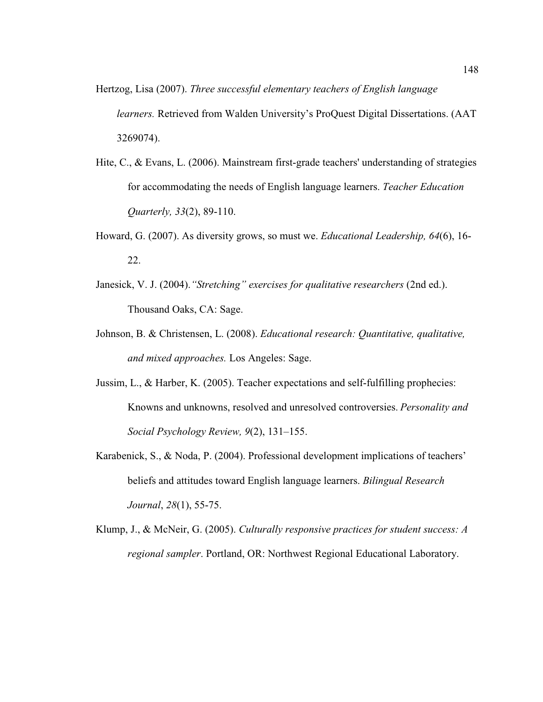- Hertzog, Lisa (2007). *Three successful elementary teachers of English language learners.* Retrieved from Walden University's ProQuest Digital Dissertations. (AAT 3269074).
- Hite, C., & Evans, L. (2006). Mainstream first-grade teachers' understanding of strategies for accommodating the needs of English language learners. *Teacher Education Quarterly, 33*(2), 89-110.
- Howard, G. (2007). As diversity grows, so must we. *Educational Leadership, 64*(6), 16- 22.
- Janesick, V. J. (2004).*"Stretching" exercises for qualitative researchers* (2nd ed.). Thousand Oaks, CA: Sage.
- Johnson, B. & Christensen, L. (2008). *Educational research: Quantitative, qualitative, and mixed approaches.* Los Angeles: Sage.
- Jussim, L., & Harber, K. (2005). Teacher expectations and self-fulfilling prophecies: Knowns and unknowns, resolved and unresolved controversies. *Personality and Social Psychology Review, 9*(2), 131–155.
- Karabenick, S., & Noda, P. (2004). Professional development implications of teachers' beliefs and attitudes toward English language learners. *Bilingual Research Journal*, *28*(1), 55-75.
- Klump, J., & McNeir, G. (2005). *Culturally responsive practices for student success: A regional sampler*. Portland, OR: Northwest Regional Educational Laboratory.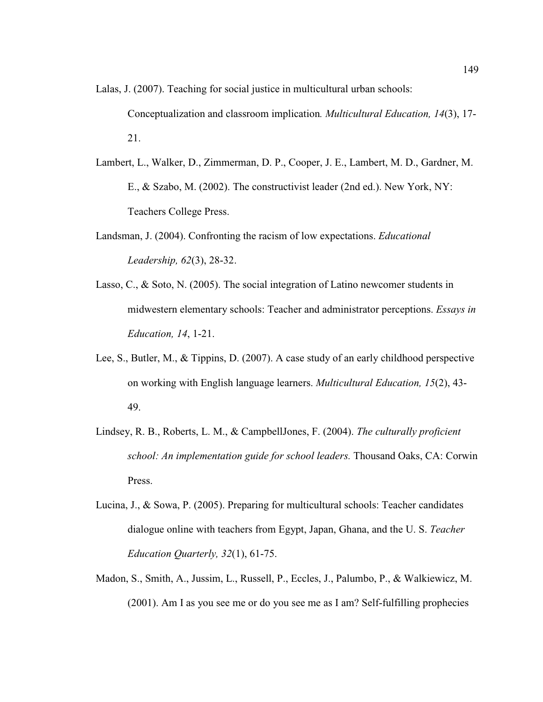Lalas, J. (2007). Teaching for social justice in multicultural urban schools:

Conceptualization and classroom implication*. Multicultural Education, 14*(3), 17- 21.

- Lambert, L., Walker, D., Zimmerman, D. P., Cooper, J. E., Lambert, M. D., Gardner, M. E., & Szabo, M. (2002). The constructivist leader (2nd ed.). New York, NY: Teachers College Press.
- Landsman, J. (2004). Confronting the racism of low expectations. *Educational Leadership, 62*(3), 28-32.
- Lasso, C., & Soto, N. (2005). The social integration of Latino newcomer students in midwestern elementary schools: Teacher and administrator perceptions. *Essays in Education, 14*, 1-21.
- Lee, S., Butler, M., & Tippins, D. (2007). A case study of an early childhood perspective on working with English language learners. *Multicultural Education, 15*(2), 43- 49.
- Lindsey, R. B., Roberts, L. M., & CampbellJones, F. (2004). *The culturally proficient school: An implementation guide for school leaders.* Thousand Oaks, CA: Corwin Press.
- Lucina, J., & Sowa, P. (2005). Preparing for multicultural schools: Teacher candidates dialogue online with teachers from Egypt, Japan, Ghana, and the U. S. *Teacher Education Quarterly, 32*(1), 61-75.
- Madon, S., Smith, A., Jussim, L., Russell, P., Eccles, J., Palumbo, P., & Walkiewicz, M. (2001). Am I as you see me or do you see me as I am? Self-fulfilling prophecies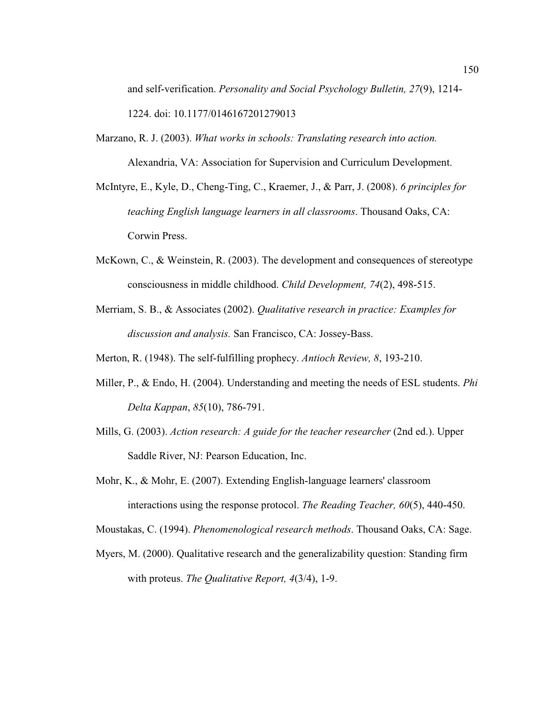and self-verification. *Personality and Social Psychology Bulletin, 27*(9), 1214- 1224. doi: 10.1177/0146167201279013

- Marzano, R. J. (2003). *What works in schools: Translating research into action.* Alexandria, VA: Association for Supervision and Curriculum Development.
- McIntyre, E., Kyle, D., Cheng-Ting, C., Kraemer, J., & Parr, J. (2008). *6 principles for teaching English language learners in all classrooms*. Thousand Oaks, CA: Corwin Press.
- McKown, C., & Weinstein, R. (2003). The development and consequences of stereotype consciousness in middle childhood. *Child Development, 74*(2), 498-515.
- Merriam, S. B., & Associates (2002). *Qualitative research in practice: Examples for discussion and analysis.* San Francisco, CA: Jossey-Bass.
- Merton, R. (1948). The self-fulfilling prophecy. *Antioch Review, 8*, 193-210.
- Miller, P., & Endo, H. (2004). Understanding and meeting the needs of ESL students. *Phi Delta Kappan*, *85*(10), 786-791.
- Mills, G. (2003). *Action research: A guide for the teacher researcher* (2nd ed.). Upper Saddle River, NJ: Pearson Education, Inc.
- Mohr, K., & Mohr, E. (2007). Extending English-language learners' classroom interactions using the response protocol. *The Reading Teacher, 60*(5), 440-450.

Moustakas, C. (1994). *Phenomenological research methods*. Thousand Oaks, CA: Sage.

Myers, M. (2000). Qualitative research and the generalizability question: Standing firm with proteus. *The Qualitative Report, 4*(3/4), 1-9.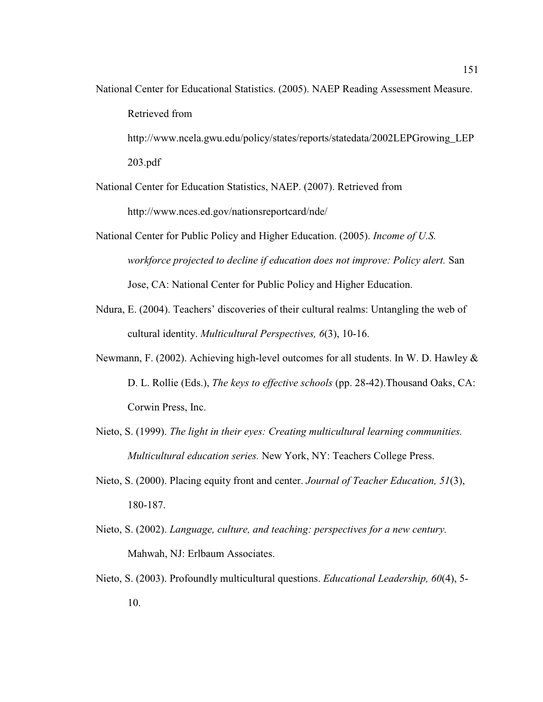National Center for Educational Statistics. (2005). NAEP Reading Assessment Measure. Retrieved from

http://www.ncela.gwu.edu/policy/states/reports/statedata/2002LEPGrowing\_LEP 203.pdf

National Center for Education Statistics, NAEP. (2007). Retrieved from http://www.nces.ed.gov/nationsreportcard/nde/

- National Center for Public Policy and Higher Education. (2005). *Income of U.S. workforce projected to decline if education does not improve: Policy alert.* San Jose, CA: National Center for Public Policy and Higher Education.
- Ndura, E. (2004). Teachers' discoveries of their cultural realms: Untangling the web of cultural identity. *Multicultural Perspectives, 6*(3), 10-16.
- Newmann, F. (2002). Achieving high-level outcomes for all students. In W. D. Hawley & D. L. Rollie (Eds.), *The keys to effective schools* (pp. 28-42).Thousand Oaks, CA: Corwin Press, Inc.
- Nieto, S. (1999). *The light in their eyes: Creating multicultural learning communities. Multicultural education series.* New York, NY: Teachers College Press.
- Nieto, S. (2000). Placing equity front and center. *Journal of Teacher Education, 51*(3), 180-187.
- Nieto, S. (2002). *Language, culture, and teaching: perspectives for a new century.* Mahwah, NJ: Erlbaum Associates.
- Nieto, S. (2003). Profoundly multicultural questions. *Educational Leadership, 60*(4), 5- 10.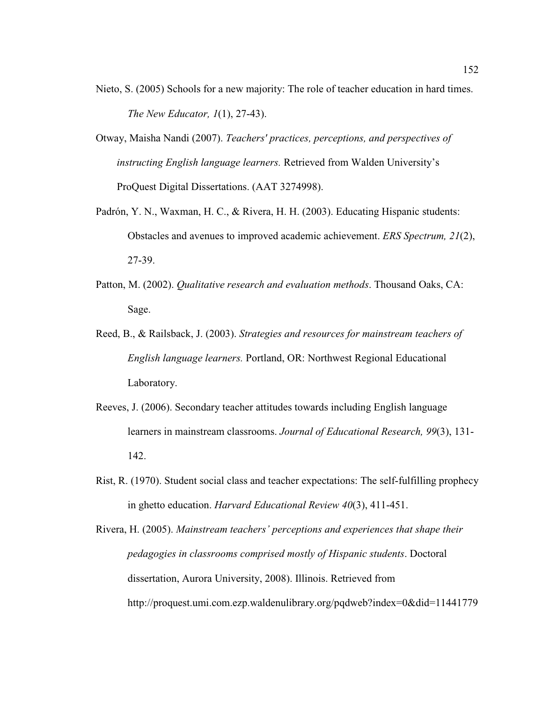- Nieto, S. (2005) Schools for a new majority: The role of teacher education in hard times. *The New Educator, 1*(1), 27-43).
- Otway, Maisha Nandi (2007). *Teachers' practices, perceptions, and perspectives of instructing English language learners.* Retrieved from Walden University's ProQuest Digital Dissertations. (AAT 3274998).
- Padrón, Y. N., Waxman, H. C., & Rivera, H. H. (2003). Educating Hispanic students: Obstacles and avenues to improved academic achievement. *ERS Spectrum, 21*(2), 27-39.
- Patton, M. (2002). *Qualitative research and evaluation methods*. Thousand Oaks, CA: Sage.
- Reed, B., & Railsback, J. (2003). *Strategies and resources for mainstream teachers of English language learners.* Portland, OR: Northwest Regional Educational Laboratory.
- Reeves, J. (2006). Secondary teacher attitudes towards including English language learners in mainstream classrooms. *Journal of Educational Research, 99*(3), 131- 142.
- Rist, R. (1970). Student social class and teacher expectations: The self-fulfilling prophecy in ghetto education. *Harvard Educational Review 40*(3), 411-451.
- Rivera, H. (2005). *Mainstream teachers' perceptions and experiences that shape their pedagogies in classrooms comprised mostly of Hispanic students*. Doctoral dissertation, Aurora University, 2008). Illinois. Retrieved from http://proquest.umi.com.ezp.waldenulibrary.org/pqdweb?index=0&did=11441779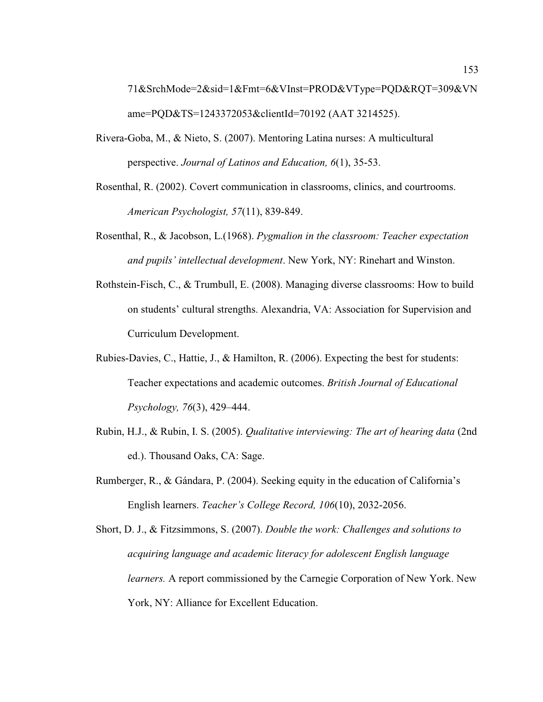71&SrchMode=2&sid=1&Fmt=6&VInst=PROD&VType=PQD&RQT=309&VN ame=PQD&TS=1243372053&clientId=70192 (AAT 3214525).

- Rivera-Goba, M., & Nieto, S. (2007). Mentoring Latina nurses: A multicultural perspective. *Journal of Latinos and Education, 6*(1), 35-53.
- Rosenthal, R. (2002). Covert communication in classrooms, clinics, and courtrooms. *American Psychologist, 57*(11), 839-849.
- Rosenthal, R., & Jacobson, L.(1968). *Pygmalion in the classroom: Teacher expectation and pupils' intellectual development*. New York, NY: Rinehart and Winston.
- Rothstein-Fisch, C., & Trumbull, E. (2008). Managing diverse classrooms: How to build on students' cultural strengths. Alexandria, VA: Association for Supervision and Curriculum Development.
- Rubies-Davies, C., Hattie, J., & Hamilton, R. (2006). Expecting the best for students: Teacher expectations and academic outcomes. *British Journal of Educational Psychology, 76*(3), 429–444.
- Rubin, H.J., & Rubin, I. S. (2005). *Qualitative interviewing: The art of hearing data* (2nd ed.). Thousand Oaks, CA: Sage.
- Rumberger, R., & Gándara, P. (2004). Seeking equity in the education of California's English learners. *Teacher's College Record, 106*(10), 2032-2056.
- Short, D. J., & Fitzsimmons, S. (2007). *Double the work: Challenges and solutions to acquiring language and academic literacy for adolescent English language learners.* A report commissioned by the Carnegie Corporation of New York. New York, NY: Alliance for Excellent Education.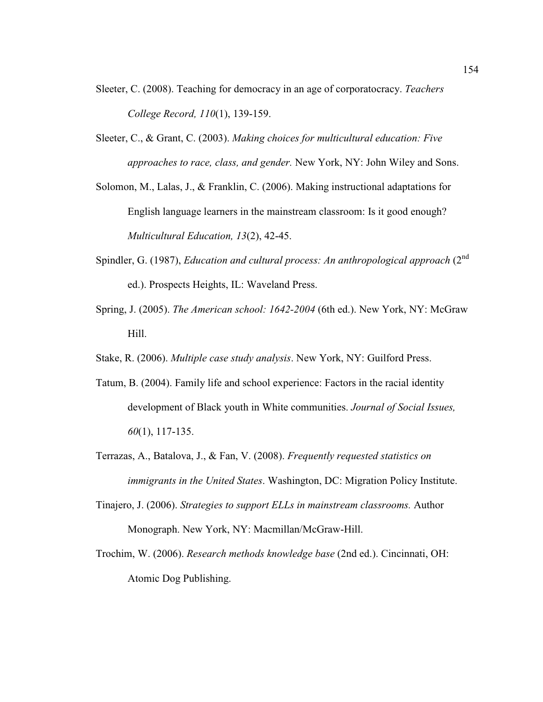- Sleeter, C. (2008). Teaching for democracy in an age of corporatocracy. *Teachers College Record, 110*(1), 139-159.
- Sleeter, C., & Grant, C. (2003). *Making choices for multicultural education: Five approaches to race, class, and gender.* New York, NY: John Wiley and Sons.

Solomon, M., Lalas, J., & Franklin, C. (2006). Making instructional adaptations for English language learners in the mainstream classroom: Is it good enough? *Multicultural Education, 13*(2), 42-45.

- Spindler, G. (1987), *Education and cultural process: An anthropological approach* (2<sup>nd</sup> ed.). Prospects Heights, IL: Waveland Press.
- Spring, J. (2005). *The American school: 1642-2004* (6th ed.). New York, NY: McGraw Hill.
- Stake, R. (2006). *Multiple case study analysis*. New York, NY: Guilford Press.
- Tatum, B. (2004). Family life and school experience: Factors in the racial identity development of Black youth in White communities. *Journal of Social Issues, 60*(1), 117-135.
- Terrazas, A., Batalova, J., & Fan, V. (2008). *Frequently requested statistics on immigrants in the United States*. Washington, DC: Migration Policy Institute.
- Tinajero, J. (2006). *Strategies to support ELLs in mainstream classrooms.* Author Monograph. New York, NY: Macmillan/McGraw-Hill.
- Trochim, W. (2006). *Research methods knowledge base* (2nd ed.). Cincinnati, OH: Atomic Dog Publishing.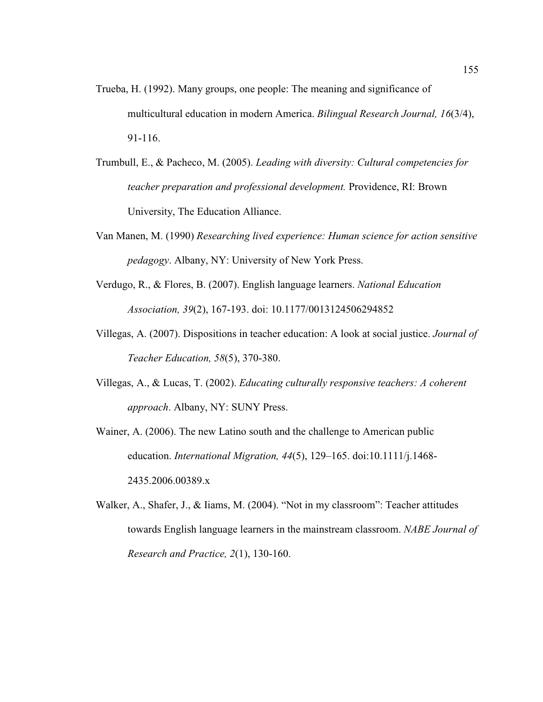- Trueba, H. (1992). Many groups, one people: The meaning and significance of multicultural education in modern America. *Bilingual Research Journal, 16*(3/4), 91-116.
- Trumbull, E., & Pacheco, M. (2005). *Leading with diversity: Cultural competencies for teacher preparation and professional development.* Providence, RI: Brown University, The Education Alliance.
- Van Manen, M. (1990) *Researching lived experience: Human science for action sensitive pedagogy*. Albany, NY: University of New York Press.
- Verdugo, R., & Flores, B. (2007). English language learners. *National Education Association, 39*(2), 167-193. doi: 10.1177/0013124506294852
- Villegas, A. (2007). Dispositions in teacher education: A look at social justice. *Journal of Teacher Education, 58*(5), 370-380.
- Villegas, A., & Lucas, T. (2002). *Educating culturally responsive teachers: A coherent approach*. Albany, NY: SUNY Press.
- Wainer, A. (2006). The new Latino south and the challenge to American public education. *International Migration, 44*(5), 129–165. doi:10.1111/j.1468- 2435.2006.00389.x
- Walker, A., Shafer, J., & Iiams, M. (2004). "Not in my classroom": Teacher attitudes towards English language learners in the mainstream classroom. *NABE Journal of Research and Practice, 2*(1), 130-160.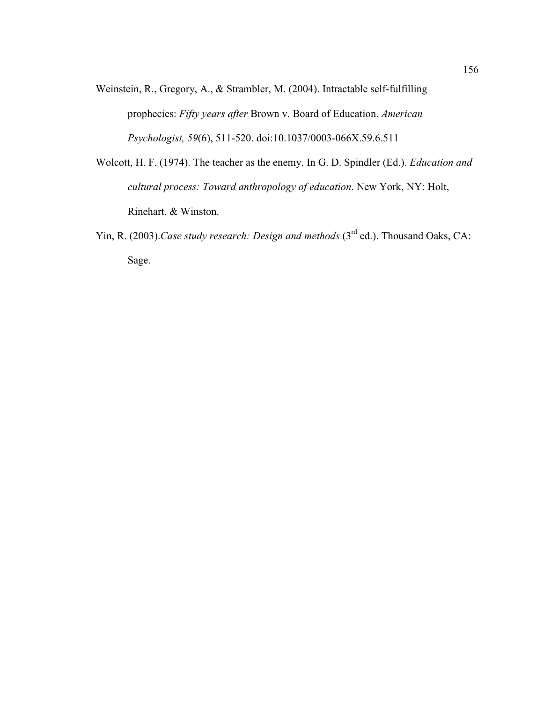- Weinstein, R., Gregory, A., & Strambler, M. (2004). Intractable self-fulfilling prophecies: *Fifty years after* Brown v. Board of Education. *American Psychologist, 59*(6), 511-520. doi:10.1037/0003-066X.59.6.511
- Wolcott, H. F. (1974). The teacher as the enemy. In G. D. Spindler (Ed.). *Education and cultural process: Toward anthropology of education*. New York, NY: Holt, Rinehart, & Winston.
- Yin, R. (2003).*Case study research: Design and methods* (3<sup>rd</sup> ed.). Thousand Oaks, CA: Sage.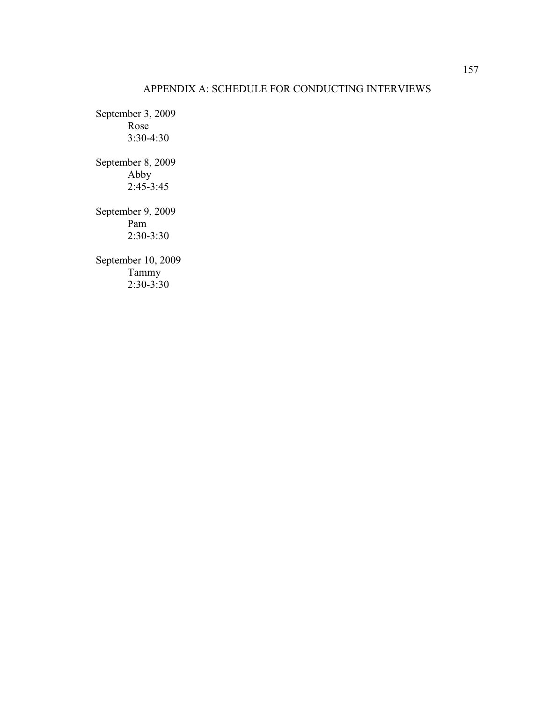# APPENDIX A: SCHEDULE FOR CONDUCTING INTERVIEWS

September 3, 2009 Rose 3:30-4:30 September 8, 2009 Abby  $2:45-3:45$ September 9, 2009 Pam 2:30-3:30 September 10, 2009 Tammy 2:30-3:30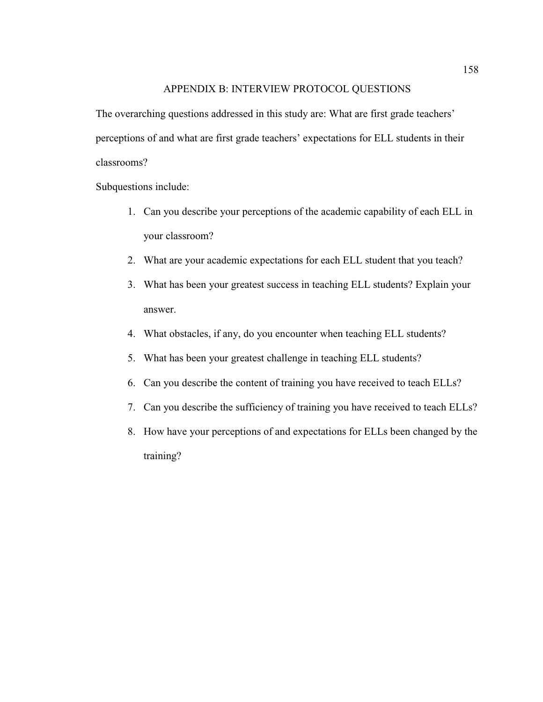### APPENDIX B: INTERVIEW PROTOCOL QUESTIONS

The overarching questions addressed in this study are: What are first grade teachers' perceptions of and what are first grade teachers' expectations for ELL students in their classrooms?

Subquestions include:

- 1. Can you describe your perceptions of the academic capability of each ELL in your classroom?
- 2. What are your academic expectations for each ELL student that you teach?
- 3. What has been your greatest success in teaching ELL students? Explain your answer.
- 4. What obstacles, if any, do you encounter when teaching ELL students?
- 5. What has been your greatest challenge in teaching ELL students?
- 6. Can you describe the content of training you have received to teach ELLs?
- 7. Can you describe the sufficiency of training you have received to teach ELLs?
- 8. How have your perceptions of and expectations for ELLs been changed by the training?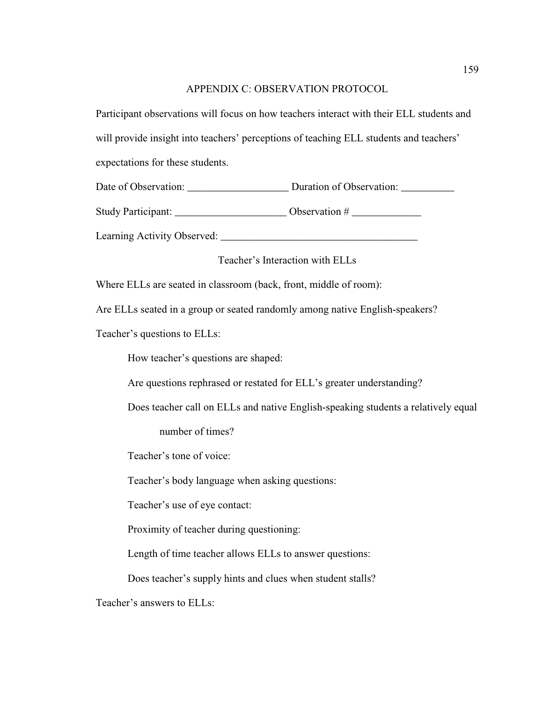### APPENDIX C: OBSERVATION PROTOCOL

Participant observations will focus on how teachers interact with their ELL students and will provide insight into teachers' perceptions of teaching ELL students and teachers' expectations for these students.

Date of Observation: <br>
Duration of Observation:

Study Participant: \_\_\_\_\_\_\_\_\_\_\_\_\_\_\_\_\_\_\_\_\_ Observation # \_\_\_\_\_\_\_\_\_\_\_\_\_

Learning Activity Observed: \_\_\_\_\_\_\_\_\_\_\_\_\_\_\_\_\_\_\_\_\_\_\_\_\_\_\_\_\_\_\_\_\_\_\_\_\_

Teacher's Interaction with ELLs

Where ELLs are seated in classroom (back, front, middle of room):

Are ELLs seated in a group or seated randomly among native English-speakers?

Teacher's questions to ELLs:

How teacher's questions are shaped:

Are questions rephrased or restated for ELL's greater understanding?

Does teacher call on ELLs and native English-speaking students a relatively equal

number of times?

Teacher's tone of voice:

Teacher's body language when asking questions:

Teacher's use of eye contact:

Proximity of teacher during questioning:

Length of time teacher allows ELLs to answer questions:

Does teacher's supply hints and clues when student stalls?

Teacher's answers to ELLs: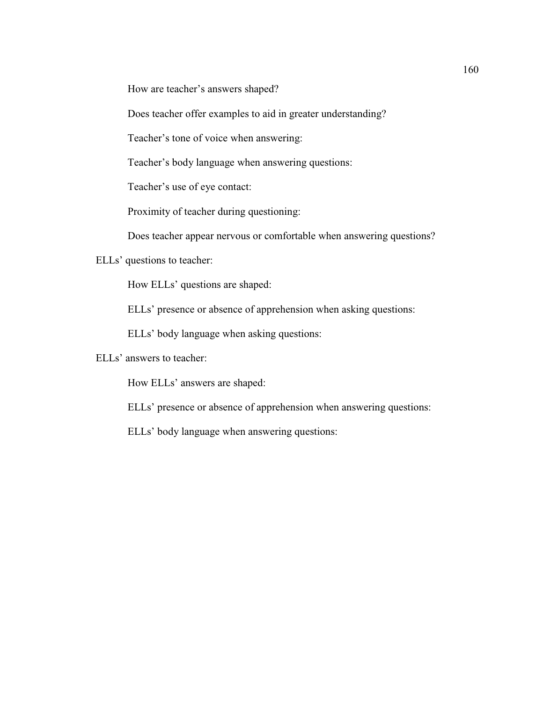How are teacher's answers shaped?

Does teacher offer examples to aid in greater understanding?

Teacher's tone of voice when answering:

Teacher's body language when answering questions:

Teacher's use of eye contact:

Proximity of teacher during questioning:

Does teacher appear nervous or comfortable when answering questions?

ELLs' questions to teacher:

How ELLs' questions are shaped:

ELLs' presence or absence of apprehension when asking questions:

ELLs' body language when asking questions:

ELLs' answers to teacher:

How ELLs' answers are shaped:

ELLs' presence or absence of apprehension when answering questions:

ELLs' body language when answering questions: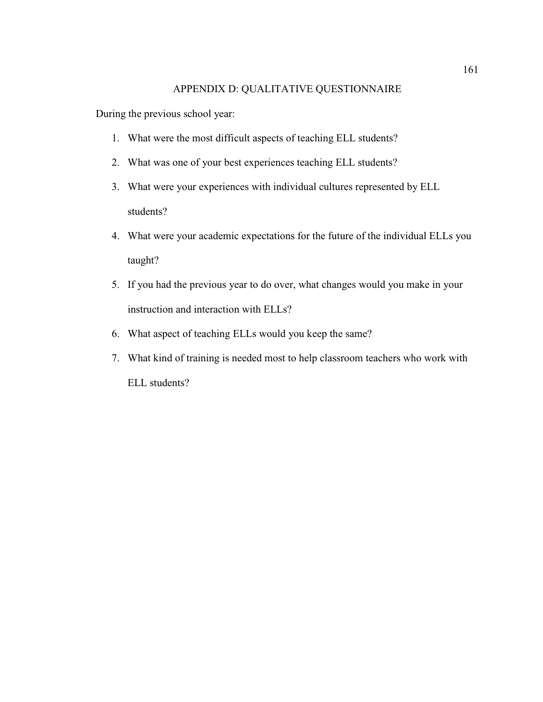#### APPENDIX D: QUALITATIVE QUESTIONNAIRE

During the previous school year:

- 1. What were the most difficult aspects of teaching ELL students?
- 2. What was one of your best experiences teaching ELL students?
- 3. What were your experiences with individual cultures represented by ELL students?
- 4. What were your academic expectations for the future of the individual ELLs you taught?
- 5. If you had the previous year to do over, what changes would you make in your instruction and interaction with ELLs?
- 6. What aspect of teaching ELLs would you keep the same?
- 7. What kind of training is needed most to help classroom teachers who work with ELL students?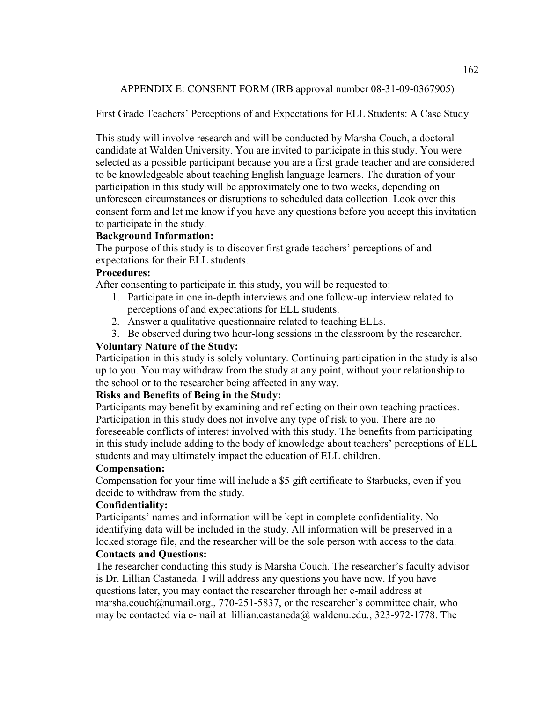APPENDIX E: CONSENT FORM (IRB approval number 08-31-09-0367905)

First Grade Teachers' Perceptions of and Expectations for ELL Students: A Case Study

This study will involve research and will be conducted by Marsha Couch, a doctoral candidate at Walden University. You are invited to participate in this study. You were selected as a possible participant because you are a first grade teacher and are considered to be knowledgeable about teaching English language learners. The duration of your participation in this study will be approximately one to two weeks, depending on unforeseen circumstances or disruptions to scheduled data collection. Look over this consent form and let me know if you have any questions before you accept this invitation to participate in the study.

## **Background Information:**

The purpose of this study is to discover first grade teachers' perceptions of and expectations for their ELL students.

## **Procedures:**

After consenting to participate in this study, you will be requested to:

- 1. Participate in one in-depth interviews and one follow-up interview related to perceptions of and expectations for ELL students.
- 2. Answer a qualitative questionnaire related to teaching ELLs.
- 3. Be observed during two hour-long sessions in the classroom by the researcher.

## **Voluntary Nature of the Study:**

Participation in this study is solely voluntary. Continuing participation in the study is also up to you. You may withdraw from the study at any point, without your relationship to the school or to the researcher being affected in any way.

### **Risks and Benefits of Being in the Study:**

Participants may benefit by examining and reflecting on their own teaching practices. Participation in this study does not involve any type of risk to you. There are no foreseeable conflicts of interest involved with this study. The benefits from participating in this study include adding to the body of knowledge about teachers' perceptions of ELL students and may ultimately impact the education of ELL children.

### **Compensation:**

Compensation for your time will include a \$5 gift certificate to Starbucks, even if you decide to withdraw from the study.

### **Confidentiality:**

Participants' names and information will be kept in complete confidentiality. No identifying data will be included in the study. All information will be preserved in a locked storage file, and the researcher will be the sole person with access to the data.

### **Contacts and Questions:**

The researcher conducting this study is Marsha Couch. The researcher's faculty advisor is Dr. Lillian Castaneda. I will address any questions you have now. If you have questions later, you may contact the researcher through her e-mail address at marsha.couch@numail.org., 770-251-5837, or the researcher's committee chair, who may be contacted via e-mail at lillian.castaneda@ waldenu.edu., 323-972-1778. The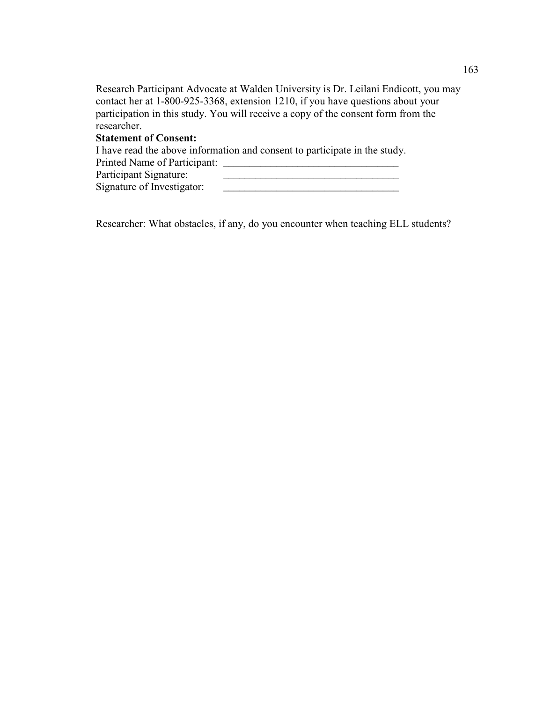Research Participant Advocate at Walden University is Dr. Leilani Endicott, you may contact her at 1-800-925-3368, extension 1210, if you have questions about your participation in this study. You will receive a copy of the consent form from the researcher.

# **Statement of Consent:**

I have read the above information and consent to participate in the study.

| Printed Name of Participant: |  |
|------------------------------|--|
| Participant Signature:       |  |
| Signature of Investigator:   |  |

Researcher: What obstacles, if any, do you encounter when teaching ELL students?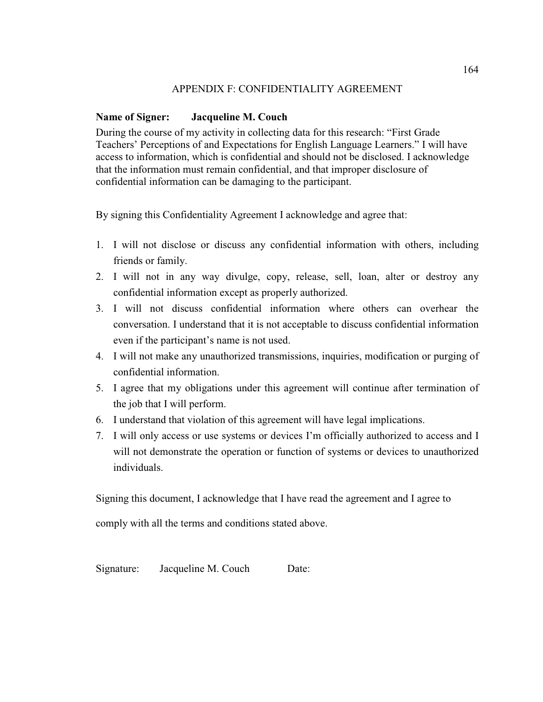### APPENDIX F: CONFIDENTIALITY AGREEMENT

# **Name of Signer: Jacqueline M. Couch**

During the course of my activity in collecting data for this research: "First Grade Teachers' Perceptions of and Expectations for English Language Learners." I will have access to information, which is confidential and should not be disclosed. I acknowledge that the information must remain confidential, and that improper disclosure of confidential information can be damaging to the participant.

By signing this Confidentiality Agreement I acknowledge and agree that:

- 1. I will not disclose or discuss any confidential information with others, including friends or family.
- 2. I will not in any way divulge, copy, release, sell, loan, alter or destroy any confidential information except as properly authorized.
- 3. I will not discuss confidential information where others can overhear the conversation. I understand that it is not acceptable to discuss confidential information even if the participant's name is not used.
- 4. I will not make any unauthorized transmissions, inquiries, modification or purging of confidential information.
- 5. I agree that my obligations under this agreement will continue after termination of the job that I will perform.
- 6. I understand that violation of this agreement will have legal implications.
- 7. I will only access or use systems or devices I'm officially authorized to access and I will not demonstrate the operation or function of systems or devices to unauthorized individuals.

Signing this document, I acknowledge that I have read the agreement and I agree to

comply with all the terms and conditions stated above.

Signature: Jacqueline M. Couch Date: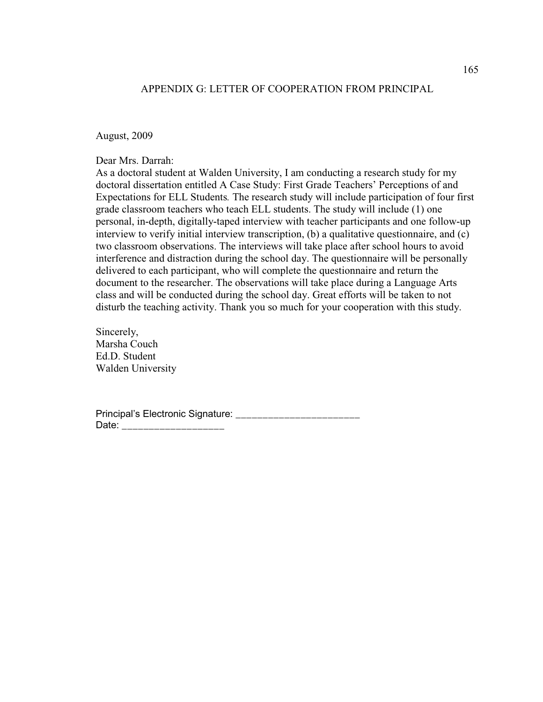#### APPENDIX G: LETTER OF COOPERATION FROM PRINCIPAL

August, 2009

Dear Mrs. Darrah:

As a doctoral student at Walden University, I am conducting a research study for my doctoral dissertation entitled A Case Study: First Grade Teachers' Perceptions of and Expectations for ELL Students*.* The research study will include participation of four first grade classroom teachers who teach ELL students. The study will include (1) one personal, in-depth, digitally-taped interview with teacher participants and one follow-up interview to verify initial interview transcription, (b) a qualitative questionnaire, and (c) two classroom observations. The interviews will take place after school hours to avoid interference and distraction during the school day. The questionnaire will be personally delivered to each participant, who will complete the questionnaire and return the document to the researcher. The observations will take place during a Language Arts class and will be conducted during the school day. Great efforts will be taken to not disturb the teaching activity. Thank you so much for your cooperation with this study.

Sincerely, Marsha Couch Ed.D. Student Walden University

Principal's Electronic Signature: \_\_\_\_\_\_\_\_\_\_\_\_\_\_\_\_\_\_\_\_\_\_\_ Date: \_\_\_\_\_\_\_\_\_\_\_\_\_\_\_\_\_\_\_\_\_\_\_\_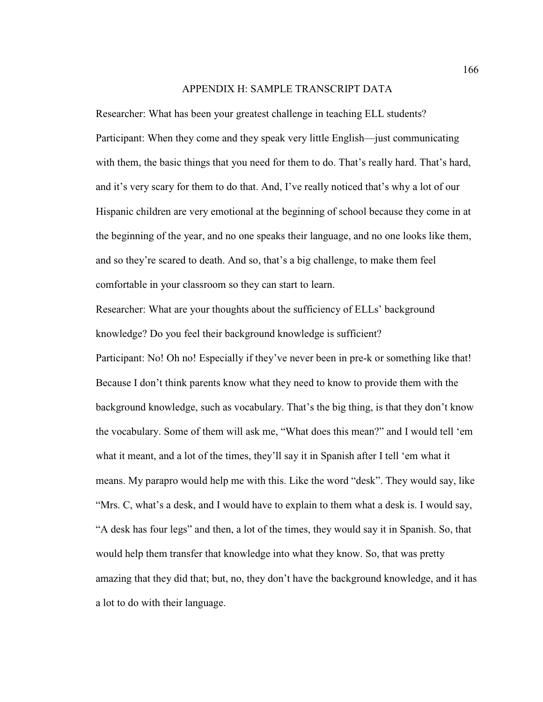#### APPENDIX H: SAMPLE TRANSCRIPT DATA

Researcher: What has been your greatest challenge in teaching ELL students? Participant: When they come and they speak very little English—just communicating with them, the basic things that you need for them to do. That's really hard. That's hard, and it's very scary for them to do that. And, I've really noticed that's why a lot of our Hispanic children are very emotional at the beginning of school because they come in at the beginning of the year, and no one speaks their language, and no one looks like them, and so they're scared to death. And so, that's a big challenge, to make them feel comfortable in your classroom so they can start to learn.

Researcher: What are your thoughts about the sufficiency of ELLs' background knowledge? Do you feel their background knowledge is sufficient?

Participant: No! Oh no! Especially if they've never been in pre-k or something like that! Because I don't think parents know what they need to know to provide them with the background knowledge, such as vocabulary. That's the big thing, is that they don't know the vocabulary. Some of them will ask me, "What does this mean?" and I would tell 'em what it meant, and a lot of the times, they'll say it in Spanish after I tell 'em what it means. My parapro would help me with this. Like the word "desk". They would say, like "Mrs. C, what's a desk, and I would have to explain to them what a desk is. I would say, "A desk has four legs" and then, a lot of the times, they would say it in Spanish. So, that would help them transfer that knowledge into what they know. So, that was pretty amazing that they did that; but, no, they don't have the background knowledge, and it has a lot to do with their language.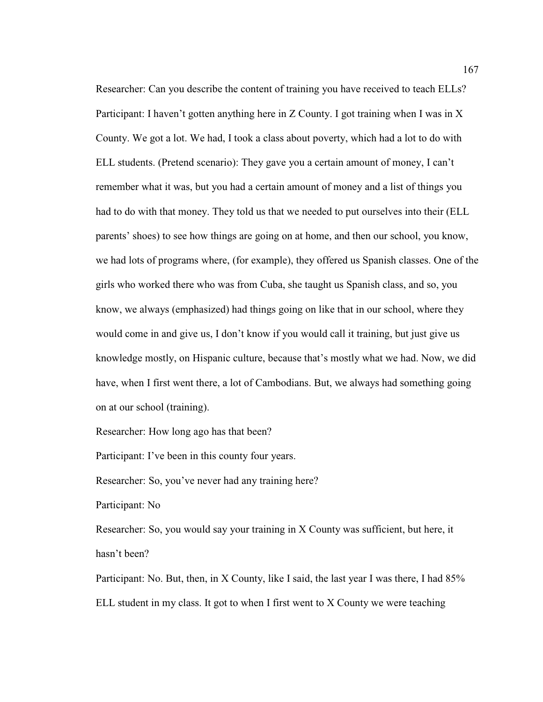Researcher: Can you describe the content of training you have received to teach ELLs? Participant: I haven't gotten anything here in Z County. I got training when I was in X County. We got a lot. We had, I took a class about poverty, which had a lot to do with ELL students. (Pretend scenario): They gave you a certain amount of money, I can't remember what it was, but you had a certain amount of money and a list of things you had to do with that money. They told us that we needed to put ourselves into their (ELL parents' shoes) to see how things are going on at home, and then our school, you know, we had lots of programs where, (for example), they offered us Spanish classes. One of the girls who worked there who was from Cuba, she taught us Spanish class, and so, you know, we always (emphasized) had things going on like that in our school, where they would come in and give us, I don't know if you would call it training, but just give us knowledge mostly, on Hispanic culture, because that's mostly what we had. Now, we did have, when I first went there, a lot of Cambodians. But, we always had something going on at our school (training).

Researcher: How long ago has that been?

Participant: I've been in this county four years.

Researcher: So, you've never had any training here?

Participant: No

Researcher: So, you would say your training in X County was sufficient, but here, it hasn't been?

Participant: No. But, then, in X County, like I said, the last year I was there, I had 85% ELL student in my class. It got to when I first went to X County we were teaching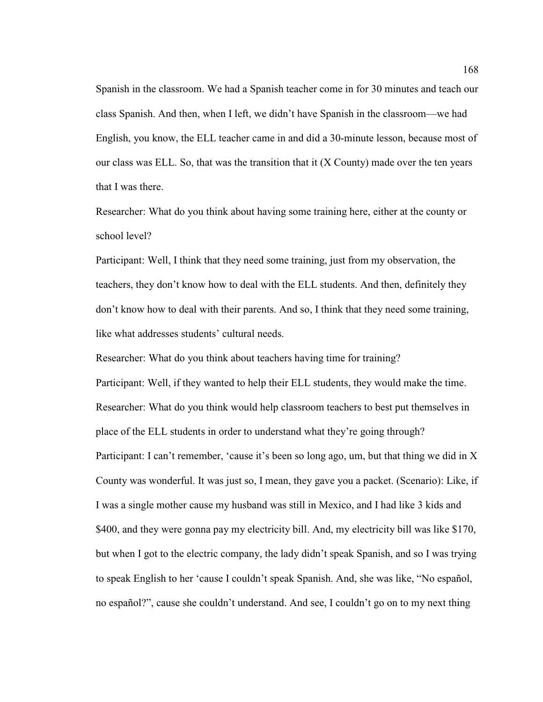Spanish in the classroom. We had a Spanish teacher come in for 30 minutes and teach our class Spanish. And then, when I left, we didn't have Spanish in the classroom—we had English, you know, the ELL teacher came in and did a 30-minute lesson, because most of our class was ELL. So, that was the transition that it (X County) made over the ten years that I was there.

Researcher: What do you think about having some training here, either at the county or school level?

Participant: Well, I think that they need some training, just from my observation, the teachers, they don't know how to deal with the ELL students. And then, definitely they don't know how to deal with their parents. And so, I think that they need some training, like what addresses students' cultural needs.

Researcher: What do you think about teachers having time for training?

Participant: Well, if they wanted to help their ELL students, they would make the time. Researcher: What do you think would help classroom teachers to best put themselves in place of the ELL students in order to understand what they're going through? Participant: I can't remember, 'cause it's been so long ago, um, but that thing we did in X County was wonderful. It was just so, I mean, they gave you a packet. (Scenario): Like, if I was a single mother cause my husband was still in Mexico, and I had like 3 kids and \$400, and they were gonna pay my electricity bill. And, my electricity bill was like \$170, but when I got to the electric company, the lady didn't speak Spanish, and so I was trying to speak English to her 'cause I couldn't speak Spanish. And, she was like, "No español, no español?", cause she couldn't understand. And see, I couldn't go on to my next thing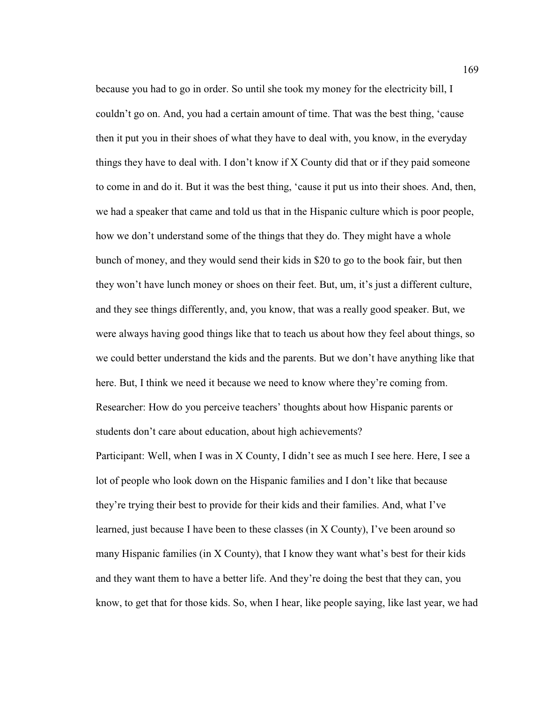because you had to go in order. So until she took my money for the electricity bill, I couldn't go on. And, you had a certain amount of time. That was the best thing, 'cause then it put you in their shoes of what they have to deal with, you know, in the everyday things they have to deal with. I don't know if X County did that or if they paid someone to come in and do it. But it was the best thing, 'cause it put us into their shoes. And, then, we had a speaker that came and told us that in the Hispanic culture which is poor people, how we don't understand some of the things that they do. They might have a whole bunch of money, and they would send their kids in \$20 to go to the book fair, but then they won't have lunch money or shoes on their feet. But, um, it's just a different culture, and they see things differently, and, you know, that was a really good speaker. But, we were always having good things like that to teach us about how they feel about things, so we could better understand the kids and the parents. But we don't have anything like that here. But, I think we need it because we need to know where they're coming from. Researcher: How do you perceive teachers' thoughts about how Hispanic parents or students don't care about education, about high achievements?

Participant: Well, when I was in X County, I didn't see as much I see here. Here, I see a lot of people who look down on the Hispanic families and I don't like that because they're trying their best to provide for their kids and their families. And, what I've learned, just because I have been to these classes (in X County), I've been around so many Hispanic families (in X County), that I know they want what's best for their kids and they want them to have a better life. And they're doing the best that they can, you know, to get that for those kids. So, when I hear, like people saying, like last year, we had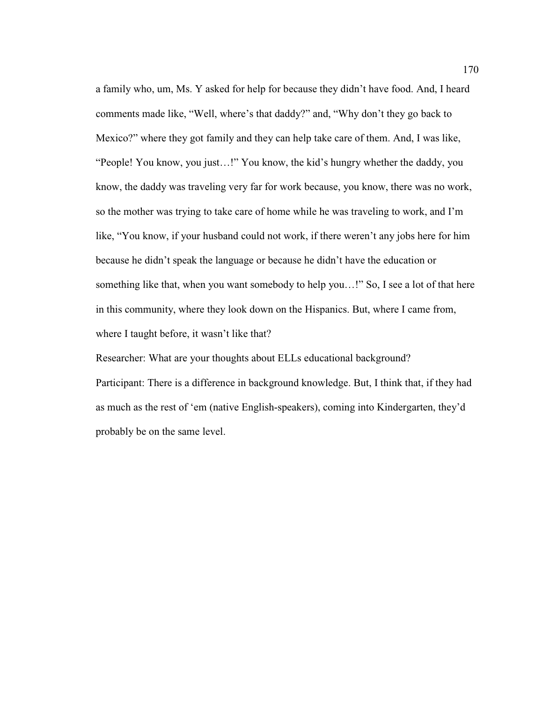a family who, um, Ms. Y asked for help for because they didn't have food. And, I heard comments made like, "Well, where's that daddy?" and, "Why don't they go back to Mexico?" where they got family and they can help take care of them. And, I was like, "People! You know, you just…!" You know, the kid's hungry whether the daddy, you know, the daddy was traveling very far for work because, you know, there was no work, so the mother was trying to take care of home while he was traveling to work, and I'm like, "You know, if your husband could not work, if there weren't any jobs here for him because he didn't speak the language or because he didn't have the education or something like that, when you want somebody to help you…!" So, I see a lot of that here in this community, where they look down on the Hispanics. But, where I came from, where I taught before, it wasn't like that?

Researcher: What are your thoughts about ELLs educational background? Participant: There is a difference in background knowledge. But, I think that, if they had as much as the rest of 'em (native English-speakers), coming into Kindergarten, they'd probably be on the same level.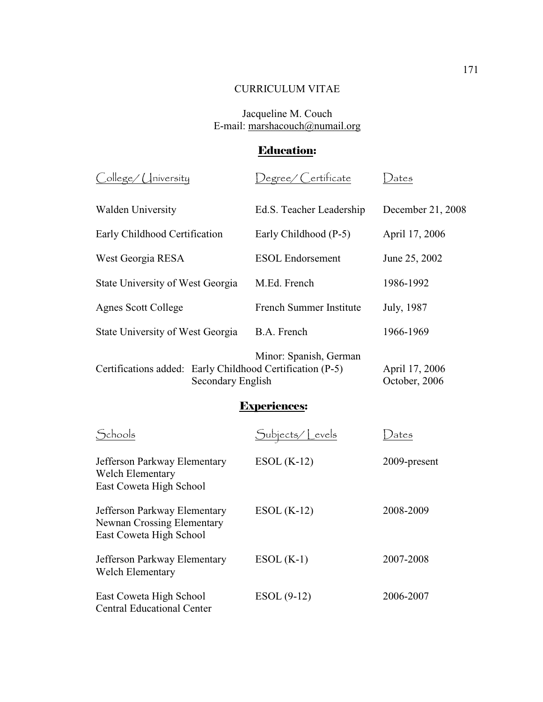## CURRICULUM VITAE

### Jacqueline M. Couch E-mail: marshacouch@numail.org

# Education:

| $\bigcirc$ ollege/ $\bigcirc$ Iniversity                                       | Degree/ Certificate      | ) ates                          |
|--------------------------------------------------------------------------------|--------------------------|---------------------------------|
| <b>Walden University</b>                                                       | Ed.S. Teacher Leadership | December 21, 2008               |
| Early Childhood Certification                                                  | Early Childhood (P-5)    | April 17, 2006                  |
| West Georgia RESA                                                              | <b>ESOL</b> Endorsement  | June 25, 2002                   |
| State University of West Georgia                                               | M.Ed. French             | 1986-1992                       |
| <b>Agnes Scott College</b>                                                     | French Summer Institute  | July, 1987                      |
| State University of West Georgia                                               | B.A. French              | 1966-1969                       |
| Certifications added: Early Childhood Certification (P-5)<br>Secondary English | Minor: Spanish, German   | April 17, 2006<br>October, 2006 |

## Experiences:

| Schools                                                                                      | Subjects/Levels | ates         |
|----------------------------------------------------------------------------------------------|-----------------|--------------|
| Jefferson Parkway Elementary<br>Welch Elementary<br>East Coweta High School                  | $ESOL(K-12)$    | 2009-present |
| Jefferson Parkway Elementary<br><b>Newnan Crossing Elementary</b><br>East Coweta High School | $ESOL(K-12)$    | 2008-2009    |
| Jefferson Parkway Elementary<br><b>Welch Elementary</b>                                      | $ESOL(K-1)$     | 2007-2008    |
| East Coweta High School<br><b>Central Educational Center</b>                                 | $ESOL(9-12)$    | 2006-2007    |